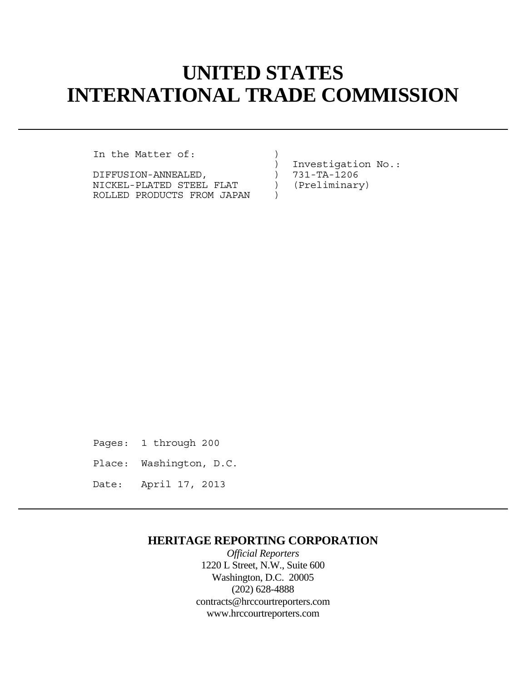# **UNITED STATES INTERNATIONAL TRADE COMMISSION**

In the Matter of:

DIFFUSION-ANNEALED, <br>NICKEL-PLATED STEEL FLAT (Preliminary) NICKEL-PLATED STEEL FLAT ROLLED PRODUCTS FROM JAPAN )

) Investigation No.:

Pages: 1 through 200

Place: Washington, D.C.

Date: April 17, 2013

## **HERITAGE REPORTING CORPORATION**

*Official Reporters* 1220 L Street, N.W., Suite 600 Washington, D.C. 20005 (202) 628-4888 contracts@hrccourtreporters.com www.hrccourtreporters.com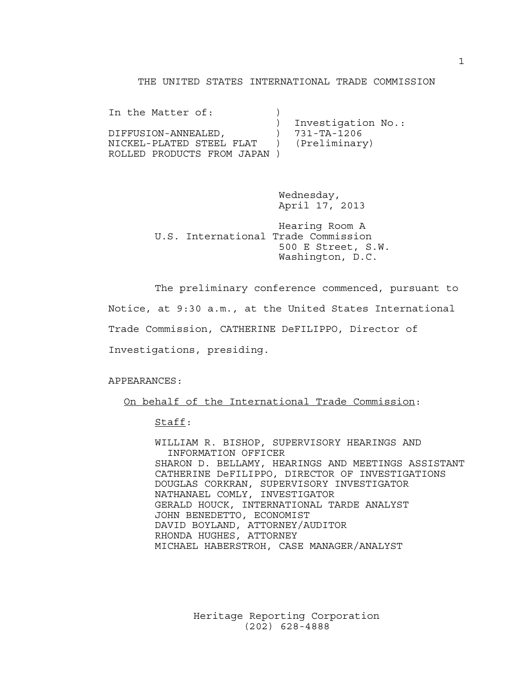#### THE UNITED STATES INTERNATIONAL TRADE COMMISSION

| In the Matter of:          |                    |
|----------------------------|--------------------|
|                            | Investigation No.: |
| DIFFUSION-ANNEALED,        | 731-TA-1206        |
| NICKEL-PLATED STEEL FLAT   | (Preliminary)      |
| ROLLED PRODUCTS FROM JAPAN |                    |

 Wednesday, April 17, 2013

 Hearing Room A U.S. International Trade Commission 500 E Street, S.W. Washington, D.C.

The preliminary conference commenced, pursuant to

Notice, at 9:30 a.m., at the United States International

Trade Commission, CATHERINE DeFILIPPO, Director of

Investigations, presiding.

APPEARANCES:

On behalf of the International Trade Commission:

Staff:

 WILLIAM R. BISHOP, SUPERVISORY HEARINGS AND INFORMATION OFFICER SHARON D. BELLAMY, HEARINGS AND MEETINGS ASSISTANT CATHERINE DeFILIPPO, DIRECTOR OF INVESTIGATIONS DOUGLAS CORKRAN, SUPERVISORY INVESTIGATOR NATHANAEL COMLY, INVESTIGATOR GERALD HOUCK, INTERNATIONAL TARDE ANALYST JOHN BENEDETTO, ECONOMIST DAVID BOYLAND, ATTORNEY/AUDITOR RHONDA HUGHES, ATTORNEY MICHAEL HABERSTROH, CASE MANAGER/ANALYST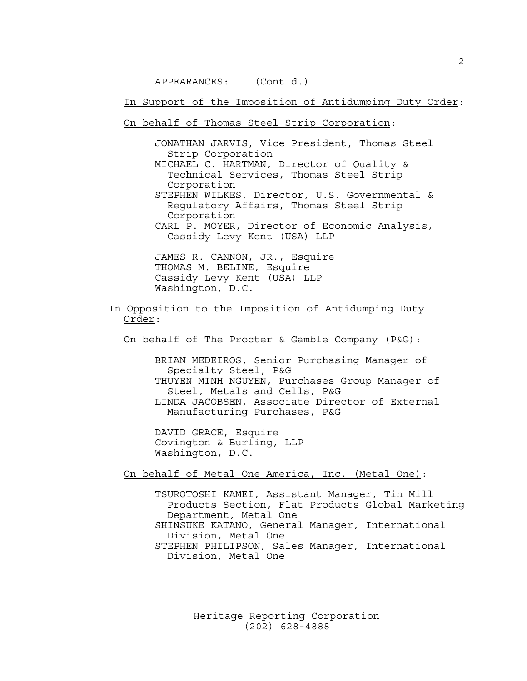APPEARANCES: (Cont'd.)

In Support of the Imposition of Antidumping Duty Order:

On behalf of Thomas Steel Strip Corporation:

 JONATHAN JARVIS, Vice President, Thomas Steel Strip Corporation MICHAEL C. HARTMAN, Director of Quality &

 Technical Services, Thomas Steel Strip Corporation STEPHEN WILKES, Director, U.S. Governmental &

 Regulatory Affairs, Thomas Steel Strip Corporation CARL P. MOYER, Director of Economic Analysis,

Cassidy Levy Kent (USA) LLP

 JAMES R. CANNON, JR., Esquire THOMAS M. BELINE, Esquire Cassidy Levy Kent (USA) LLP Washington, D.C.

In Opposition to the Imposition of Antidumping Duty Order:

On behalf of The Procter & Gamble Company (P&G):

 BRIAN MEDEIROS, Senior Purchasing Manager of Specialty Steel, P&G THUYEN MINH NGUYEN, Purchases Group Manager of Steel, Metals and Cells, P&G LINDA JACOBSEN, Associate Director of External Manufacturing Purchases, P&G

 DAVID GRACE, Esquire Covington & Burling, LLP Washington, D.C.

On behalf of Metal One America, Inc. (Metal One):

 TSUROTOSHI KAMEI, Assistant Manager, Tin Mill Products Section, Flat Products Global Marketing Department, Metal One SHINSUKE KATANO, General Manager, International Division, Metal One STEPHEN PHILIPSON, Sales Manager, International Division, Metal One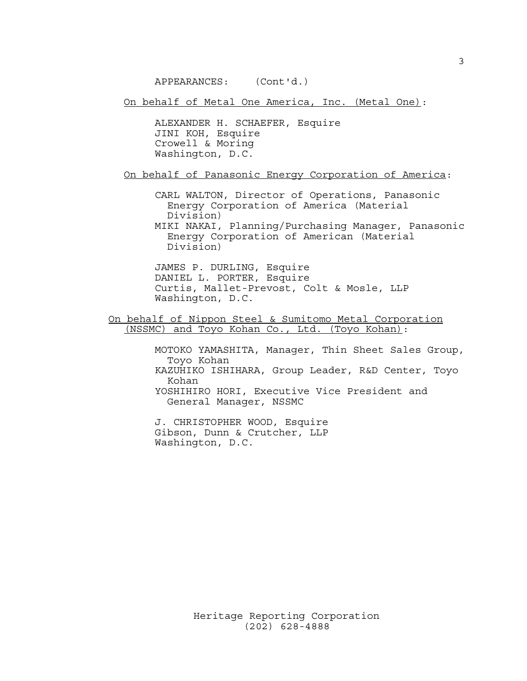APPEARANCES: (Cont'd.)

On behalf of Metal One America, Inc. (Metal One):

 ALEXANDER H. SCHAEFER, Esquire JINI KOH, Esquire Crowell & Moring Washington, D.C.

On behalf of Panasonic Energy Corporation of America:

 CARL WALTON, Director of Operations, Panasonic Energy Corporation of America (Material Division)

 MIKI NAKAI, Planning/Purchasing Manager, Panasonic Energy Corporation of American (Material Division)

 JAMES P. DURLING, Esquire DANIEL L. PORTER, Esquire Curtis, Mallet-Prevost, Colt & Mosle, LLP Washington, D.C.

On behalf of Nippon Steel & Sumitomo Metal Corporation (NSSMC) and Toyo Kohan Co., Ltd. (Toyo Kohan):

> MOTOKO YAMASHITA, Manager, Thin Sheet Sales Group, Toyo Kohan KAZUHIKO ISHIHARA, Group Leader, R&D Center, Toyo Kohan YOSHIHIRO HORI, Executive Vice President and General Manager, NSSMC

 J. CHRISTOPHER WOOD, Esquire Gibson, Dunn & Crutcher, LLP Washington, D.C.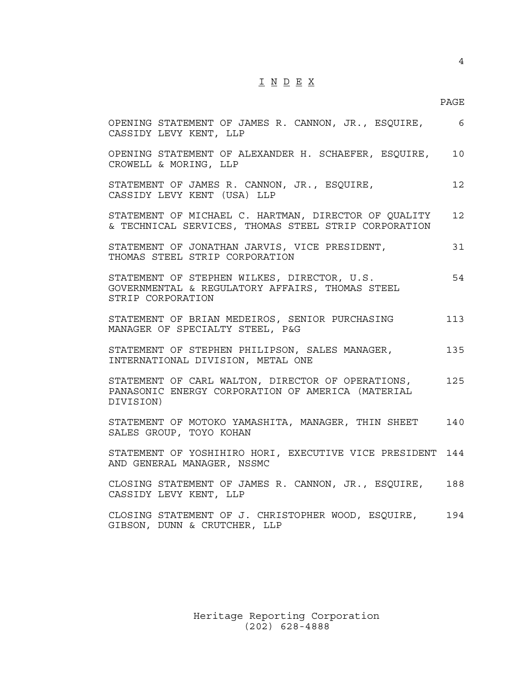### I N D E X

#### en de la provincia de la provincia de la provincia de la provincia de la provincia de la provincia de la provi

| OPENING STATEMENT OF JAMES R. CANNON, JR., ESQUIRE,<br>CASSIDY LEVY KENT, LLP                                       | - 6             |
|---------------------------------------------------------------------------------------------------------------------|-----------------|
| OPENING STATEMENT OF ALEXANDER H. SCHAEFER, ESQUIRE,<br>CROWELL & MORING, LLP                                       | 10              |
| STATEMENT OF JAMES R. CANNON, JR., ESQUIRE,<br>CASSIDY LEVY KENT (USA) LLP                                          | 12 <sup>°</sup> |
| STATEMENT OF MICHAEL C. HARTMAN, DIRECTOR OF QUALITY<br>& TECHNICAL SERVICES, THOMAS STEEL STRIP CORPORATION        | 12 <sup>°</sup> |
| STATEMENT OF JONATHAN JARVIS, VICE PRESIDENT,<br>THOMAS STEEL STRIP CORPORATION                                     | 31              |
| STATEMENT OF STEPHEN WILKES, DIRECTOR, U.S.<br>GOVERNMENTAL & REGULATORY AFFAIRS, THOMAS STEEL<br>STRIP CORPORATION | 54              |
| STATEMENT OF BRIAN MEDEIROS, SENIOR PURCHASING<br>MANAGER OF SPECIALTY STEEL, P&G                                   | 113             |
| STATEMENT OF STEPHEN PHILIPSON, SALES MANAGER,<br>INTERNATIONAL DIVISION, METAL ONE                                 | 135             |
| STATEMENT OF CARL WALTON, DIRECTOR OF OPERATIONS,<br>PANASONIC ENERGY CORPORATION OF AMERICA (MATERIAL<br>DIVISION) | 125             |
| STATEMENT OF MOTOKO YAMASHITA, MANAGER, THIN SHEET<br>SALES GROUP, TOYO KOHAN                                       | 140             |
| STATEMENT OF YOSHIHIRO HORI, EXECUTIVE VICE PRESIDENT<br>AND GENERAL MANAGER, NSSMC                                 | 144             |
| CLOSING STATEMENT OF JAMES R. CANNON, JR., ESQUIRE,<br>CASSIDY LEVY KENT, LLP                                       | 188             |
| CLOSING STATEMENT OF J. CHRISTOPHER WOOD, ESQUIRE,<br>GIBSON, DUNN & CRUTCHER, LLP                                  | 194             |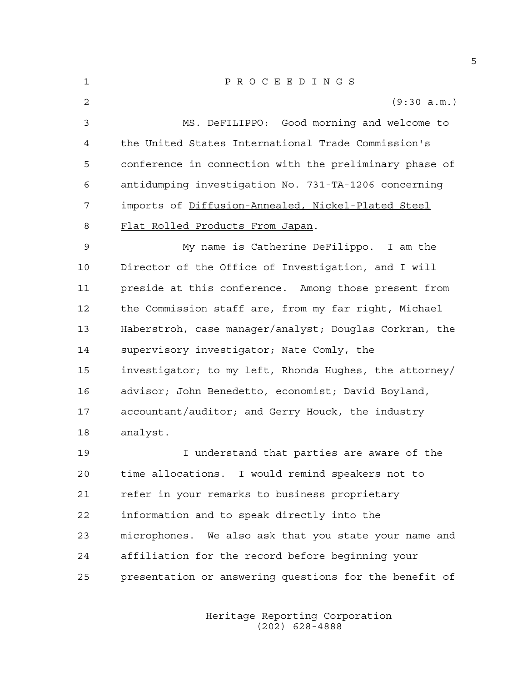| 1  | $\underline{P} \underline{R} \underline{O} \underline{C} \underline{E} \underline{E} \underline{D} \underline{I} \underline{N} \underline{G} \underline{S}$ |
|----|-------------------------------------------------------------------------------------------------------------------------------------------------------------|
| 2  | (9:30 a.m.)                                                                                                                                                 |
| 3  | MS. DeFILIPPO: Good morning and welcome to                                                                                                                  |
| 4  | the United States International Trade Commission's                                                                                                          |
| 5  | conference in connection with the preliminary phase of                                                                                                      |
| 6  | antidumping investigation No. 731-TA-1206 concerning                                                                                                        |
| 7  | imports of Diffusion-Annealed, Nickel-Plated Steel                                                                                                          |
| 8  | <u>Flat Rolled Products From Japan</u> .                                                                                                                    |
| 9  | My name is Catherine DeFilippo. I am the                                                                                                                    |
| 10 | Director of the Office of Investigation, and I will                                                                                                         |
| 11 | preside at this conference. Among those present from                                                                                                        |
| 12 | the Commission staff are, from my far right, Michael                                                                                                        |
| 13 | Haberstroh, case manager/analyst; Douglas Corkran, the                                                                                                      |
| 14 | supervisory investigator; Nate Comly, the                                                                                                                   |
| 15 | investigator; to my left, Rhonda Hughes, the attorney/                                                                                                      |
| 16 | advisor; John Benedetto, economist; David Boyland,                                                                                                          |
| 17 | accountant/auditor; and Gerry Houck, the industry                                                                                                           |
| 18 | analyst.                                                                                                                                                    |
| 19 | I understand that parties are aware of the                                                                                                                  |
| 20 | time allocations. I would remind speakers not to                                                                                                            |
| 21 | refer in your remarks to business proprietary                                                                                                               |
| 22 | information and to speak directly into the                                                                                                                  |
| 23 | microphones. We also ask that you state your name and                                                                                                       |
| 24 | affiliation for the record before beginning your                                                                                                            |
| 25 | presentation or answering questions for the benefit of                                                                                                      |

 Heritage Reporting Corporation (202) 628-4888

5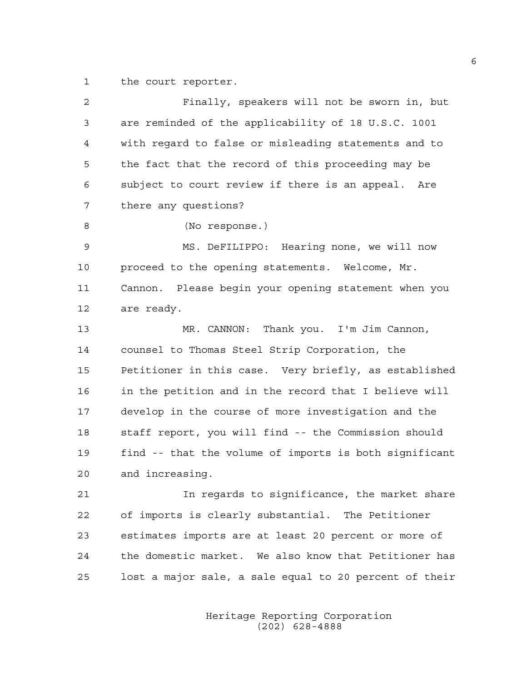1 the court reporter.

| 2  | Finally, speakers will not be sworn in, but            |
|----|--------------------------------------------------------|
| 3  | are reminded of the applicability of 18 U.S.C. 1001    |
| 4  | with regard to false or misleading statements and to   |
| 5  | the fact that the record of this proceeding may be     |
| 6  | subject to court review if there is an appeal. Are     |
| 7  | there any questions?                                   |
| 8  | (No response.)                                         |
| 9  | MS. DeFILIPPO: Hearing none, we will now               |
| 10 | proceed to the opening statements. Welcome, Mr.        |
| 11 | Cannon. Please begin your opening statement when you   |
| 12 | are ready.                                             |
| 13 | MR. CANNON: Thank you. I'm Jim Cannon,                 |
| 14 | counsel to Thomas Steel Strip Corporation, the         |
| 15 | Petitioner in this case. Very briefly, as established  |
| 16 | in the petition and in the record that I believe will  |
| 17 | develop in the course of more investigation and the    |
| 18 | staff report, you will find -- the Commission should   |
| 19 | find -- that the volume of imports is both significant |
| 20 | and increasing.                                        |
| 21 | In regards to significance, the market share           |
| 22 | of imports is clearly substantial. The Petitioner      |
| 23 | estimates imports are at least 20 percent or more of   |
| 24 | the domestic market. We also know that Petitioner has  |
| 25 | lost a major sale, a sale equal to 20 percent of their |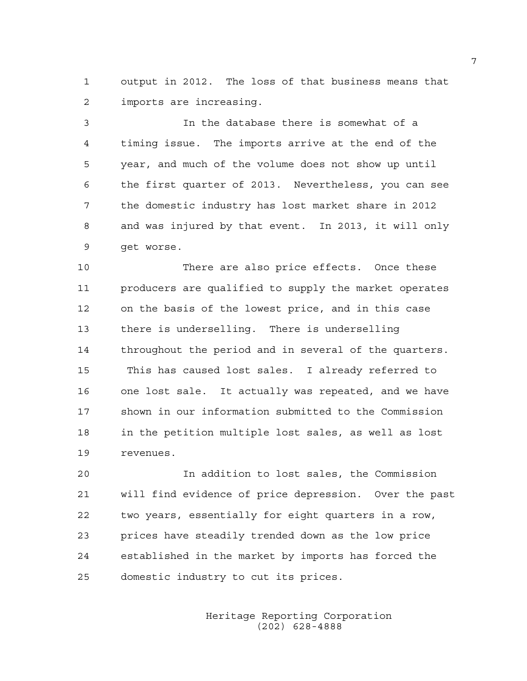1 output in 2012. The loss of that business means that 2 imports are increasing.

3 In the database there is somewhat of a 4 timing issue. The imports arrive at the end of the 5 year, and much of the volume does not show up until 6 the first quarter of 2013. Nevertheless, you can see 7 the domestic industry has lost market share in 2012 8 and was injured by that event. In 2013, it will only 9 get worse.

10 There are also price effects. Once these 11 producers are qualified to supply the market operates 12 on the basis of the lowest price, and in this case 13 there is underselling. There is underselling 14 throughout the period and in several of the quarters. 15 This has caused lost sales. I already referred to 16 one lost sale. It actually was repeated, and we have 17 shown in our information submitted to the Commission 18 in the petition multiple lost sales, as well as lost 19 revenues.

20 In addition to lost sales, the Commission 21 will find evidence of price depression. Over the past 22 two years, essentially for eight quarters in a row, 23 prices have steadily trended down as the low price 24 established in the market by imports has forced the 25 domestic industry to cut its prices.

> Heritage Reporting Corporation (202) 628-4888

7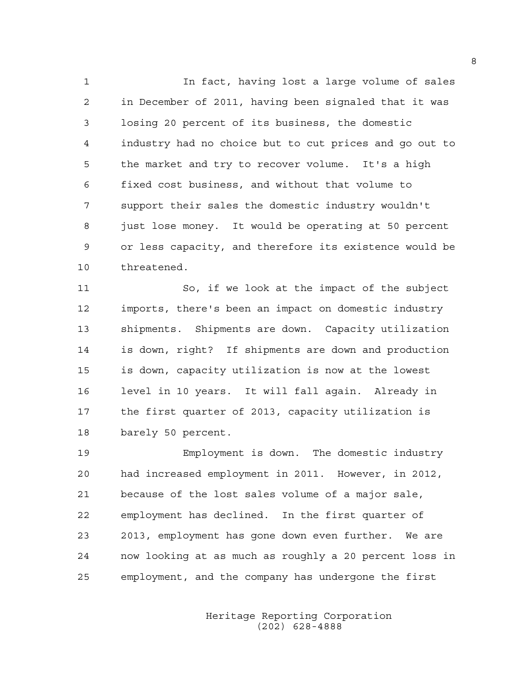1 In fact, having lost a large volume of sales 2 in December of 2011, having been signaled that it was 3 losing 20 percent of its business, the domestic 4 industry had no choice but to cut prices and go out to 5 the market and try to recover volume. It's a high 6 fixed cost business, and without that volume to 7 support their sales the domestic industry wouldn't 8 just lose money. It would be operating at 50 percent 9 or less capacity, and therefore its existence would be 10 threatened.

11 So, if we look at the impact of the subject 12 imports, there's been an impact on domestic industry 13 shipments. Shipments are down. Capacity utilization 14 is down, right? If shipments are down and production 15 is down, capacity utilization is now at the lowest 16 level in 10 years. It will fall again. Already in 17 the first quarter of 2013, capacity utilization is 18 barely 50 percent.

19 Employment is down. The domestic industry 20 had increased employment in 2011. However, in 2012, 21 because of the lost sales volume of a major sale, 22 employment has declined. In the first quarter of 23 2013, employment has gone down even further. We are 24 now looking at as much as roughly a 20 percent loss in 25 employment, and the company has undergone the first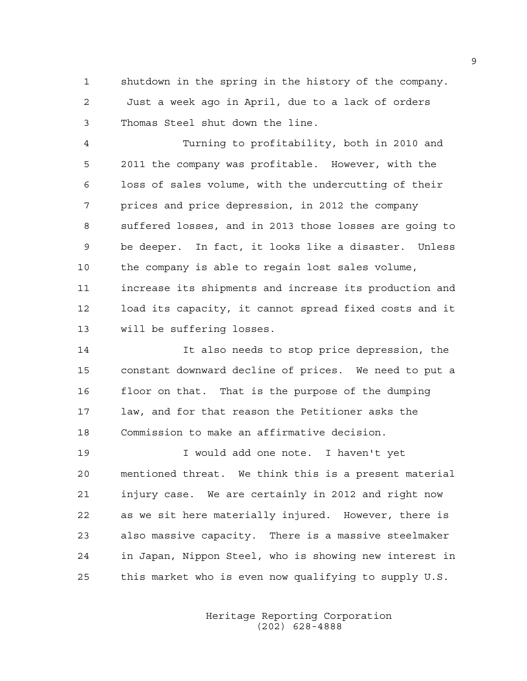1 shutdown in the spring in the history of the company. 2 Just a week ago in April, due to a lack of orders 3 Thomas Steel shut down the line.

4 Turning to profitability, both in 2010 and 5 2011 the company was profitable. However, with the 6 loss of sales volume, with the undercutting of their 7 prices and price depression, in 2012 the company 8 suffered losses, and in 2013 those losses are going to 9 be deeper. In fact, it looks like a disaster. Unless 10 the company is able to regain lost sales volume, 11 increase its shipments and increase its production and 12 load its capacity, it cannot spread fixed costs and it 13 will be suffering losses.

14 It also needs to stop price depression, the 15 constant downward decline of prices. We need to put a 16 floor on that. That is the purpose of the dumping 17 law, and for that reason the Petitioner asks the 18 Commission to make an affirmative decision.

19 I would add one note. I haven't yet 20 mentioned threat. We think this is a present material 21 injury case. We are certainly in 2012 and right now 22 as we sit here materially injured. However, there is 23 also massive capacity. There is a massive steelmaker 24 in Japan, Nippon Steel, who is showing new interest in 25 this market who is even now qualifying to supply U.S.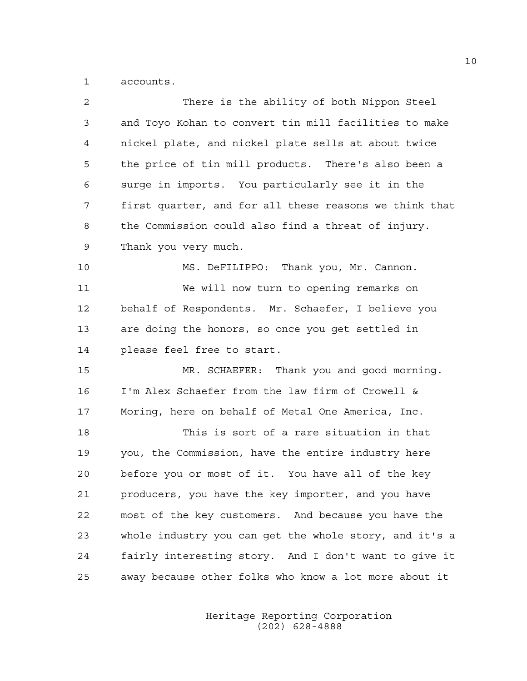1 accounts.

| 2  | There is the ability of both Nippon Steel              |
|----|--------------------------------------------------------|
| 3  | and Toyo Kohan to convert tin mill facilities to make  |
| 4  | nickel plate, and nickel plate sells at about twice    |
| 5  | the price of tin mill products. There's also been a    |
| 6  | surge in imports. You particularly see it in the       |
| 7  | first quarter, and for all these reasons we think that |
| 8  | the Commission could also find a threat of injury.     |
| 9  | Thank you very much.                                   |
| 10 | MS. DeFILIPPO: Thank you, Mr. Cannon.                  |
| 11 | We will now turn to opening remarks on                 |
| 12 | behalf of Respondents. Mr. Schaefer, I believe you     |
| 13 | are doing the honors, so once you get settled in       |
| 14 | please feel free to start.                             |
| 15 | MR. SCHAEFER: Thank you and good morning.              |
| 16 | I'm Alex Schaefer from the law firm of Crowell &       |
| 17 | Moring, here on behalf of Metal One America, Inc.      |
| 18 | This is sort of a rare situation in that               |
| 19 | you, the Commission, have the entire industry here     |
| 20 | before you or most of it. You have all of the key      |
| 21 | producers, you have the key importer, and you have     |
| 22 | most of the key customers. And because you have the    |
| 23 | whole industry you can get the whole story, and it's a |
| 24 | fairly interesting story. And I don't want to give it  |
| 25 | away because other folks who know a lot more about it  |
|    |                                                        |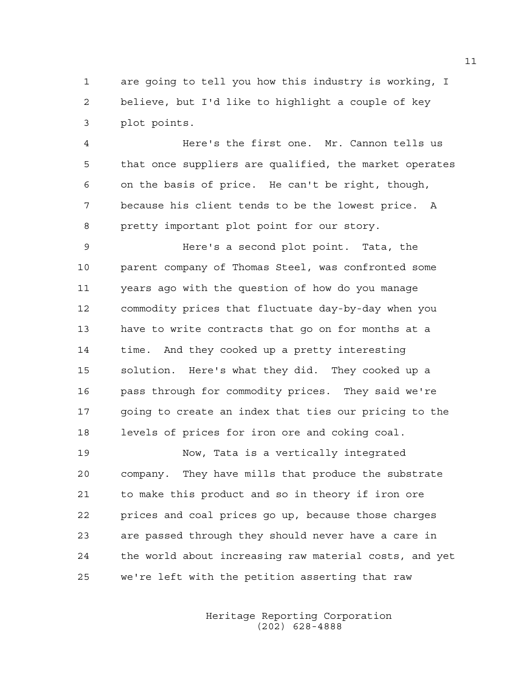1 are going to tell you how this industry is working, I 2 believe, but I'd like to highlight a couple of key 3 plot points.

4 Here's the first one. Mr. Cannon tells us 5 that once suppliers are qualified, the market operates 6 on the basis of price. He can't be right, though, 7 because his client tends to be the lowest price. A 8 pretty important plot point for our story.

9 Here's a second plot point. Tata, the 10 parent company of Thomas Steel, was confronted some 11 years ago with the question of how do you manage 12 commodity prices that fluctuate day-by-day when you 13 have to write contracts that go on for months at a 14 time. And they cooked up a pretty interesting 15 solution. Here's what they did. They cooked up a 16 pass through for commodity prices. They said we're 17 going to create an index that ties our pricing to the 18 levels of prices for iron ore and coking coal.

19 Now, Tata is a vertically integrated 20 company. They have mills that produce the substrate 21 to make this product and so in theory if iron ore 22 prices and coal prices go up, because those charges 23 are passed through they should never have a care in 24 the world about increasing raw material costs, and yet 25 we're left with the petition asserting that raw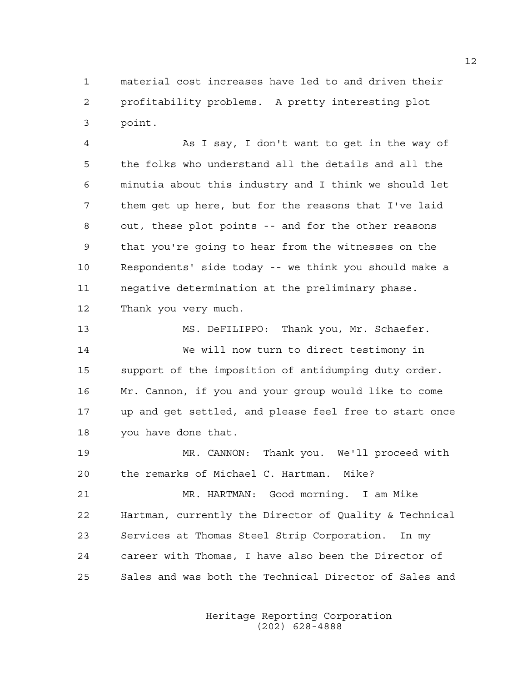1 material cost increases have led to and driven their 2 profitability problems. A pretty interesting plot 3 point.

4 As I say, I don't want to get in the way of 5 the folks who understand all the details and all the 6 minutia about this industry and I think we should let 7 them get up here, but for the reasons that I've laid 8 out, these plot points -- and for the other reasons 9 that you're going to hear from the witnesses on the 10 Respondents' side today -- we think you should make a 11 negative determination at the preliminary phase. 12 Thank you very much.

13 MS. DeFILIPPO: Thank you, Mr. Schaefer. 14 We will now turn to direct testimony in 15 support of the imposition of antidumping duty order. 16 Mr. Cannon, if you and your group would like to come 17 up and get settled, and please feel free to start once 18 you have done that.

19 MR. CANNON: Thank you. We'll proceed with 20 the remarks of Michael C. Hartman. Mike?

21 MR. HARTMAN: Good morning. I am Mike 22 Hartman, currently the Director of Quality & Technical 23 Services at Thomas Steel Strip Corporation. In my 24 career with Thomas, I have also been the Director of 25 Sales and was both the Technical Director of Sales and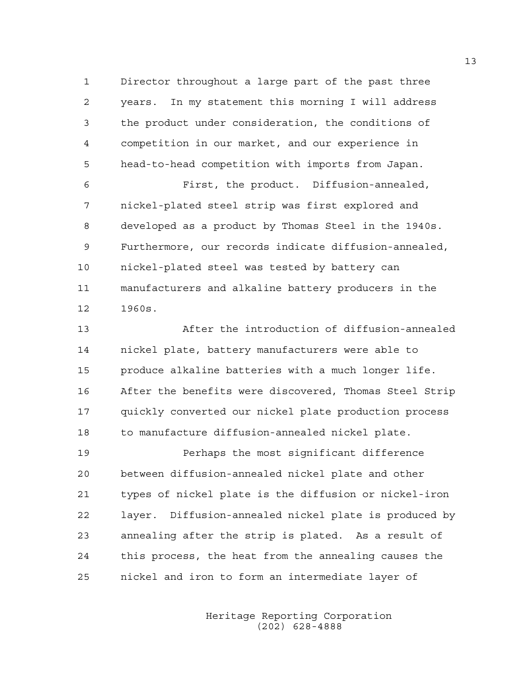1 Director throughout a large part of the past three 2 years. In my statement this morning I will address 3 the product under consideration, the conditions of 4 competition in our market, and our experience in 5 head-to-head competition with imports from Japan.

6 First, the product. Diffusion-annealed, 7 nickel-plated steel strip was first explored and 8 developed as a product by Thomas Steel in the 1940s. 9 Furthermore, our records indicate diffusion-annealed, 10 nickel-plated steel was tested by battery can 11 manufacturers and alkaline battery producers in the 12 1960s.

13 After the introduction of diffusion-annealed 14 nickel plate, battery manufacturers were able to 15 produce alkaline batteries with a much longer life. 16 After the benefits were discovered, Thomas Steel Strip 17 quickly converted our nickel plate production process 18 to manufacture diffusion-annealed nickel plate.

19 Perhaps the most significant difference 20 between diffusion-annealed nickel plate and other 21 types of nickel plate is the diffusion or nickel-iron 22 layer. Diffusion-annealed nickel plate is produced by 23 annealing after the strip is plated. As a result of 24 this process, the heat from the annealing causes the 25 nickel and iron to form an intermediate layer of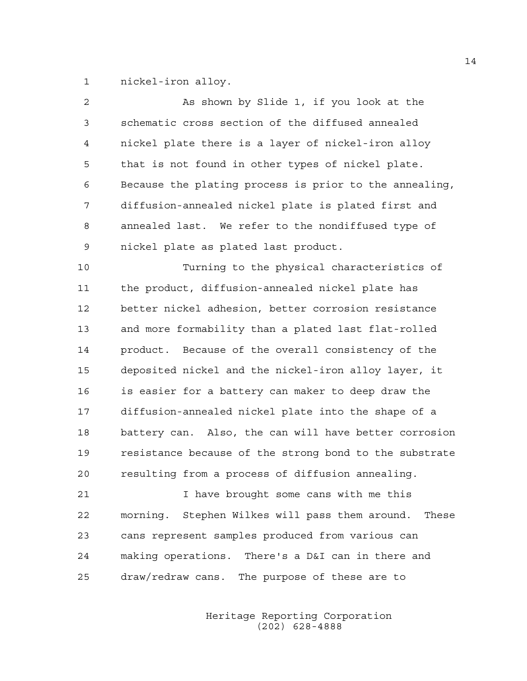1 nickel-iron alloy.

| $\overline{2}$ | As shown by Slide 1, if you look at the                |
|----------------|--------------------------------------------------------|
| 3              | schematic cross section of the diffused annealed       |
| 4              | nickel plate there is a layer of nickel-iron alloy     |
| 5              | that is not found in other types of nickel plate.      |
| 6              | Because the plating process is prior to the annealing, |
| 7              | diffusion-annealed nickel plate is plated first and    |
| 8              | annealed last. We refer to the nondiffused type of     |
| 9              | nickel plate as plated last product.                   |
| 10             | Turning to the physical characteristics of             |
| 11             | the product, diffusion-annealed nickel plate has       |
| 12             | better nickel adhesion, better corrosion resistance    |
| 13             | and more formability than a plated last flat-rolled    |
| 14             | product. Because of the overall consistency of the     |
| 15             | deposited nickel and the nickel-iron alloy layer, it   |
| 16             | is easier for a battery can maker to deep draw the     |
| 17             | diffusion-annealed nickel plate into the shape of a    |
| 18             | battery can. Also, the can will have better corrosion  |
| 19             | resistance because of the strong bond to the substrate |
| 20             | resulting from a process of diffusion annealing.       |
| 21             | I have brought some cans with me this                  |

22 morning. Stephen Wilkes will pass them around. These 23 cans represent samples produced from various can 24 making operations. There's a D&I can in there and 25 draw/redraw cans. The purpose of these are to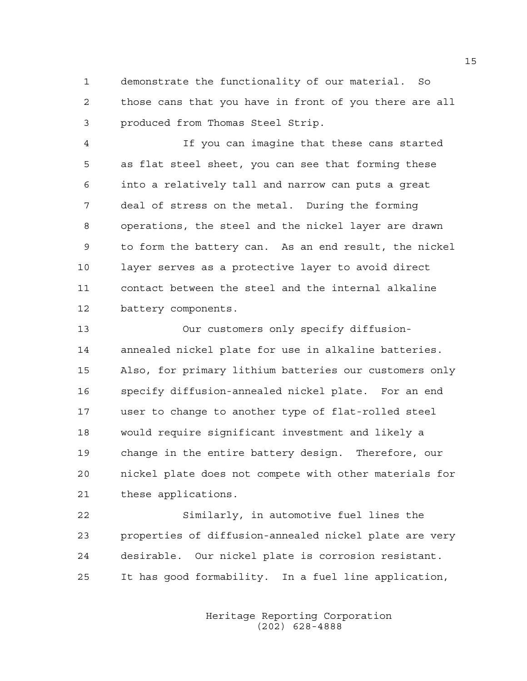1 demonstrate the functionality of our material. So 2 those cans that you have in front of you there are all 3 produced from Thomas Steel Strip.

4 If you can imagine that these cans started 5 as flat steel sheet, you can see that forming these 6 into a relatively tall and narrow can puts a great 7 deal of stress on the metal. During the forming 8 operations, the steel and the nickel layer are drawn 9 to form the battery can. As an end result, the nickel 10 layer serves as a protective layer to avoid direct 11 contact between the steel and the internal alkaline 12 battery components.

13 Our customers only specify diffusion-14 annealed nickel plate for use in alkaline batteries. 15 Also, for primary lithium batteries our customers only 16 specify diffusion-annealed nickel plate. For an end 17 user to change to another type of flat-rolled steel 18 would require significant investment and likely a 19 change in the entire battery design. Therefore, our 20 nickel plate does not compete with other materials for 21 these applications.

22 Similarly, in automotive fuel lines the 23 properties of diffusion-annealed nickel plate are very 24 desirable. Our nickel plate is corrosion resistant. 25 It has good formability. In a fuel line application,

> Heritage Reporting Corporation (202) 628-4888

15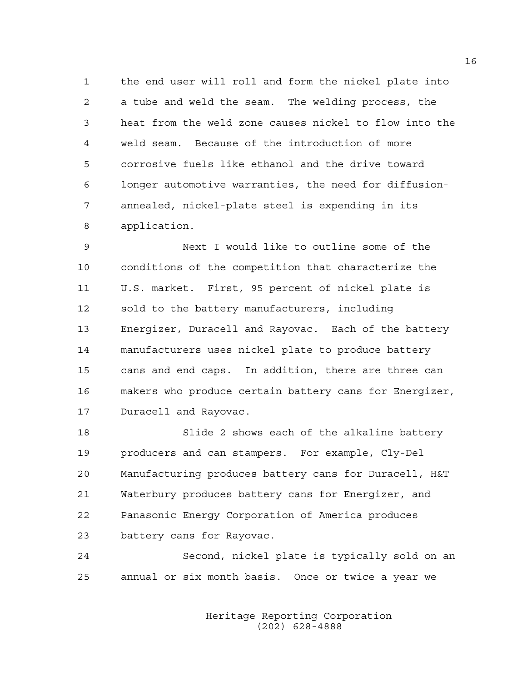1 the end user will roll and form the nickel plate into 2 a tube and weld the seam. The welding process, the 3 heat from the weld zone causes nickel to flow into the 4 weld seam. Because of the introduction of more 5 corrosive fuels like ethanol and the drive toward 6 longer automotive warranties, the need for diffusion-7 annealed, nickel-plate steel is expending in its 8 application.

9 Next I would like to outline some of the 10 conditions of the competition that characterize the 11 U.S. market. First, 95 percent of nickel plate is 12 sold to the battery manufacturers, including 13 Energizer, Duracell and Rayovac. Each of the battery 14 manufacturers uses nickel plate to produce battery 15 cans and end caps. In addition, there are three can 16 makers who produce certain battery cans for Energizer, 17 Duracell and Rayovac.

18 Slide 2 shows each of the alkaline battery 19 producers and can stampers. For example, Cly-Del 20 Manufacturing produces battery cans for Duracell, H&T 21 Waterbury produces battery cans for Energizer, and 22 Panasonic Energy Corporation of America produces 23 battery cans for Rayovac.

24 Second, nickel plate is typically sold on an 25 annual or six month basis. Once or twice a year we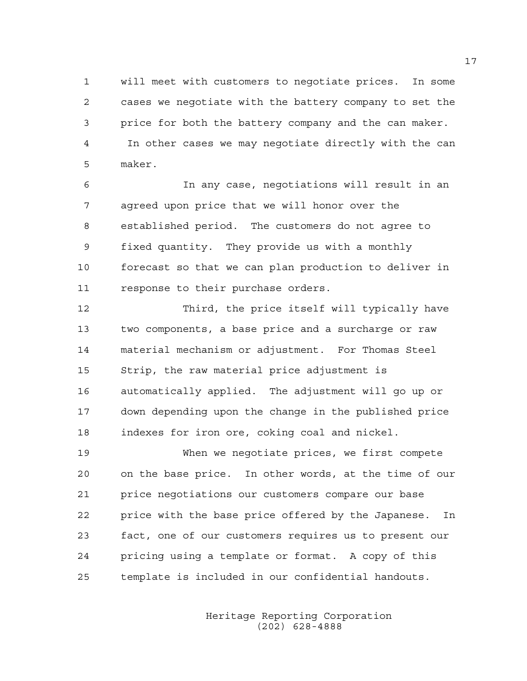1 will meet with customers to negotiate prices. In some 2 cases we negotiate with the battery company to set the 3 price for both the battery company and the can maker. 4 In other cases we may negotiate directly with the can 5 maker.

6 In any case, negotiations will result in an 7 agreed upon price that we will honor over the 8 established period. The customers do not agree to 9 fixed quantity. They provide us with a monthly 10 forecast so that we can plan production to deliver in 11 response to their purchase orders.

12 Third, the price itself will typically have 13 two components, a base price and a surcharge or raw 14 material mechanism or adjustment. For Thomas Steel 15 Strip, the raw material price adjustment is 16 automatically applied. The adjustment will go up or 17 down depending upon the change in the published price 18 indexes for iron ore, coking coal and nickel.

19 When we negotiate prices, we first compete 20 on the base price. In other words, at the time of our 21 price negotiations our customers compare our base 22 price with the base price offered by the Japanese. In 23 fact, one of our customers requires us to present our 24 pricing using a template or format. A copy of this 25 template is included in our confidential handouts.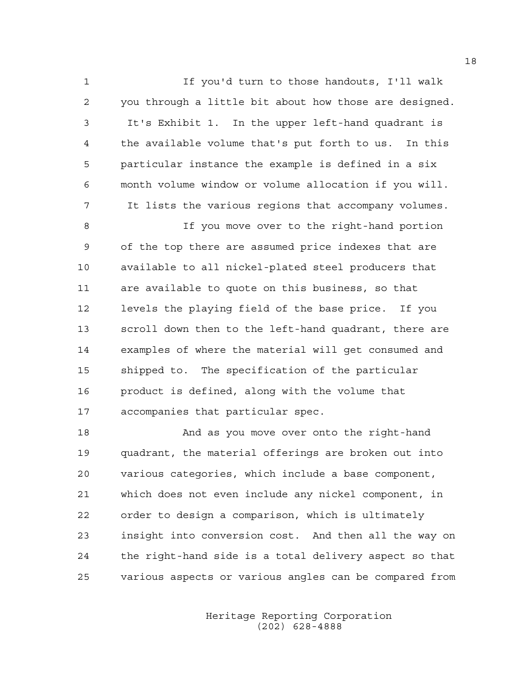1 If you'd turn to those handouts, I'll walk 2 you through a little bit about how those are designed. 3 It's Exhibit 1. In the upper left-hand quadrant is 4 the available volume that's put forth to us. In this 5 particular instance the example is defined in a six 6 month volume window or volume allocation if you will. 7 It lists the various regions that accompany volumes.

8 If you move over to the right-hand portion 9 of the top there are assumed price indexes that are 10 available to all nickel-plated steel producers that 11 are available to quote on this business, so that 12 levels the playing field of the base price. If you 13 scroll down then to the left-hand quadrant, there are 14 examples of where the material will get consumed and 15 shipped to. The specification of the particular 16 product is defined, along with the volume that 17 accompanies that particular spec.

18 And as you move over onto the right-hand 19 quadrant, the material offerings are broken out into 20 various categories, which include a base component, 21 which does not even include any nickel component, in 22 order to design a comparison, which is ultimately 23 insight into conversion cost. And then all the way on 24 the right-hand side is a total delivery aspect so that 25 various aspects or various angles can be compared from

> Heritage Reporting Corporation (202) 628-4888

18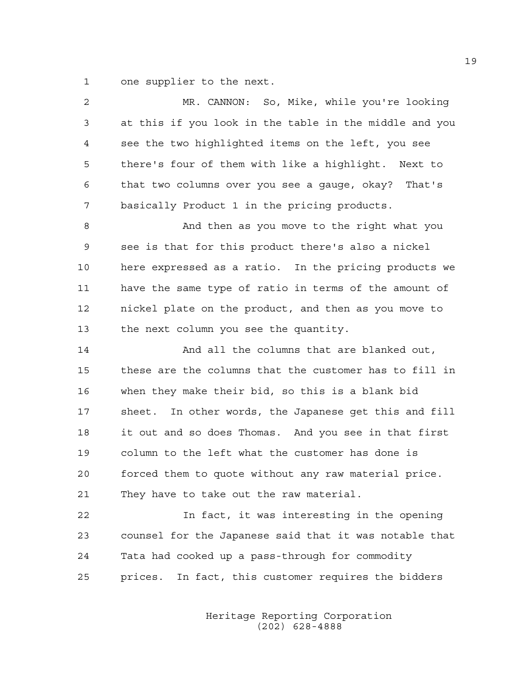1 one supplier to the next.

| 2  | MR. CANNON: So, Mike, while you're looking             |
|----|--------------------------------------------------------|
| 3  | at this if you look in the table in the middle and you |
| 4  | see the two highlighted items on the left, you see     |
| 5  | there's four of them with like a highlight. Next to    |
| 6  | that two columns over you see a gauge, okay? That's    |
| 7  | basically Product 1 in the pricing products.           |
| 8  | And then as you move to the right what you             |
| 9  | see is that for this product there's also a nickel     |
| 10 | here expressed as a ratio. In the pricing products we  |
| 11 | have the same type of ratio in terms of the amount of  |
| 12 | nickel plate on the product, and then as you move to   |
| 13 | the next column you see the quantity.                  |
| 14 | And all the columns that are blanked out,              |
| 15 | these are the columns that the customer has to fill in |
| 16 | when they make their bid, so this is a blank bid       |
| 17 | sheet. In other words, the Japanese get this and fill  |
| 18 | it out and so does Thomas. And you see in that first   |
| 19 | column to the left what the customer has done is       |
| 20 | forced them to quote without any raw material price.   |
| 21 | They have to take out the raw material.                |
| 22 | In fact, it was interesting in the opening             |
| 23 | counsel for the Japanese said that it was notable that |
| 24 | Tata had cooked up a pass-through for commodity        |
| 25 | prices. In fact, this customer requires the bidders    |
|    |                                                        |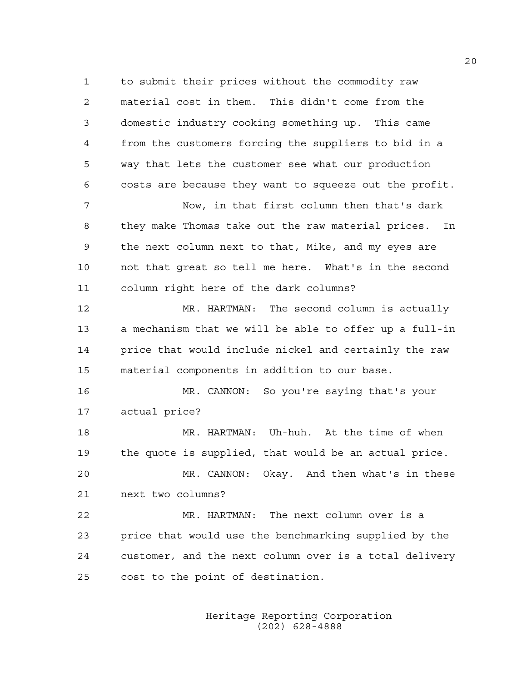1 to submit their prices without the commodity raw 2 material cost in them. This didn't come from the 3 domestic industry cooking something up. This came 4 from the customers forcing the suppliers to bid in a 5 way that lets the customer see what our production 6 costs are because they want to squeeze out the profit.

7 Now, in that first column then that's dark 8 they make Thomas take out the raw material prices. In 9 the next column next to that, Mike, and my eyes are 10 not that great so tell me here. What's in the second 11 column right here of the dark columns?

12 MR. HARTMAN: The second column is actually 13 a mechanism that we will be able to offer up a full-in 14 price that would include nickel and certainly the raw 15 material components in addition to our base.

16 MR. CANNON: So you're saying that's your 17 actual price?

18 MR. HARTMAN: Uh-huh. At the time of when 19 the quote is supplied, that would be an actual price. 20 MR. CANNON: Okay. And then what's in these 21 next two columns?

22 MR. HARTMAN: The next column over is a 23 price that would use the benchmarking supplied by the 24 customer, and the next column over is a total delivery 25 cost to the point of destination.

> Heritage Reporting Corporation (202) 628-4888

20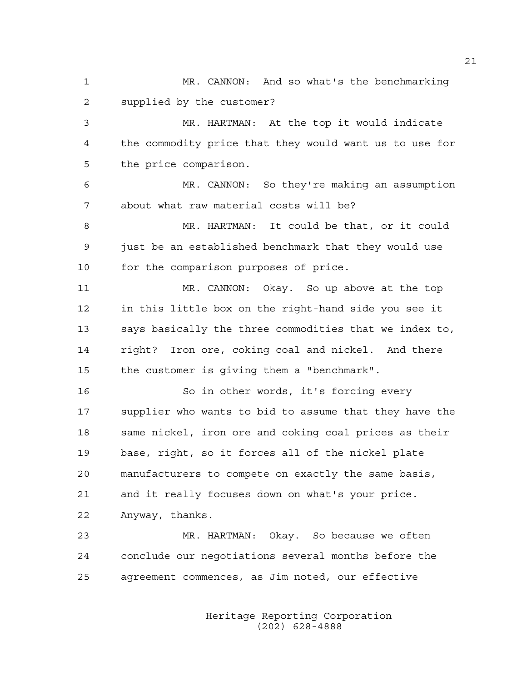1 MR. CANNON: And so what's the benchmarking 2 supplied by the customer?

3 MR. HARTMAN: At the top it would indicate 4 the commodity price that they would want us to use for 5 the price comparison.

6 MR. CANNON: So they're making an assumption 7 about what raw material costs will be?

8 MR. HARTMAN: It could be that, or it could 9 just be an established benchmark that they would use 10 for the comparison purposes of price.

11 MR. CANNON: Okay. So up above at the top 12 in this little box on the right-hand side you see it 13 says basically the three commodities that we index to, 14 right? Iron ore, coking coal and nickel. And there 15 the customer is giving them a "benchmark".

16 So in other words, it's forcing every 17 supplier who wants to bid to assume that they have the 18 same nickel, iron ore and coking coal prices as their 19 base, right, so it forces all of the nickel plate 20 manufacturers to compete on exactly the same basis, 21 and it really focuses down on what's your price. 22 Anyway, thanks.

23 MR. HARTMAN: Okay. So because we often 24 conclude our negotiations several months before the 25 agreement commences, as Jim noted, our effective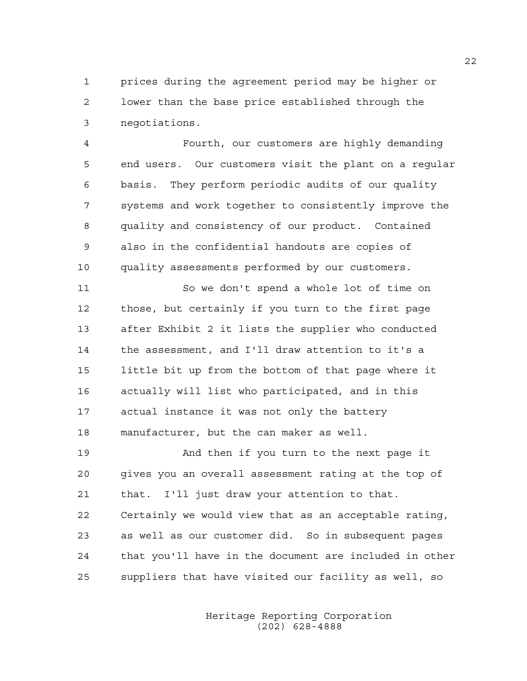1 prices during the agreement period may be higher or 2 lower than the base price established through the 3 negotiations.

4 Fourth, our customers are highly demanding 5 end users. Our customers visit the plant on a regular 6 basis. They perform periodic audits of our quality 7 systems and work together to consistently improve the 8 quality and consistency of our product. Contained 9 also in the confidential handouts are copies of 10 quality assessments performed by our customers.

11 So we don't spend a whole lot of time on 12 those, but certainly if you turn to the first page 13 after Exhibit 2 it lists the supplier who conducted 14 the assessment, and I'll draw attention to it's a 15 little bit up from the bottom of that page where it 16 actually will list who participated, and in this 17 actual instance it was not only the battery 18 manufacturer, but the can maker as well.

19 And then if you turn to the next page it 20 gives you an overall assessment rating at the top of 21 that. I'll just draw your attention to that. 22 Certainly we would view that as an acceptable rating, 23 as well as our customer did. So in subsequent pages 24 that you'll have in the document are included in other 25 suppliers that have visited our facility as well, so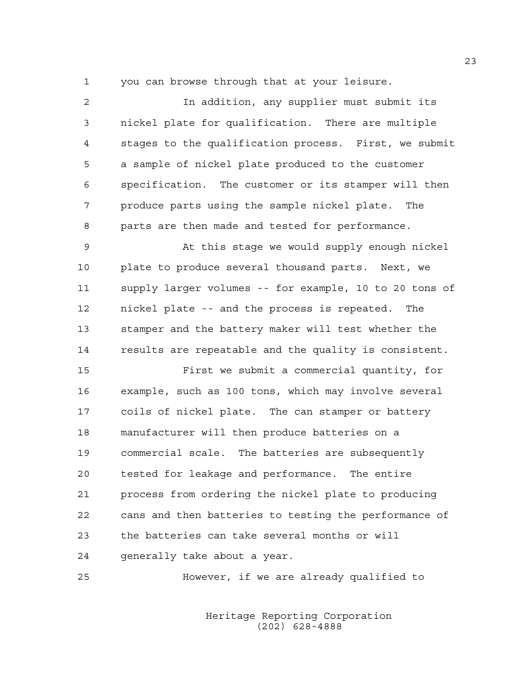1 you can browse through that at your leisure.

| $\overline{2}$ | In addition, any supplier must submit its              |
|----------------|--------------------------------------------------------|
| 3              | nickel plate for qualification. There are multiple     |
| $\overline{4}$ | stages to the qualification process. First, we submit  |
| 5              | a sample of nickel plate produced to the customer      |
| 6              | specification. The customer or its stamper will then   |
| 7              | produce parts using the sample nickel plate. The       |
| 8              | parts are then made and tested for performance.        |
| 9              | At this stage we would supply enough nickel            |
| 10             | plate to produce several thousand parts. Next, we      |
| 11             | supply larger volumes -- for example, 10 to 20 tons of |
| 12             | nickel plate -- and the process is repeated. The       |
| 13             | stamper and the battery maker will test whether the    |
| 14             | results are repeatable and the quality is consistent.  |
| 15             | First we submit a commercial quantity, for             |
| 16             | example, such as 100 tons, which may involve several   |
| 17             | coils of nickel plate. The can stamper or battery      |
| 18             | manufacturer will then produce batteries on a          |
| 19             | commercial scale. The batteries are subsequently       |
| 20             | tested for leakage and performance. The entire         |
| 21             | process from ordering the nickel plate to producing    |
| 22             | cans and then batteries to testing the performance of  |
| 23             | the batteries can take several months or will          |
| 24             | generally take about a year.                           |

25 However, if we are already qualified to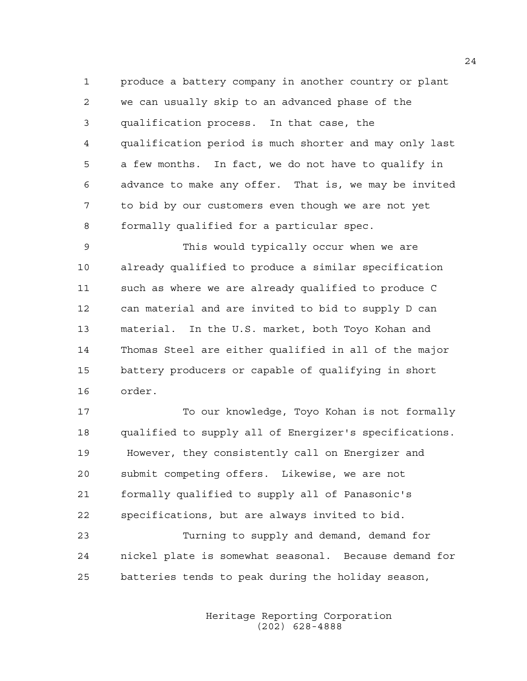1 produce a battery company in another country or plant 2 we can usually skip to an advanced phase of the 3 qualification process. In that case, the 4 qualification period is much shorter and may only last 5 a few months. In fact, we do not have to qualify in 6 advance to make any offer. That is, we may be invited 7 to bid by our customers even though we are not yet 8 formally qualified for a particular spec.

9 This would typically occur when we are 10 already qualified to produce a similar specification 11 such as where we are already qualified to produce C 12 can material and are invited to bid to supply D can 13 material. In the U.S. market, both Toyo Kohan and 14 Thomas Steel are either qualified in all of the major 15 battery producers or capable of qualifying in short 16 order.

17 To our knowledge, Toyo Kohan is not formally 18 qualified to supply all of Energizer's specifications. 19 However, they consistently call on Energizer and 20 submit competing offers. Likewise, we are not 21 formally qualified to supply all of Panasonic's 22 specifications, but are always invited to bid.

23 Turning to supply and demand, demand for 24 nickel plate is somewhat seasonal. Because demand for 25 batteries tends to peak during the holiday season,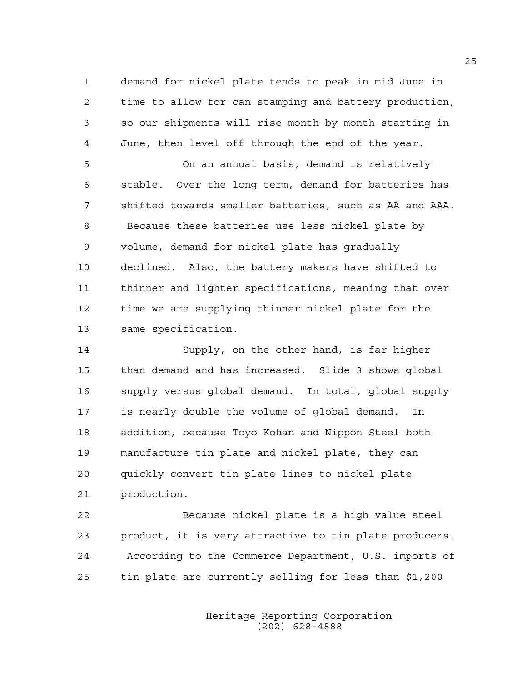1 demand for nickel plate tends to peak in mid June in 2 time to allow for can stamping and battery production, 3 so our shipments will rise month-by-month starting in 4 June, then level off through the end of the year.

5 On an annual basis, demand is relatively 6 stable. Over the long term, demand for batteries has 7 shifted towards smaller batteries, such as AA and AAA. 8 Because these batteries use less nickel plate by 9 volume, demand for nickel plate has gradually 10 declined. Also, the battery makers have shifted to 11 thinner and lighter specifications, meaning that over 12 time we are supplying thinner nickel plate for the 13 same specification.

14 Supply, on the other hand, is far higher 15 than demand and has increased. Slide 3 shows global 16 supply versus global demand. In total, global supply 17 is nearly double the volume of global demand. In 18 addition, because Toyo Kohan and Nippon Steel both 19 manufacture tin plate and nickel plate, they can 20 quickly convert tin plate lines to nickel plate 21 production.

22 Because nickel plate is a high value steel 23 product, it is very attractive to tin plate producers. 24 According to the Commerce Department, U.S. imports of 25 tin plate are currently selling for less than \$1,200

> Heritage Reporting Corporation (202) 628-4888

25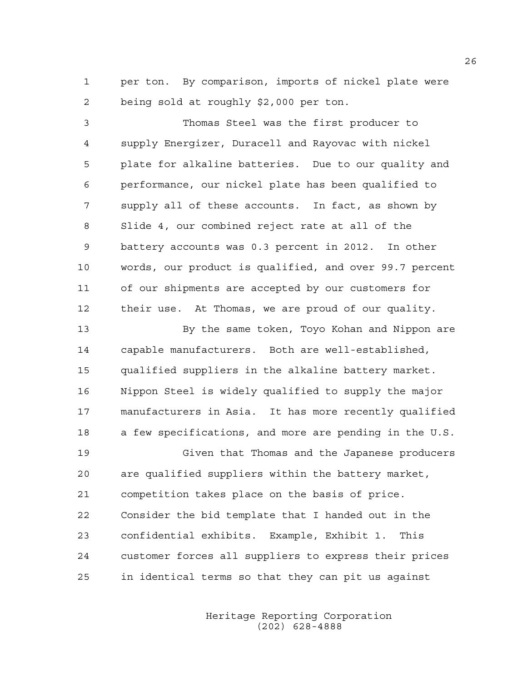1 per ton. By comparison, imports of nickel plate were 2 being sold at roughly \$2,000 per ton.

3 Thomas Steel was the first producer to 4 supply Energizer, Duracell and Rayovac with nickel 5 plate for alkaline batteries. Due to our quality and 6 performance, our nickel plate has been qualified to 7 supply all of these accounts. In fact, as shown by 8 Slide 4, our combined reject rate at all of the 9 battery accounts was 0.3 percent in 2012. In other 10 words, our product is qualified, and over 99.7 percent 11 of our shipments are accepted by our customers for 12 their use. At Thomas, we are proud of our quality.

13 By the same token, Toyo Kohan and Nippon are 14 capable manufacturers. Both are well-established, 15 qualified suppliers in the alkaline battery market. 16 Nippon Steel is widely qualified to supply the major 17 manufacturers in Asia. It has more recently qualified 18 a few specifications, and more are pending in the U.S. 19 Given that Thomas and the Japanese producers

20 are qualified suppliers within the battery market, 21 competition takes place on the basis of price. 22 Consider the bid template that I handed out in the 23 confidential exhibits. Example, Exhibit 1. This 24 customer forces all suppliers to express their prices 25 in identical terms so that they can pit us against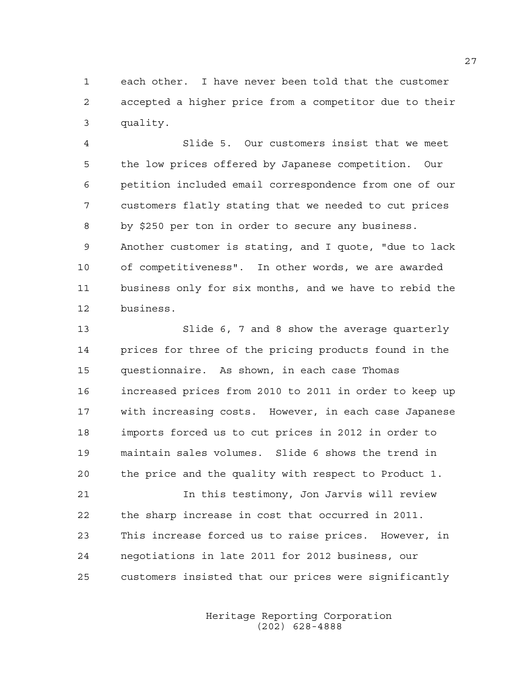1 each other. I have never been told that the customer 2 accepted a higher price from a competitor due to their 3 quality.

4 Slide 5. Our customers insist that we meet 5 the low prices offered by Japanese competition. Our 6 petition included email correspondence from one of our 7 customers flatly stating that we needed to cut prices 8 by \$250 per ton in order to secure any business. 9 Another customer is stating, and I quote, "due to lack 10 of competitiveness". In other words, we are awarded 11 business only for six months, and we have to rebid the 12 business.

13 Slide 6, 7 and 8 show the average quarterly 14 prices for three of the pricing products found in the 15 questionnaire. As shown, in each case Thomas 16 increased prices from 2010 to 2011 in order to keep up 17 with increasing costs. However, in each case Japanese 18 imports forced us to cut prices in 2012 in order to 19 maintain sales volumes. Slide 6 shows the trend in 20 the price and the quality with respect to Product 1.

21 In this testimony, Jon Jarvis will review 22 the sharp increase in cost that occurred in 2011. 23 This increase forced us to raise prices. However, in 24 negotiations in late 2011 for 2012 business, our 25 customers insisted that our prices were significantly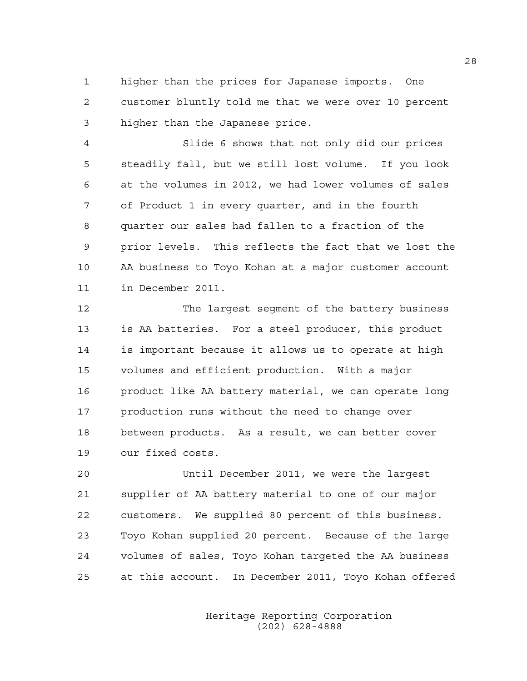1 higher than the prices for Japanese imports. One 2 customer bluntly told me that we were over 10 percent 3 higher than the Japanese price.

4 Slide 6 shows that not only did our prices 5 steadily fall, but we still lost volume. If you look 6 at the volumes in 2012, we had lower volumes of sales 7 of Product 1 in every quarter, and in the fourth 8 quarter our sales had fallen to a fraction of the 9 prior levels. This reflects the fact that we lost the 10 AA business to Toyo Kohan at a major customer account 11 in December 2011.

12 The largest segment of the battery business 13 is AA batteries. For a steel producer, this product 14 is important because it allows us to operate at high 15 volumes and efficient production. With a major 16 product like AA battery material, we can operate long 17 production runs without the need to change over 18 between products. As a result, we can better cover 19 our fixed costs.

20 Until December 2011, we were the largest 21 supplier of AA battery material to one of our major 22 customers. We supplied 80 percent of this business. 23 Toyo Kohan supplied 20 percent. Because of the large 24 volumes of sales, Toyo Kohan targeted the AA business 25 at this account. In December 2011, Toyo Kohan offered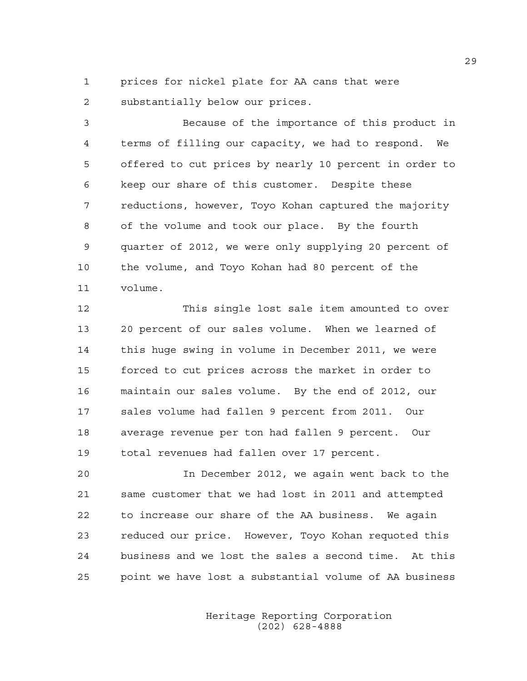1 prices for nickel plate for AA cans that were 2 substantially below our prices.

3 Because of the importance of this product in 4 terms of filling our capacity, we had to respond. We 5 offered to cut prices by nearly 10 percent in order to 6 keep our share of this customer. Despite these 7 reductions, however, Toyo Kohan captured the majority 8 of the volume and took our place. By the fourth 9 quarter of 2012, we were only supplying 20 percent of 10 the volume, and Toyo Kohan had 80 percent of the 11 volume.

12 This single lost sale item amounted to over 13 20 percent of our sales volume. When we learned of 14 this huge swing in volume in December 2011, we were 15 forced to cut prices across the market in order to 16 maintain our sales volume. By the end of 2012, our 17 sales volume had fallen 9 percent from 2011. Our 18 average revenue per ton had fallen 9 percent. Our 19 total revenues had fallen over 17 percent.

20 In December 2012, we again went back to the 21 same customer that we had lost in 2011 and attempted 22 to increase our share of the AA business. We again 23 reduced our price. However, Toyo Kohan requoted this 24 business and we lost the sales a second time. At this 25 point we have lost a substantial volume of AA business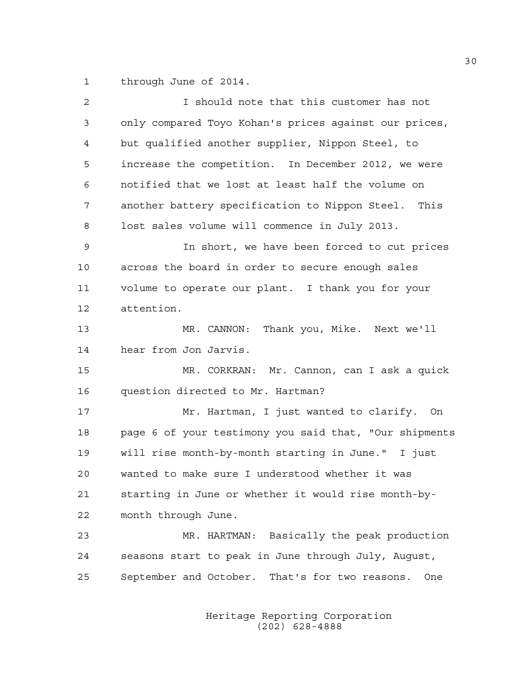1 through June of 2014.

| 2  | I should note that this customer has not               |
|----|--------------------------------------------------------|
| 3  | only compared Toyo Kohan's prices against our prices,  |
| 4  | but qualified another supplier, Nippon Steel, to       |
| 5  | increase the competition. In December 2012, we were    |
| 6  | notified that we lost at least half the volume on      |
| 7  | another battery specification to Nippon Steel. This    |
| 8  | lost sales volume will commence in July 2013.          |
| 9  | In short, we have been forced to cut prices            |
| 10 | across the board in order to secure enough sales       |
| 11 | volume to operate our plant. I thank you for your      |
| 12 | attention.                                             |
| 13 | MR. CANNON: Thank you, Mike. Next we'll                |
| 14 | hear from Jon Jarvis.                                  |
| 15 | MR. CORKRAN: Mr. Cannon, can I ask a quick             |
| 16 | question directed to Mr. Hartman?                      |
| 17 | Mr. Hartman, I just wanted to clarify. On              |
| 18 | page 6 of your testimony you said that, "Our shipments |
| 19 | will rise month-by-month starting in June." I just     |
| 20 | wanted to make sure I understood whether it was        |
| 21 | starting in June or whether it would rise month-by-    |
| 22 | month through June.                                    |
| 23 | MR. HARTMAN: Basically the peak production             |
| 24 | seasons start to peak in June through July, August,    |
| 25 | September and October. That's for two reasons.<br>One  |
|    |                                                        |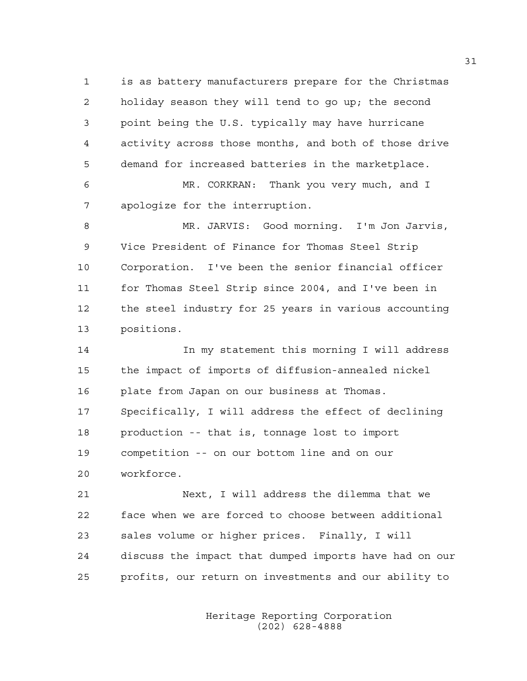1 is as battery manufacturers prepare for the Christmas 2 holiday season they will tend to go up; the second 3 point being the U.S. typically may have hurricane 4 activity across those months, and both of those drive 5 demand for increased batteries in the marketplace.

6 MR. CORKRAN: Thank you very much, and I 7 apologize for the interruption.

8 MR. JARVIS: Good morning. I'm Jon Jarvis, 9 Vice President of Finance for Thomas Steel Strip 10 Corporation. I've been the senior financial officer 11 for Thomas Steel Strip since 2004, and I've been in 12 the steel industry for 25 years in various accounting 13 positions.

14 14 In my statement this morning I will address 15 the impact of imports of diffusion-annealed nickel 16 plate from Japan on our business at Thomas. 17 Specifically, I will address the effect of declining 18 production -- that is, tonnage lost to import 19 competition -- on our bottom line and on our 20 workforce.

21 Next, I will address the dilemma that we 22 face when we are forced to choose between additional 23 sales volume or higher prices. Finally, I will 24 discuss the impact that dumped imports have had on our 25 profits, our return on investments and our ability to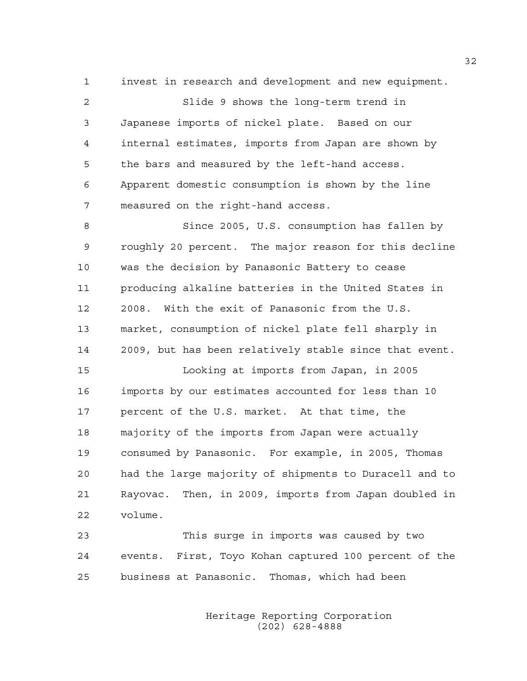1 invest in research and development and new equipment.

2 Slide 9 shows the long-term trend in 3 Japanese imports of nickel plate. Based on our 4 internal estimates, imports from Japan are shown by 5 the bars and measured by the left-hand access. 6 Apparent domestic consumption is shown by the line 7 measured on the right-hand access.

8 Since 2005, U.S. consumption has fallen by 9 roughly 20 percent. The major reason for this decline 10 was the decision by Panasonic Battery to cease 11 producing alkaline batteries in the United States in 12 2008. With the exit of Panasonic from the U.S. 13 market, consumption of nickel plate fell sharply in 14 2009, but has been relatively stable since that event.

15 Looking at imports from Japan, in 2005 16 imports by our estimates accounted for less than 10 17 percent of the U.S. market. At that time, the 18 majority of the imports from Japan were actually 19 consumed by Panasonic. For example, in 2005, Thomas 20 had the large majority of shipments to Duracell and to 21 Rayovac. Then, in 2009, imports from Japan doubled in 22 volume.

23 This surge in imports was caused by two 24 events. First, Toyo Kohan captured 100 percent of the 25 business at Panasonic. Thomas, which had been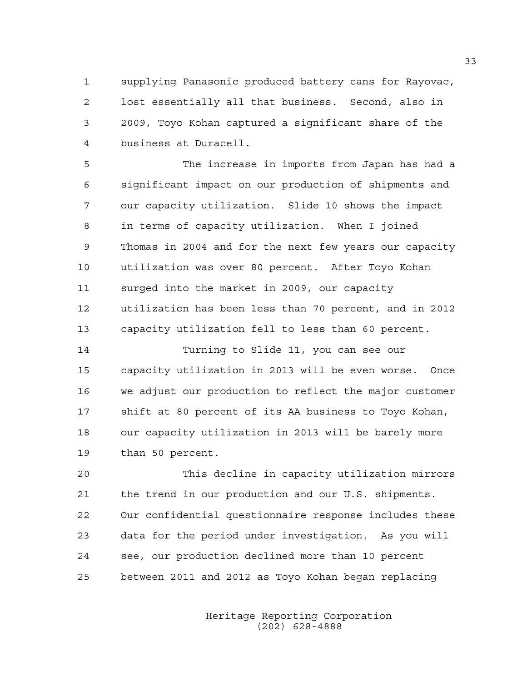1 supplying Panasonic produced battery cans for Rayovac, 2 lost essentially all that business. Second, also in 3 2009, Toyo Kohan captured a significant share of the 4 business at Duracell.

5 The increase in imports from Japan has had a 6 significant impact on our production of shipments and 7 our capacity utilization. Slide 10 shows the impact 8 in terms of capacity utilization. When I joined 9 Thomas in 2004 and for the next few years our capacity 10 utilization was over 80 percent. After Toyo Kohan 11 surged into the market in 2009, our capacity 12 utilization has been less than 70 percent, and in 2012 13 capacity utilization fell to less than 60 percent.

14 Turning to Slide 11, you can see our 15 capacity utilization in 2013 will be even worse. Once 16 we adjust our production to reflect the major customer 17 shift at 80 percent of its AA business to Toyo Kohan, 18 our capacity utilization in 2013 will be barely more 19 than 50 percent.

20 This decline in capacity utilization mirrors 21 the trend in our production and our U.S. shipments. 22 Our confidential questionnaire response includes these 23 data for the period under investigation. As you will 24 see, our production declined more than 10 percent 25 between 2011 and 2012 as Toyo Kohan began replacing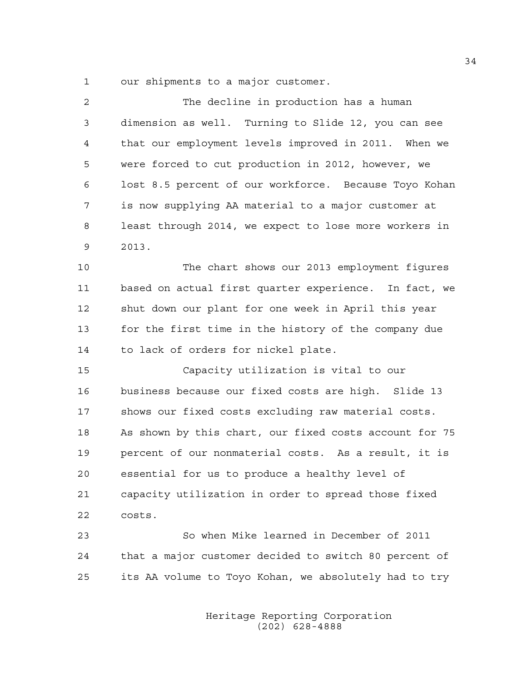1 our shipments to a major customer.

| 2  | The decline in production has a human                  |
|----|--------------------------------------------------------|
| 3  | dimension as well. Turning to Slide 12, you can see    |
| 4  | that our employment levels improved in 2011. When we   |
| 5  | were forced to cut production in 2012, however, we     |
| 6  | lost 8.5 percent of our workforce. Because Toyo Kohan  |
| 7  | is now supplying AA material to a major customer at    |
| 8  | least through 2014, we expect to lose more workers in  |
| 9  | 2013.                                                  |
| 10 | The chart shows our 2013 employment figures            |
| 11 | based on actual first quarter experience. In fact, we  |
| 12 | shut down our plant for one week in April this year    |
| 13 | for the first time in the history of the company due   |
| 14 | to lack of orders for nickel plate.                    |
| 15 | Capacity utilization is vital to our                   |
| 16 | business because our fixed costs are high. Slide 13    |
| 17 | shows our fixed costs excluding raw material costs.    |
| 18 | As shown by this chart, our fixed costs account for 75 |
| 19 | percent of our nonmaterial costs. As a result, it is   |
| 20 | essential for us to produce a healthy level of         |
| 21 | capacity utilization in order to spread those fixed    |
| 22 | costs.                                                 |
| 23 | So when Mike learned in December of 2011               |

24 that a major customer decided to switch 80 percent of 25 its AA volume to Toyo Kohan, we absolutely had to try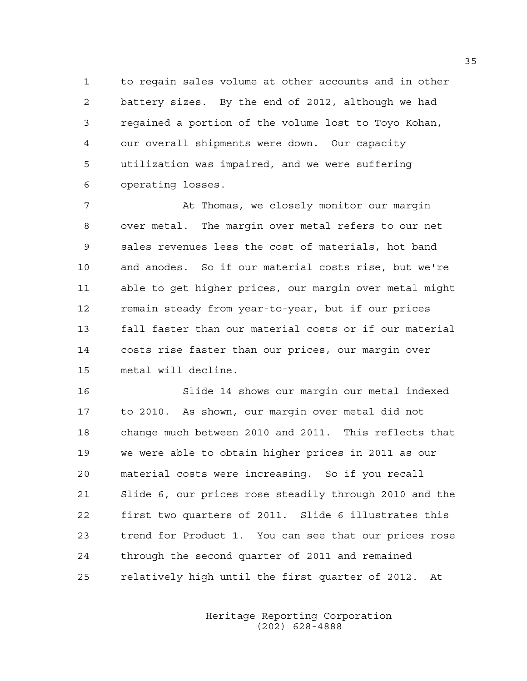1 to regain sales volume at other accounts and in other 2 battery sizes. By the end of 2012, although we had 3 regained a portion of the volume lost to Toyo Kohan, 4 our overall shipments were down. Our capacity 5 utilization was impaired, and we were suffering 6 operating losses.

7 At Thomas, we closely monitor our margin 8 over metal. The margin over metal refers to our net 9 sales revenues less the cost of materials, hot band 10 and anodes. So if our material costs rise, but we're 11 able to get higher prices, our margin over metal might 12 remain steady from year-to-year, but if our prices 13 fall faster than our material costs or if our material 14 costs rise faster than our prices, our margin over 15 metal will decline.

16 Slide 14 shows our margin our metal indexed 17 to 2010. As shown, our margin over metal did not 18 change much between 2010 and 2011. This reflects that 19 we were able to obtain higher prices in 2011 as our 20 material costs were increasing. So if you recall 21 Slide 6, our prices rose steadily through 2010 and the 22 first two quarters of 2011. Slide 6 illustrates this 23 trend for Product 1. You can see that our prices rose 24 through the second quarter of 2011 and remained 25 relatively high until the first quarter of 2012. At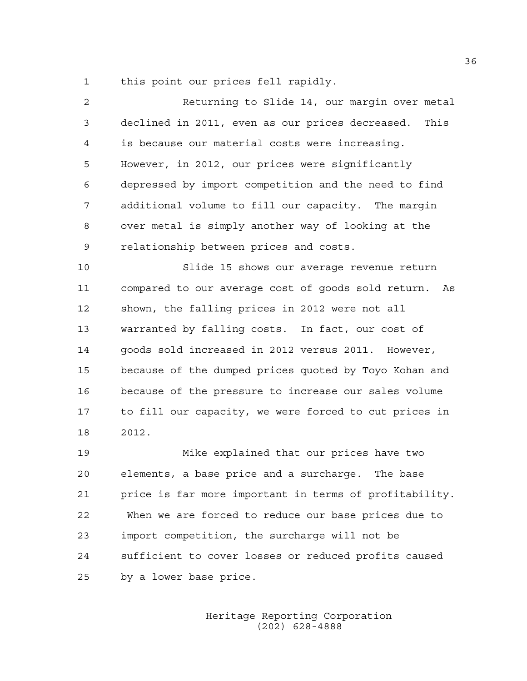1 this point our prices fell rapidly.

| $\overline{a}$ | Returning to Slide 14, our margin over metal             |
|----------------|----------------------------------------------------------|
| 3              | declined in 2011, even as our prices decreased.<br>This  |
| 4              | is because our material costs were increasing.           |
| 5              | However, in 2012, our prices were significantly          |
| 6              | depressed by import competition and the need to find     |
| 7              | additional volume to fill our capacity. The margin       |
| 8              | over metal is simply another way of looking at the       |
| 9              | relationship between prices and costs.                   |
| 10             | Slide 15 shows our average revenue return                |
| 11             | compared to our average cost of goods sold return.<br>As |
| 12             | shown, the falling prices in 2012 were not all           |
| 13             | warranted by falling costs. In fact, our cost of         |
| 14             | goods sold increased in 2012 versus 2011. However,       |
| 15             | because of the dumped prices quoted by Toyo Kohan and    |
| 16             | because of the pressure to increase our sales volume     |
| 17             | to fill our capacity, we were forced to cut prices in    |
| 18             | 2012.                                                    |
| 19             | Mike explained that our prices have two                  |
| 20             | elements, a base price and a surcharge. The base         |
| 21             | price is far more important in terms of profitability.   |
| 22             | When we are forced to reduce our base prices due to      |

Heritage Reporting Corporation

24 sufficient to cover losses or reduced profits caused

(202) 628-4888

25 by a lower base price.

23 import competition, the surcharge will not be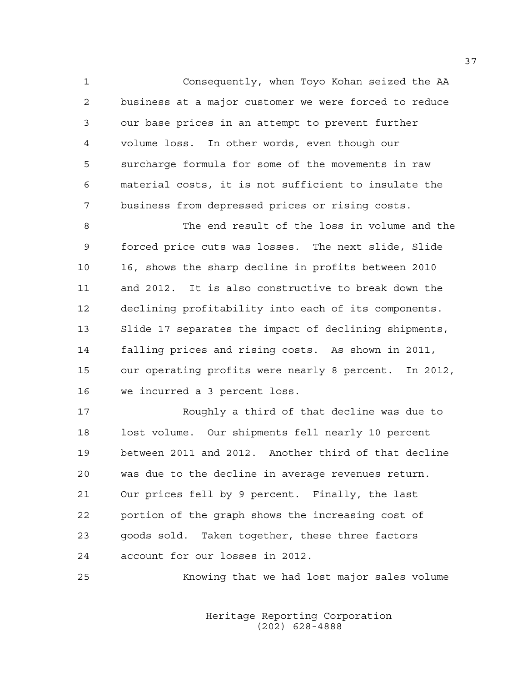1 Consequently, when Toyo Kohan seized the AA 2 business at a major customer we were forced to reduce 3 our base prices in an attempt to prevent further 4 volume loss. In other words, even though our 5 surcharge formula for some of the movements in raw 6 material costs, it is not sufficient to insulate the 7 business from depressed prices or rising costs.

8 The end result of the loss in volume and the 9 forced price cuts was losses. The next slide, Slide 10 16, shows the sharp decline in profits between 2010 11 and 2012. It is also constructive to break down the 12 declining profitability into each of its components. 13 Slide 17 separates the impact of declining shipments, 14 falling prices and rising costs. As shown in 2011, 15 our operating profits were nearly 8 percent. In 2012, 16 we incurred a 3 percent loss.

17 Roughly a third of that decline was due to 18 lost volume. Our shipments fell nearly 10 percent 19 between 2011 and 2012. Another third of that decline 20 was due to the decline in average revenues return. 21 Our prices fell by 9 percent. Finally, the last 22 portion of the graph shows the increasing cost of 23 goods sold. Taken together, these three factors 24 account for our losses in 2012.

25 Knowing that we had lost major sales volume

 Heritage Reporting Corporation (202) 628-4888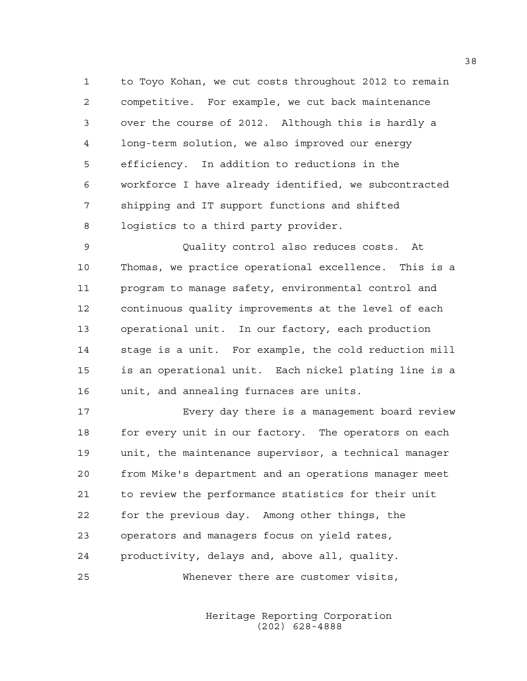1 to Toyo Kohan, we cut costs throughout 2012 to remain 2 competitive. For example, we cut back maintenance 3 over the course of 2012. Although this is hardly a 4 long-term solution, we also improved our energy 5 efficiency. In addition to reductions in the 6 workforce I have already identified, we subcontracted 7 shipping and IT support functions and shifted 8 logistics to a third party provider.

9 Quality control also reduces costs. At 10 Thomas, we practice operational excellence. This is a 11 program to manage safety, environmental control and 12 continuous quality improvements at the level of each 13 operational unit. In our factory, each production 14 stage is a unit. For example, the cold reduction mill 15 is an operational unit. Each nickel plating line is a 16 unit, and annealing furnaces are units.

17 Every day there is a management board review 18 for every unit in our factory. The operators on each 19 unit, the maintenance supervisor, a technical manager 20 from Mike's department and an operations manager meet 21 to review the performance statistics for their unit 22 for the previous day. Among other things, the 23 operators and managers focus on yield rates, 24 productivity, delays and, above all, quality. 25 Whenever there are customer visits,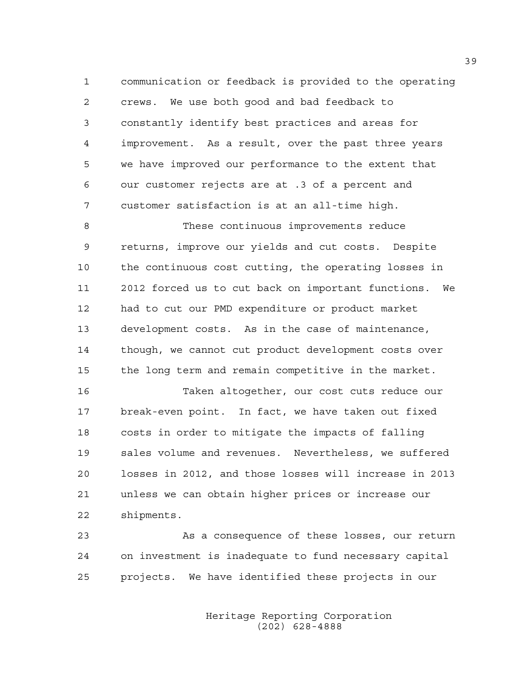1 communication or feedback is provided to the operating 2 crews. We use both good and bad feedback to 3 constantly identify best practices and areas for 4 improvement. As a result, over the past three years 5 we have improved our performance to the extent that 6 our customer rejects are at .3 of a percent and 7 customer satisfaction is at an all-time high.

8 These continuous improvements reduce 9 returns, improve our yields and cut costs. Despite 10 the continuous cost cutting, the operating losses in 11 2012 forced us to cut back on important functions. We 12 had to cut our PMD expenditure or product market 13 development costs. As in the case of maintenance, 14 though, we cannot cut product development costs over 15 the long term and remain competitive in the market.

16 Taken altogether, our cost cuts reduce our 17 break-even point. In fact, we have taken out fixed 18 costs in order to mitigate the impacts of falling 19 sales volume and revenues. Nevertheless, we suffered 20 losses in 2012, and those losses will increase in 2013 21 unless we can obtain higher prices or increase our 22 shipments.

23 As a consequence of these losses, our return 24 on investment is inadequate to fund necessary capital 25 projects. We have identified these projects in our

> Heritage Reporting Corporation (202) 628-4888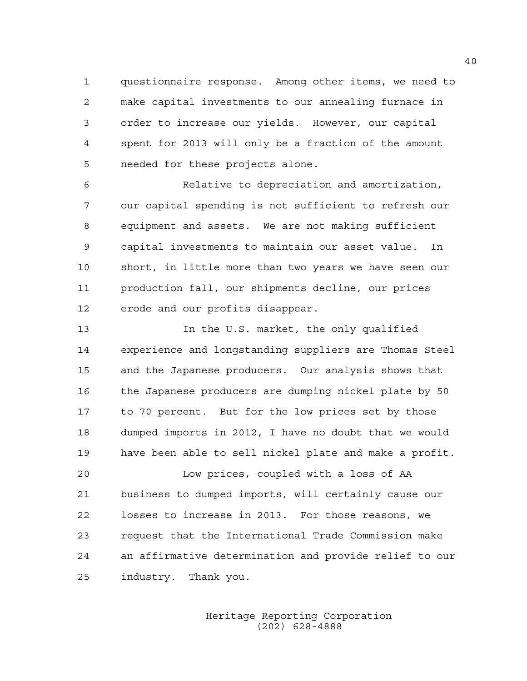1 questionnaire response. Among other items, we need to 2 make capital investments to our annealing furnace in 3 order to increase our yields. However, our capital 4 spent for 2013 will only be a fraction of the amount 5 needed for these projects alone.

6 Relative to depreciation and amortization, 7 our capital spending is not sufficient to refresh our 8 equipment and assets. We are not making sufficient 9 capital investments to maintain our asset value. In 10 short, in little more than two years we have seen our 11 production fall, our shipments decline, our prices 12 erode and our profits disappear.

13 In the U.S. market, the only qualified 14 experience and longstanding suppliers are Thomas Steel 15 and the Japanese producers. Our analysis shows that 16 the Japanese producers are dumping nickel plate by 50 17 to 70 percent. But for the low prices set by those 18 dumped imports in 2012, I have no doubt that we would 19 have been able to sell nickel plate and make a profit.

20 Low prices, coupled with a loss of AA 21 business to dumped imports, will certainly cause our 22 losses to increase in 2013. For those reasons, we 23 request that the International Trade Commission make 24 an affirmative determination and provide relief to our 25 industry. Thank you.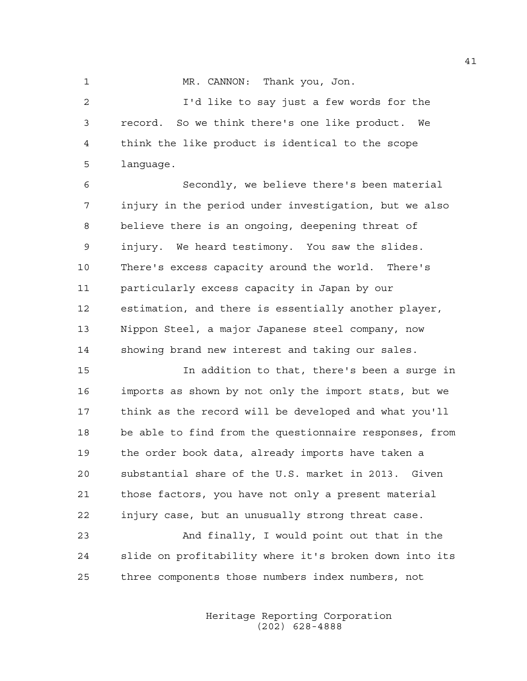1 MR. CANNON: Thank you, Jon.

2 I'd like to say just a few words for the 3 record. So we think there's one like product. We 4 think the like product is identical to the scope 5 language.

6 Secondly, we believe there's been material 7 injury in the period under investigation, but we also 8 believe there is an ongoing, deepening threat of 9 injury. We heard testimony. You saw the slides. 10 There's excess capacity around the world. There's 11 particularly excess capacity in Japan by our 12 estimation, and there is essentially another player, 13 Nippon Steel, a major Japanese steel company, now 14 showing brand new interest and taking our sales.

15 In addition to that, there's been a surge in 16 imports as shown by not only the import stats, but we 17 think as the record will be developed and what you'll 18 be able to find from the questionnaire responses, from 19 the order book data, already imports have taken a 20 substantial share of the U.S. market in 2013. Given 21 those factors, you have not only a present material 22 injury case, but an unusually strong threat case.

23 And finally, I would point out that in the 24 slide on profitability where it's broken down into its 25 three components those numbers index numbers, not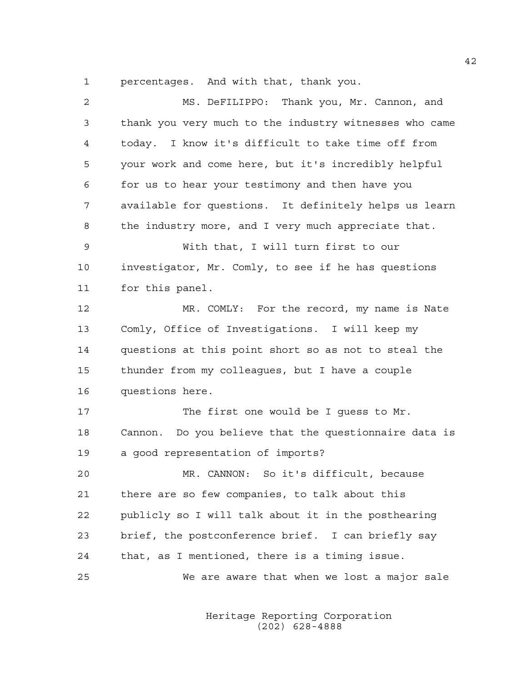1 percentages. And with that, thank you.

| 2  | MS. DeFILIPPO: Thank you, Mr. Cannon, and              |
|----|--------------------------------------------------------|
| 3  | thank you very much to the industry witnesses who came |
| 4  | today. I know it's difficult to take time off from     |
| 5  | your work and come here, but it's incredibly helpful   |
| 6  | for us to hear your testimony and then have you        |
| 7  | available for questions. It definitely helps us learn  |
| 8  | the industry more, and I very much appreciate that.    |
| 9  | With that, I will turn first to our                    |
| 10 | investigator, Mr. Comly, to see if he has questions    |
| 11 | for this panel.                                        |
| 12 | MR. COMLY: For the record, my name is Nate             |
| 13 | Comly, Office of Investigations. I will keep my        |
| 14 | questions at this point short so as not to steal the   |
| 15 | thunder from my colleagues, but I have a couple        |
| 16 | questions here.                                        |
| 17 | The first one would be I guess to Mr.                  |
| 18 | Cannon. Do you believe that the questionnaire data is  |
| 19 | a good representation of imports?                      |
| 20 | MR. CANNON: So it's difficult, because                 |
| 21 | there are so few companies, to talk about this         |
| 22 | publicly so I will talk about it in the posthearing    |
| 23 | brief, the postconference brief. I can briefly say     |
| 24 | that, as I mentioned, there is a timing issue.         |
| 25 | We are aware that when we lost a major sale            |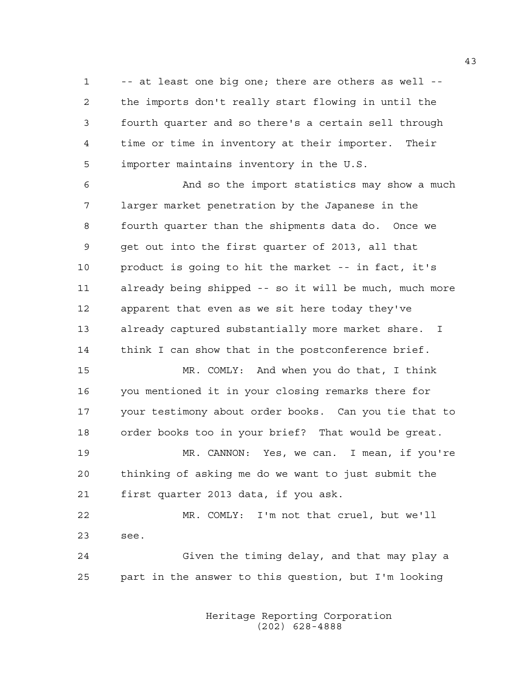1 -- at least one big one; there are others as well -- 2 the imports don't really start flowing in until the 3 fourth quarter and so there's a certain sell through 4 time or time in inventory at their importer. Their 5 importer maintains inventory in the U.S.

6 And so the import statistics may show a much 7 larger market penetration by the Japanese in the 8 fourth quarter than the shipments data do. Once we 9 get out into the first quarter of 2013, all that 10 product is going to hit the market -- in fact, it's 11 already being shipped -- so it will be much, much more 12 apparent that even as we sit here today they've 13 already captured substantially more market share. I 14 think I can show that in the postconference brief.

15 MR. COMLY: And when you do that, I think 16 you mentioned it in your closing remarks there for 17 your testimony about order books. Can you tie that to 18 order books too in your brief? That would be great.

19 MR. CANNON: Yes, we can. I mean, if you're 20 thinking of asking me do we want to just submit the 21 first quarter 2013 data, if you ask.

22 MR. COMLY: I'm not that cruel, but we'll 23 see.

24 Given the timing delay, and that may play a 25 part in the answer to this question, but I'm looking

> Heritage Reporting Corporation (202) 628-4888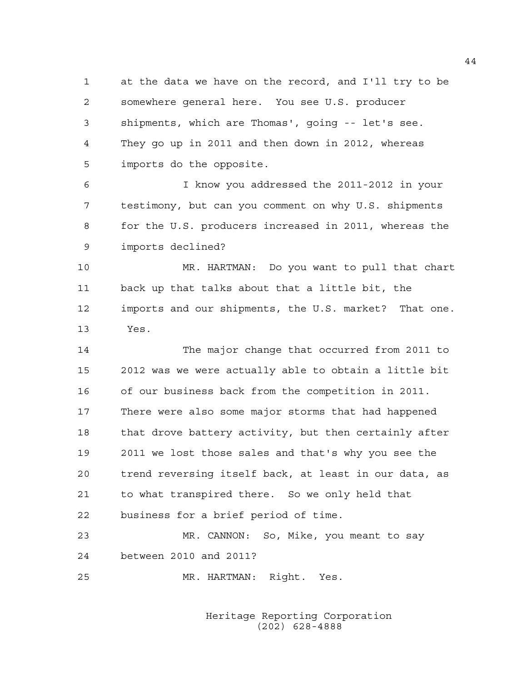1 at the data we have on the record, and I'll try to be 2 somewhere general here. You see U.S. producer 3 shipments, which are Thomas', going -- let's see. 4 They go up in 2011 and then down in 2012, whereas 5 imports do the opposite.

6 I know you addressed the 2011-2012 in your 7 testimony, but can you comment on why U.S. shipments 8 for the U.S. producers increased in 2011, whereas the 9 imports declined?

10 MR. HARTMAN: Do you want to pull that chart 11 back up that talks about that a little bit, the 12 imports and our shipments, the U.S. market? That one. 13 Yes.

14 The major change that occurred from 2011 to 15 2012 was we were actually able to obtain a little bit 16 of our business back from the competition in 2011. 17 There were also some major storms that had happened 18 that drove battery activity, but then certainly after 19 2011 we lost those sales and that's why you see the 20 trend reversing itself back, at least in our data, as 21 to what transpired there. So we only held that 22 business for a brief period of time.

23 MR. CANNON: So, Mike, you meant to say 24 between 2010 and 2011?

25 MR. HARTMAN: Right. Yes.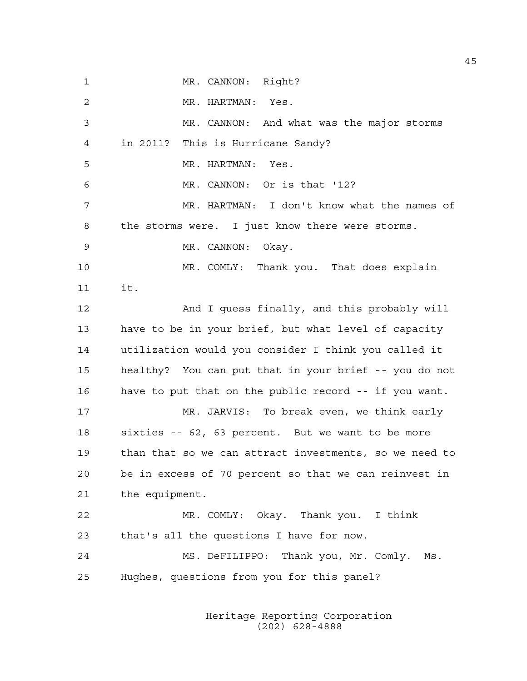1 MR. CANNON: Right? 2 MR. HARTMAN: Yes. 3 MR. CANNON: And what was the major storms 4 in 2011? This is Hurricane Sandy? 5 MR. HARTMAN: Yes. 6 MR. CANNON: Or is that '12? 7 MR. HARTMAN: I don't know what the names of 8 the storms were. I just know there were storms. 9 MR. CANNON: Okay. 10 MR. COMLY: Thank you. That does explain 11 it. 12 And I guess finally, and this probably will 13 have to be in your brief, but what level of capacity 14 utilization would you consider I think you called it 15 healthy? You can put that in your brief -- you do not 16 have to put that on the public record -- if you want. 17 MR. JARVIS: To break even, we think early 18 sixties -- 62, 63 percent. But we want to be more 19 than that so we can attract investments, so we need to 20 be in excess of 70 percent so that we can reinvest in 21 the equipment. 22 MR. COMLY: Okay. Thank you. I think 23 that's all the questions I have for now. 24 MS. DeFILIPPO: Thank you, Mr. Comly. Ms. 25 Hughes, questions from you for this panel?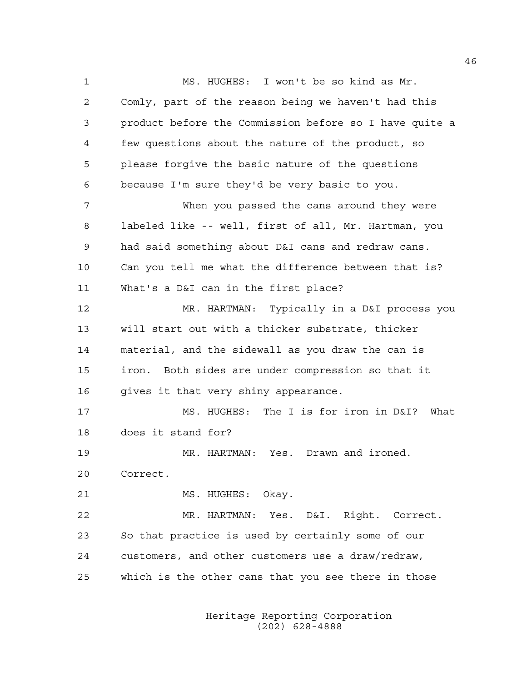1 MS. HUGHES: I won't be so kind as Mr. 2 Comly, part of the reason being we haven't had this 3 product before the Commission before so I have quite a 4 few questions about the nature of the product, so 5 please forgive the basic nature of the questions 6 because I'm sure they'd be very basic to you. 7 When you passed the cans around they were 8 labeled like -- well, first of all, Mr. Hartman, you 9 had said something about D&I cans and redraw cans. 10 Can you tell me what the difference between that is? 11 What's a D&I can in the first place? 12 MR. HARTMAN: Typically in a D&I process you 13 will start out with a thicker substrate, thicker 14 material, and the sidewall as you draw the can is 15 iron. Both sides are under compression so that it 16 qives it that very shiny appearance. 17 MS. HUGHES: The I is for iron in D&I? What 18 does it stand for? 19 MR. HARTMAN: Yes. Drawn and ironed. 20 Correct. 21 MS. HUGHES: Okay. 22 MR. HARTMAN: Yes. D&I. Right. Correct. 23 So that practice is used by certainly some of our 24 customers, and other customers use a draw/redraw, 25 which is the other cans that you see there in those

> Heritage Reporting Corporation (202) 628-4888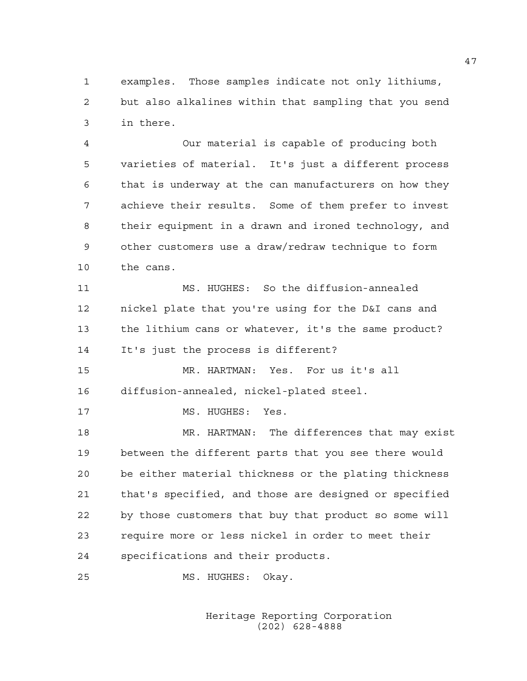1 examples. Those samples indicate not only lithiums, 2 but also alkalines within that sampling that you send 3 in there.

4 Our material is capable of producing both 5 varieties of material. It's just a different process 6 that is underway at the can manufacturers on how they 7 achieve their results. Some of them prefer to invest 8 their equipment in a drawn and ironed technology, and 9 other customers use a draw/redraw technique to form 10 the cans.

11 MS. HUGHES: So the diffusion-annealed 12 nickel plate that you're using for the D&I cans and 13 the lithium cans or whatever, it's the same product? 14 It's just the process is different?

15 MR. HARTMAN: Yes. For us it's all 16 diffusion-annealed, nickel-plated steel.

17 MS. HUGHES: Yes.

18 MR. HARTMAN: The differences that may exist 19 between the different parts that you see there would 20 be either material thickness or the plating thickness 21 that's specified, and those are designed or specified 22 by those customers that buy that product so some will 23 require more or less nickel in order to meet their 24 specifications and their products.

25 MS. HUGHES: Okay.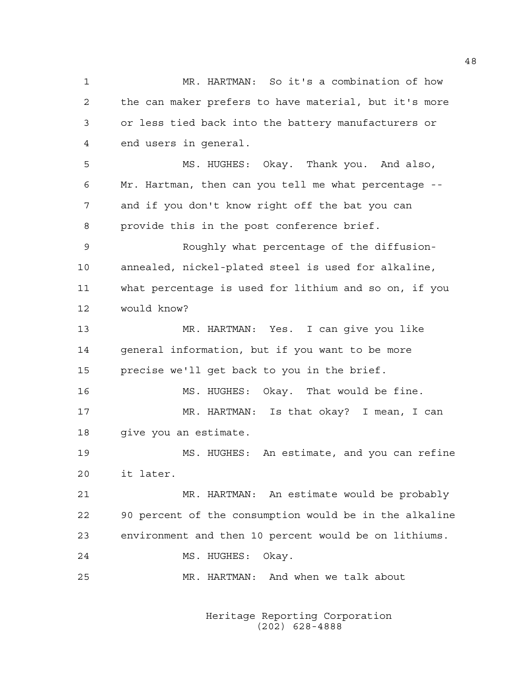1 MR. HARTMAN: So it's a combination of how 2 the can maker prefers to have material, but it's more 3 or less tied back into the battery manufacturers or 4 end users in general. 5 MS. HUGHES: Okay. Thank you. And also, 6 Mr. Hartman, then can you tell me what percentage -- 7 and if you don't know right off the bat you can 8 provide this in the post conference brief. 9 Roughly what percentage of the diffusion-10 annealed, nickel-plated steel is used for alkaline, 11 what percentage is used for lithium and so on, if you 12 would know? 13 MR. HARTMAN: Yes. I can give you like 14 general information, but if you want to be more 15 precise we'll get back to you in the brief. 16 MS. HUGHES: Okay. That would be fine. 17 MR. HARTMAN: Is that okay? I mean, I can 18 qive you an estimate. 19 MS. HUGHES: An estimate, and you can refine 20 it later. 21 MR. HARTMAN: An estimate would be probably 22 90 percent of the consumption would be in the alkaline 23 environment and then 10 percent would be on lithiums. 24 MS. HUGHES: Okay. 25 MR. HARTMAN: And when we talk about

> Heritage Reporting Corporation (202) 628-4888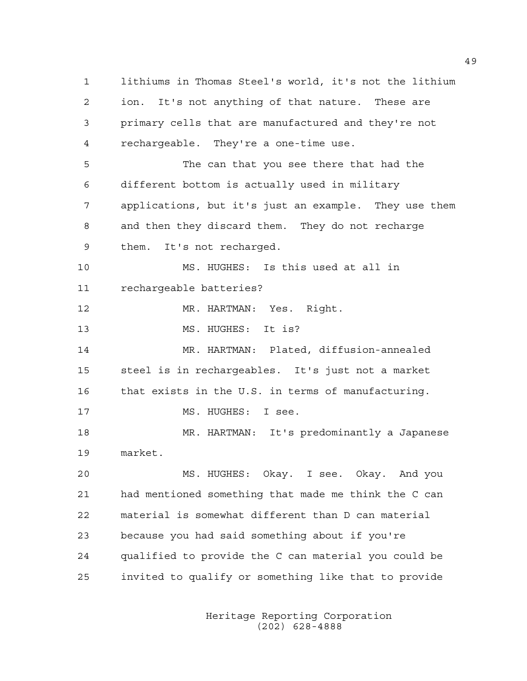1 lithiums in Thomas Steel's world, it's not the lithium 2 ion. It's not anything of that nature. These are 3 primary cells that are manufactured and they're not 4 rechargeable. They're a one-time use. 5 The can that you see there that had the 6 different bottom is actually used in military 7 applications, but it's just an example. They use them 8 and then they discard them. They do not recharge 9 them. It's not recharged. 10 MS. HUGHES: Is this used at all in 11 rechargeable batteries? 12 MR. HARTMAN: Yes. Right. 13 MS. HUGHES: It is? 14 MR. HARTMAN: Plated, diffusion-annealed 15 steel is in rechargeables. It's just not a market 16 that exists in the U.S. in terms of manufacturing. 17 MS. HUGHES: I see. 18 MR. HARTMAN: It's predominantly a Japanese 19 market. 20 MS. HUGHES: Okay. I see. Okay. And you 21 had mentioned something that made me think the C can 22 material is somewhat different than D can material 23 because you had said something about if you're 24 qualified to provide the C can material you could be 25 invited to qualify or something like that to provide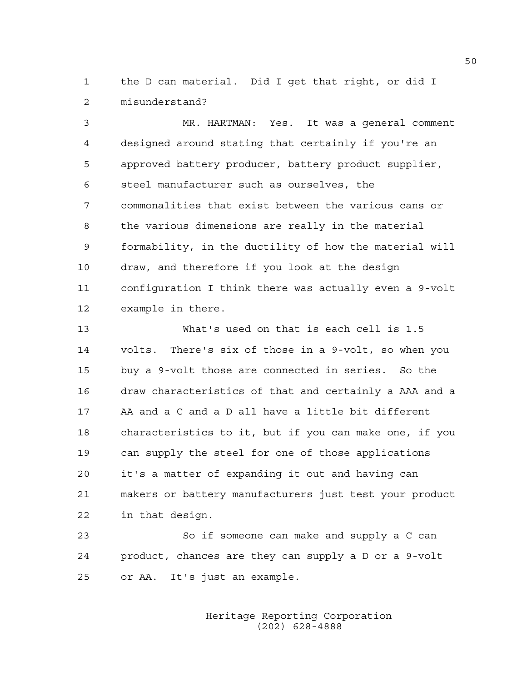1 the D can material. Did I get that right, or did I 2 misunderstand?

3 MR. HARTMAN: Yes. It was a general comment 4 designed around stating that certainly if you're an 5 approved battery producer, battery product supplier, 6 steel manufacturer such as ourselves, the 7 commonalities that exist between the various cans or 8 the various dimensions are really in the material 9 formability, in the ductility of how the material will 10 draw, and therefore if you look at the design 11 configuration I think there was actually even a 9-volt 12 example in there.

13 What's used on that is each cell is 1.5 14 volts. There's six of those in a 9-volt, so when you 15 buy a 9-volt those are connected in series. So the 16 draw characteristics of that and certainly a AAA and a 17 AA and a C and a D all have a little bit different 18 characteristics to it, but if you can make one, if you 19 can supply the steel for one of those applications 20 it's a matter of expanding it out and having can 21 makers or battery manufacturers just test your product 22 in that design.

23 So if someone can make and supply a C can 24 product, chances are they can supply a D or a 9-volt 25 or AA. It's just an example.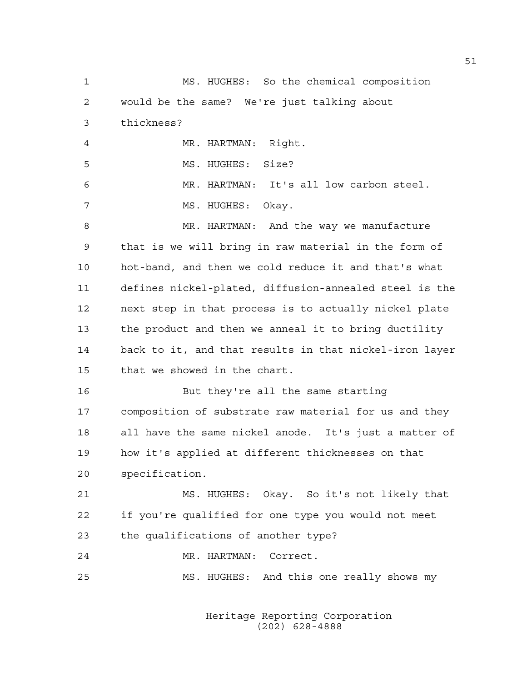1 MS. HUGHES: So the chemical composition 2 would be the same? We're just talking about 3 thickness? 4 MR. HARTMAN: Right. 5 MS. HUGHES: Size? 6 MR. HARTMAN: It's all low carbon steel. 7 MS. HUGHES: Okay. 8 MR. HARTMAN: And the way we manufacture 9 that is we will bring in raw material in the form of 10 hot-band, and then we cold reduce it and that's what 11 defines nickel-plated, diffusion-annealed steel is the 12 next step in that process is to actually nickel plate 13 the product and then we anneal it to bring ductility 14 back to it, and that results in that nickel-iron layer 15 that we showed in the chart. 16 But they're all the same starting 17 composition of substrate raw material for us and they 18 all have the same nickel anode. It's just a matter of 19 how it's applied at different thicknesses on that 20 specification. 21 MS. HUGHES: Okay. So it's not likely that 22 if you're qualified for one type you would not meet 23 the qualifications of another type? 24 MR. HARTMAN: Correct. 25 MS. HUGHES: And this one really shows my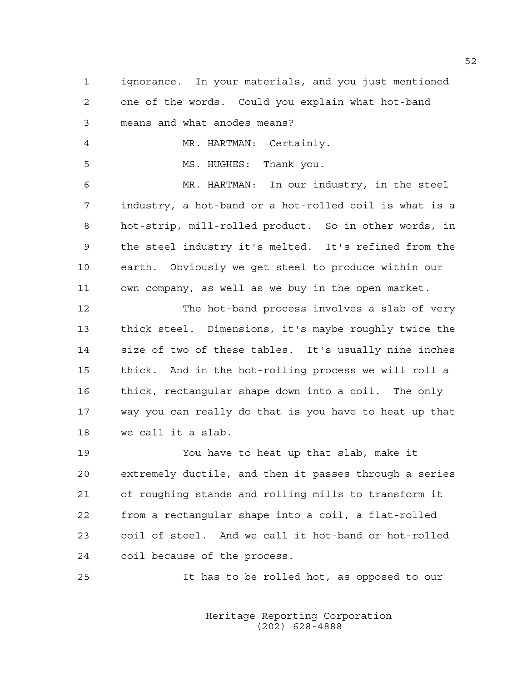1 ignorance. In your materials, and you just mentioned 2 one of the words. Could you explain what hot-band 3 means and what anodes means?

4 MR. HARTMAN: Certainly.

5 MS. HUGHES: Thank you.

6 MR. HARTMAN: In our industry, in the steel 7 industry, a hot-band or a hot-rolled coil is what is a 8 hot-strip, mill-rolled product. So in other words, in 9 the steel industry it's melted. It's refined from the 10 earth. Obviously we get steel to produce within our 11 own company, as well as we buy in the open market.

12 The hot-band process involves a slab of very 13 thick steel. Dimensions, it's maybe roughly twice the 14 size of two of these tables. It's usually nine inches 15 thick. And in the hot-rolling process we will roll a 16 thick, rectangular shape down into a coil. The only 17 way you can really do that is you have to heat up that 18 we call it a slab.

19 You have to heat up that slab, make it 20 extremely ductile, and then it passes through a series 21 of roughing stands and rolling mills to transform it 22 from a rectangular shape into a coil, a flat-rolled 23 coil of steel. And we call it hot-band or hot-rolled 24 coil because of the process.

25 It has to be rolled hot, as opposed to our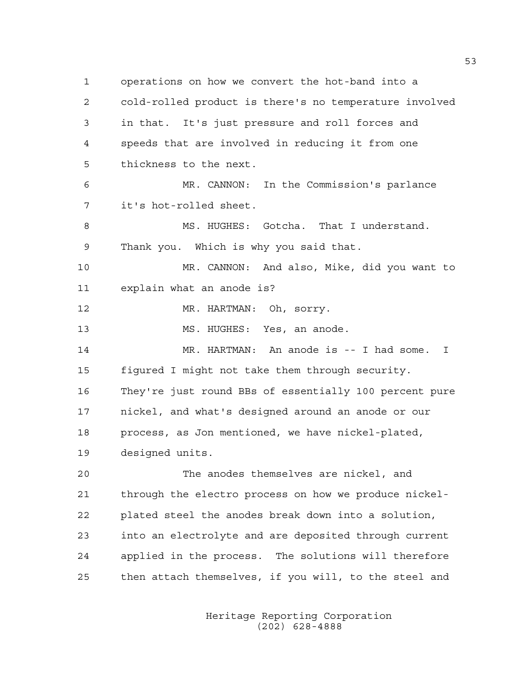1 operations on how we convert the hot-band into a 2 cold-rolled product is there's no temperature involved 3 in that. It's just pressure and roll forces and 4 speeds that are involved in reducing it from one 5 thickness to the next. 6 MR. CANNON: In the Commission's parlance 7 it's hot-rolled sheet. 8 MS. HUGHES: Gotcha. That I understand. 9 Thank you. Which is why you said that. 10 MR. CANNON: And also, Mike, did you want to 11 explain what an anode is? 12 MR. HARTMAN: Oh, sorry. 13 MS. HUGHES: Yes, an anode. 14 MR. HARTMAN: An anode is -- I had some. I 15 figured I might not take them through security. 16 They're just round BBs of essentially 100 percent pure 17 nickel, and what's designed around an anode or our 18 process, as Jon mentioned, we have nickel-plated, 19 designed units. 20 The anodes themselves are nickel, and 21 through the electro process on how we produce nickel-22 plated steel the anodes break down into a solution, 23 into an electrolyte and are deposited through current 24 applied in the process. The solutions will therefore 25 then attach themselves, if you will, to the steel and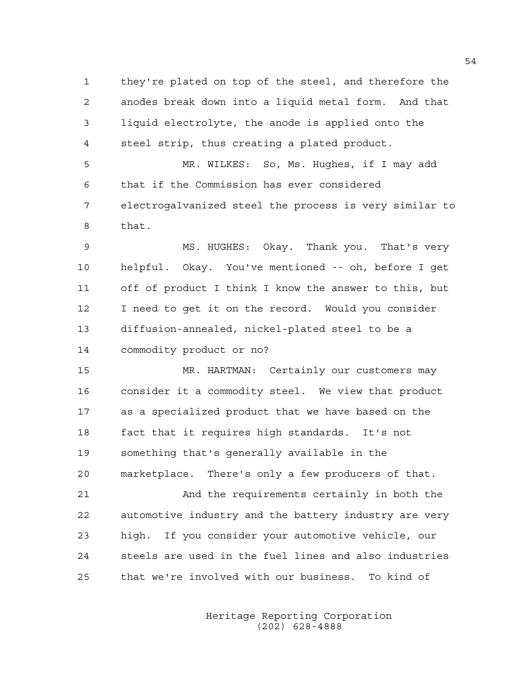1 they're plated on top of the steel, and therefore the 2 anodes break down into a liquid metal form. And that 3 liquid electrolyte, the anode is applied onto the 4 steel strip, thus creating a plated product.

5 MR. WILKES: So, Ms. Hughes, if I may add 6 that if the Commission has ever considered 7 electrogalvanized steel the process is very similar to 8 that.

9 MS. HUGHES: Okay. Thank you. That's very 10 helpful. Okay. You've mentioned -- oh, before I get 11 off of product I think I know the answer to this, but 12 I need to get it on the record. Would you consider 13 diffusion-annealed, nickel-plated steel to be a 14 commodity product or no?

15 MR. HARTMAN: Certainly our customers may 16 consider it a commodity steel. We view that product 17 as a specialized product that we have based on the 18 fact that it requires high standards. It's not 19 something that's generally available in the 20 marketplace. There's only a few producers of that.

21 And the requirements certainly in both the 22 automotive industry and the battery industry are very 23 high. If you consider your automotive vehicle, our 24 steels are used in the fuel lines and also industries 25 that we're involved with our business. To kind of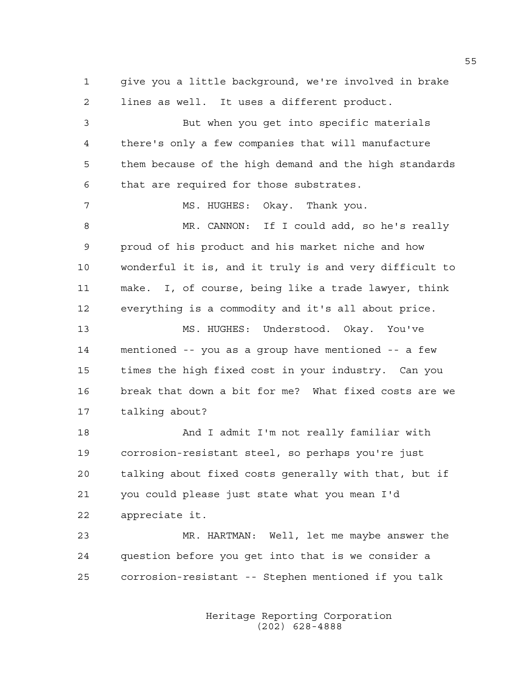1 give you a little background, we're involved in brake 2 lines as well. It uses a different product.

3 But when you get into specific materials 4 there's only a few companies that will manufacture 5 them because of the high demand and the high standards 6 that are required for those substrates. 7 MS. HUGHES: Okay. Thank you. 8 MR. CANNON: If I could add, so he's really 9 proud of his product and his market niche and how 10 wonderful it is, and it truly is and very difficult to 11 make. I, of course, being like a trade lawyer, think 12 everything is a commodity and it's all about price. 13 MS. HUGHES: Understood. Okay. You've 14 mentioned -- you as a group have mentioned -- a few 15 times the high fixed cost in your industry. Can you 16 break that down a bit for me? What fixed costs are we 17 talking about?

18 And I admit I'm not really familiar with 19 corrosion-resistant steel, so perhaps you're just 20 talking about fixed costs generally with that, but if 21 you could please just state what you mean I'd 22 appreciate it.

23 MR. HARTMAN: Well, let me maybe answer the 24 question before you get into that is we consider a 25 corrosion-resistant -- Stephen mentioned if you talk

> Heritage Reporting Corporation (202) 628-4888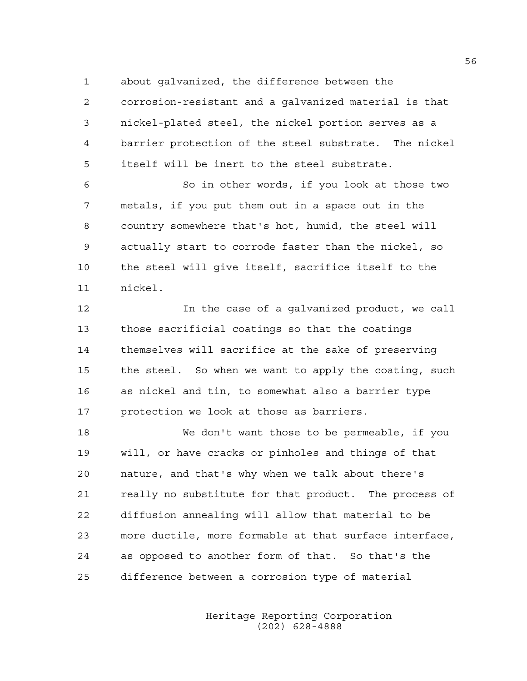1 about galvanized, the difference between the

2 corrosion-resistant and a galvanized material is that 3 nickel-plated steel, the nickel portion serves as a 4 barrier protection of the steel substrate. The nickel 5 itself will be inert to the steel substrate.

6 So in other words, if you look at those two 7 metals, if you put them out in a space out in the 8 country somewhere that's hot, humid, the steel will 9 actually start to corrode faster than the nickel, so 10 the steel will give itself, sacrifice itself to the 11 nickel.

12 In the case of a galvanized product, we call 13 those sacrificial coatings so that the coatings 14 themselves will sacrifice at the sake of preserving 15 the steel. So when we want to apply the coating, such 16 as nickel and tin, to somewhat also a barrier type 17 protection we look at those as barriers.

18 We don't want those to be permeable, if you 19 will, or have cracks or pinholes and things of that 20 nature, and that's why when we talk about there's 21 really no substitute for that product. The process of 22 diffusion annealing will allow that material to be 23 more ductile, more formable at that surface interface, 24 as opposed to another form of that. So that's the 25 difference between a corrosion type of material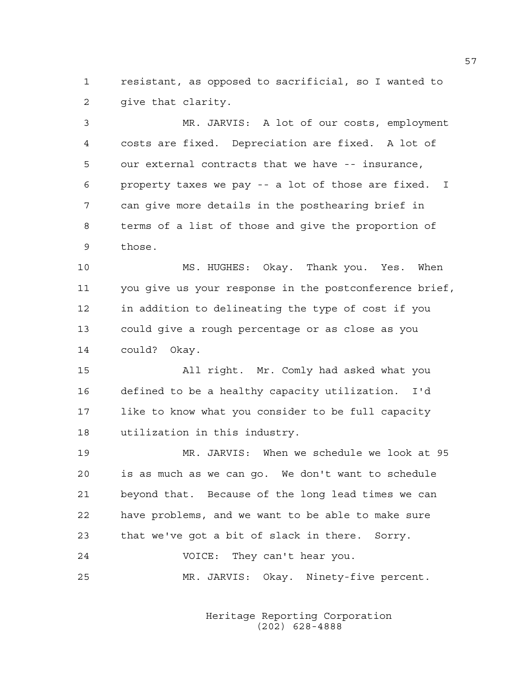1 resistant, as opposed to sacrificial, so I wanted to 2 give that clarity.

3 MR. JARVIS: A lot of our costs, employment 4 costs are fixed. Depreciation are fixed. A lot of 5 our external contracts that we have -- insurance, 6 property taxes we pay -- a lot of those are fixed. I 7 can give more details in the posthearing brief in 8 terms of a list of those and give the proportion of 9 those.

10 MS. HUGHES: Okay. Thank you. Yes. When 11 you give us your response in the postconference brief, 12 in addition to delineating the type of cost if you 13 could give a rough percentage or as close as you 14 could? Okay.

15 All right. Mr. Comly had asked what you 16 defined to be a healthy capacity utilization. I'd 17 like to know what you consider to be full capacity 18 utilization in this industry.

19 MR. JARVIS: When we schedule we look at 95 20 is as much as we can go. We don't want to schedule 21 beyond that. Because of the long lead times we can 22 have problems, and we want to be able to make sure 23 that we've got a bit of slack in there. Sorry.

24 VOICE: They can't hear you. 25 MR. JARVIS: Okay. Ninety-five percent.

> Heritage Reporting Corporation (202) 628-4888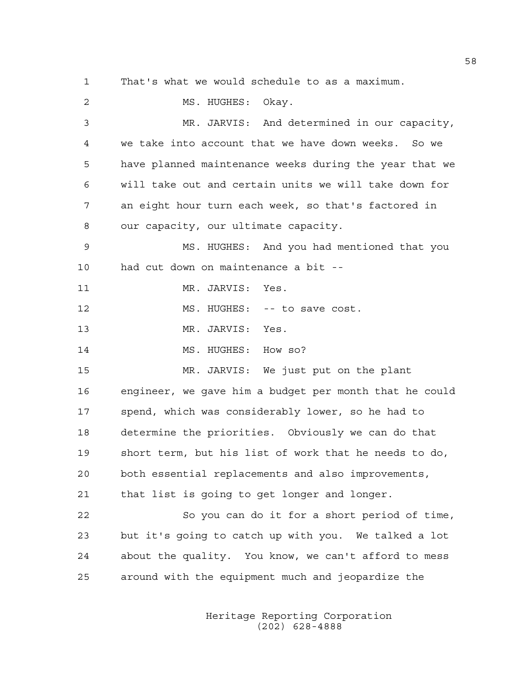1 That's what we would schedule to as a maximum. 2 MS. HUGHES: Okav. 3 MR. JARVIS: And determined in our capacity, 4 we take into account that we have down weeks. So we 5 have planned maintenance weeks during the year that we 6 will take out and certain units we will take down for 7 an eight hour turn each week, so that's factored in 8 our capacity, our ultimate capacity. 9 MS. HUGHES: And you had mentioned that you 10 had cut down on maintenance a bit -- 11 MR. JARVIS: Yes. 12 MS. HUGHES: -- to save cost. 13 MR. JARVIS: Yes. 14 MS. HUGHES: How so? 15 MR. JARVIS: We just put on the plant 16 engineer, we gave him a budget per month that he could 17 spend, which was considerably lower, so he had to 18 determine the priorities. Obviously we can do that 19 short term, but his list of work that he needs to do, 20 both essential replacements and also improvements, 21 that list is going to get longer and longer. 22 So you can do it for a short period of time, 23 but it's going to catch up with you. We talked a lot 24 about the quality. You know, we can't afford to mess 25 around with the equipment much and jeopardize the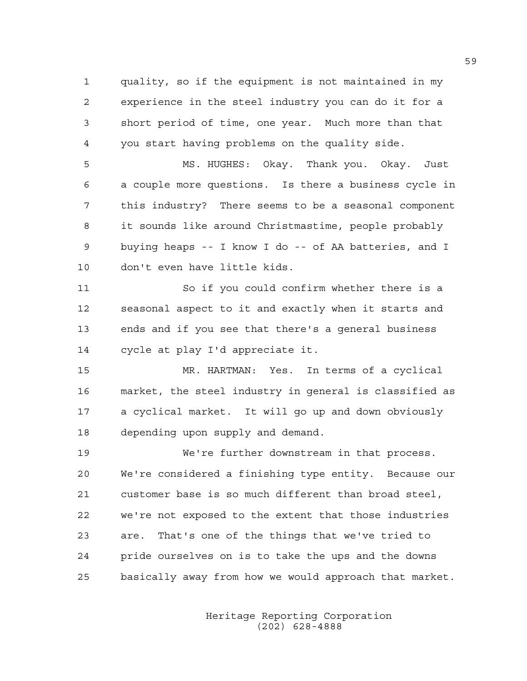1 quality, so if the equipment is not maintained in my 2 experience in the steel industry you can do it for a 3 short period of time, one year. Much more than that 4 you start having problems on the quality side.

5 MS. HUGHES: Okay. Thank you. Okay. Just 6 a couple more questions. Is there a business cycle in 7 this industry? There seems to be a seasonal component 8 it sounds like around Christmastime, people probably 9 buying heaps -- I know I do -- of AA batteries, and I 10 don't even have little kids.

11 So if you could confirm whether there is a 12 seasonal aspect to it and exactly when it starts and 13 ends and if you see that there's a general business 14 cycle at play I'd appreciate it.

15 MR. HARTMAN: Yes. In terms of a cyclical 16 market, the steel industry in general is classified as 17 a cyclical market. It will go up and down obviously 18 depending upon supply and demand.

19 We're further downstream in that process. 20 We're considered a finishing type entity. Because our 21 customer base is so much different than broad steel, 22 we're not exposed to the extent that those industries 23 are. That's one of the things that we've tried to 24 pride ourselves on is to take the ups and the downs 25 basically away from how we would approach that market.

> Heritage Reporting Corporation (202) 628-4888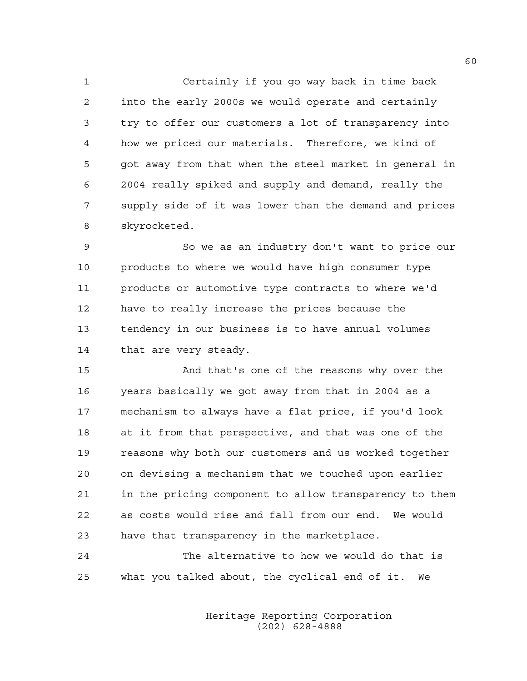1 Certainly if you go way back in time back 2 into the early 2000s we would operate and certainly 3 try to offer our customers a lot of transparency into 4 how we priced our materials. Therefore, we kind of 5 got away from that when the steel market in general in 6 2004 really spiked and supply and demand, really the 7 supply side of it was lower than the demand and prices 8 skyrocketed.

9 So we as an industry don't want to price our 10 products to where we would have high consumer type 11 products or automotive type contracts to where we'd 12 have to really increase the prices because the 13 tendency in our business is to have annual volumes 14 that are very steady.

15 And that's one of the reasons why over the 16 years basically we got away from that in 2004 as a 17 mechanism to always have a flat price, if you'd look 18 at it from that perspective, and that was one of the 19 reasons why both our customers and us worked together 20 on devising a mechanism that we touched upon earlier 21 in the pricing component to allow transparency to them 22 as costs would rise and fall from our end. We would 23 have that transparency in the marketplace.

24 The alternative to how we would do that is 25 what you talked about, the cyclical end of it. We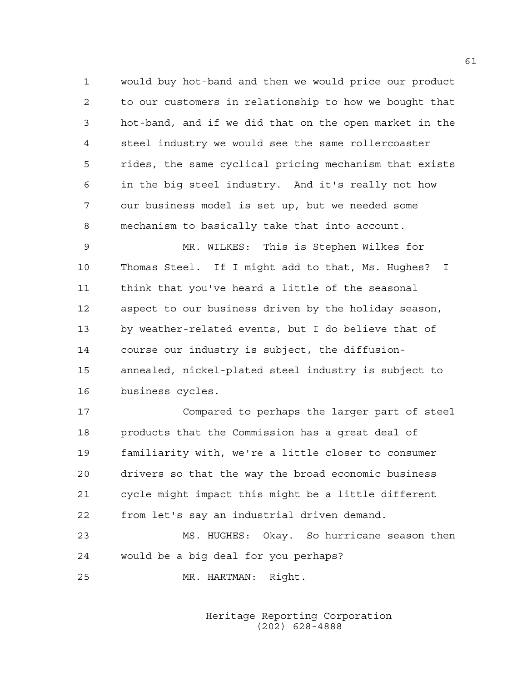1 would buy hot-band and then we would price our product 2 to our customers in relationship to how we bought that 3 hot-band, and if we did that on the open market in the 4 steel industry we would see the same rollercoaster 5 rides, the same cyclical pricing mechanism that exists 6 in the big steel industry. And it's really not how 7 our business model is set up, but we needed some 8 mechanism to basically take that into account.

9 MR. WILKES: This is Stephen Wilkes for 10 Thomas Steel. If I might add to that, Ms. Hughes? I 11 think that you've heard a little of the seasonal 12 aspect to our business driven by the holiday season, 13 by weather-related events, but I do believe that of 14 course our industry is subject, the diffusion-15 annealed, nickel-plated steel industry is subject to 16 business cycles.

17 Compared to perhaps the larger part of steel 18 products that the Commission has a great deal of 19 familiarity with, we're a little closer to consumer 20 drivers so that the way the broad economic business 21 cycle might impact this might be a little different 22 from let's say an industrial driven demand.

23 MS. HUGHES: Okay. So hurricane season then 24 would be a big deal for you perhaps?

25 MR. HARTMAN: Right.

 Heritage Reporting Corporation (202) 628-4888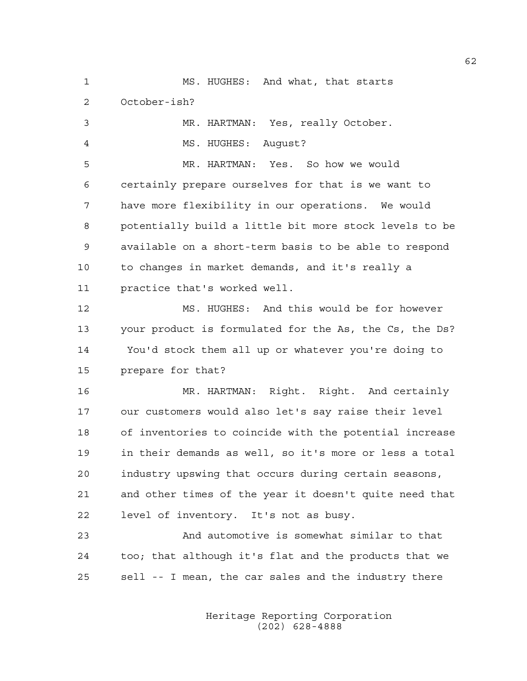1 MS. HUGHES: And what, that starts 2 October-ish? 3 MR. HARTMAN: Yes, really October. 4 MS. HUGHES: August? 5 MR. HARTMAN: Yes. So how we would 6 certainly prepare ourselves for that is we want to 7 have more flexibility in our operations. We would 8 potentially build a little bit more stock levels to be 9 available on a short-term basis to be able to respond 10 to changes in market demands, and it's really a 11 practice that's worked well. 12 MS. HUGHES: And this would be for however 13 your product is formulated for the As, the Cs, the Ds? 14 You'd stock them all up or whatever you're doing to 15 prepare for that? 16 MR. HARTMAN: Right. Right. And certainly 17 our customers would also let's say raise their level 18 of inventories to coincide with the potential increase 19 in their demands as well, so it's more or less a total 20 industry upswing that occurs during certain seasons, 21 and other times of the year it doesn't quite need that 22 level of inventory. It's not as busy. 23 And automotive is somewhat similar to that 24 too; that although it's flat and the products that we 25 sell -- I mean, the car sales and the industry there

> Heritage Reporting Corporation (202) 628-4888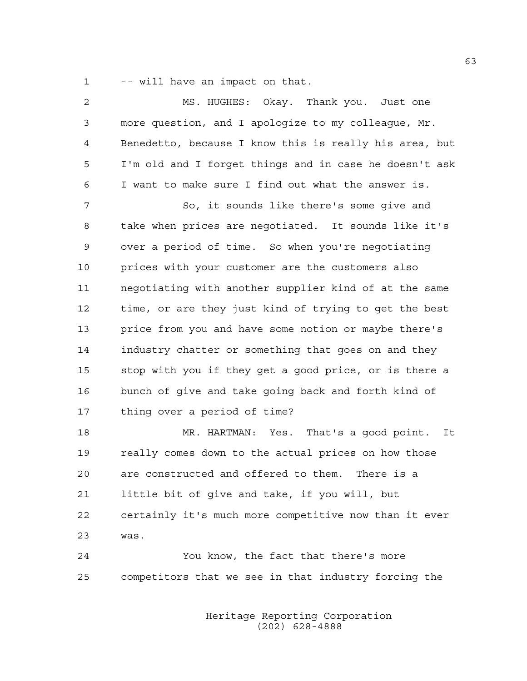1 -- will have an impact on that.

| 2  | MS. HUGHES: Okay. Thank you. Just one                  |
|----|--------------------------------------------------------|
| 3  | more question, and I apologize to my colleague, Mr.    |
| 4  | Benedetto, because I know this is really his area, but |
| 5  | I'm old and I forget things and in case he doesn't ask |
| 6  | I want to make sure I find out what the answer is.     |
| 7  | So, it sounds like there's some give and               |
| 8  | take when prices are negotiated. It sounds like it's   |
| 9  | over a period of time. So when you're negotiating      |
| 10 | prices with your customer are the customers also       |
| 11 | negotiating with another supplier kind of at the same  |
| 12 | time, or are they just kind of trying to get the best  |
| 13 | price from you and have some notion or maybe there's   |
| 14 | industry chatter or something that goes on and they    |
| 15 | stop with you if they get a good price, or is there a  |
| 16 | bunch of give and take going back and forth kind of    |
| 17 | thing over a period of time?                           |
| 18 | MR. HARTMAN: Yes. That's a good point. It              |
| 19 | really comes down to the actual prices on how those    |
| 20 | are constructed and offered to them.<br>There is a     |
| 21 | little bit of give and take, if you will, but          |
| 22 | certainly it's much more competitive now than it ever  |
| 23 | was.                                                   |
| 24 | You know, the fact that there's more                   |
| 25 | competitors that we see in that industry forcing the   |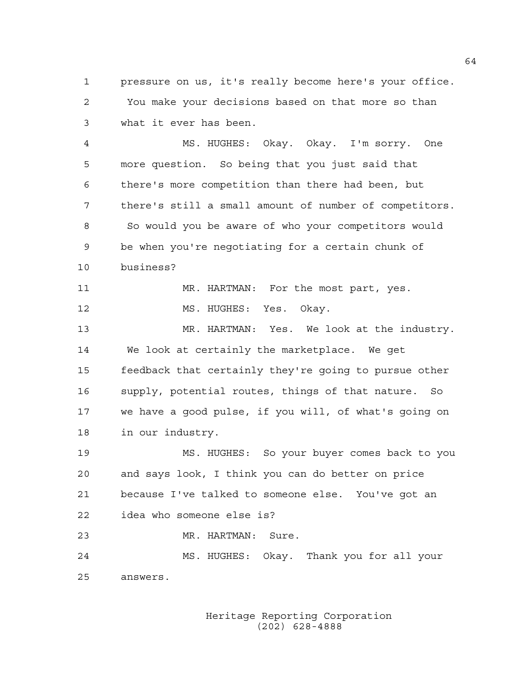1 pressure on us, it's really become here's your office. 2 You make your decisions based on that more so than 3 what it ever has been.

4 MS. HUGHES: Okay. Okay. I'm sorry. One 5 more question. So being that you just said that 6 there's more competition than there had been, but 7 there's still a small amount of number of competitors. 8 So would you be aware of who your competitors would 9 be when you're negotiating for a certain chunk of 10 business?

11 MR. HARTMAN: For the most part, yes. 12 MS. HUGHES: Yes. Okay.

13 MR. HARTMAN: Yes. We look at the industry. 14 We look at certainly the marketplace. We get 15 feedback that certainly they're going to pursue other 16 supply, potential routes, things of that nature. So 17 we have a good pulse, if you will, of what's going on 18 in our industry.

19 MS. HUGHES: So your buyer comes back to you 20 and says look, I think you can do better on price 21 because I've talked to someone else. You've got an 22 idea who someone else is?

23 MR. HARTMAN: Sure.

24 MS. HUGHES: Okay. Thank you for all your 25 answers.

> Heritage Reporting Corporation (202) 628-4888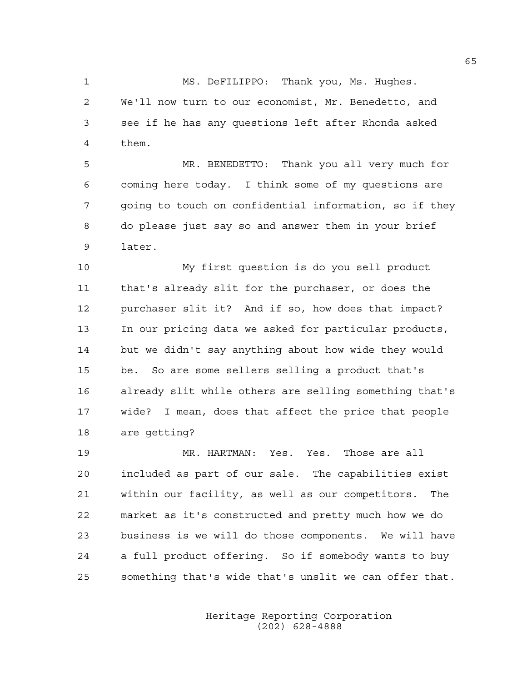1 MS. DeFILIPPO: Thank you, Ms. Hughes. 2 We'll now turn to our economist, Mr. Benedetto, and 3 see if he has any questions left after Rhonda asked 4 them.

5 MR. BENEDETTO: Thank you all very much for 6 coming here today. I think some of my questions are 7 going to touch on confidential information, so if they 8 do please just say so and answer them in your brief 9 later.

10 My first question is do you sell product 11 that's already slit for the purchaser, or does the 12 purchaser slit it? And if so, how does that impact? 13 In our pricing data we asked for particular products, 14 but we didn't say anything about how wide they would 15 be. So are some sellers selling a product that's 16 already slit while others are selling something that's 17 wide? I mean, does that affect the price that people 18 are getting?

19 MR. HARTMAN: Yes. Yes. Those are all 20 included as part of our sale. The capabilities exist 21 within our facility, as well as our competitors. The 22 market as it's constructed and pretty much how we do 23 business is we will do those components. We will have 24 a full product offering. So if somebody wants to buy 25 something that's wide that's unslit we can offer that.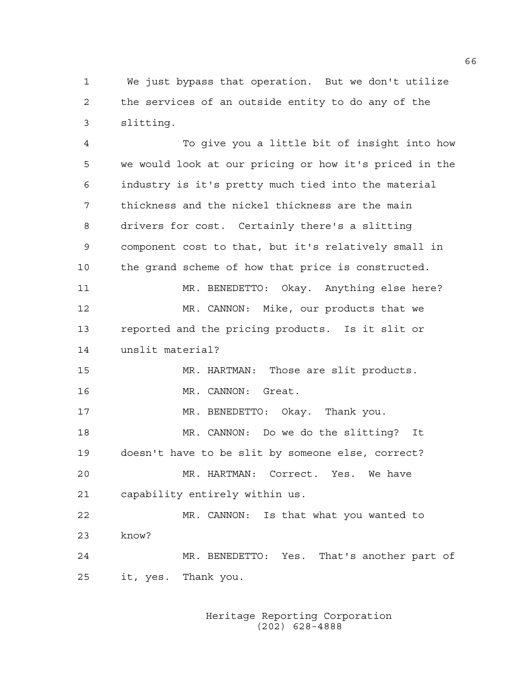1 We just bypass that operation. But we don't utilize 2 the services of an outside entity to do any of the 3 slitting.

4 To give you a little bit of insight into how 5 we would look at our pricing or how it's priced in the 6 industry is it's pretty much tied into the material 7 thickness and the nickel thickness are the main 8 drivers for cost. Certainly there's a slitting 9 component cost to that, but it's relatively small in 10 the grand scheme of how that price is constructed. 11 MR. BENEDETTO: Okay. Anything else here? 12 MR. CANNON: Mike, our products that we 13 reported and the pricing products. Is it slit or 14 unslit material? 15 MR. HARTMAN: Those are slit products. 16 MR. CANNON: Great. 17 MR. BENEDETTO: Okay. Thank you. 18 MR. CANNON: Do we do the slitting? It 19 doesn't have to be slit by someone else, correct? 20 MR. HARTMAN: Correct. Yes. We have 21 capability entirely within us. 22 MR. CANNON: Is that what you wanted to 23 know? 24 MR. BENEDETTO: Yes. That's another part of 25 it, yes. Thank you.

> Heritage Reporting Corporation (202) 628-4888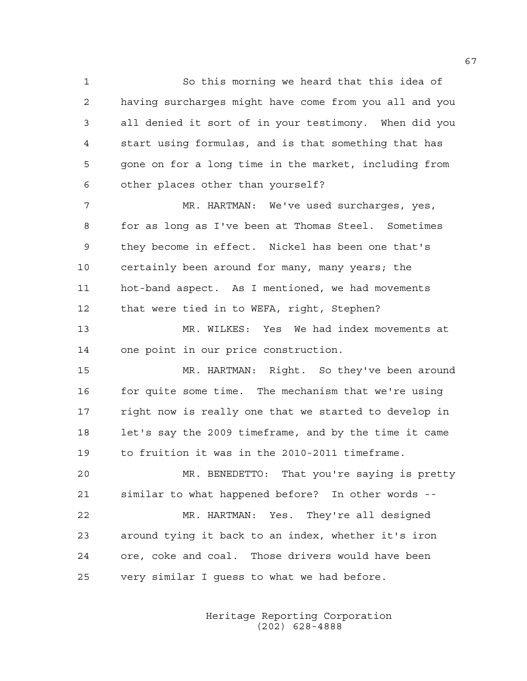1 So this morning we heard that this idea of 2 having surcharges might have come from you all and you 3 all denied it sort of in your testimony. When did you 4 start using formulas, and is that something that has 5 gone on for a long time in the market, including from 6 other places other than yourself?

7 MR. HARTMAN: We've used surcharges, yes, 8 for as long as I've been at Thomas Steel. Sometimes 9 they become in effect. Nickel has been one that's 10 certainly been around for many, many years; the 11 hot-band aspect. As I mentioned, we had movements 12 that were tied in to WEFA, right, Stephen?

13 MR. WILKES: Yes We had index movements at 14 one point in our price construction.

15 MR. HARTMAN: Right. So they've been around 16 for quite some time. The mechanism that we're using 17 right now is really one that we started to develop in 18 let's say the 2009 timeframe, and by the time it came 19 to fruition it was in the 2010-2011 timeframe.

20 MR. BENEDETTO: That you're saying is pretty 21 similar to what happened before? In other words --

22 MR. HARTMAN: Yes. They're all designed 23 around tying it back to an index, whether it's iron 24 ore, coke and coal. Those drivers would have been 25 very similar I guess to what we had before.

> Heritage Reporting Corporation (202) 628-4888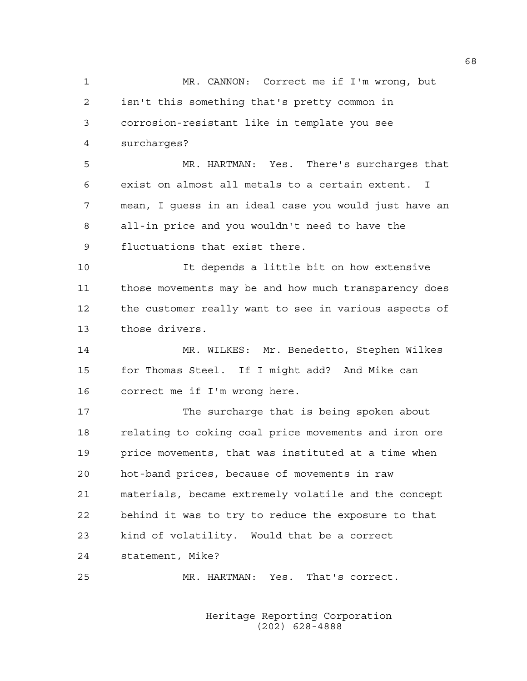1 MR. CANNON: Correct me if I'm wrong, but 2 isn't this something that's pretty common in 3 corrosion-resistant like in template you see 4 surcharges? 5 MR. HARTMAN: Yes. There's surcharges that 6 exist on almost all metals to a certain extent. I 7 mean, I guess in an ideal case you would just have an 8 all-in price and you wouldn't need to have the 9 fluctuations that exist there. 10 It depends a little bit on how extensive 11 those movements may be and how much transparency does 12 the customer really want to see in various aspects of 13 those drivers. 14 MR. WILKES: Mr. Benedetto, Stephen Wilkes 15 for Thomas Steel. If I might add? And Mike can 16 correct me if I'm wrong here. 17 The surcharge that is being spoken about 18 relating to coking coal price movements and iron ore 19 price movements, that was instituted at a time when 20 hot-band prices, because of movements in raw 21 materials, became extremely volatile and the concept 22 behind it was to try to reduce the exposure to that 23 kind of volatility. Would that be a correct 24 statement, Mike? 25 MR. HARTMAN: Yes. That's correct.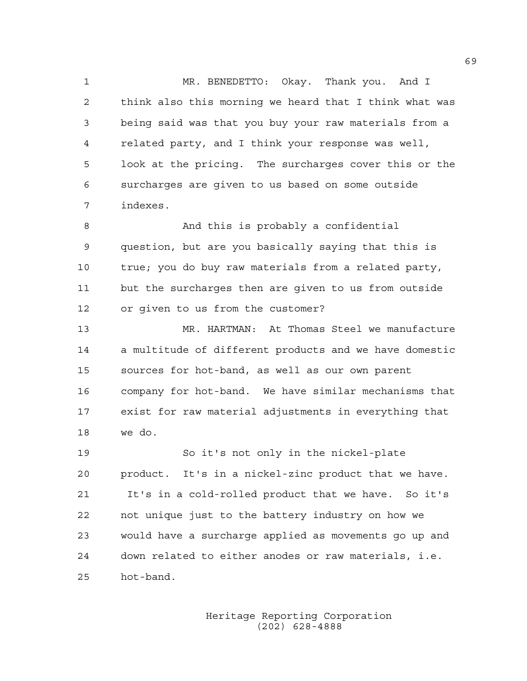1 MR. BENEDETTO: Okay. Thank you. And I 2 think also this morning we heard that I think what was 3 being said was that you buy your raw materials from a 4 related party, and I think your response was well, 5 look at the pricing. The surcharges cover this or the 6 surcharges are given to us based on some outside 7 indexes.

8 And this is probably a confidential 9 question, but are you basically saying that this is 10 true; you do buy raw materials from a related party, 11 but the surcharges then are given to us from outside 12 or given to us from the customer?

13 MR. HARTMAN: At Thomas Steel we manufacture 14 a multitude of different products and we have domestic 15 sources for hot-band, as well as our own parent 16 company for hot-band. We have similar mechanisms that 17 exist for raw material adjustments in everything that 18 we do.

19 So it's not only in the nickel-plate 20 product. It's in a nickel-zinc product that we have. 21 It's in a cold-rolled product that we have. So it's 22 not unique just to the battery industry on how we 23 would have a surcharge applied as movements go up and 24 down related to either anodes or raw materials, i.e. 25 hot-band.

> Heritage Reporting Corporation (202) 628-4888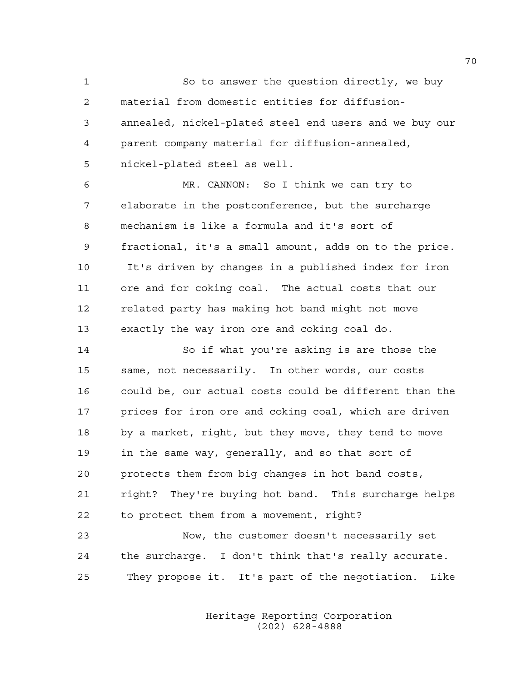1 So to answer the question directly, we buy 2 material from domestic entities for diffusion-3 annealed, nickel-plated steel end users and we buy our 4 parent company material for diffusion-annealed, 5 nickel-plated steel as well.

6 MR. CANNON: So I think we can try to 7 elaborate in the postconference, but the surcharge 8 mechanism is like a formula and it's sort of 9 fractional, it's a small amount, adds on to the price. 10 It's driven by changes in a published index for iron 11 ore and for coking coal. The actual costs that our 12 related party has making hot band might not move 13 exactly the way iron ore and coking coal do.

14 So if what you're asking is are those the 15 same, not necessarily. In other words, our costs 16 could be, our actual costs could be different than the 17 prices for iron ore and coking coal, which are driven 18 by a market, right, but they move, they tend to move 19 in the same way, generally, and so that sort of 20 protects them from big changes in hot band costs, 21 right? They're buying hot band. This surcharge helps 22 to protect them from a movement, right?

23 Now, the customer doesn't necessarily set 24 the surcharge. I don't think that's really accurate. 25 They propose it. It's part of the negotiation. Like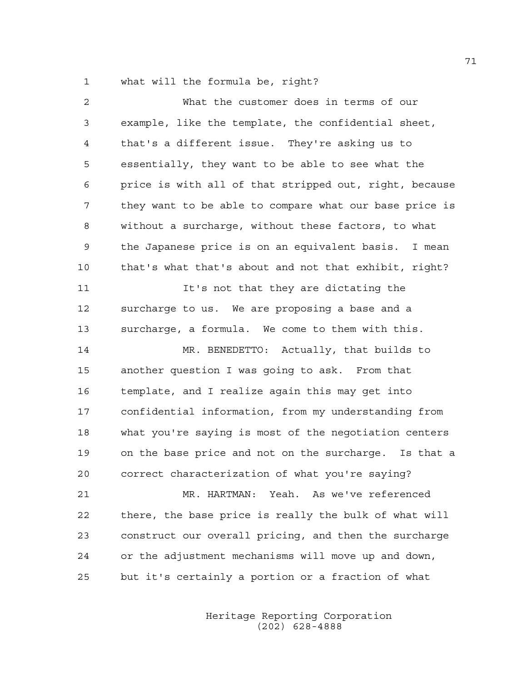1 what will the formula be, right?

| 2              | What the customer does in terms of our                 |
|----------------|--------------------------------------------------------|
| 3              | example, like the template, the confidential sheet,    |
| $\overline{4}$ | that's a different issue. They're asking us to         |
| 5              | essentially, they want to be able to see what the      |
| 6              | price is with all of that stripped out, right, because |
| 7              | they want to be able to compare what our base price is |
| 8              | without a surcharge, without these factors, to what    |
| 9              | the Japanese price is on an equivalent basis. I mean   |
| 10             | that's what that's about and not that exhibit, right?  |
| 11             | It's not that they are dictating the                   |
| 12             | surcharge to us. We are proposing a base and a         |
| 13             | surcharge, a formula. We come to them with this.       |
| 14             | MR. BENEDETTO: Actually, that builds to                |
| 15             | another question I was going to ask. From that         |
| 16             | template, and I realize again this may get into        |
| 17             | confidential information, from my understanding from   |
| 18             | what you're saying is most of the negotiation centers  |
| 19             | on the base price and not on the surcharge. Is that a  |
| 20             | correct characterization of what you're saying?        |
| 21             | MR. HARTMAN: Yeah. As we've referenced                 |
| 22             | there, the base price is really the bulk of what will  |
| 23             | construct our overall pricing, and then the surcharge  |
| 24             | or the adjustment mechanisms will move up and down,    |
| 25             | but it's certainly a portion or a fraction of what     |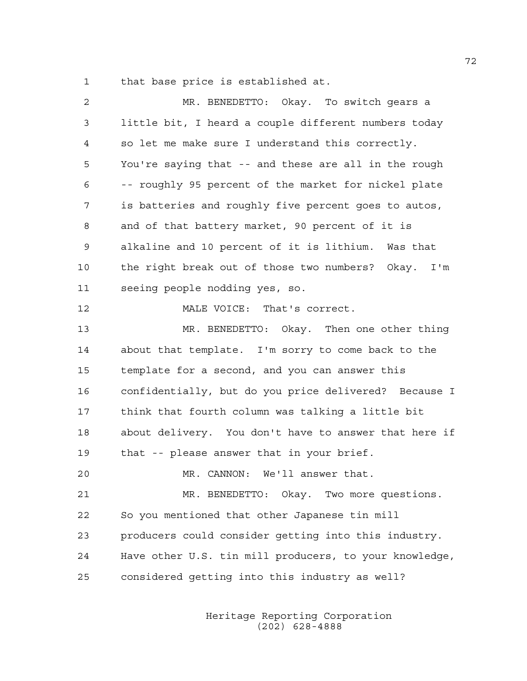1 that base price is established at.

| 2  | MR. BENEDETTO: Okay. To switch gears a                 |
|----|--------------------------------------------------------|
| 3  | little bit, I heard a couple different numbers today   |
| 4  | so let me make sure I understand this correctly.       |
| 5  | You're saying that -- and these are all in the rough   |
| 6  | -- roughly 95 percent of the market for nickel plate   |
| 7  | is batteries and roughly five percent goes to autos,   |
| 8  | and of that battery market, 90 percent of it is        |
| 9  | alkaline and 10 percent of it is lithium. Was that     |
| 10 | the right break out of those two numbers? Okay. I'm    |
| 11 | seeing people nodding yes, so.                         |
| 12 | MALE VOICE: That's correct.                            |
| 13 | MR. BENEDETTO: Okay. Then one other thing              |
| 14 | about that template. I'm sorry to come back to the     |
| 15 | template for a second, and you can answer this         |
| 16 | confidentially, but do you price delivered? Because I  |
| 17 | think that fourth column was talking a little bit      |
| 18 | about delivery. You don't have to answer that here if  |
| 19 | that -- please answer that in your brief.              |
| 20 | MR. CANNON:<br>We'll answer that.                      |
| 21 | MR. BENEDETTO: Okay. Two more questions.               |
| 22 | So you mentioned that other Japanese tin mill          |
| 23 | producers could consider getting into this industry.   |
| 24 | Have other U.S. tin mill producers, to your knowledge, |
| 25 | considered getting into this industry as well?         |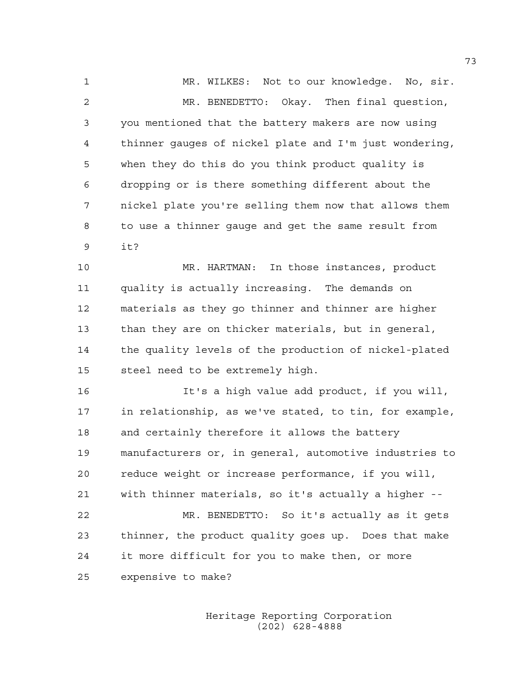1 MR. WILKES: Not to our knowledge. No, sir. 2 MR. BENEDETTO: Okay. Then final question, 3 you mentioned that the battery makers are now using 4 thinner gauges of nickel plate and I'm just wondering, 5 when they do this do you think product quality is 6 dropping or is there something different about the 7 nickel plate you're selling them now that allows them 8 to use a thinner gauge and get the same result from 9 it?

10 MR. HARTMAN: In those instances, product 11 quality is actually increasing. The demands on 12 materials as they go thinner and thinner are higher 13 than they are on thicker materials, but in general, 14 the quality levels of the production of nickel-plated 15 steel need to be extremely high.

16 It's a high value add product, if you will, 17 in relationship, as we've stated, to tin, for example, 18 and certainly therefore it allows the battery 19 manufacturers or, in general, automotive industries to 20 reduce weight or increase performance, if you will, 21 with thinner materials, so it's actually a higher -- 22 MR. BENEDETTO: So it's actually as it gets 23 thinner, the product quality goes up. Does that make 24 it more difficult for you to make then, or more 25 expensive to make?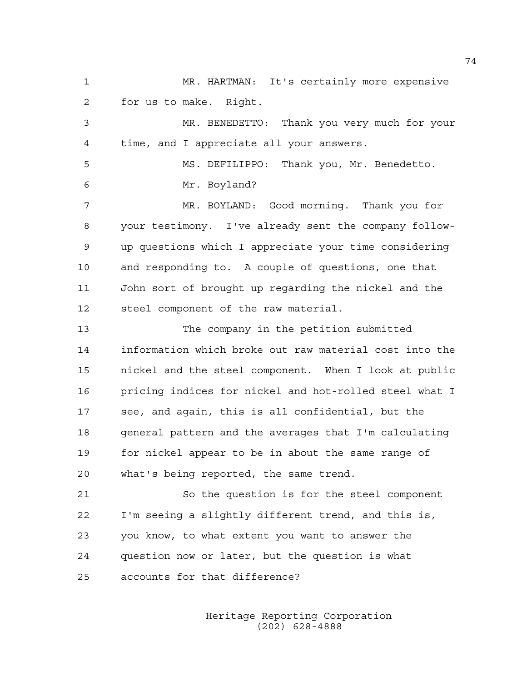1 MR. HARTMAN: It's certainly more expensive 2 for us to make. Right. 3 MR. BENEDETTO: Thank you very much for your 4 time, and I appreciate all your answers. 5 MS. DEFILIPPO: Thank you, Mr. Benedetto. 6 Mr. Boyland? 7 MR. BOYLAND: Good morning. Thank you for 8 your testimony. I've already sent the company follow-9 up questions which I appreciate your time considering 10 and responding to. A couple of questions, one that 11 John sort of brought up regarding the nickel and the 12 steel component of the raw material. 13 The company in the petition submitted 14 information which broke out raw material cost into the 15 nickel and the steel component. When I look at public 16 pricing indices for nickel and hot-rolled steel what I 17 see, and again, this is all confidential, but the 18 general pattern and the averages that I'm calculating 19 for nickel appear to be in about the same range of 20 what's being reported, the same trend. 21 So the question is for the steel component 22 I'm seeing a slightly different trend, and this is, 23 you know, to what extent you want to answer the 24 question now or later, but the question is what 25 accounts for that difference?

> Heritage Reporting Corporation (202) 628-4888

74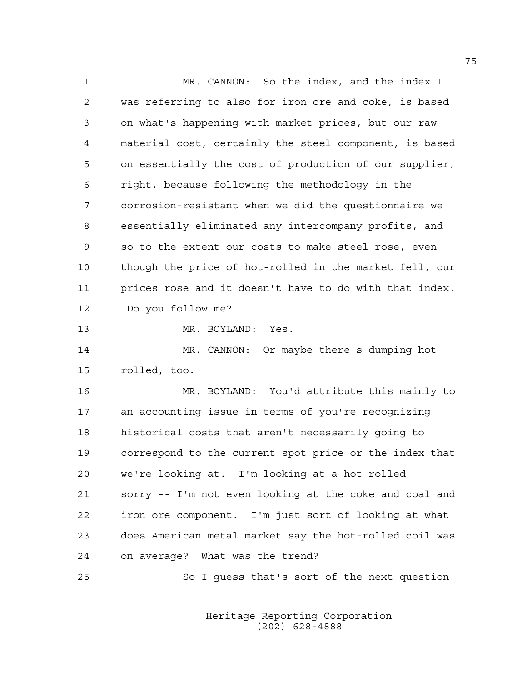1 MR. CANNON: So the index, and the index I 2 was referring to also for iron ore and coke, is based 3 on what's happening with market prices, but our raw 4 material cost, certainly the steel component, is based 5 on essentially the cost of production of our supplier, 6 right, because following the methodology in the 7 corrosion-resistant when we did the questionnaire we 8 essentially eliminated any intercompany profits, and 9 so to the extent our costs to make steel rose, even 10 though the price of hot-rolled in the market fell, our 11 prices rose and it doesn't have to do with that index. 12 Do you follow me? 13 MR. BOYLAND: Yes. 14 MR. CANNON: Or maybe there's dumping hot-

15 rolled, too.

16 MR. BOYLAND: You'd attribute this mainly to 17 an accounting issue in terms of you're recognizing 18 historical costs that aren't necessarily going to 19 correspond to the current spot price or the index that 20 we're looking at. I'm looking at a hot-rolled -- 21 sorry -- I'm not even looking at the coke and coal and 22 iron ore component. I'm just sort of looking at what 23 does American metal market say the hot-rolled coil was 24 on average? What was the trend?

25 So I guess that's sort of the next question

 Heritage Reporting Corporation (202) 628-4888

75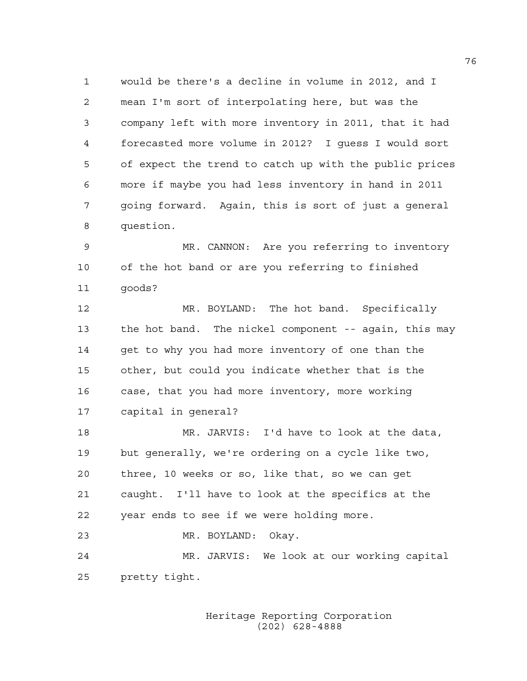1 would be there's a decline in volume in 2012, and I 2 mean I'm sort of interpolating here, but was the 3 company left with more inventory in 2011, that it had 4 forecasted more volume in 2012? I guess I would sort 5 of expect the trend to catch up with the public prices 6 more if maybe you had less inventory in hand in 2011 7 going forward. Again, this is sort of just a general 8 question.

9 MR. CANNON: Are you referring to inventory 10 of the hot band or are you referring to finished 11 goods?

12 MR. BOYLAND: The hot band. Specifically 13 the hot band. The nickel component -- again, this may 14 get to why you had more inventory of one than the 15 other, but could you indicate whether that is the 16 case, that you had more inventory, more working 17 capital in general?

18 MR. JARVIS: I'd have to look at the data, 19 but generally, we're ordering on a cycle like two, 20 three, 10 weeks or so, like that, so we can get 21 caught. I'll have to look at the specifics at the 22 year ends to see if we were holding more. 23 MR. BOYLAND: Okay.

24 MR. JARVIS: We look at our working capital 25 pretty tight.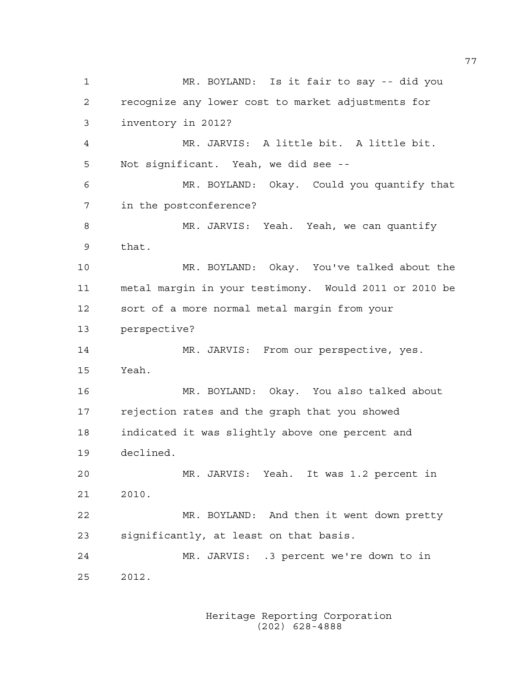1 MR. BOYLAND: Is it fair to say -- did you 2 recognize any lower cost to market adjustments for 3 inventory in 2012? 4 MR. JARVIS: A little bit. A little bit. 5 Not significant. Yeah, we did see -- 6 MR. BOYLAND: Okay. Could you quantify that 7 in the postconference? 8 MR. JARVIS: Yeah. Yeah, we can quantify 9 that. 10 MR. BOYLAND: Okay. You've talked about the 11 metal margin in your testimony. Would 2011 or 2010 be 12 sort of a more normal metal margin from your 13 perspective? 14 MR. JARVIS: From our perspective, yes. 15 Yeah. 16 MR. BOYLAND: Okay. You also talked about 17 rejection rates and the graph that you showed 18 indicated it was slightly above one percent and 19 declined. 20 MR. JARVIS: Yeah. It was 1.2 percent in 21 2010. 22 MR. BOYLAND: And then it went down pretty 23 significantly, at least on that basis. 24 MR. JARVIS: .3 percent we're down to in 25 2012.

> Heritage Reporting Corporation (202) 628-4888

77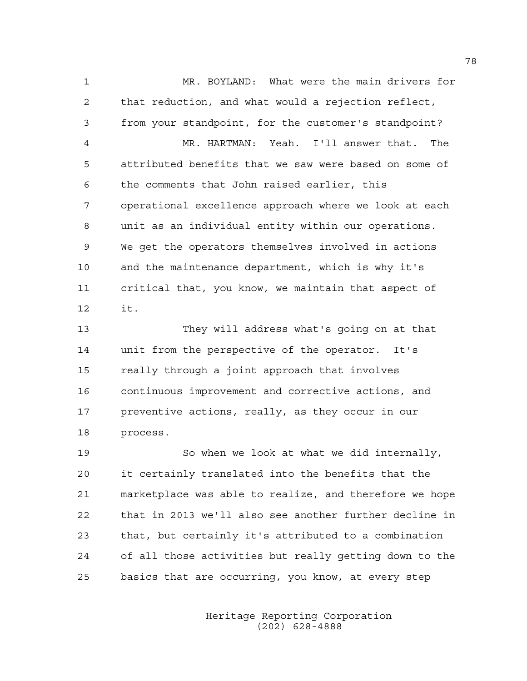1 MR. BOYLAND: What were the main drivers for 2 that reduction, and what would a rejection reflect, 3 from your standpoint, for the customer's standpoint? 4 MR. HARTMAN: Yeah. I'll answer that. The 5 attributed benefits that we saw were based on some of 6 the comments that John raised earlier, this 7 operational excellence approach where we look at each 8 unit as an individual entity within our operations. 9 We get the operators themselves involved in actions 10 and the maintenance department, which is why it's 11 critical that, you know, we maintain that aspect of 12 it.

13 They will address what's going on at that 14 unit from the perspective of the operator. It's 15 really through a joint approach that involves 16 continuous improvement and corrective actions, and 17 preventive actions, really, as they occur in our 18 process.

19 So when we look at what we did internally, 20 it certainly translated into the benefits that the 21 marketplace was able to realize, and therefore we hope 22 that in 2013 we'll also see another further decline in 23 that, but certainly it's attributed to a combination 24 of all those activities but really getting down to the 25 basics that are occurring, you know, at every step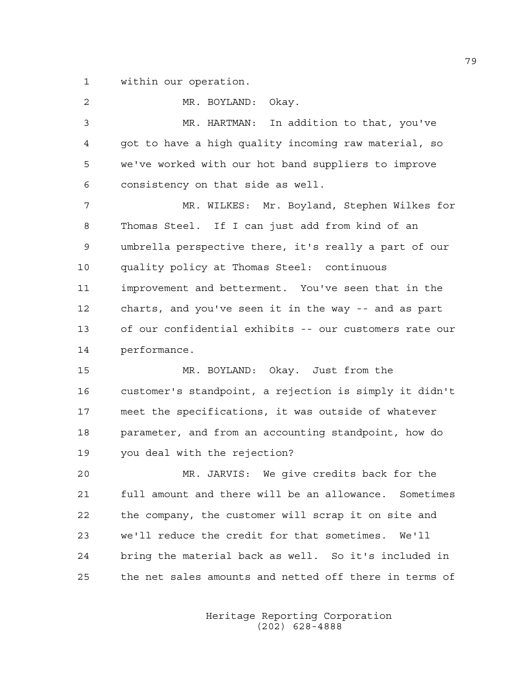1 within our operation.

2 MR. BOYLAND: Okay. 3 MR. HARTMAN: In addition to that, you've 4 got to have a high quality incoming raw material, so 5 we've worked with our hot band suppliers to improve 6 consistency on that side as well. 7 MR. WILKES: Mr. Boyland, Stephen Wilkes for 8 Thomas Steel. If I can just add from kind of an 9 umbrella perspective there, it's really a part of our 10 quality policy at Thomas Steel: continuous 11 improvement and betterment. You've seen that in the 12 charts, and you've seen it in the way -- and as part 13 of our confidential exhibits -- our customers rate our 14 performance. 15 MR. BOYLAND: Okay. Just from the 16 customer's standpoint, a rejection is simply it didn't 17 meet the specifications, it was outside of whatever 18 parameter, and from an accounting standpoint, how do 19 you deal with the rejection? 20 MR. JARVIS: We give credits back for the 21 full amount and there will be an allowance. Sometimes 22 the company, the customer will scrap it on site and 23 we'll reduce the credit for that sometimes. We'll 24 bring the material back as well. So it's included in 25 the net sales amounts and netted off there in terms of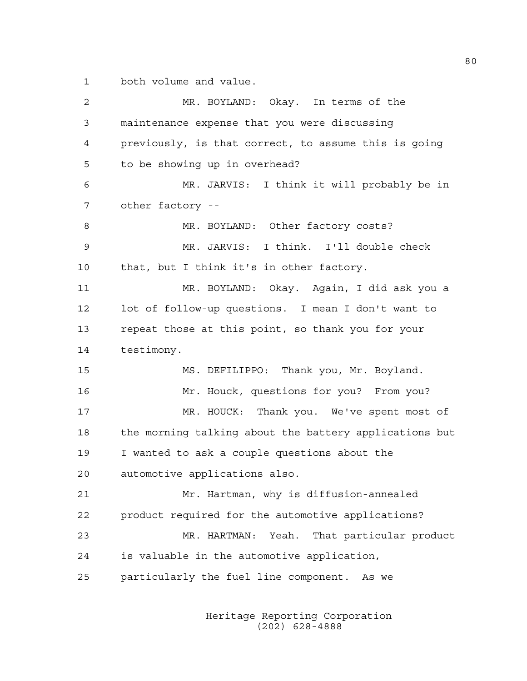1 both volume and value.

2 MR. BOYLAND: Okay. In terms of the 3 maintenance expense that you were discussing 4 previously, is that correct, to assume this is going 5 to be showing up in overhead? 6 MR. JARVIS: I think it will probably be in 7 other factory -- 8 MR. BOYLAND: Other factory costs? 9 MR. JARVIS: I think. I'll double check 10 that, but I think it's in other factory. 11 MR. BOYLAND: Okay. Again, I did ask you a 12 lot of follow-up questions. I mean I don't want to 13 repeat those at this point, so thank you for your 14 testimony. 15 MS. DEFILIPPO: Thank you, Mr. Boyland. 16 Mr. Houck, questions for you? From you? 17 MR. HOUCK: Thank you. We've spent most of 18 the morning talking about the battery applications but 19 I wanted to ask a couple questions about the 20 automotive applications also. 21 Mr. Hartman, why is diffusion-annealed 22 product required for the automotive applications? 23 MR. HARTMAN: Yeah. That particular product 24 is valuable in the automotive application, 25 particularly the fuel line component. As we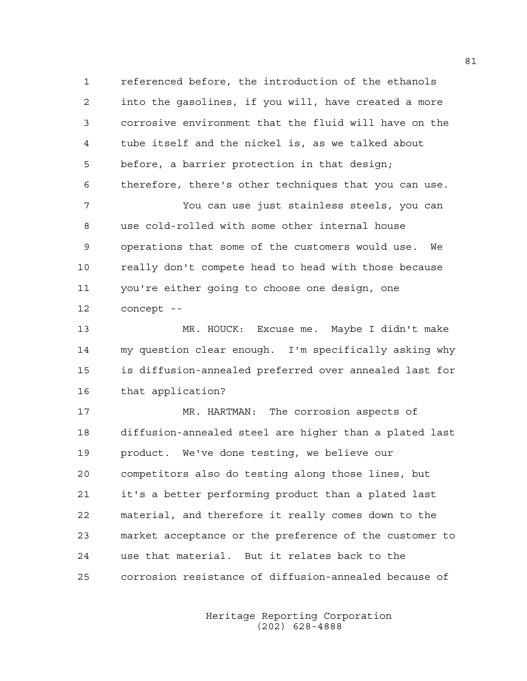1 referenced before, the introduction of the ethanols 2 into the gasolines, if you will, have created a more 3 corrosive environment that the fluid will have on the 4 tube itself and the nickel is, as we talked about 5 before, a barrier protection in that design; 6 therefore, there's other techniques that you can use. 7 You can use just stainless steels, you can

8 use cold-rolled with some other internal house 9 operations that some of the customers would use. We 10 really don't compete head to head with those because 11 you're either going to choose one design, one 12 concept --

13 MR. HOUCK: Excuse me. Maybe I didn't make 14 my question clear enough. I'm specifically asking why 15 is diffusion-annealed preferred over annealed last for 16 that application?

17 MR. HARTMAN: The corrosion aspects of 18 diffusion-annealed steel are higher than a plated last 19 product. We've done testing, we believe our 20 competitors also do testing along those lines, but 21 it's a better performing product than a plated last 22 material, and therefore it really comes down to the 23 market acceptance or the preference of the customer to 24 use that material. But it relates back to the 25 corrosion resistance of diffusion-annealed because of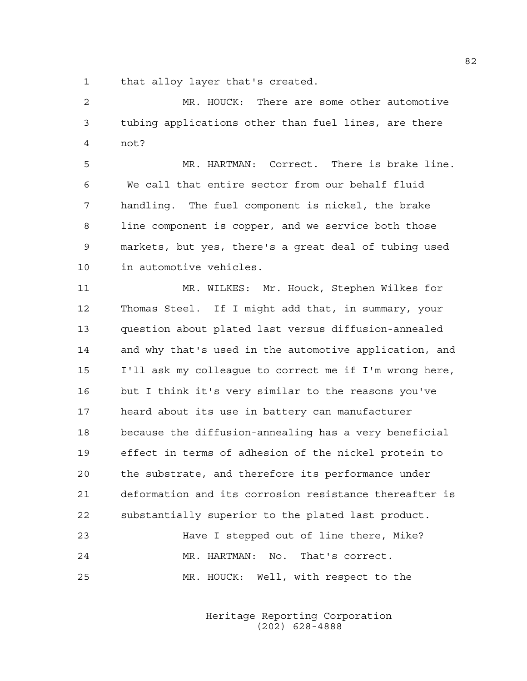1 that alloy layer that's created.

2 MR. HOUCK: There are some other automotive 3 tubing applications other than fuel lines, are there 4 not?

5 MR. HARTMAN: Correct. There is brake line. 6 We call that entire sector from our behalf fluid 7 handling. The fuel component is nickel, the brake 8 line component is copper, and we service both those 9 markets, but yes, there's a great deal of tubing used 10 in automotive vehicles.

11 MR. WILKES: Mr. Houck, Stephen Wilkes for 12 Thomas Steel. If I might add that, in summary, your 13 question about plated last versus diffusion-annealed 14 and why that's used in the automotive application, and 15 I'll ask my colleague to correct me if I'm wrong here, 16 but I think it's very similar to the reasons you've 17 heard about its use in battery can manufacturer 18 because the diffusion-annealing has a very beneficial 19 effect in terms of adhesion of the nickel protein to 20 the substrate, and therefore its performance under 21 deformation and its corrosion resistance thereafter is 22 substantially superior to the plated last product.

23 Have I stepped out of line there, Mike? 24 MR. HARTMAN: No. That's correct. 25 MR. HOUCK: Well, with respect to the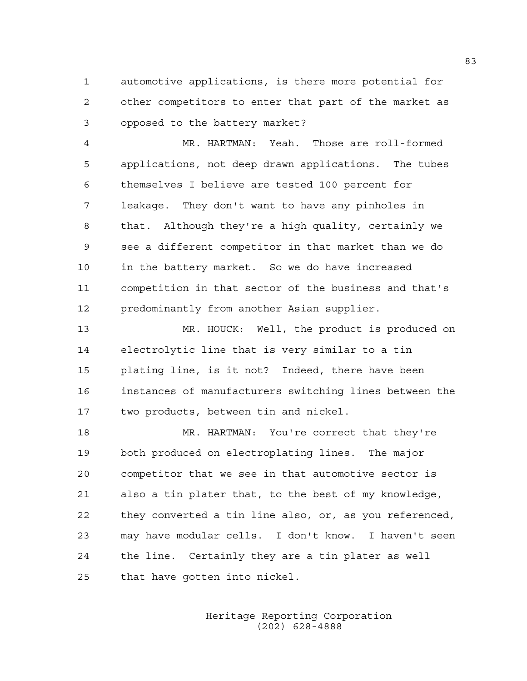1 automotive applications, is there more potential for 2 other competitors to enter that part of the market as 3 opposed to the battery market?

4 MR. HARTMAN: Yeah. Those are roll-formed 5 applications, not deep drawn applications. The tubes 6 themselves I believe are tested 100 percent for 7 leakage. They don't want to have any pinholes in 8 that. Although they're a high quality, certainly we 9 see a different competitor in that market than we do 10 in the battery market. So we do have increased 11 competition in that sector of the business and that's 12 predominantly from another Asian supplier.

13 MR. HOUCK: Well, the product is produced on 14 electrolytic line that is very similar to a tin 15 plating line, is it not? Indeed, there have been 16 instances of manufacturers switching lines between the 17 two products, between tin and nickel.

18 MR. HARTMAN: You're correct that they're 19 both produced on electroplating lines. The major 20 competitor that we see in that automotive sector is 21 also a tin plater that, to the best of my knowledge, 22 they converted a tin line also, or, as you referenced, 23 may have modular cells. I don't know. I haven't seen 24 the line. Certainly they are a tin plater as well 25 that have gotten into nickel.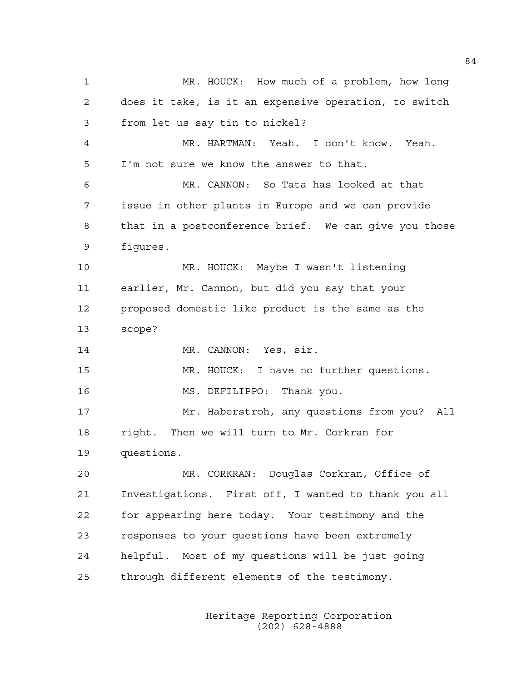1 MR. HOUCK: How much of a problem, how long 2 does it take, is it an expensive operation, to switch 3 from let us say tin to nickel? 4 MR. HARTMAN: Yeah. I don't know. Yeah. 5 I'm not sure we know the answer to that. 6 MR. CANNON: So Tata has looked at that 7 issue in other plants in Europe and we can provide 8 that in a postconference brief. We can give you those 9 figures. 10 MR. HOUCK: Maybe I wasn't listening 11 earlier, Mr. Cannon, but did you say that your 12 proposed domestic like product is the same as the 13 scope? 14 MR. CANNON: Yes, sir. 15 MR. HOUCK: I have no further questions. 16 MS. DEFILIPPO: Thank you. 17 Mr. Haberstroh, any questions from you? All 18 right. Then we will turn to Mr. Corkran for 19 questions. 20 MR. CORKRAN: Douglas Corkran, Office of 21 Investigations. First off, I wanted to thank you all 22 for appearing here today. Your testimony and the 23 responses to your questions have been extremely 24 helpful. Most of my questions will be just going 25 through different elements of the testimony.

> Heritage Reporting Corporation (202) 628-4888

84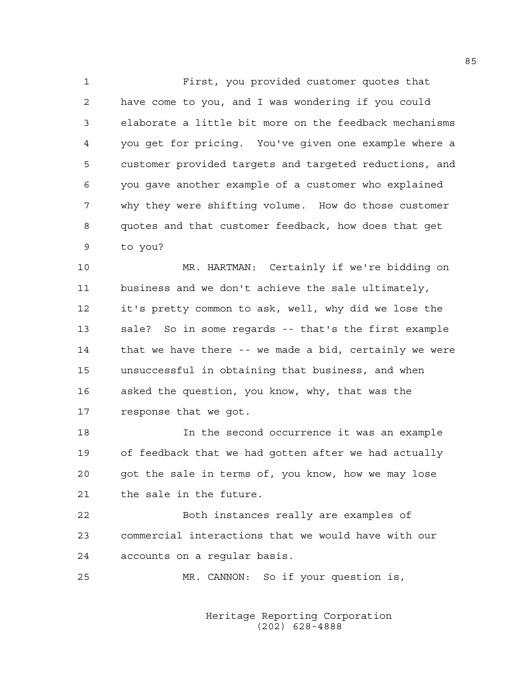1 First, you provided customer quotes that 2 have come to you, and I was wondering if you could 3 elaborate a little bit more on the feedback mechanisms 4 you get for pricing. You've given one example where a 5 customer provided targets and targeted reductions, and 6 you gave another example of a customer who explained 7 why they were shifting volume. How do those customer 8 quotes and that customer feedback, how does that get 9 to you?

10 MR. HARTMAN: Certainly if we're bidding on 11 business and we don't achieve the sale ultimately, 12 it's pretty common to ask, well, why did we lose the 13 sale? So in some regards -- that's the first example 14 that we have there -- we made a bid, certainly we were 15 unsuccessful in obtaining that business, and when 16 asked the question, you know, why, that was the 17 response that we got.

18 In the second occurrence it was an example 19 of feedback that we had gotten after we had actually 20 got the sale in terms of, you know, how we may lose 21 the sale in the future.

22 Both instances really are examples of 23 commercial interactions that we would have with our 24 accounts on a regular basis.

25 MR. CANNON: So if your question is,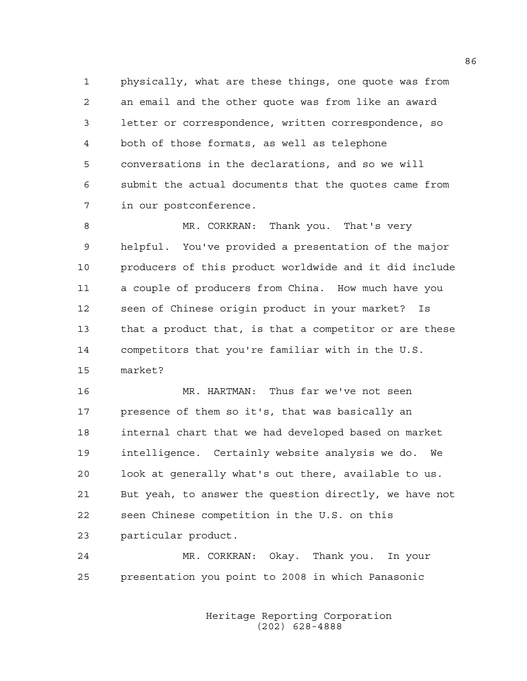1 physically, what are these things, one quote was from 2 an email and the other quote was from like an award 3 letter or correspondence, written correspondence, so 4 both of those formats, as well as telephone 5 conversations in the declarations, and so we will 6 submit the actual documents that the quotes came from 7 in our postconference.

8 MR. CORKRAN: Thank you. That's very 9 helpful. You've provided a presentation of the major 10 producers of this product worldwide and it did include 11 a couple of producers from China. How much have you 12 seen of Chinese origin product in your market? Is 13 that a product that, is that a competitor or are these 14 competitors that you're familiar with in the U.S. 15 market?

16 MR. HARTMAN: Thus far we've not seen 17 presence of them so it's, that was basically an 18 internal chart that we had developed based on market 19 intelligence. Certainly website analysis we do. We 20 look at generally what's out there, available to us. 21 But yeah, to answer the question directly, we have not 22 seen Chinese competition in the U.S. on this 23 particular product.

24 MR. CORKRAN: Okay. Thank you. In your 25 presentation you point to 2008 in which Panasonic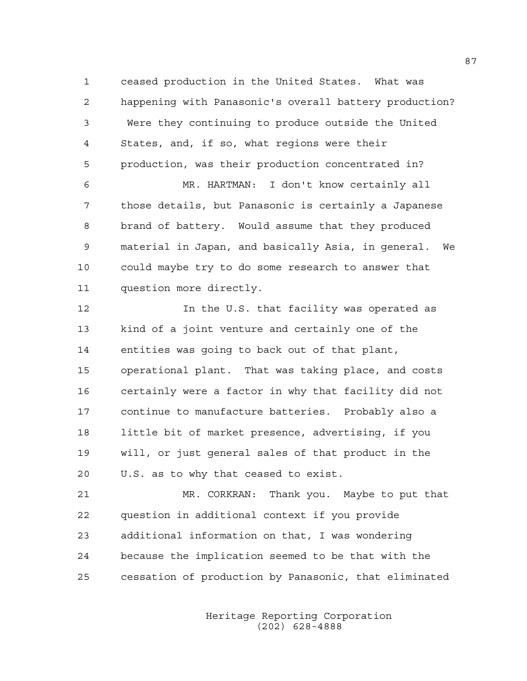1 ceased production in the United States. What was 2 happening with Panasonic's overall battery production? 3 Were they continuing to produce outside the United 4 States, and, if so, what regions were their 5 production, was their production concentrated in?

6 MR. HARTMAN: I don't know certainly all 7 those details, but Panasonic is certainly a Japanese 8 brand of battery. Would assume that they produced 9 material in Japan, and basically Asia, in general. We 10 could maybe try to do some research to answer that 11 question more directly.

12 In the U.S. that facility was operated as 13 kind of a joint venture and certainly one of the 14 entities was going to back out of that plant, 15 operational plant. That was taking place, and costs 16 certainly were a factor in why that facility did not 17 continue to manufacture batteries. Probably also a 18 little bit of market presence, advertising, if you 19 will, or just general sales of that product in the 20 U.S. as to why that ceased to exist.

21 MR. CORKRAN: Thank you. Maybe to put that 22 question in additional context if you provide 23 additional information on that, I was wondering 24 because the implication seemed to be that with the 25 cessation of production by Panasonic, that eliminated

> Heritage Reporting Corporation (202) 628-4888

87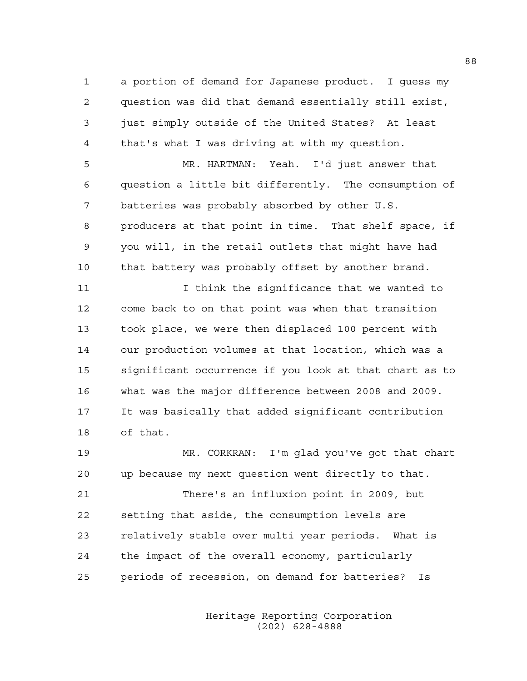1 a portion of demand for Japanese product. I guess my 2 question was did that demand essentially still exist, 3 just simply outside of the United States? At least 4 that's what I was driving at with my question.

5 MR. HARTMAN: Yeah. I'd just answer that 6 question a little bit differently. The consumption of 7 batteries was probably absorbed by other U.S. 8 producers at that point in time. That shelf space, if 9 you will, in the retail outlets that might have had 10 that battery was probably offset by another brand.

11 I think the significance that we wanted to 12 come back to on that point was when that transition 13 took place, we were then displaced 100 percent with 14 our production volumes at that location, which was a 15 significant occurrence if you look at that chart as to 16 what was the major difference between 2008 and 2009. 17 It was basically that added significant contribution 18 of that.

19 MR. CORKRAN: I'm glad you've got that chart 20 up because my next question went directly to that.

21 There's an influxion point in 2009, but 22 setting that aside, the consumption levels are 23 relatively stable over multi year periods. What is 24 the impact of the overall economy, particularly 25 periods of recession, on demand for batteries? Is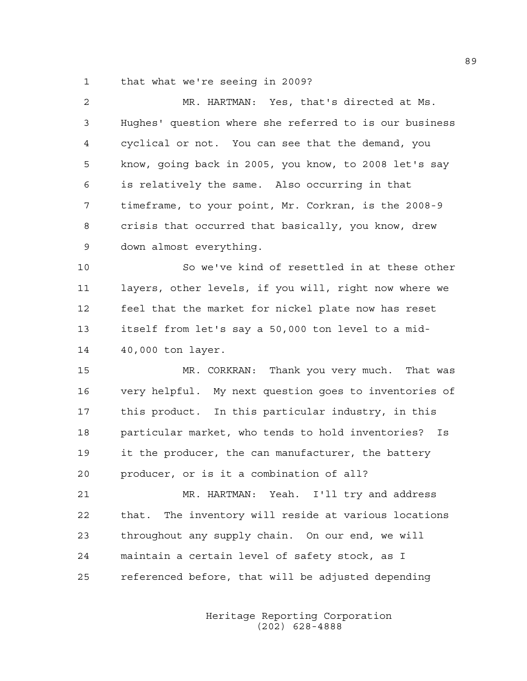1 that what we're seeing in 2009?

| 2  | MR. HARTMAN: Yes, that's directed at Ms.                |
|----|---------------------------------------------------------|
| 3  | Hughes' question where she referred to is our business  |
| 4  | cyclical or not. You can see that the demand, you       |
| 5  | know, going back in 2005, you know, to 2008 let's say   |
| 6  | is relatively the same. Also occurring in that          |
| 7  | timeframe, to your point, Mr. Corkran, is the 2008-9    |
| 8  | crisis that occurred that basically, you know, drew     |
| 9  | down almost everything.                                 |
| 10 | So we've kind of resettled in at these other            |
| 11 | layers, other levels, if you will, right now where we   |
| 12 | feel that the market for nickel plate now has reset     |
| 13 | itself from let's say a 50,000 ton level to a mid-      |
| 14 | 40,000 ton layer.                                       |
| 15 | MR. CORKRAN: Thank you very much. That was              |
| 16 | very helpful. My next question goes to inventories of   |
| 17 | this product. In this particular industry, in this      |
| 18 | particular market, who tends to hold inventories? Is    |
| 19 | it the producer, the can manufacturer, the battery      |
| 20 | producer, or is it a combination of all?                |
| 21 | MR. HARTMAN: Yeah. I'll try and address                 |
| 22 | The inventory will reside at various locations<br>that. |
| 23 | throughout any supply chain. On our end, we will        |
| 24 | maintain a certain level of safety stock, as I          |
|    |                                                         |

25 referenced before, that will be adjusted depending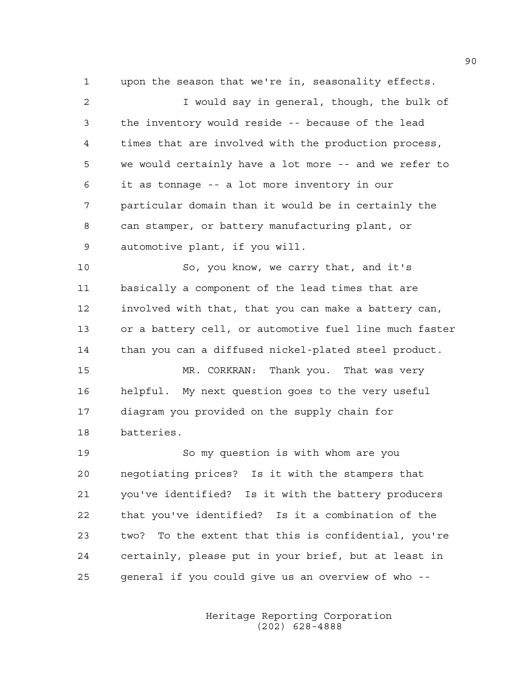1 upon the season that we're in, seasonality effects.

2 I would say in general, though, the bulk of 3 the inventory would reside -- because of the lead 4 times that are involved with the production process, 5 we would certainly have a lot more -- and we refer to 6 it as tonnage -- a lot more inventory in our 7 particular domain than it would be in certainly the 8 can stamper, or battery manufacturing plant, or 9 automotive plant, if you will.

10 So, you know, we carry that, and it's 11 basically a component of the lead times that are 12 involved with that, that you can make a battery can, 13 or a battery cell, or automotive fuel line much faster 14 than you can a diffused nickel-plated steel product.

15 MR. CORKRAN: Thank you. That was very 16 helpful. My next question goes to the very useful 17 diagram you provided on the supply chain for 18 batteries.

19 So my question is with whom are you 20 negotiating prices? Is it with the stampers that 21 you've identified? Is it with the battery producers 22 that you've identified? Is it a combination of the 23 two? To the extent that this is confidential, you're 24 certainly, please put in your brief, but at least in 25 general if you could give us an overview of who --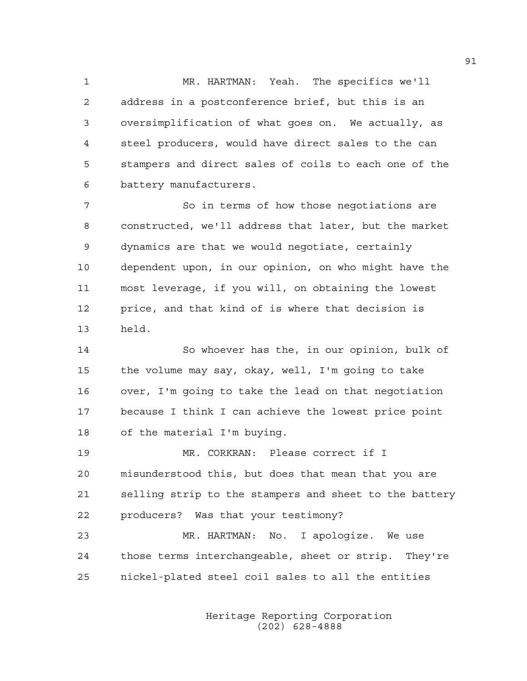1 MR. HARTMAN: Yeah. The specifics we'll 2 address in a postconference brief, but this is an 3 oversimplification of what goes on. We actually, as 4 steel producers, would have direct sales to the can 5 stampers and direct sales of coils to each one of the 6 battery manufacturers.

7 So in terms of how those negotiations are 8 constructed, we'll address that later, but the market 9 dynamics are that we would negotiate, certainly 10 dependent upon, in our opinion, on who might have the 11 most leverage, if you will, on obtaining the lowest 12 price, and that kind of is where that decision is 13 held.

14 So whoever has the, in our opinion, bulk of 15 the volume may say, okay, well, I'm going to take 16 over, I'm going to take the lead on that negotiation 17 because I think I can achieve the lowest price point 18 of the material I'm buying.

19 MR. CORKRAN: Please correct if I 20 misunderstood this, but does that mean that you are 21 selling strip to the stampers and sheet to the battery 22 producers? Was that your testimony?

23 MR. HARTMAN: No. I apologize. We use 24 those terms interchangeable, sheet or strip. They're 25 nickel-plated steel coil sales to all the entities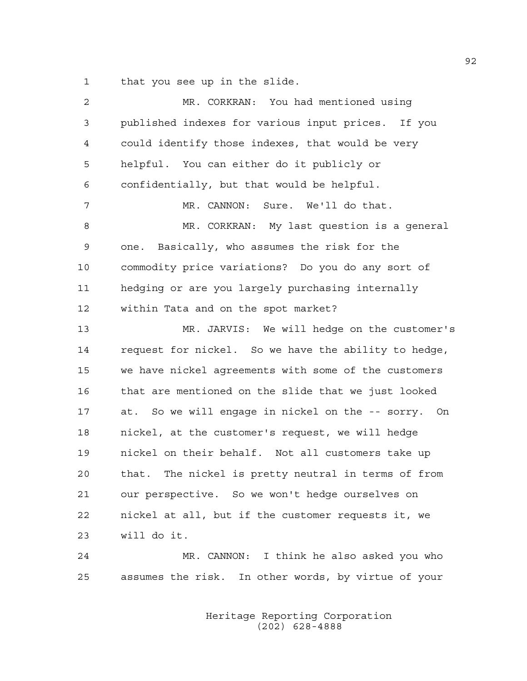1 that you see up in the slide.

| $\overline{2}$ | MR. CORKRAN: You had mentioned using                   |
|----------------|--------------------------------------------------------|
| 3              | published indexes for various input prices. If you     |
| 4              | could identify those indexes, that would be very       |
| 5              | helpful. You can either do it publicly or              |
| 6              | confidentially, but that would be helpful.             |
| 7              | MR. CANNON: Sure. We'll do that.                       |
| 8              | MR. CORKRAN: My last question is a general             |
| 9              | one. Basically, who assumes the risk for the           |
| 10             | commodity price variations? Do you do any sort of      |
| 11             | hedging or are you largely purchasing internally       |
| 12             | within Tata and on the spot market?                    |
| 13             | MR. JARVIS: We will hedge on the customer's            |
| 14             | request for nickel. So we have the ability to hedge,   |
| 15             | we have nickel agreements with some of the customers   |
| 16             | that are mentioned on the slide that we just looked    |
| 17             | at. So we will engage in nickel on the -- sorry. On    |
| 18             | nickel, at the customer's request, we will hedge       |
| 19             | nickel on their behalf. Not all customers take up      |
| 20             | The nickel is pretty neutral in terms of from<br>that. |
| 21             | our perspective. So we won't hedge ourselves on        |
| 22             | nickel at all, but if the customer requests it, we     |
| 23             | will do it.                                            |
| 24             | MR. CANNON: I think he also asked you who              |
| 25             | assumes the risk. In other words, by virtue of your    |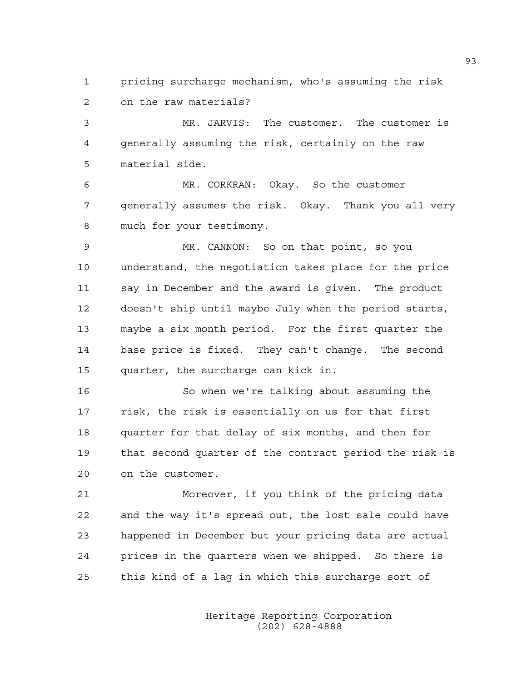1 pricing surcharge mechanism, who's assuming the risk 2 on the raw materials?

3 MR. JARVIS: The customer. The customer is 4 generally assuming the risk, certainly on the raw 5 material side.

6 MR. CORKRAN: Okay. So the customer 7 generally assumes the risk. Okay. Thank you all very 8 much for your testimony.

9 MR. CANNON: So on that point, so you 10 understand, the negotiation takes place for the price 11 say in December and the award is given. The product 12 doesn't ship until maybe July when the period starts, 13 maybe a six month period. For the first quarter the 14 base price is fixed. They can't change. The second 15 quarter, the surcharge can kick in.

16 So when we're talking about assuming the 17 risk, the risk is essentially on us for that first 18 quarter for that delay of six months, and then for 19 that second quarter of the contract period the risk is 20 on the customer.

21 Moreover, if you think of the pricing data 22 and the way it's spread out, the lost sale could have 23 happened in December but your pricing data are actual 24 prices in the quarters when we shipped. So there is 25 this kind of a lag in which this surcharge sort of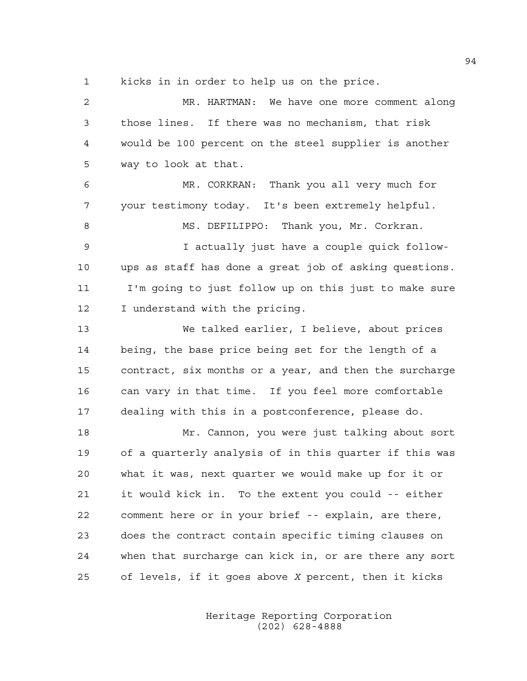1 kicks in in order to help us on the price.

2 MR. HARTMAN: We have one more comment along 3 those lines. If there was no mechanism, that risk 4 would be 100 percent on the steel supplier is another 5 way to look at that. 6 MR. CORKRAN: Thank you all very much for 7 your testimony today. It's been extremely helpful. 8 MS. DEFILIPPO: Thank you, Mr. Corkran. 9 I actually just have a couple quick follow-10 ups as staff has done a great job of asking questions. 11 I'm going to just follow up on this just to make sure 12 I understand with the pricing. 13 We talked earlier, I believe, about prices 14 being, the base price being set for the length of a 15 contract, six months or a year, and then the surcharge 16 can vary in that time. If you feel more comfortable 17 dealing with this in a postconference, please do. 18 Mr. Cannon, you were just talking about sort 19 of a quarterly analysis of in this quarter if this was 20 what it was, next quarter we would make up for it or 21 it would kick in. To the extent you could -- either 22 comment here or in your brief -- explain, are there, 23 does the contract contain specific timing clauses on 24 when that surcharge can kick in, or are there any sort 25 of levels, if it goes above *X* percent, then it kicks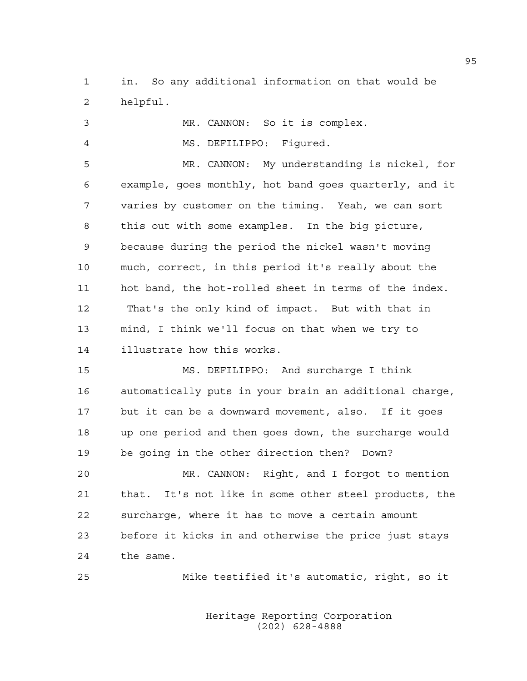1 in. So any additional information on that would be 2 helpful.

3 MR. CANNON: So it is complex. 4 MS. DEFILIPPO: Figured. 5 MR. CANNON: My understanding is nickel, for 6 example, goes monthly, hot band goes quarterly, and it 7 varies by customer on the timing. Yeah, we can sort 8 this out with some examples. In the big picture, 9 because during the period the nickel wasn't moving 10 much, correct, in this period it's really about the 11 hot band, the hot-rolled sheet in terms of the index. 12 That's the only kind of impact. But with that in 13 mind, I think we'll focus on that when we try to 14 illustrate how this works.

15 MS. DEFILIPPO: And surcharge I think 16 automatically puts in your brain an additional charge, 17 but it can be a downward movement, also. If it goes 18 up one period and then goes down, the surcharge would 19 be going in the other direction then? Down?

20 MR. CANNON: Right, and I forgot to mention 21 that. It's not like in some other steel products, the 22 surcharge, where it has to move a certain amount 23 before it kicks in and otherwise the price just stays 24 the same.

25 Mike testified it's automatic, right, so it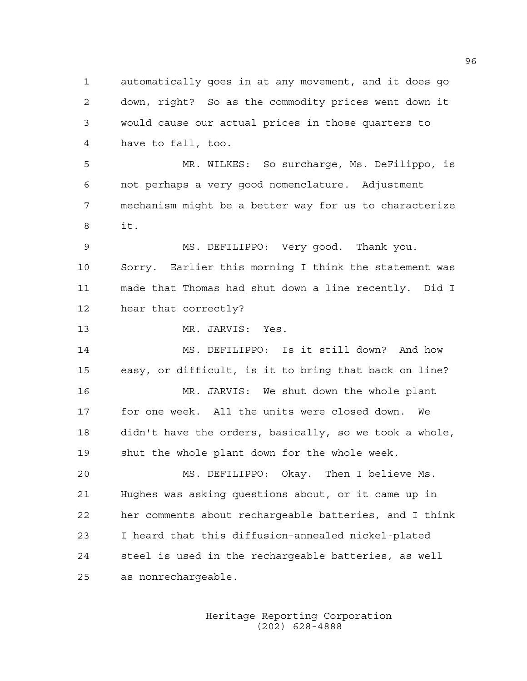1 automatically goes in at any movement, and it does go 2 down, right? So as the commodity prices went down it 3 would cause our actual prices in those quarters to 4 have to fall, too. 5 MR. WILKES: So surcharge, Ms. DeFilippo, is 6 not perhaps a very good nomenclature. Adjustment 7 mechanism might be a better way for us to characterize 8 it. 9 MS. DEFILIPPO: Very good. Thank you. 10 Sorry. Earlier this morning I think the statement was 11 made that Thomas had shut down a line recently. Did I 12 hear that correctly? 13 MR. JARVIS: Yes. 14 MS. DEFILIPPO: Is it still down? And how 15 easy, or difficult, is it to bring that back on line? 16 MR. JARVIS: We shut down the whole plant 17 for one week. All the units were closed down. We 18 didn't have the orders, basically, so we took a whole, 19 shut the whole plant down for the whole week. 20 MS. DEFILIPPO: Okay. Then I believe Ms. 21 Hughes was asking questions about, or it came up in 22 her comments about rechargeable batteries, and I think 23 I heard that this diffusion-annealed nickel-plated 24 steel is used in the rechargeable batteries, as well 25 as nonrechargeable.

> Heritage Reporting Corporation (202) 628-4888

96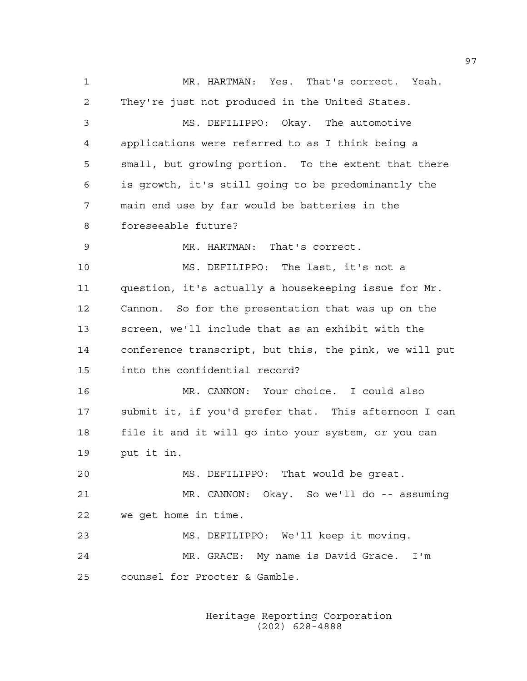1 MR. HARTMAN: Yes. That's correct. Yeah. 2 They're just not produced in the United States. 3 MS. DEFILIPPO: Okay. The automotive 4 applications were referred to as I think being a 5 small, but growing portion. To the extent that there 6 is growth, it's still going to be predominantly the 7 main end use by far would be batteries in the 8 foreseeable future? 9 MR. HARTMAN: That's correct. 10 MS. DEFILIPPO: The last, it's not a 11 question, it's actually a housekeeping issue for Mr. 12 Cannon. So for the presentation that was up on the 13 screen, we'll include that as an exhibit with the 14 conference transcript, but this, the pink, we will put 15 into the confidential record? 16 MR. CANNON: Your choice. I could also 17 submit it, if you'd prefer that. This afternoon I can 18 file it and it will go into your system, or you can 19 put it in. 20 MS. DEFILIPPO: That would be great. 21 MR. CANNON: Okay. So we'll do -- assuming 22 we get home in time. 23 MS. DEFILIPPO: We'll keep it moving. 24 MR. GRACE: My name is David Grace. I'm 25 counsel for Procter & Gamble.

> Heritage Reporting Corporation (202) 628-4888

97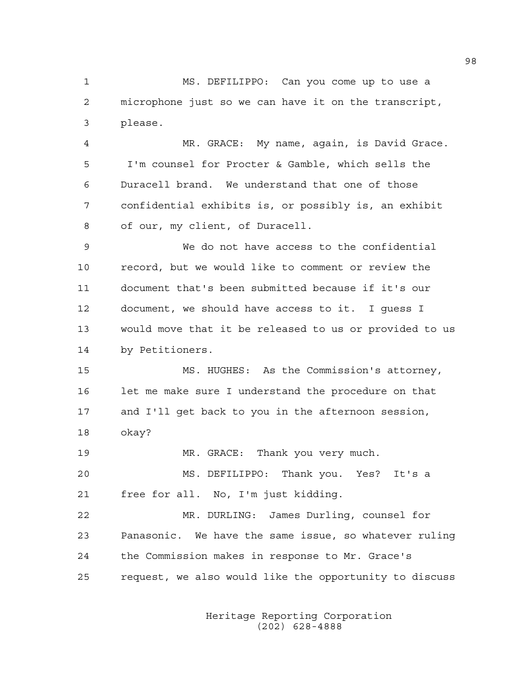1 MS. DEFILIPPO: Can you come up to use a 2 microphone just so we can have it on the transcript, 3 please.

4 MR. GRACE: My name, again, is David Grace. 5 I'm counsel for Procter & Gamble, which sells the 6 Duracell brand. We understand that one of those 7 confidential exhibits is, or possibly is, an exhibit 8 of our, my client, of Duracell.

9 We do not have access to the confidential 10 record, but we would like to comment or review the 11 document that's been submitted because if it's our 12 document, we should have access to it. I guess I 13 would move that it be released to us or provided to us 14 by Petitioners.

15 MS. HUGHES: As the Commission's attorney, 16 let me make sure I understand the procedure on that 17 and I'll get back to you in the afternoon session, 18 okay?

19 MR. GRACE: Thank you very much.

20 MS. DEFILIPPO: Thank you. Yes? It's a 21 free for all. No, I'm just kidding.

22 MR. DURLING: James Durling, counsel for 23 Panasonic. We have the same issue, so whatever ruling 24 the Commission makes in response to Mr. Grace's 25 request, we also would like the opportunity to discuss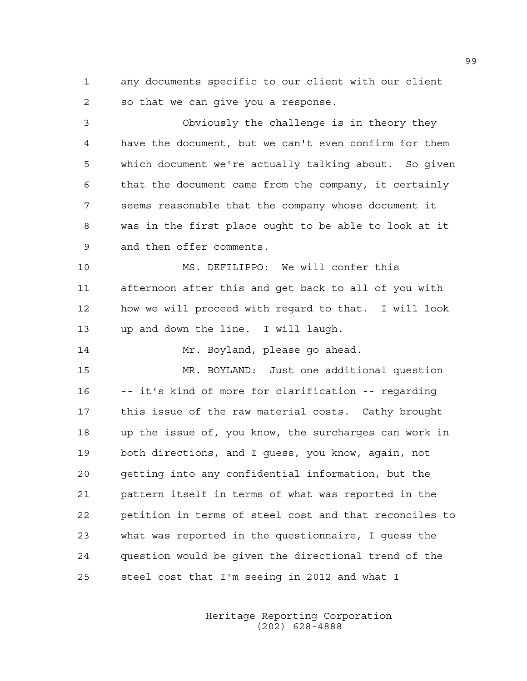1 any documents specific to our client with our client 2 so that we can give you a response.

3 Obviously the challenge is in theory they 4 have the document, but we can't even confirm for them 5 which document we're actually talking about. So given 6 that the document came from the company, it certainly 7 seems reasonable that the company whose document it 8 was in the first place ought to be able to look at it 9 and then offer comments.

10 MS. DEFILIPPO: We will confer this 11 afternoon after this and get back to all of you with 12 how we will proceed with regard to that. I will look 13 up and down the line. I will laugh.

14 Mr. Boyland, please go ahead.

15 MR. BOYLAND: Just one additional question 16 -- it's kind of more for clarification -- regarding 17 this issue of the raw material costs. Cathy brought 18 up the issue of, you know, the surcharges can work in 19 both directions, and I guess, you know, again, not 20 getting into any confidential information, but the 21 pattern itself in terms of what was reported in the 22 petition in terms of steel cost and that reconciles to 23 what was reported in the questionnaire, I guess the 24 question would be given the directional trend of the 25 steel cost that I'm seeing in 2012 and what I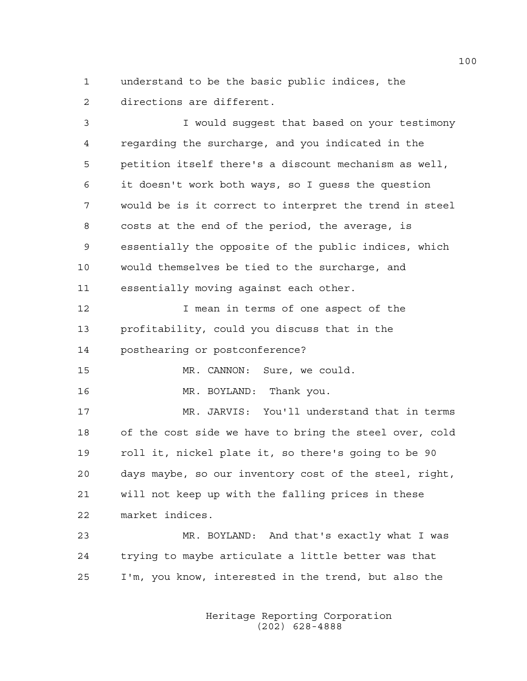1 understand to be the basic public indices, the 2 directions are different.

3 I would suggest that based on your testimony 4 regarding the surcharge, and you indicated in the 5 petition itself there's a discount mechanism as well, 6 it doesn't work both ways, so I guess the question 7 would be is it correct to interpret the trend in steel 8 costs at the end of the period, the average, is 9 essentially the opposite of the public indices, which 10 would themselves be tied to the surcharge, and 11 essentially moving against each other.

12 12 I mean in terms of one aspect of the 13 profitability, could you discuss that in the 14 posthearing or postconference?

15 MR. CANNON: Sure, we could.

16 MR. BOYLAND: Thank you.

17 MR. JARVIS: You'll understand that in terms 18 of the cost side we have to bring the steel over, cold 19 roll it, nickel plate it, so there's going to be 90 20 days maybe, so our inventory cost of the steel, right, 21 will not keep up with the falling prices in these 22 market indices.

23 MR. BOYLAND: And that's exactly what I was 24 trying to maybe articulate a little better was that 25 I'm, you know, interested in the trend, but also the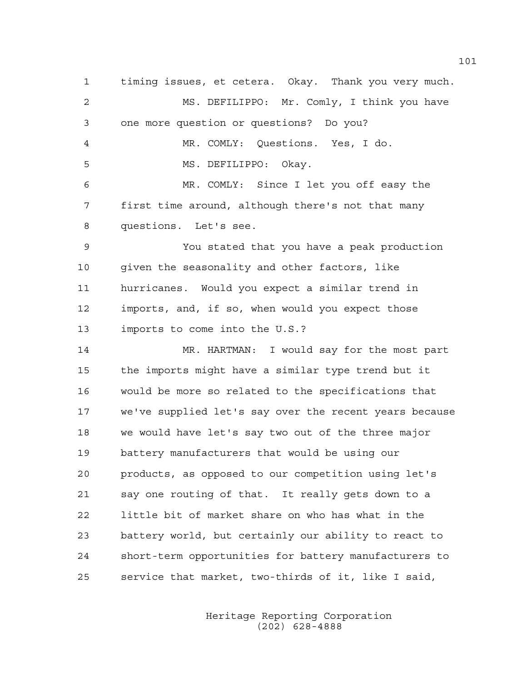1 timing issues, et cetera. Okay. Thank you very much. 2 MS. DEFILIPPO: Mr. Comly, I think you have 3 one more question or questions? Do you? 4 MR. COMLY: Questions. Yes, I do. 5 MS. DEFILIPPO: Okay. 6 MR. COMLY: Since I let you off easy the 7 first time around, although there's not that many 8 questions. Let's see. 9 You stated that you have a peak production 10 given the seasonality and other factors, like 11 hurricanes. Would you expect a similar trend in 12 imports, and, if so, when would you expect those 13 imports to come into the U.S.? 14 MR. HARTMAN: I would say for the most part 15 the imports might have a similar type trend but it 16 would be more so related to the specifications that 17 we've supplied let's say over the recent years because 18 we would have let's say two out of the three major 19 battery manufacturers that would be using our 20 products, as opposed to our competition using let's 21 say one routing of that. It really gets down to a 22 little bit of market share on who has what in the 23 battery world, but certainly our ability to react to 24 short-term opportunities for battery manufacturers to 25 service that market, two-thirds of it, like I said,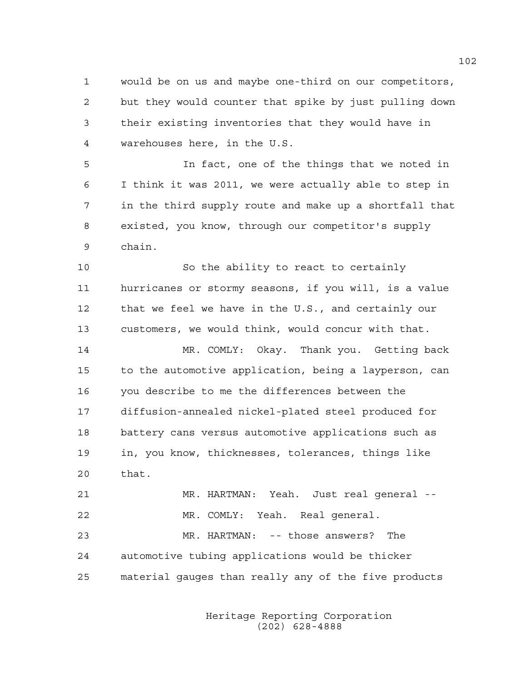1 would be on us and maybe one-third on our competitors, 2 but they would counter that spike by just pulling down 3 their existing inventories that they would have in 4 warehouses here, in the U.S.

5 In fact, one of the things that we noted in 6 I think it was 2011, we were actually able to step in 7 in the third supply route and make up a shortfall that 8 existed, you know, through our competitor's supply 9 chain.

10 So the ability to react to certainly 11 hurricanes or stormy seasons, if you will, is a value 12 that we feel we have in the U.S., and certainly our 13 customers, we would think, would concur with that.

14 MR. COMLY: Okay. Thank you. Getting back 15 to the automotive application, being a layperson, can 16 you describe to me the differences between the 17 diffusion-annealed nickel-plated steel produced for 18 battery cans versus automotive applications such as 19 in, you know, thicknesses, tolerances, things like 20 that.

21 MR. HARTMAN: Yeah. Just real general -- 22 MR. COMLY: Yeah. Real general. 23 MR. HARTMAN: -- those answers? The 24 automotive tubing applications would be thicker 25 material gauges than really any of the five products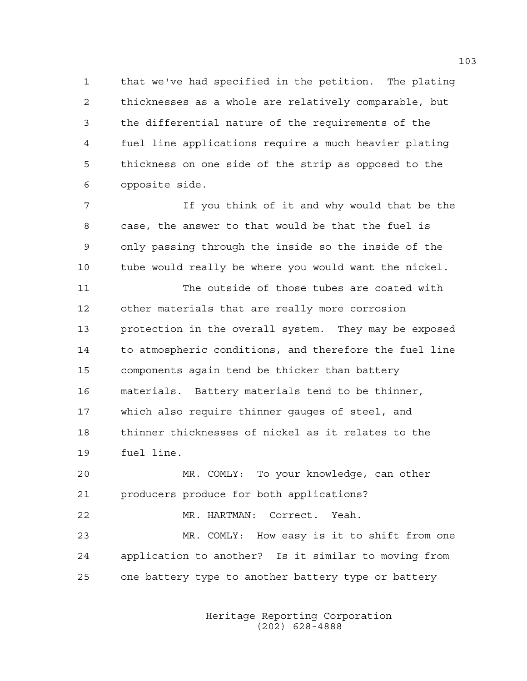1 that we've had specified in the petition. The plating 2 thicknesses as a whole are relatively comparable, but 3 the differential nature of the requirements of the 4 fuel line applications require a much heavier plating 5 thickness on one side of the strip as opposed to the 6 opposite side.

7 If you think of it and why would that be the 8 case, the answer to that would be that the fuel is 9 only passing through the inside so the inside of the 10 tube would really be where you would want the nickel.

11 The outside of those tubes are coated with 12 other materials that are really more corrosion 13 protection in the overall system. They may be exposed 14 to atmospheric conditions, and therefore the fuel line 15 components again tend be thicker than battery 16 materials. Battery materials tend to be thinner, 17 which also require thinner gauges of steel, and 18 thinner thicknesses of nickel as it relates to the 19 fuel line.

20 MR. COMLY: To your knowledge, can other 21 producers produce for both applications? 22 MR. HARTMAN: Correct. Yeah. 23 MR. COMLY: How easy is it to shift from one 24 application to another? Is it similar to moving from 25 one battery type to another battery type or battery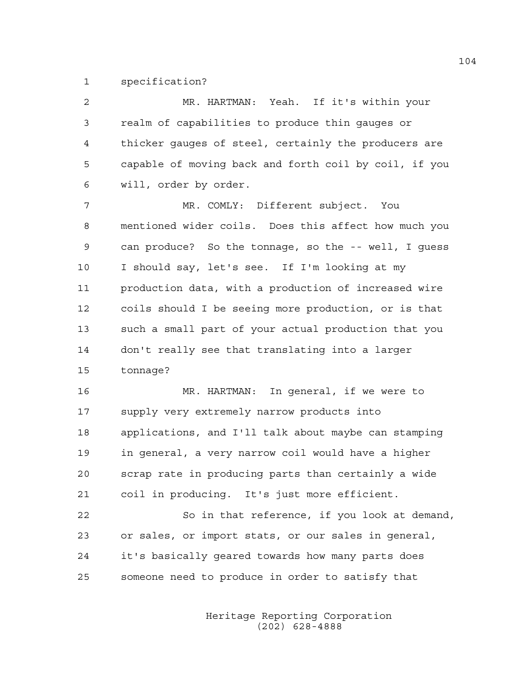1 specification?

| $\overline{2}$ | MR. HARTMAN: Yeah. If it's within your                |
|----------------|-------------------------------------------------------|
| 3              | realm of capabilities to produce thin gauges or       |
| 4              | thicker gauges of steel, certainly the producers are  |
| 5              | capable of moving back and forth coil by coil, if you |
| 6              | will, order by order.                                 |
| 7              | MR. COMLY: Different subject. You                     |
| 8              | mentioned wider coils. Does this affect how much you  |
| 9              | can produce? So the tonnage, so the -- well, I quess  |
| 10             | I should say, let's see. If I'm looking at my         |
| 11             | production data, with a production of increased wire  |
| 12             | coils should I be seeing more production, or is that  |
| 13             | such a small part of your actual production that you  |
| 14             | don't really see that translating into a larger       |
| 15             | tonnage?                                              |
| 16             | MR. HARTMAN: In general, if we were to                |
| 17             | supply very extremely narrow products into            |
| 18             | applications, and I'll talk about maybe can stamping  |
| 19             | in general, a very narrow coil would have a higher    |
| 20             | scrap rate in producing parts than certainly a wide   |

21 coil in producing. It's just more efficient.

22 So in that reference, if you look at demand, 23 or sales, or import stats, or our sales in general, 24 it's basically geared towards how many parts does 25 someone need to produce in order to satisfy that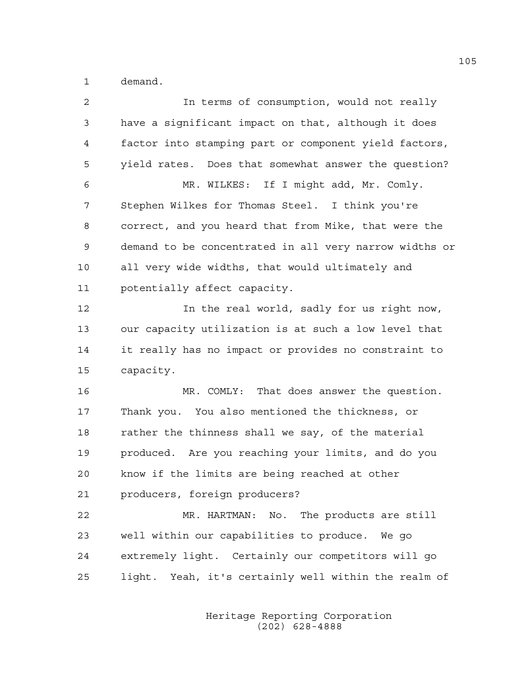1 demand.

| $\overline{c}$ | In terms of consumption, would not really              |
|----------------|--------------------------------------------------------|
| 3              | have a significant impact on that, although it does    |
| 4              | factor into stamping part or component yield factors,  |
| 5              | yield rates. Does that somewhat answer the question?   |
| 6              | MR. WILKES: If I might add, Mr. Comly.                 |
| 7              | Stephen Wilkes for Thomas Steel. I think you're        |
| 8              | correct, and you heard that from Mike, that were the   |
| 9              | demand to be concentrated in all very narrow widths or |
| 10             | all very wide widths, that would ultimately and        |
| 11             | potentially affect capacity.                           |
| 12             | In the real world, sadly for us right now,             |
| 13             | our capacity utilization is at such a low level that   |
| 14             | it really has no impact or provides no constraint to   |
| 15             | capacity.                                              |
| 16             | MR. COMLY: That does answer the question.              |
| 17             | Thank you. You also mentioned the thickness, or        |
| 18             | rather the thinness shall we say, of the material      |
| 19             | produced. Are you reaching your limits, and do you     |
| 20             | know if the limits are being reached at other          |
| 21             | producers, foreign producers?                          |
| 22             | MR. HARTMAN: No.<br>The products are still             |
| 23             | well within our capabilities to produce. We go         |
| 24             | extremely light. Certainly our competitors will go     |
| 25             | light. Yeah, it's certainly well within the realm of   |
|                |                                                        |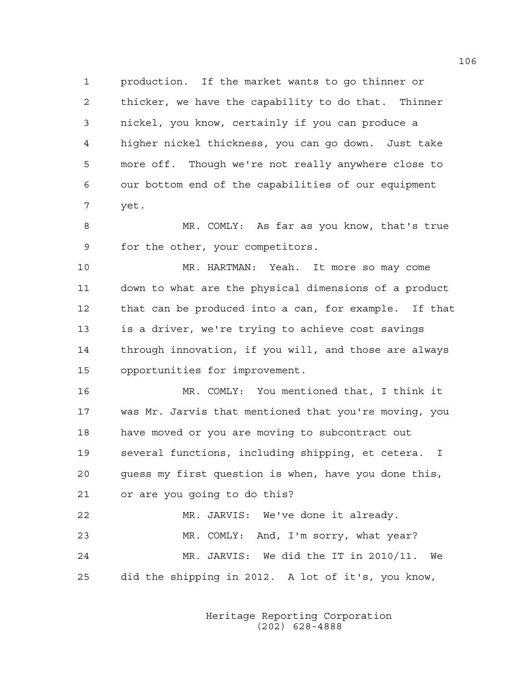1 production. If the market wants to go thinner or 2 thicker, we have the capability to do that. Thinner 3 nickel, you know, certainly if you can produce a 4 higher nickel thickness, you can go down. Just take 5 more off. Though we're not really anywhere close to 6 our bottom end of the capabilities of our equipment 7 yet.

8 MR. COMLY: As far as you know, that's true 9 for the other, your competitors.

10 MR. HARTMAN: Yeah. It more so may come 11 down to what are the physical dimensions of a product 12 that can be produced into a can, for example. If that 13 is a driver, we're trying to achieve cost savings 14 through innovation, if you will, and those are always 15 opportunities for improvement.

16 MR. COMLY: You mentioned that, I think it 17 was Mr. Jarvis that mentioned that you're moving, you 18 have moved or you are moving to subcontract out 19 several functions, including shipping, et cetera. I 20 guess my first question is when, have you done this, 21 or are you going to do this? 22 MR. JARVIS: We've done it already.

23 MR. COMLY: And, I'm sorry, what year? 24 MR. JARVIS: We did the IT in 2010/11. We 25 did the shipping in 2012. A lot of it's, you know,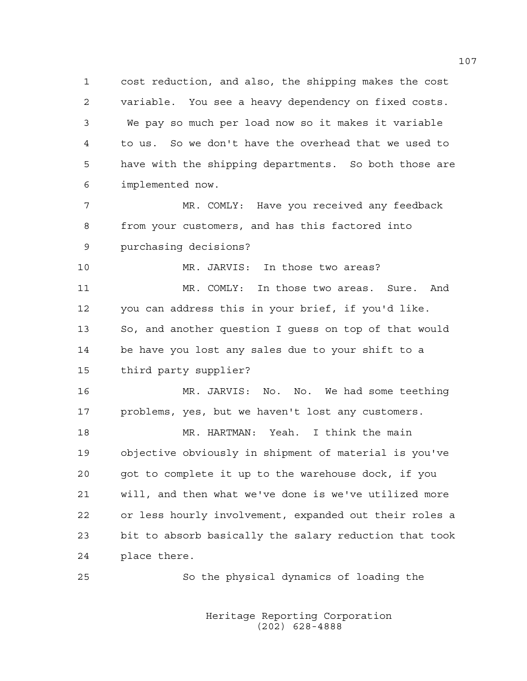1 cost reduction, and also, the shipping makes the cost 2 variable. You see a heavy dependency on fixed costs. 3 We pay so much per load now so it makes it variable 4 to us. So we don't have the overhead that we used to 5 have with the shipping departments. So both those are 6 implemented now.

7 MR. COMLY: Have you received any feedback 8 from your customers, and has this factored into 9 purchasing decisions?

10 MR. JARVIS: In those two areas?

11 MR. COMLY: In those two areas. Sure. And 12 you can address this in your brief, if you'd like. 13 So, and another question I guess on top of that would 14 be have you lost any sales due to your shift to a 15 third party supplier?

16 MR. JARVIS: No. No. We had some teething 17 problems, yes, but we haven't lost any customers.

18 MR. HARTMAN: Yeah. I think the main 19 objective obviously in shipment of material is you've 20 got to complete it up to the warehouse dock, if you 21 will, and then what we've done is we've utilized more 22 or less hourly involvement, expanded out their roles a 23 bit to absorb basically the salary reduction that took 24 place there.

25 So the physical dynamics of loading the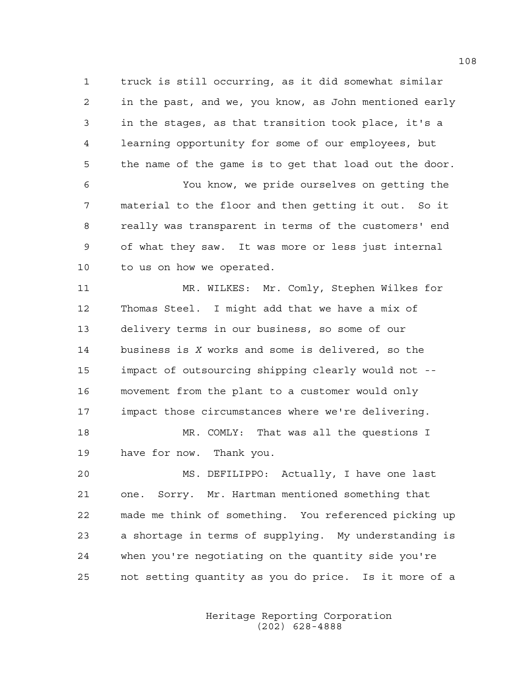1 truck is still occurring, as it did somewhat similar 2 in the past, and we, you know, as John mentioned early 3 in the stages, as that transition took place, it's a 4 learning opportunity for some of our employees, but 5 the name of the game is to get that load out the door.

6 You know, we pride ourselves on getting the 7 material to the floor and then getting it out. So it 8 really was transparent in terms of the customers' end 9 of what they saw. It was more or less just internal 10 to us on how we operated.

11 MR. WILKES: Mr. Comly, Stephen Wilkes for 12 Thomas Steel. I might add that we have a mix of 13 delivery terms in our business, so some of our 14 business is *X* works and some is delivered, so the 15 impact of outsourcing shipping clearly would not -- 16 movement from the plant to a customer would only 17 impact those circumstances where we're delivering. 18 MR. COMLY: That was all the questions I

19 have for now. Thank you.

20 MS. DEFILIPPO: Actually, I have one last 21 one. Sorry. Mr. Hartman mentioned something that 22 made me think of something. You referenced picking up 23 a shortage in terms of supplying. My understanding is 24 when you're negotiating on the quantity side you're 25 not setting quantity as you do price. Is it more of a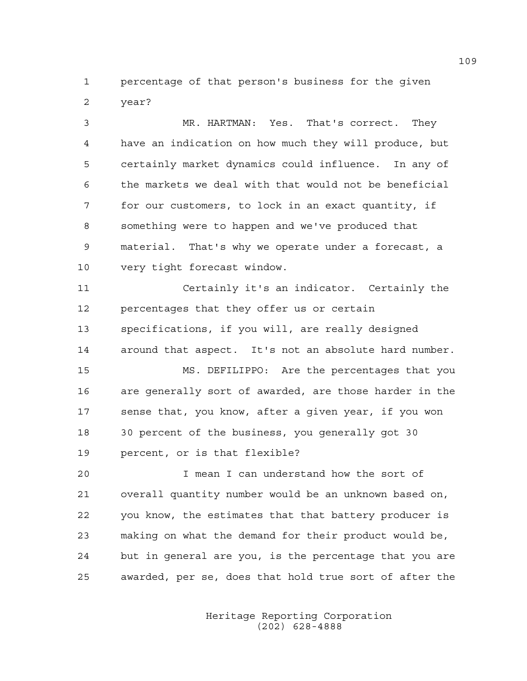1 percentage of that person's business for the given 2 year?

3 MR. HARTMAN: Yes. That's correct. They 4 have an indication on how much they will produce, but 5 certainly market dynamics could influence. In any of 6 the markets we deal with that would not be beneficial 7 for our customers, to lock in an exact quantity, if 8 something were to happen and we've produced that 9 material. That's why we operate under a forecast, a 10 very tight forecast window.

11 Certainly it's an indicator. Certainly the 12 percentages that they offer us or certain 13 specifications, if you will, are really designed 14 around that aspect. It's not an absolute hard number.

15 MS. DEFILIPPO: Are the percentages that you 16 are generally sort of awarded, are those harder in the 17 sense that, you know, after a given year, if you won 18 30 percent of the business, you generally got 30 19 percent, or is that flexible?

20 I mean I can understand how the sort of 21 overall quantity number would be an unknown based on, 22 you know, the estimates that that battery producer is 23 making on what the demand for their product would be, 24 but in general are you, is the percentage that you are 25 awarded, per se, does that hold true sort of after the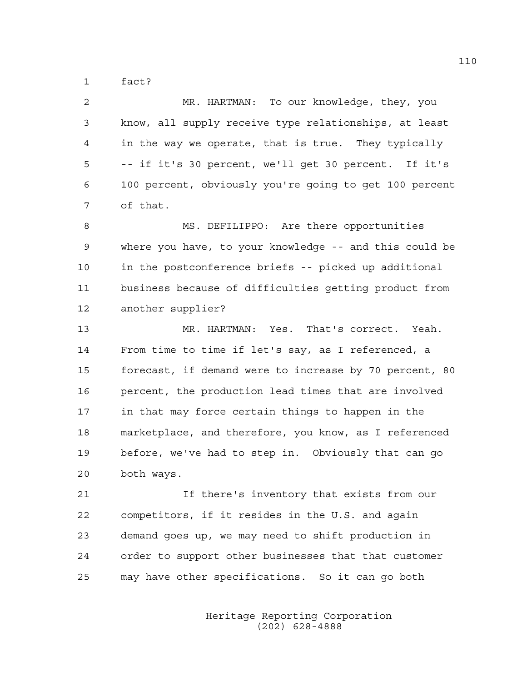1 fact?

| $\overline{2}$ | MR. HARTMAN: To our knowledge, they, you               |
|----------------|--------------------------------------------------------|
| 3              | know, all supply receive type relationships, at least  |
| 4              | in the way we operate, that is true. They typically    |
| 5              | -- if it's 30 percent, we'll get 30 percent. If it's   |
| 6              | 100 percent, obviously you're going to get 100 percent |
| 7              | of that.                                               |
| 8              | MS. DEFILIPPO: Are there opportunities                 |
| 9              | where you have, to your knowledge -- and this could be |
| 10             | in the postconference briefs -- picked up additional   |
| 11             | business because of difficulties getting product from  |
| 12             | another supplier?                                      |
|                |                                                        |
|                | MR. HARTMAN: Yes. That's correct. Yeah.                |
|                | From time to time if let's say, as I referenced, a     |
| 13<br>14<br>15 | forecast, if demand were to increase by 70 percent, 80 |
| 16             | percent, the production lead times that are involved   |
| 17             | in that may force certain things to happen in the      |
| 18             | marketplace, and therefore, you know, as I referenced  |
| 19             | before, we've had to step in. Obviously that can go    |
| 20             | both ways.                                             |
|                | If there's inventory that exists from our              |
| 21<br>22       | competitors, if it resides in the U.S. and again       |

25 may have other specifications. So it can go both

24 order to support other businesses that that customer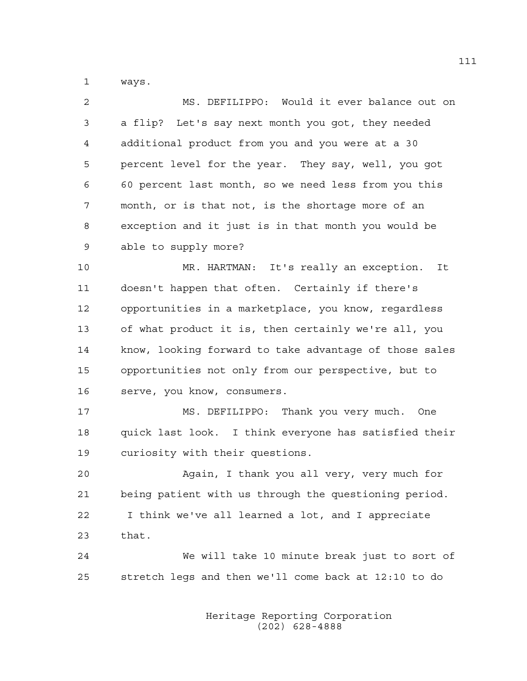1 ways.

| $\mathcal{L}$ | MS. DEFILIPPO: Would it ever balance out on          |
|---------------|------------------------------------------------------|
| 3             | a flip? Let's say next month you got, they needed    |
| 4             | additional product from you and you were at a 30     |
| 5             | percent level for the year. They say, well, you got  |
| 6             | 60 percent last month, so we need less from you this |
| 7             | month, or is that not, is the shortage more of an    |
| 8             | exception and it just is in that month you would be  |
| 9             | able to supply more?                                 |

10 MR. HARTMAN: It's really an exception. It 11 doesn't happen that often. Certainly if there's 12 opportunities in a marketplace, you know, regardless 13 of what product it is, then certainly we're all, you 14 know, looking forward to take advantage of those sales 15 opportunities not only from our perspective, but to 16 serve, you know, consumers.

17 MS. DEFILIPPO: Thank you very much. One 18 quick last look. I think everyone has satisfied their 19 curiosity with their questions.

20 Again, I thank you all very, very much for 21 being patient with us through the questioning period. 22 I think we've all learned a lot, and I appreciate 23 that.

24 We will take 10 minute break just to sort of 25 stretch legs and then we'll come back at 12:10 to do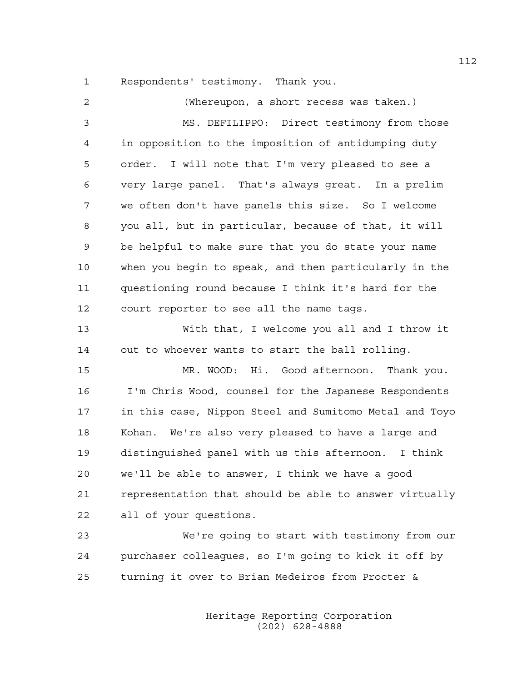1 Respondents' testimony. Thank you.

| 2              | (Whereupon, a short recess was taken.)                 |
|----------------|--------------------------------------------------------|
| $\mathfrak{Z}$ | MS. DEFILIPPO: Direct testimony from those             |
| $\overline{4}$ | in opposition to the imposition of antidumping duty    |
| 5              | order. I will note that I'm very pleased to see a      |
| 6              | very large panel. That's always great. In a prelim     |
| 7              | we often don't have panels this size. So I welcome     |
| 8              | you all, but in particular, because of that, it will   |
| 9              | be helpful to make sure that you do state your name    |
| 10             | when you begin to speak, and then particularly in the  |
| 11             | questioning round because I think it's hard for the    |
| 12             | court reporter to see all the name tags.               |
| 13             | With that, I welcome you all and I throw it            |
| 14             | out to whoever wants to start the ball rolling.        |
| 15             | MR. WOOD: Hi. Good afternoon. Thank you.               |
| 16             | I'm Chris Wood, counsel for the Japanese Respondents   |
| 17             | in this case, Nippon Steel and Sumitomo Metal and Toyo |
| 18             | Kohan. We're also very pleased to have a large and     |
| 19             | distinguished panel with us this afternoon. I think    |
| 20             | we'll be able to answer, I think we have a good        |
| 21             | representation that should be able to answer virtually |
| 22             | all of your questions.                                 |
| 23             | We're going to start with testimony from our           |
| 24             | purchaser colleagues, so I'm going to kick it off by   |

25 turning it over to Brian Medeiros from Procter &

 Heritage Reporting Corporation (202) 628-4888

112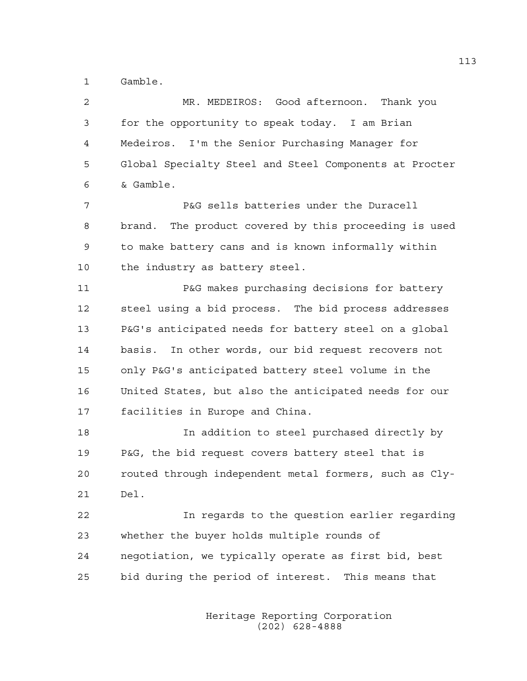1 Gamble.

2 MR. MEDEIROS: Good afternoon. Thank you 3 for the opportunity to speak today. I am Brian 4 Medeiros. I'm the Senior Purchasing Manager for 5 Global Specialty Steel and Steel Components at Procter 6 & Gamble.

7 P&G sells batteries under the Duracell 8 brand. The product covered by this proceeding is used 9 to make battery cans and is known informally within 10 the industry as battery steel.

11 P&G makes purchasing decisions for battery 12 steel using a bid process. The bid process addresses 13 P&G's anticipated needs for battery steel on a global 14 basis. In other words, our bid request recovers not 15 only P&G's anticipated battery steel volume in the 16 United States, but also the anticipated needs for our 17 facilities in Europe and China.

18 In addition to steel purchased directly by 19 P&G, the bid request covers battery steel that is 20 routed through independent metal formers, such as Cly-21 Del.

22 In regards to the question earlier regarding 23 whether the buyer holds multiple rounds of 24 negotiation, we typically operate as first bid, best 25 bid during the period of interest. This means that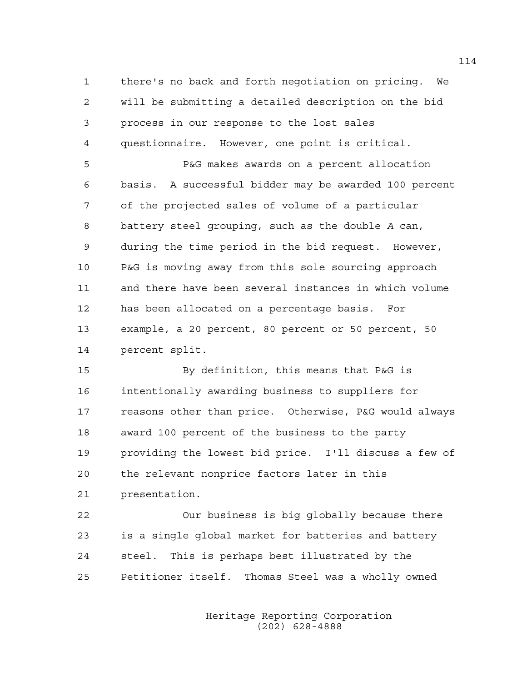1 there's no back and forth negotiation on pricing. We 2 will be submitting a detailed description on the bid 3 process in our response to the lost sales 4 questionnaire. However, one point is critical.

5 P&G makes awards on a percent allocation 6 basis. A successful bidder may be awarded 100 percent 7 of the projected sales of volume of a particular 8 battery steel grouping, such as the double *A* can, 9 during the time period in the bid request. However, 10 P&G is moving away from this sole sourcing approach 11 and there have been several instances in which volume 12 has been allocated on a percentage basis. For 13 example, a 20 percent, 80 percent or 50 percent, 50 14 percent split.

15 By definition, this means that P&G is 16 intentionally awarding business to suppliers for 17 reasons other than price. Otherwise, P&G would always 18 award 100 percent of the business to the party 19 providing the lowest bid price. I'll discuss a few of 20 the relevant nonprice factors later in this 21 presentation.

22 Our business is big globally because there 23 is a single global market for batteries and battery 24 steel. This is perhaps best illustrated by the 25 Petitioner itself. Thomas Steel was a wholly owned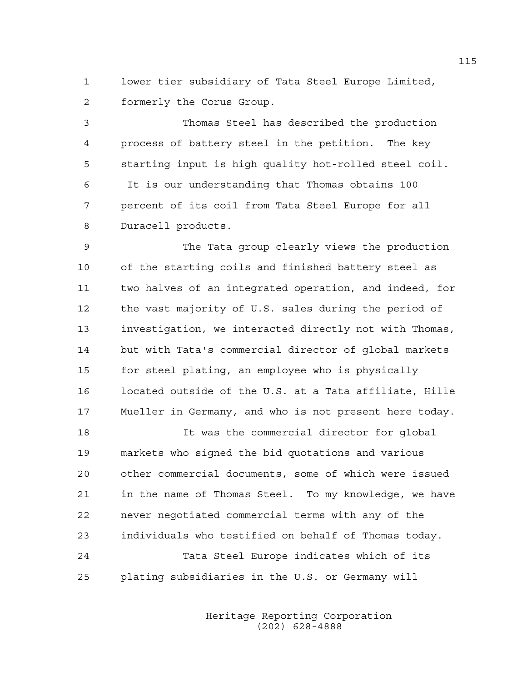1 lower tier subsidiary of Tata Steel Europe Limited, 2 formerly the Corus Group.

3 Thomas Steel has described the production 4 process of battery steel in the petition. The key 5 starting input is high quality hot-rolled steel coil. 6 It is our understanding that Thomas obtains 100 7 percent of its coil from Tata Steel Europe for all 8 Duracell products.

9 The Tata group clearly views the production 10 of the starting coils and finished battery steel as 11 two halves of an integrated operation, and indeed, for 12 the vast majority of U.S. sales during the period of 13 investigation, we interacted directly not with Thomas, 14 but with Tata's commercial director of global markets 15 for steel plating, an employee who is physically 16 located outside of the U.S. at a Tata affiliate, Hille 17 Mueller in Germany, and who is not present here today.

18 It was the commercial director for global 19 markets who signed the bid quotations and various 20 other commercial documents, some of which were issued 21 in the name of Thomas Steel. To my knowledge, we have 22 never negotiated commercial terms with any of the 23 individuals who testified on behalf of Thomas today. 24 Tata Steel Europe indicates which of its 25 plating subsidiaries in the U.S. or Germany will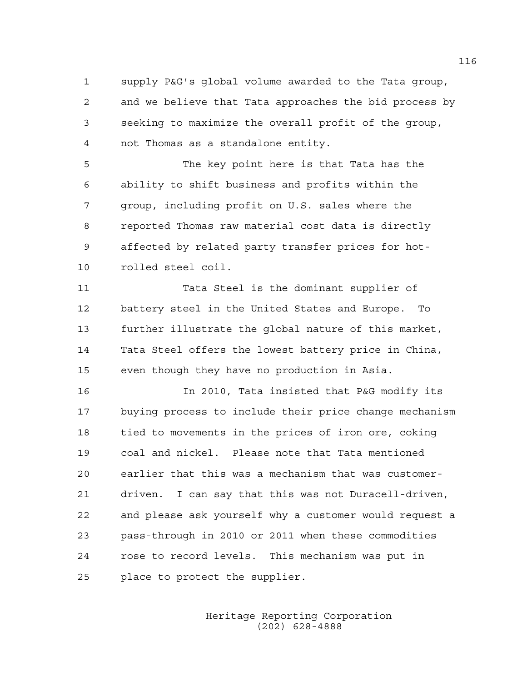1 supply P&G's global volume awarded to the Tata group, 2 and we believe that Tata approaches the bid process by 3 seeking to maximize the overall profit of the group, 4 not Thomas as a standalone entity.

5 The key point here is that Tata has the 6 ability to shift business and profits within the 7 group, including profit on U.S. sales where the 8 reported Thomas raw material cost data is directly 9 affected by related party transfer prices for hot-10 rolled steel coil.

11 Tata Steel is the dominant supplier of 12 battery steel in the United States and Europe. To 13 further illustrate the global nature of this market, 14 Tata Steel offers the lowest battery price in China, 15 even though they have no production in Asia.

16 In 2010, Tata insisted that P&G modify its 17 buying process to include their price change mechanism 18 tied to movements in the prices of iron ore, coking 19 coal and nickel. Please note that Tata mentioned 20 earlier that this was a mechanism that was customer-21 driven. I can say that this was not Duracell-driven, 22 and please ask yourself why a customer would request a 23 pass-through in 2010 or 2011 when these commodities 24 rose to record levels. This mechanism was put in 25 place to protect the supplier.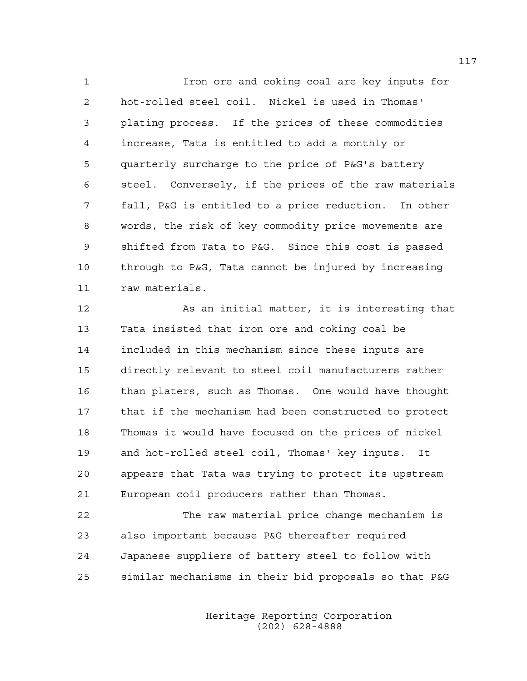1 Iron ore and coking coal are key inputs for 2 hot-rolled steel coil. Nickel is used in Thomas' 3 plating process. If the prices of these commodities 4 increase, Tata is entitled to add a monthly or 5 quarterly surcharge to the price of P&G's battery 6 steel. Conversely, if the prices of the raw materials 7 fall, P&G is entitled to a price reduction. In other 8 words, the risk of key commodity price movements are 9 shifted from Tata to P&G. Since this cost is passed 10 through to P&G, Tata cannot be injured by increasing 11 raw materials.

12 As an initial matter, it is interesting that 13 Tata insisted that iron ore and coking coal be 14 included in this mechanism since these inputs are 15 directly relevant to steel coil manufacturers rather 16 than platers, such as Thomas. One would have thought 17 that if the mechanism had been constructed to protect 18 Thomas it would have focused on the prices of nickel 19 and hot-rolled steel coil, Thomas' key inputs. It 20 appears that Tata was trying to protect its upstream 21 European coil producers rather than Thomas.

22 The raw material price change mechanism is 23 also important because P&G thereafter required 24 Japanese suppliers of battery steel to follow with 25 similar mechanisms in their bid proposals so that P&G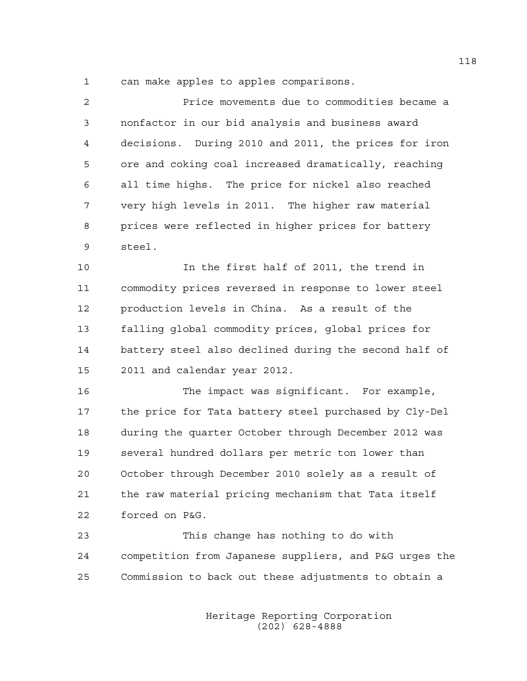1 can make apples to apples comparisons.

| 2  | Price movements due to commodities became a           |
|----|-------------------------------------------------------|
| 3  | nonfactor in our bid analysis and business award      |
| 4  | decisions. During 2010 and 2011, the prices for iron  |
| 5  | ore and coking coal increased dramatically, reaching  |
| 6  | all time highs. The price for nickel also reached     |
| 7  | very high levels in 2011. The higher raw material     |
| 8  | prices were reflected in higher prices for battery    |
| 9  | steel.                                                |
| 10 | In the first half of 2011, the trend in               |
| 11 | commodity prices reversed in response to lower steel  |
| 12 | production levels in China. As a result of the        |
| 13 | falling global commodity prices, global prices for    |
| 14 | battery steel also declined during the second half of |
| 15 | 2011 and calendar year 2012.                          |
| 16 | The impact was significant. For example,              |
| 17 | the price for Tata battery steel purchased by Cly-Del |
| 18 | during the quarter October through December 2012 was  |
| 19 | several hundred dollars per metric ton lower than     |
| 20 | October through December 2010 solely as a result of   |
| 21 | the raw material pricing mechanism that Tata itself   |
| 22 | forced on P&G.                                        |
|    |                                                       |

23 This change has nothing to do with 24 competition from Japanese suppliers, and P&G urges the 25 Commission to back out these adjustments to obtain a

> Heritage Reporting Corporation (202) 628-4888

118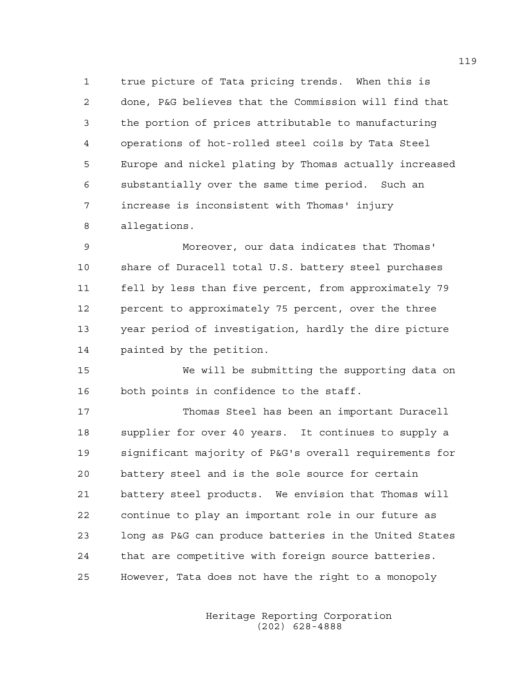1 true picture of Tata pricing trends. When this is 2 done, P&G believes that the Commission will find that 3 the portion of prices attributable to manufacturing 4 operations of hot-rolled steel coils by Tata Steel 5 Europe and nickel plating by Thomas actually increased 6 substantially over the same time period. Such an 7 increase is inconsistent with Thomas' injury 8 allegations.

9 Moreover, our data indicates that Thomas' 10 share of Duracell total U.S. battery steel purchases 11 fell by less than five percent, from approximately 79 12 percent to approximately 75 percent, over the three 13 year period of investigation, hardly the dire picture 14 painted by the petition.

15 We will be submitting the supporting data on 16 both points in confidence to the staff.

17 Thomas Steel has been an important Duracell 18 supplier for over 40 years. It continues to supply a 19 significant majority of P&G's overall requirements for 20 battery steel and is the sole source for certain 21 battery steel products. We envision that Thomas will 22 continue to play an important role in our future as 23 long as P&G can produce batteries in the United States 24 that are competitive with foreign source batteries. 25 However, Tata does not have the right to a monopoly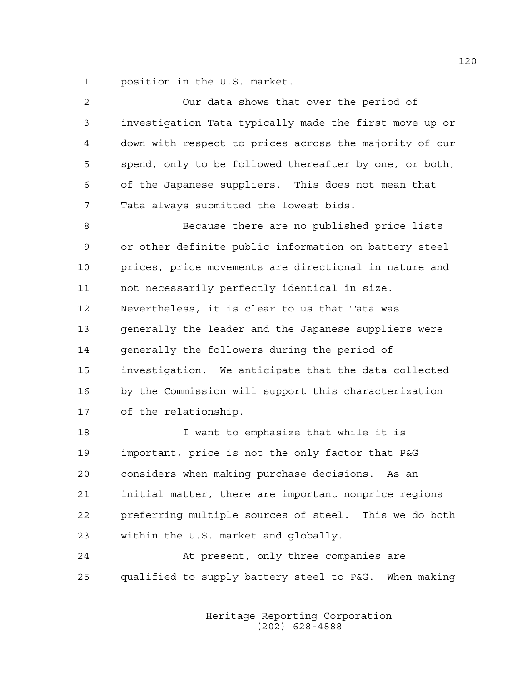1 position in the U.S. market.

| 2  | Our data shows that over the period of                 |
|----|--------------------------------------------------------|
| 3  | investigation Tata typically made the first move up or |
| 4  | down with respect to prices across the majority of our |
| 5  | spend, only to be followed thereafter by one, or both, |
| 6  | of the Japanese suppliers. This does not mean that     |
| 7  | Tata always submitted the lowest bids.                 |
| 8  | Because there are no published price lists             |
| 9  | or other definite public information on battery steel  |
| 10 | prices, price movements are directional in nature and  |
| 11 | not necessarily perfectly identical in size.           |
| 12 | Nevertheless, it is clear to us that Tata was          |
| 13 | generally the leader and the Japanese suppliers were   |
| 14 | generally the followers during the period of           |
| 15 | investigation. We anticipate that the data collected   |
| 16 | by the Commission will support this characterization   |
| 17 | of the relationship.                                   |
| 18 | I want to emphasize that while it is                   |
| 19 | important, price is not the only factor that P&G       |
| 20 | considers when making purchase decisions.<br>As an     |
| 21 | initial matter, there are important nonprice regions   |
| 22 | preferring multiple sources of steel. This we do both  |
| 23 | within the U.S. market and globally.                   |
| 24 | At present, only three companies are                   |
| 25 | qualified to supply battery steel to P&G. When making  |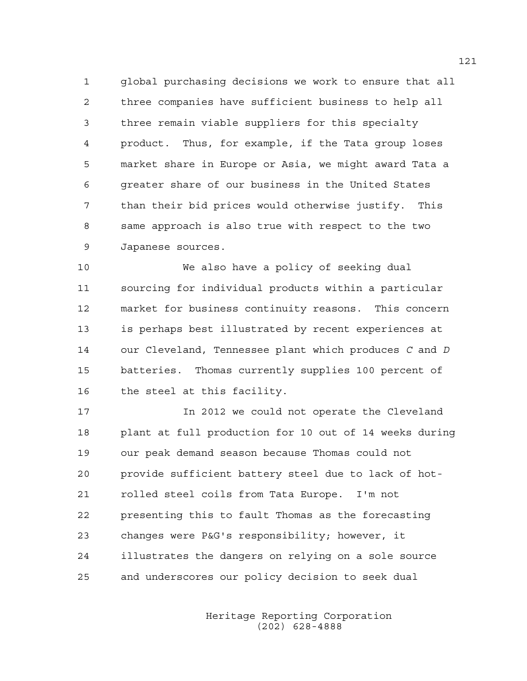1 global purchasing decisions we work to ensure that all 2 three companies have sufficient business to help all 3 three remain viable suppliers for this specialty 4 product. Thus, for example, if the Tata group loses 5 market share in Europe or Asia, we might award Tata a 6 greater share of our business in the United States 7 than their bid prices would otherwise justify. This 8 same approach is also true with respect to the two 9 Japanese sources.

10 We also have a policy of seeking dual 11 sourcing for individual products within a particular 12 market for business continuity reasons. This concern 13 is perhaps best illustrated by recent experiences at 14 our Cleveland, Tennessee plant which produces *C* and *D* 15 batteries. Thomas currently supplies 100 percent of 16 the steel at this facility.

17 In 2012 we could not operate the Cleveland 18 plant at full production for 10 out of 14 weeks during 19 our peak demand season because Thomas could not 20 provide sufficient battery steel due to lack of hot-21 rolled steel coils from Tata Europe. I'm not 22 presenting this to fault Thomas as the forecasting 23 changes were P&G's responsibility; however, it 24 illustrates the dangers on relying on a sole source 25 and underscores our policy decision to seek dual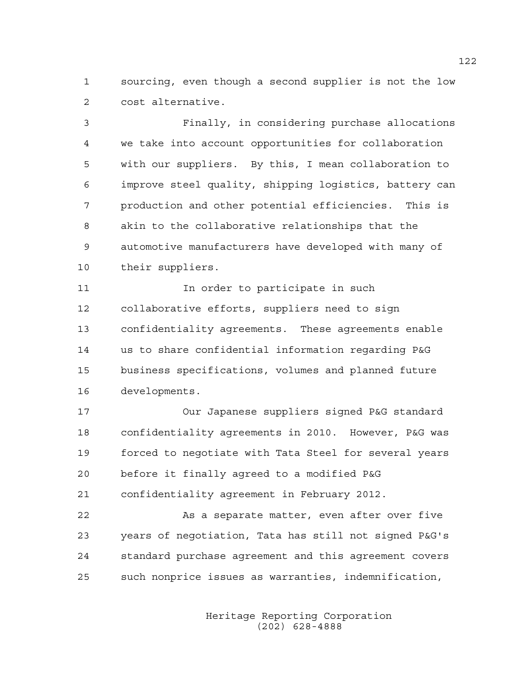1 sourcing, even though a second supplier is not the low 2 cost alternative.

3 Finally, in considering purchase allocations 4 we take into account opportunities for collaboration 5 with our suppliers. By this, I mean collaboration to 6 improve steel quality, shipping logistics, battery can 7 production and other potential efficiencies. This is 8 akin to the collaborative relationships that the 9 automotive manufacturers have developed with many of 10 their suppliers.

11 11 In order to participate in such 12 collaborative efforts, suppliers need to sign 13 confidentiality agreements. These agreements enable 14 us to share confidential information regarding P&G 15 business specifications, volumes and planned future 16 developments.

17 Our Japanese suppliers signed P&G standard 18 confidentiality agreements in 2010. However, P&G was 19 forced to negotiate with Tata Steel for several years 20 before it finally agreed to a modified P&G

21 confidentiality agreement in February 2012.

22 As a separate matter, even after over five 23 years of negotiation, Tata has still not signed P&G's 24 standard purchase agreement and this agreement covers 25 such nonprice issues as warranties, indemnification,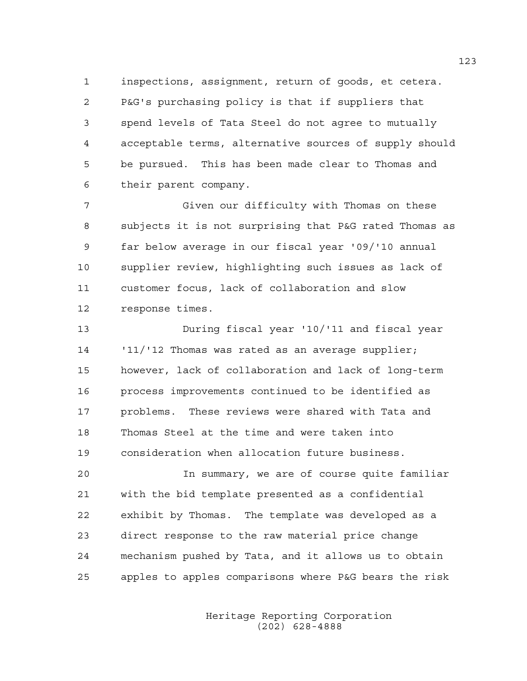1 inspections, assignment, return of goods, et cetera. 2 P&G's purchasing policy is that if suppliers that 3 spend levels of Tata Steel do not agree to mutually 4 acceptable terms, alternative sources of supply should 5 be pursued. This has been made clear to Thomas and 6 their parent company.

7 Given our difficulty with Thomas on these 8 subjects it is not surprising that P&G rated Thomas as 9 far below average in our fiscal year '09/'10 annual 10 supplier review, highlighting such issues as lack of 11 customer focus, lack of collaboration and slow 12 response times.

13 During fiscal year '10/'11 and fiscal year 14 '11/'12 Thomas was rated as an average supplier; 15 however, lack of collaboration and lack of long-term 16 process improvements continued to be identified as 17 problems. These reviews were shared with Tata and 18 Thomas Steel at the time and were taken into 19 consideration when allocation future business.

20 In summary, we are of course quite familiar 21 with the bid template presented as a confidential 22 exhibit by Thomas. The template was developed as a 23 direct response to the raw material price change 24 mechanism pushed by Tata, and it allows us to obtain 25 apples to apples comparisons where P&G bears the risk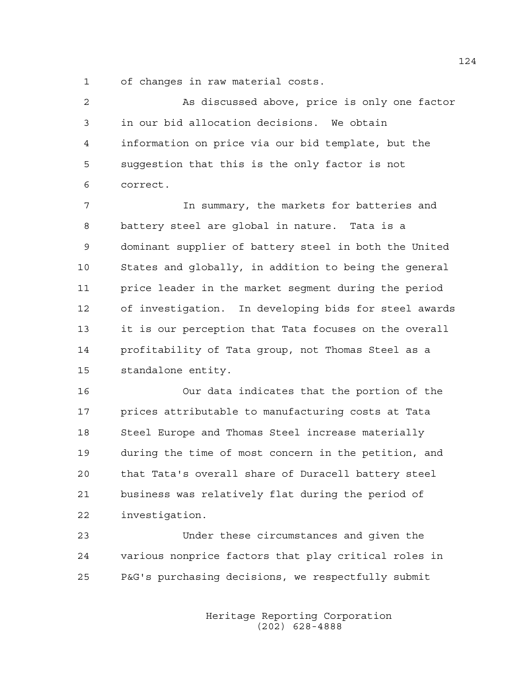1 of changes in raw material costs.

| 2  | As discussed above, price is only one factor          |
|----|-------------------------------------------------------|
| 3  | in our bid allocation decisions. We obtain            |
| 4  | information on price via our bid template, but the    |
| 5  | suggestion that this is the only factor is not        |
| 6  | correct.                                              |
| 7  | In summary, the markets for batteries and             |
| 8  | battery steel are global in nature. Tata is a         |
| 9  | dominant supplier of battery steel in both the United |
| 10 | States and globally, in addition to being the general |
| 11 | price leader in the market segment during the period  |
| 12 | of investigation. In developing bids for steel awards |
| 13 | it is our perception that Tata focuses on the overall |
| 14 | profitability of Tata group, not Thomas Steel as a    |
| 15 | standalone entity.                                    |
| 16 | Our data indicates that the portion of the            |
| 17 | prices attributable to manufacturing costs at Tata    |

23 Under these circumstances and given the 24 various nonprice factors that play critical roles in 25 P&G's purchasing decisions, we respectfully submit

18 Steel Europe and Thomas Steel increase materially

19 during the time of most concern in the petition, and

20 that Tata's overall share of Duracell battery steel

21 business was relatively flat during the period of

22 investigation.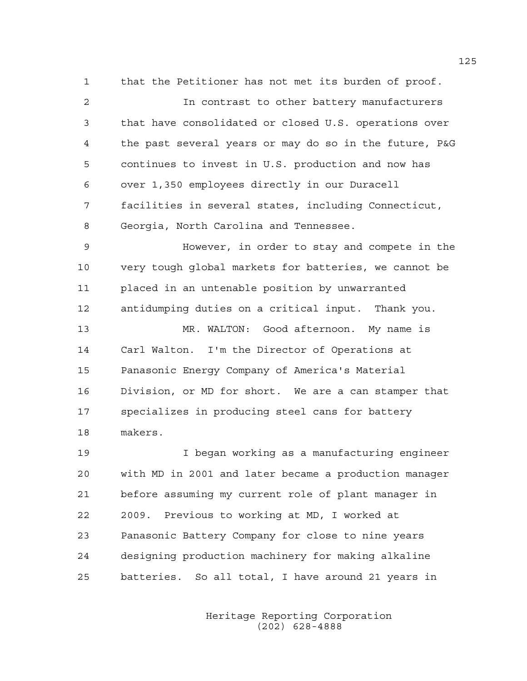1 that the Petitioner has not met its burden of proof. 2 In contrast to other battery manufacturers 3 that have consolidated or closed U.S. operations over 4 the past several years or may do so in the future, P&G 5 continues to invest in U.S. production and now has 6 over 1,350 employees directly in our Duracell 7 facilities in several states, including Connecticut, 8 Georgia, North Carolina and Tennessee.

9 However, in order to stay and compete in the 10 very tough global markets for batteries, we cannot be 11 placed in an untenable position by unwarranted 12 antidumping duties on a critical input. Thank you.

13 MR. WALTON: Good afternoon. My name is 14 Carl Walton. I'm the Director of Operations at 15 Panasonic Energy Company of America's Material 16 Division, or MD for short. We are a can stamper that 17 specializes in producing steel cans for battery 18 makers.

19 I began working as a manufacturing engineer 20 with MD in 2001 and later became a production manager 21 before assuming my current role of plant manager in 22 2009. Previous to working at MD, I worked at 23 Panasonic Battery Company for close to nine years 24 designing production machinery for making alkaline 25 batteries. So all total, I have around 21 years in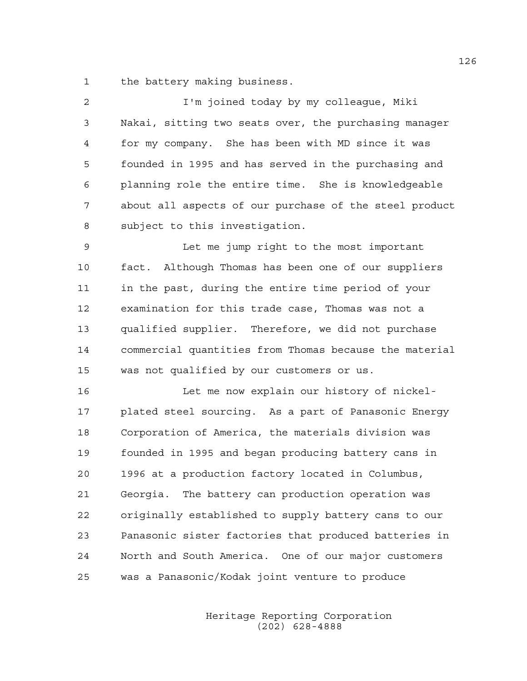1 the battery making business.

| 2  | I'm joined today by my colleaque, Miki                 |
|----|--------------------------------------------------------|
| 3  | Nakai, sitting two seats over, the purchasing manager  |
| 4  | for my company. She has been with MD since it was      |
| 5  | founded in 1995 and has served in the purchasing and   |
| 6  | planning role the entire time. She is knowledgeable    |
| 7  | about all aspects of our purchase of the steel product |
| 8  | subject to this investigation.                         |
| 9  | Let me jump right to the most important                |
| 10 | fact. Although Thomas has been one of our suppliers    |
| 11 | in the past, during the entire time period of your     |
| 12 | examination for this trade case, Thomas was not a      |
| 13 | qualified supplier. Therefore, we did not purchase     |
| 14 | commercial quantities from Thomas because the material |
| 15 | was not qualified by our customers or us.              |
| 16 | Let me now explain our history of nickel-              |
| 17 | plated steel sourcing. As a part of Panasonic Energy   |
| 18 | Corporation of America, the materials division was     |
| 19 | founded in 1995 and began producing battery cans in    |
| 20 | 1996 at a production factory located in Columbus,      |
| 21 | Georgia. The battery can production operation was      |
| 22 | originally established to supply battery cans to our   |
| 23 | Panasonic sister factories that produced batteries in  |
| 24 | North and South America. One of our major customers    |
| 25 | was a Panasonic/Kodak joint venture to produce         |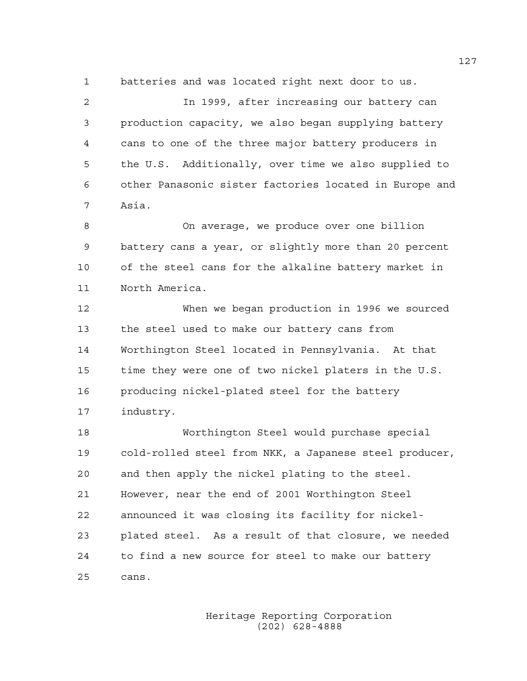1 batteries and was located right next door to us.

2 In 1999, after increasing our battery can 3 production capacity, we also began supplying battery 4 cans to one of the three major battery producers in 5 the U.S. Additionally, over time we also supplied to 6 other Panasonic sister factories located in Europe and 7 Asia.

8 On average, we produce over one billion 9 battery cans a year, or slightly more than 20 percent 10 of the steel cans for the alkaline battery market in 11 North America.

12 When we began production in 1996 we sourced 13 the steel used to make our battery cans from 14 Worthington Steel located in Pennsylvania. At that 15 time they were one of two nickel platers in the U.S. 16 producing nickel-plated steel for the battery 17 industry.

18 Worthington Steel would purchase special 19 cold-rolled steel from NKK, a Japanese steel producer, 20 and then apply the nickel plating to the steel. 21 However, near the end of 2001 Worthington Steel 22 announced it was closing its facility for nickel-23 plated steel. As a result of that closure, we needed 24 to find a new source for steel to make our battery 25 cans.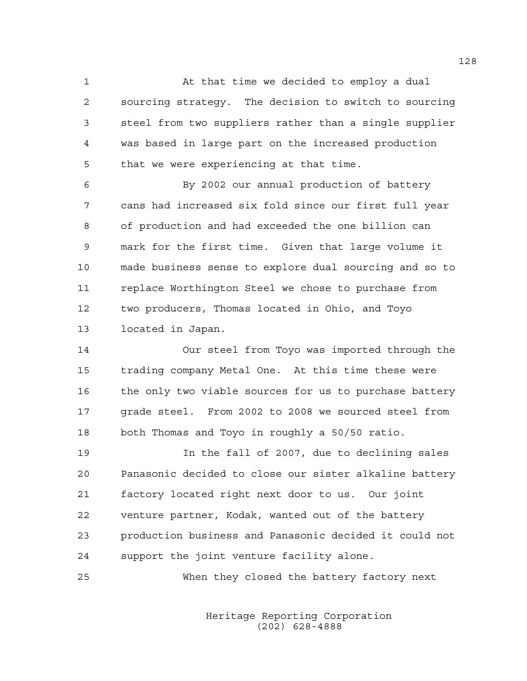1 At that time we decided to employ a dual 2 sourcing strategy. The decision to switch to sourcing 3 steel from two suppliers rather than a single supplier 4 was based in large part on the increased production 5 that we were experiencing at that time.

6 By 2002 our annual production of battery 7 cans had increased six fold since our first full year 8 of production and had exceeded the one billion can 9 mark for the first time. Given that large volume it 10 made business sense to explore dual sourcing and so to 11 replace Worthington Steel we chose to purchase from 12 two producers, Thomas located in Ohio, and Toyo 13 located in Japan.

14 Our steel from Toyo was imported through the 15 trading company Metal One. At this time these were 16 the only two viable sources for us to purchase battery 17 grade steel. From 2002 to 2008 we sourced steel from 18 both Thomas and Toyo in roughly a 50/50 ratio.

19 In the fall of 2007, due to declining sales 20 Panasonic decided to close our sister alkaline battery 21 factory located right next door to us. Our joint 22 venture partner, Kodak, wanted out of the battery 23 production business and Panasonic decided it could not 24 support the joint venture facility alone.

25 When they closed the battery factory next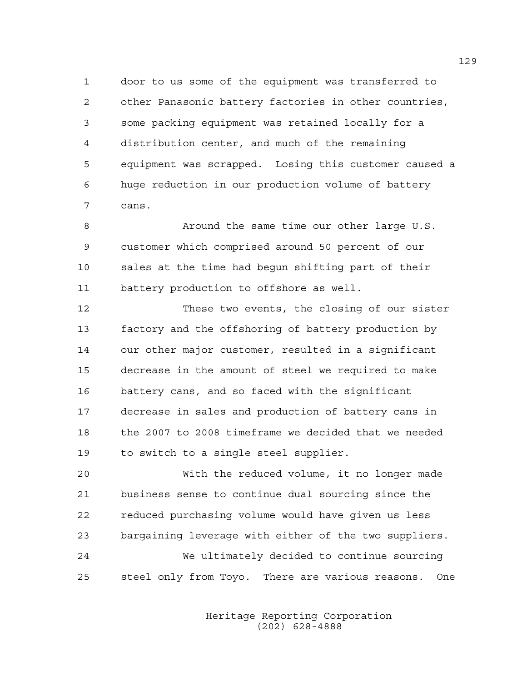1 door to us some of the equipment was transferred to 2 other Panasonic battery factories in other countries, 3 some packing equipment was retained locally for a 4 distribution center, and much of the remaining 5 equipment was scrapped. Losing this customer caused a 6 huge reduction in our production volume of battery 7 cans.

8 Around the same time our other large U.S. 9 customer which comprised around 50 percent of our 10 sales at the time had begun shifting part of their 11 battery production to offshore as well.

12 These two events, the closing of our sister 13 factory and the offshoring of battery production by 14 our other major customer, resulted in a significant 15 decrease in the amount of steel we required to make 16 battery cans, and so faced with the significant 17 decrease in sales and production of battery cans in 18 the 2007 to 2008 timeframe we decided that we needed 19 to switch to a single steel supplier.

20 With the reduced volume, it no longer made 21 business sense to continue dual sourcing since the 22 reduced purchasing volume would have given us less 23 bargaining leverage with either of the two suppliers. 24 We ultimately decided to continue sourcing 25 steel only from Toyo. There are various reasons. One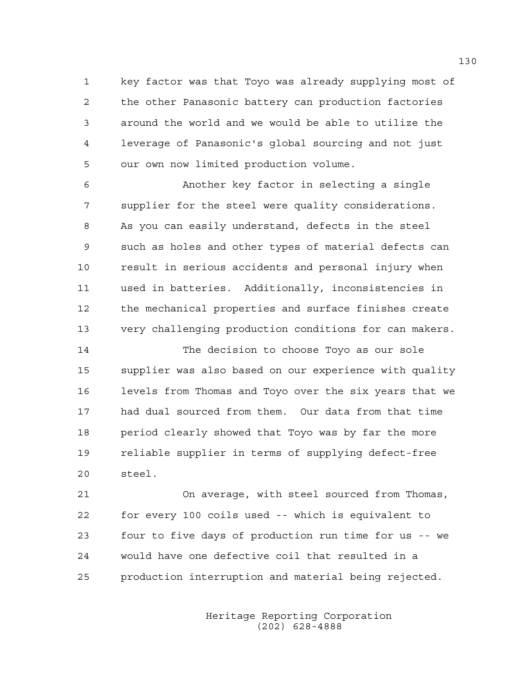1 key factor was that Toyo was already supplying most of 2 the other Panasonic battery can production factories 3 around the world and we would be able to utilize the 4 leverage of Panasonic's global sourcing and not just 5 our own now limited production volume.

6 Another key factor in selecting a single 7 supplier for the steel were quality considerations. 8 As you can easily understand, defects in the steel 9 such as holes and other types of material defects can 10 result in serious accidents and personal injury when 11 used in batteries. Additionally, inconsistencies in 12 the mechanical properties and surface finishes create 13 very challenging production conditions for can makers.

14 The decision to choose Toyo as our sole 15 supplier was also based on our experience with quality 16 levels from Thomas and Toyo over the six years that we 17 had dual sourced from them. Our data from that time 18 period clearly showed that Toyo was by far the more 19 reliable supplier in terms of supplying defect-free 20 steel.

21 On average, with steel sourced from Thomas, 22 for every 100 coils used -- which is equivalent to 23 four to five days of production run time for us -- we 24 would have one defective coil that resulted in a 25 production interruption and material being rejected.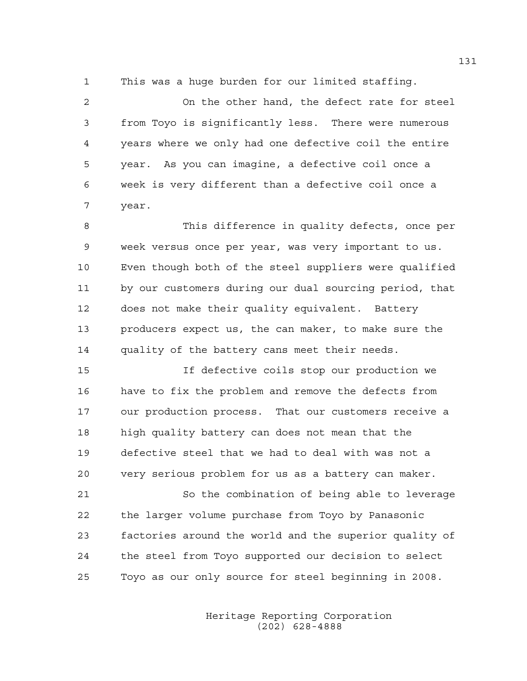1 This was a huge burden for our limited staffing.

2 On the other hand, the defect rate for steel 3 from Toyo is significantly less. There were numerous 4 years where we only had one defective coil the entire 5 year. As you can imagine, a defective coil once a 6 week is very different than a defective coil once a 7 year.

8 This difference in quality defects, once per 9 week versus once per year, was very important to us. 10 Even though both of the steel suppliers were qualified 11 by our customers during our dual sourcing period, that 12 does not make their quality equivalent. Battery 13 producers expect us, the can maker, to make sure the 14 quality of the battery cans meet their needs.

15 If defective coils stop our production we 16 have to fix the problem and remove the defects from 17 our production process. That our customers receive a 18 high quality battery can does not mean that the 19 defective steel that we had to deal with was not a 20 very serious problem for us as a battery can maker.

21 So the combination of being able to leverage 22 the larger volume purchase from Toyo by Panasonic 23 factories around the world and the superior quality of 24 the steel from Toyo supported our decision to select 25 Toyo as our only source for steel beginning in 2008.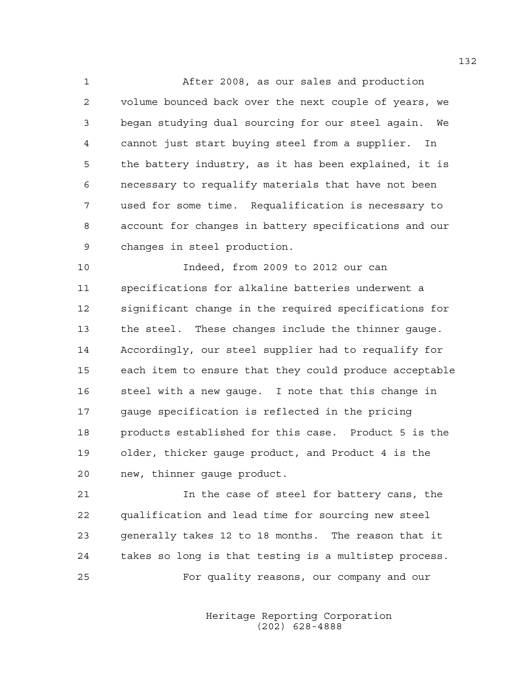1 After 2008, as our sales and production 2 volume bounced back over the next couple of years, we 3 began studying dual sourcing for our steel again. We 4 cannot just start buying steel from a supplier. In 5 the battery industry, as it has been explained, it is 6 necessary to requalify materials that have not been 7 used for some time. Requalification is necessary to 8 account for changes in battery specifications and our 9 changes in steel production.

10 Indeed, from 2009 to 2012 our can 11 specifications for alkaline batteries underwent a 12 significant change in the required specifications for 13 the steel. These changes include the thinner gauge. 14 Accordingly, our steel supplier had to requalify for 15 each item to ensure that they could produce acceptable 16 steel with a new gauge. I note that this change in 17 gauge specification is reflected in the pricing 18 products established for this case. Product 5 is the 19 older, thicker gauge product, and Product 4 is the 20 new, thinner gauge product.

21 In the case of steel for battery cans, the 22 qualification and lead time for sourcing new steel 23 generally takes 12 to 18 months. The reason that it 24 takes so long is that testing is a multistep process. 25 For quality reasons, our company and our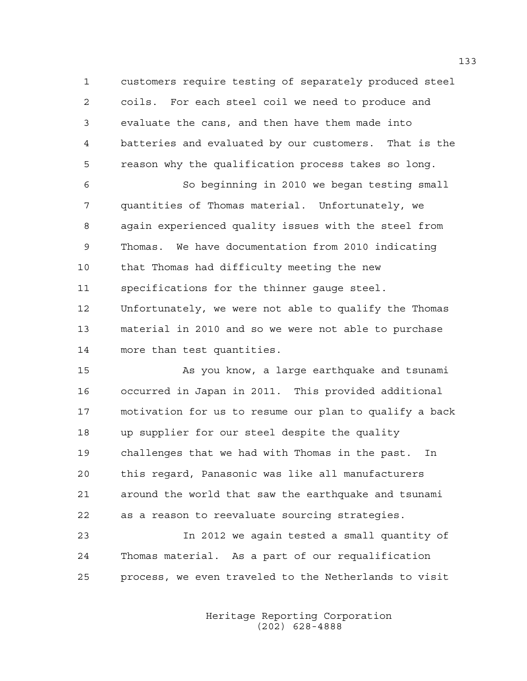1 customers require testing of separately produced steel 2 coils. For each steel coil we need to produce and 3 evaluate the cans, and then have them made into 4 batteries and evaluated by our customers. That is the 5 reason why the qualification process takes so long.

6 So beginning in 2010 we began testing small 7 quantities of Thomas material. Unfortunately, we 8 again experienced quality issues with the steel from 9 Thomas. We have documentation from 2010 indicating 10 that Thomas had difficulty meeting the new 11 specifications for the thinner gauge steel. 12 Unfortunately, we were not able to qualify the Thomas 13 material in 2010 and so we were not able to purchase 14 more than test quantities.

15 As you know, a large earthquake and tsunami 16 occurred in Japan in 2011. This provided additional 17 motivation for us to resume our plan to qualify a back 18 up supplier for our steel despite the quality 19 challenges that we had with Thomas in the past. In 20 this regard, Panasonic was like all manufacturers 21 around the world that saw the earthquake and tsunami 22 as a reason to reevaluate sourcing strategies.

23 In 2012 we again tested a small quantity of 24 Thomas material. As a part of our requalification 25 process, we even traveled to the Netherlands to visit

> Heritage Reporting Corporation (202) 628-4888

133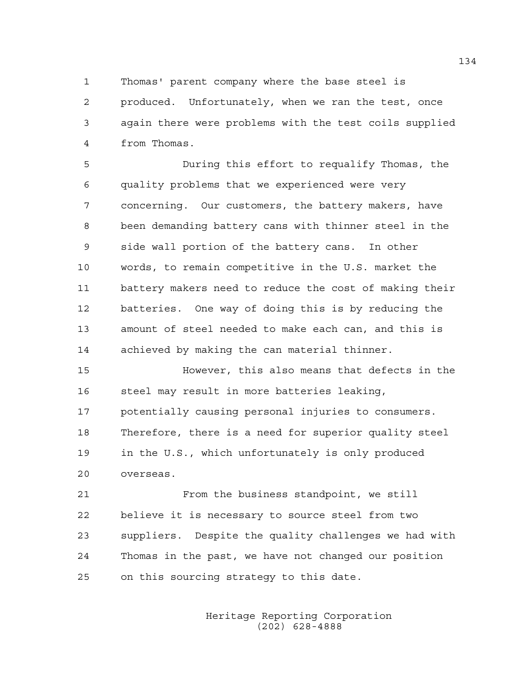1 Thomas' parent company where the base steel is

2 produced. Unfortunately, when we ran the test, once 3 again there were problems with the test coils supplied 4 from Thomas.

5 During this effort to requalify Thomas, the 6 quality problems that we experienced were very 7 concerning. Our customers, the battery makers, have 8 been demanding battery cans with thinner steel in the 9 side wall portion of the battery cans. In other 10 words, to remain competitive in the U.S. market the 11 battery makers need to reduce the cost of making their 12 batteries. One way of doing this is by reducing the 13 amount of steel needed to make each can, and this is 14 achieved by making the can material thinner.

15 However, this also means that defects in the 16 steel may result in more batteries leaking, 17 potentially causing personal injuries to consumers. 18 Therefore, there is a need for superior quality steel 19 in the U.S., which unfortunately is only produced 20 overseas.

21 From the business standpoint, we still 22 believe it is necessary to source steel from two 23 suppliers. Despite the quality challenges we had with 24 Thomas in the past, we have not changed our position 25 on this sourcing strategy to this date.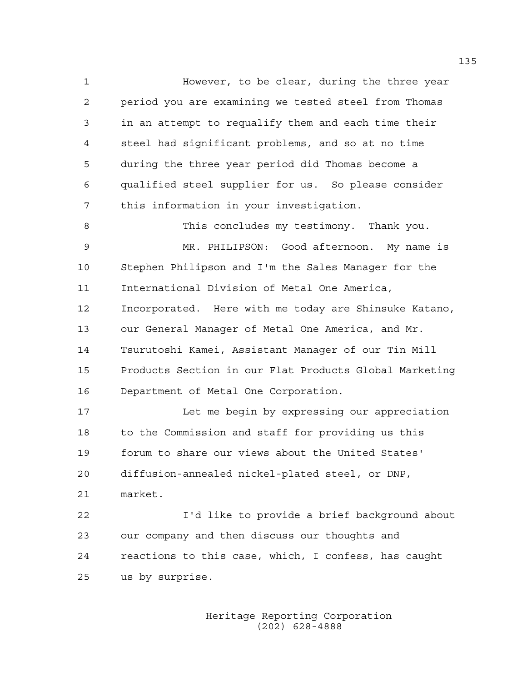1 However, to be clear, during the three year 2 period you are examining we tested steel from Thomas 3 in an attempt to requalify them and each time their 4 steel had significant problems, and so at no time 5 during the three year period did Thomas become a 6 qualified steel supplier for us. So please consider 7 this information in your investigation. 8 This concludes my testimony. Thank you. 9 MR. PHILIPSON: Good afternoon. My name is 10 Stephen Philipson and I'm the Sales Manager for the 11 International Division of Metal One America, 12 Incorporated. Here with me today are Shinsuke Katano,

14 Tsurutoshi Kamei, Assistant Manager of our Tin Mill 15 Products Section in our Flat Products Global Marketing 16 Department of Metal One Corporation.

13 our General Manager of Metal One America, and Mr.

17 Let me begin by expressing our appreciation 18 to the Commission and staff for providing us this 19 forum to share our views about the United States' 20 diffusion-annealed nickel-plated steel, or DNP, 21 market.

22 I'd like to provide a brief background about 23 our company and then discuss our thoughts and 24 reactions to this case, which, I confess, has caught 25 us by surprise.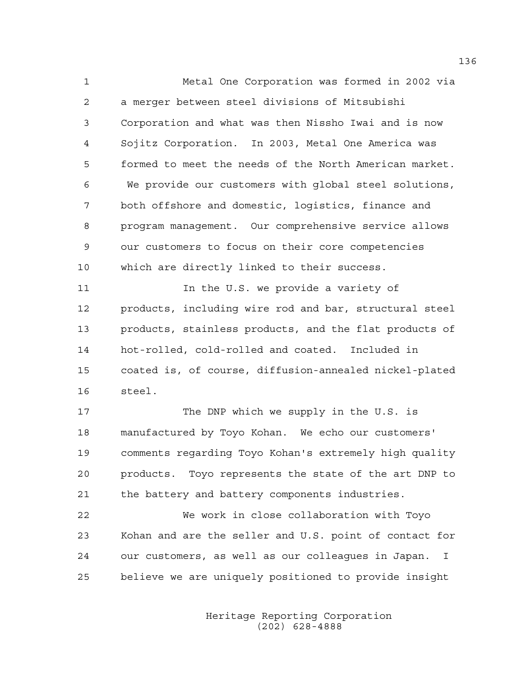1 Metal One Corporation was formed in 2002 via 2 a merger between steel divisions of Mitsubishi 3 Corporation and what was then Nissho Iwai and is now 4 Sojitz Corporation. In 2003, Metal One America was 5 formed to meet the needs of the North American market. 6 We provide our customers with global steel solutions, 7 both offshore and domestic, logistics, finance and 8 program management. Our comprehensive service allows 9 our customers to focus on their core competencies 10 which are directly linked to their success.

11 11 In the U.S. we provide a variety of 12 products, including wire rod and bar, structural steel 13 products, stainless products, and the flat products of 14 hot-rolled, cold-rolled and coated. Included in 15 coated is, of course, diffusion-annealed nickel-plated 16 steel.

17 The DNP which we supply in the U.S. is 18 manufactured by Toyo Kohan. We echo our customers' 19 comments regarding Toyo Kohan's extremely high quality 20 products. Toyo represents the state of the art DNP to 21 the battery and battery components industries.

22 We work in close collaboration with Toyo 23 Kohan and are the seller and U.S. point of contact for 24 our customers, as well as our colleagues in Japan. I 25 believe we are uniquely positioned to provide insight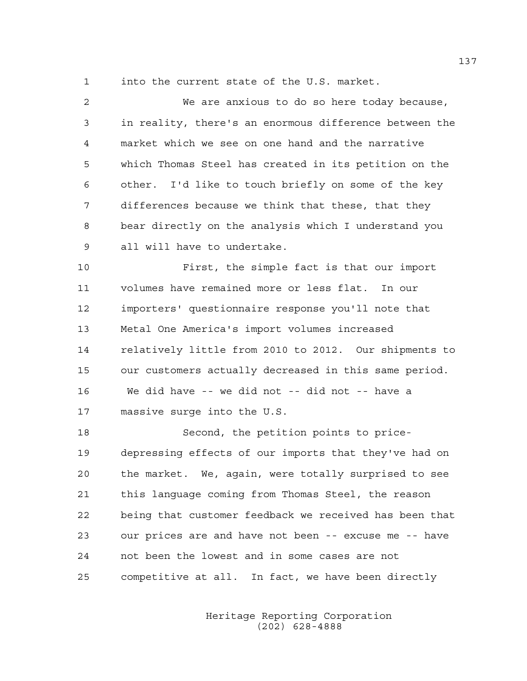1 into the current state of the U.S. market.

2 We are anxious to do so here today because, 3 in reality, there's an enormous difference between the 4 market which we see on one hand and the narrative 5 which Thomas Steel has created in its petition on the 6 other. I'd like to touch briefly on some of the key 7 differences because we think that these, that they 8 bear directly on the analysis which I understand you 9 all will have to undertake.

10 First, the simple fact is that our import 11 volumes have remained more or less flat. In our 12 importers' questionnaire response you'll note that 13 Metal One America's import volumes increased 14 relatively little from 2010 to 2012. Our shipments to 15 our customers actually decreased in this same period. 16 We did have -- we did not -- did not -- have a 17 massive surge into the U.S.

18 Second, the petition points to price-19 depressing effects of our imports that they've had on 20 the market. We, again, were totally surprised to see 21 this language coming from Thomas Steel, the reason 22 being that customer feedback we received has been that 23 our prices are and have not been -- excuse me -- have 24 not been the lowest and in some cases are not 25 competitive at all. In fact, we have been directly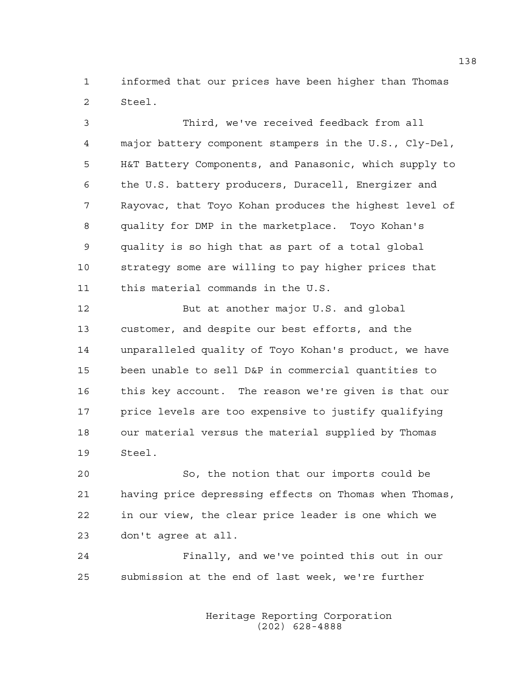1 informed that our prices have been higher than Thomas 2 Steel.

3 Third, we've received feedback from all 4 major battery component stampers in the U.S., Cly-Del, 5 H&T Battery Components, and Panasonic, which supply to 6 the U.S. battery producers, Duracell, Energizer and 7 Rayovac, that Toyo Kohan produces the highest level of 8 quality for DMP in the marketplace. Toyo Kohan's 9 quality is so high that as part of a total global 10 strategy some are willing to pay higher prices that 11 this material commands in the U.S.

12 But at another major U.S. and global 13 customer, and despite our best efforts, and the 14 unparalleled quality of Toyo Kohan's product, we have 15 been unable to sell D&P in commercial quantities to 16 this key account. The reason we're given is that our 17 price levels are too expensive to justify qualifying 18 our material versus the material supplied by Thomas 19 Steel.

20 So, the notion that our imports could be 21 having price depressing effects on Thomas when Thomas, 22 in our view, the clear price leader is one which we 23 don't agree at all.

24 Finally, and we've pointed this out in our 25 submission at the end of last week, we're further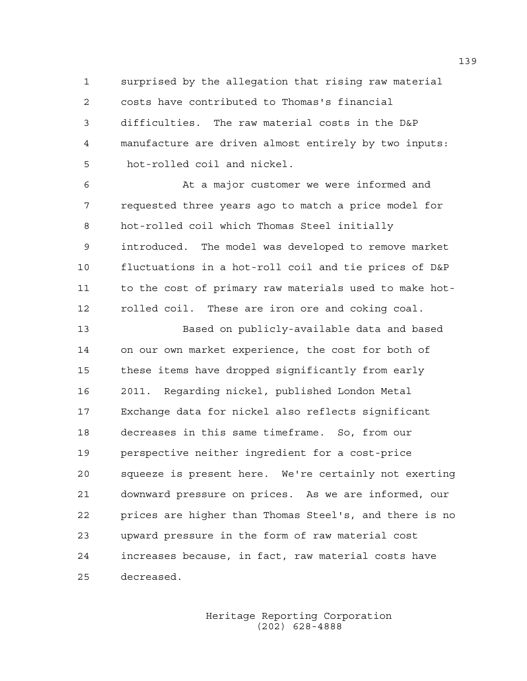1 surprised by the allegation that rising raw material 2 costs have contributed to Thomas's financial 3 difficulties. The raw material costs in the D&P 4 manufacture are driven almost entirely by two inputs: 5 hot-rolled coil and nickel.

6 At a major customer we were informed and 7 requested three years ago to match a price model for 8 hot-rolled coil which Thomas Steel initially 9 introduced. The model was developed to remove market 10 fluctuations in a hot-roll coil and tie prices of D&P 11 to the cost of primary raw materials used to make hot-12 rolled coil. These are iron ore and coking coal.

13 Based on publicly-available data and based 14 on our own market experience, the cost for both of 15 these items have dropped significantly from early 16 2011. Regarding nickel, published London Metal 17 Exchange data for nickel also reflects significant 18 decreases in this same timeframe. So, from our 19 perspective neither ingredient for a cost-price 20 squeeze is present here. We're certainly not exerting 21 downward pressure on prices. As we are informed, our 22 prices are higher than Thomas Steel's, and there is no 23 upward pressure in the form of raw material cost 24 increases because, in fact, raw material costs have 25 decreased.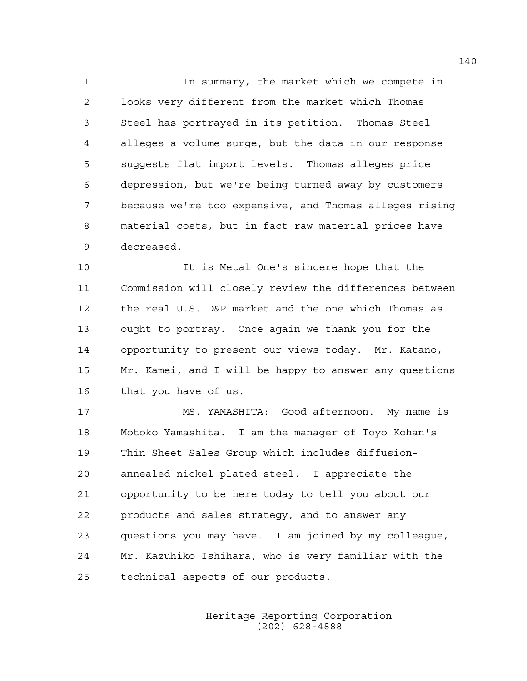1 In summary, the market which we compete in 2 looks very different from the market which Thomas 3 Steel has portrayed in its petition. Thomas Steel 4 alleges a volume surge, but the data in our response 5 suggests flat import levels. Thomas alleges price 6 depression, but we're being turned away by customers 7 because we're too expensive, and Thomas alleges rising 8 material costs, but in fact raw material prices have 9 decreased.

10 It is Metal One's sincere hope that the 11 Commission will closely review the differences between 12 the real U.S. D&P market and the one which Thomas as 13 ought to portray. Once again we thank you for the 14 opportunity to present our views today. Mr. Katano, 15 Mr. Kamei, and I will be happy to answer any questions 16 that you have of us.

17 MS. YAMASHITA: Good afternoon. My name is 18 Motoko Yamashita. I am the manager of Toyo Kohan's 19 Thin Sheet Sales Group which includes diffusion-20 annealed nickel-plated steel. I appreciate the 21 opportunity to be here today to tell you about our 22 products and sales strategy, and to answer any 23 questions you may have. I am joined by my colleague, 24 Mr. Kazuhiko Ishihara, who is very familiar with the 25 technical aspects of our products.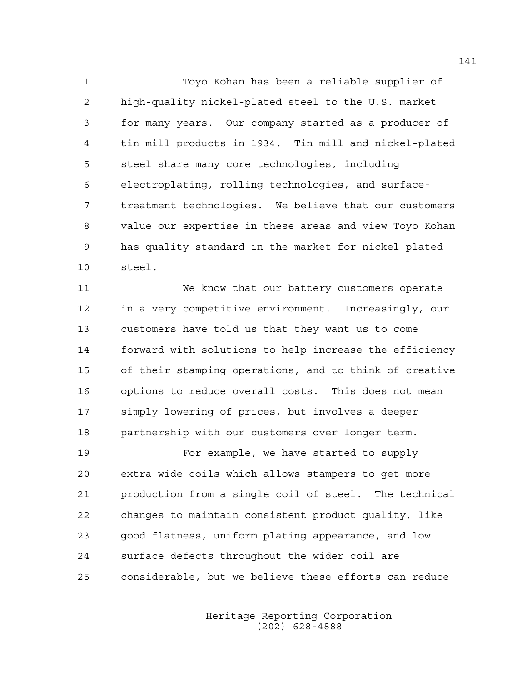1 Toyo Kohan has been a reliable supplier of 2 high-quality nickel-plated steel to the U.S. market 3 for many years. Our company started as a producer of 4 tin mill products in 1934. Tin mill and nickel-plated 5 steel share many core technologies, including 6 electroplating, rolling technologies, and surface-7 treatment technologies. We believe that our customers 8 value our expertise in these areas and view Toyo Kohan 9 has quality standard in the market for nickel-plated 10 steel.

11 We know that our battery customers operate 12 in a very competitive environment. Increasingly, our 13 customers have told us that they want us to come 14 forward with solutions to help increase the efficiency 15 of their stamping operations, and to think of creative 16 options to reduce overall costs. This does not mean 17 simply lowering of prices, but involves a deeper 18 partnership with our customers over longer term.

19 For example, we have started to supply 20 extra-wide coils which allows stampers to get more 21 production from a single coil of steel. The technical 22 changes to maintain consistent product quality, like 23 good flatness, uniform plating appearance, and low 24 surface defects throughout the wider coil are 25 considerable, but we believe these efforts can reduce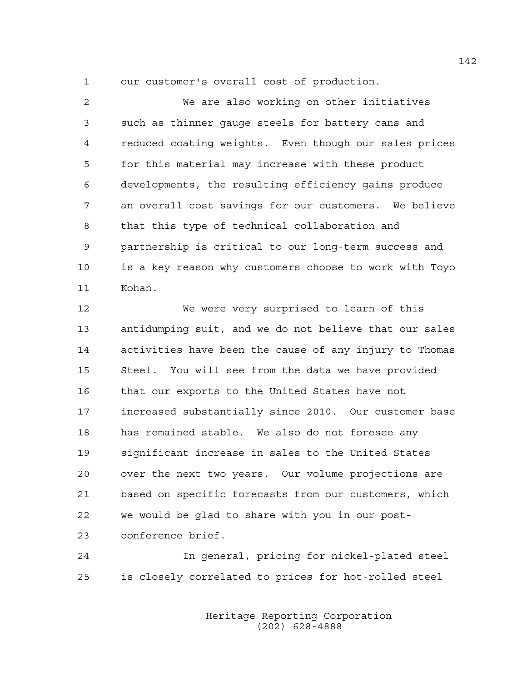1 our customer's overall cost of production.

2 We are also working on other initiatives 3 such as thinner gauge steels for battery cans and 4 reduced coating weights. Even though our sales prices 5 for this material may increase with these product 6 developments, the resulting efficiency gains produce 7 an overall cost savings for our customers. We believe 8 that this type of technical collaboration and 9 partnership is critical to our long-term success and 10 is a key reason why customers choose to work with Toyo 11 Kohan.

12 We were very surprised to learn of this 13 antidumping suit, and we do not believe that our sales 14 activities have been the cause of any injury to Thomas 15 Steel. You will see from the data we have provided 16 that our exports to the United States have not 17 increased substantially since 2010. Our customer base 18 has remained stable. We also do not foresee any 19 significant increase in sales to the United States 20 over the next two years. Our volume projections are 21 based on specific forecasts from our customers, which 22 we would be glad to share with you in our post-23 conference brief.

24 In general, pricing for nickel-plated steel 25 is closely correlated to prices for hot-rolled steel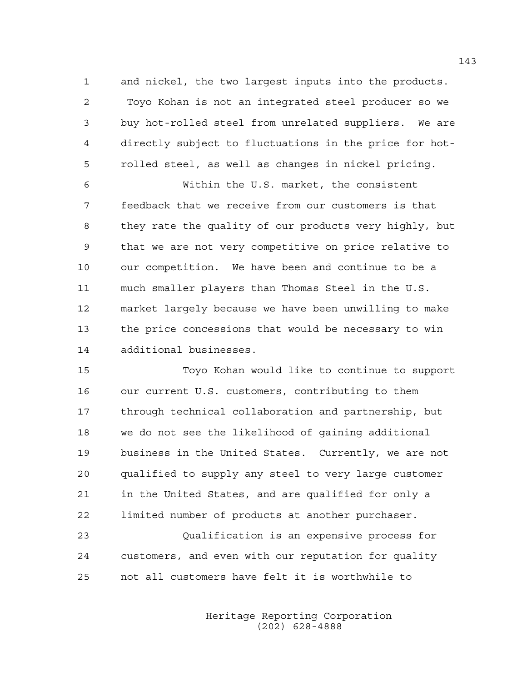1 and nickel, the two largest inputs into the products. 2 Toyo Kohan is not an integrated steel producer so we 3 buy hot-rolled steel from unrelated suppliers. We are 4 directly subject to fluctuations in the price for hot-5 rolled steel, as well as changes in nickel pricing.

6 Within the U.S. market, the consistent 7 feedback that we receive from our customers is that 8 they rate the quality of our products very highly, but 9 that we are not very competitive on price relative to 10 our competition. We have been and continue to be a 11 much smaller players than Thomas Steel in the U.S. 12 market largely because we have been unwilling to make 13 the price concessions that would be necessary to win 14 additional businesses.

15 Toyo Kohan would like to continue to support 16 our current U.S. customers, contributing to them 17 through technical collaboration and partnership, but 18 we do not see the likelihood of gaining additional 19 business in the United States. Currently, we are not 20 qualified to supply any steel to very large customer 21 in the United States, and are qualified for only a 22 limited number of products at another purchaser.

23 Qualification is an expensive process for 24 customers, and even with our reputation for quality 25 not all customers have felt it is worthwhile to

> Heritage Reporting Corporation (202) 628-4888

143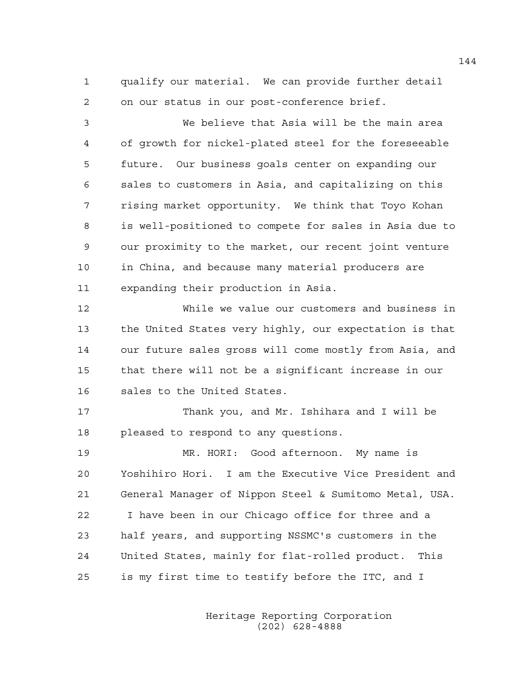1 qualify our material. We can provide further detail 2 on our status in our post-conference brief.

3 We believe that Asia will be the main area 4 of growth for nickel-plated steel for the foreseeable 5 future. Our business goals center on expanding our 6 sales to customers in Asia, and capitalizing on this 7 rising market opportunity. We think that Toyo Kohan 8 is well-positioned to compete for sales in Asia due to 9 our proximity to the market, our recent joint venture 10 in China, and because many material producers are 11 expanding their production in Asia.

12 While we value our customers and business in 13 the United States very highly, our expectation is that 14 our future sales gross will come mostly from Asia, and 15 that there will not be a significant increase in our 16 sales to the United States.

17 Thank you, and Mr. Ishihara and I will be 18 pleased to respond to any questions.

19 MR. HORI: Good afternoon. My name is 20 Yoshihiro Hori. I am the Executive Vice President and 21 General Manager of Nippon Steel & Sumitomo Metal, USA. 22 I have been in our Chicago office for three and a 23 half years, and supporting NSSMC's customers in the 24 United States, mainly for flat-rolled product. This 25 is my first time to testify before the ITC, and I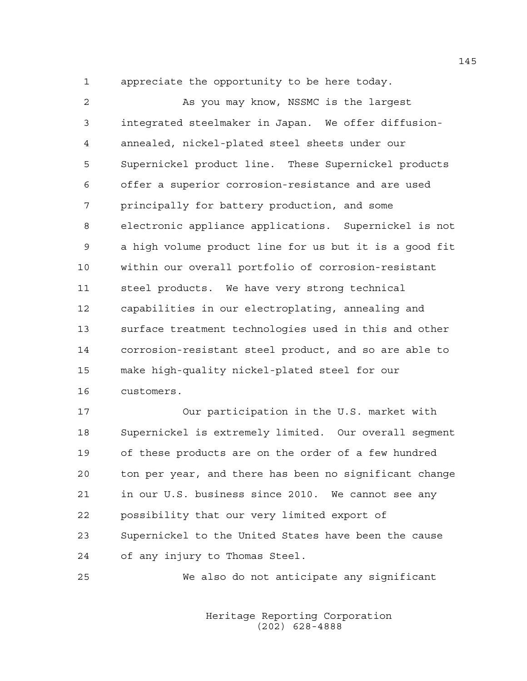1 appreciate the opportunity to be here today.

2 As you may know, NSSMC is the largest 3 integrated steelmaker in Japan. We offer diffusion-4 annealed, nickel-plated steel sheets under our 5 Supernickel product line. These Supernickel products 6 offer a superior corrosion-resistance and are used 7 principally for battery production, and some 8 electronic appliance applications. Supernickel is not 9 a high volume product line for us but it is a good fit 10 within our overall portfolio of corrosion-resistant 11 steel products. We have very strong technical 12 capabilities in our electroplating, annealing and 13 surface treatment technologies used in this and other 14 corrosion-resistant steel product, and so are able to 15 make high-quality nickel-plated steel for our 16 customers.

17 Our participation in the U.S. market with 18 Supernickel is extremely limited. Our overall segment 19 of these products are on the order of a few hundred 20 ton per year, and there has been no significant change 21 in our U.S. business since 2010. We cannot see any 22 possibility that our very limited export of 23 Supernickel to the United States have been the cause 24 of any injury to Thomas Steel.

25 We also do not anticipate any significant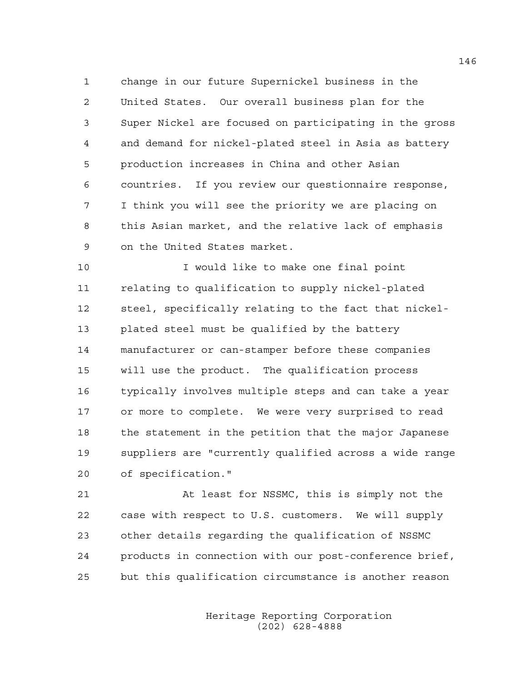1 change in our future Supernickel business in the 2 United States. Our overall business plan for the 3 Super Nickel are focused on participating in the gross 4 and demand for nickel-plated steel in Asia as battery 5 production increases in China and other Asian 6 countries. If you review our questionnaire response, 7 I think you will see the priority we are placing on 8 this Asian market, and the relative lack of emphasis 9 on the United States market.

10 I would like to make one final point 11 relating to qualification to supply nickel-plated 12 steel, specifically relating to the fact that nickel-13 plated steel must be qualified by the battery 14 manufacturer or can-stamper before these companies 15 will use the product. The qualification process 16 typically involves multiple steps and can take a year 17 or more to complete. We were very surprised to read 18 the statement in the petition that the major Japanese 19 suppliers are "currently qualified across a wide range 20 of specification."

21 At least for NSSMC, this is simply not the 22 case with respect to U.S. customers. We will supply 23 other details regarding the qualification of NSSMC 24 products in connection with our post-conference brief, 25 but this qualification circumstance is another reason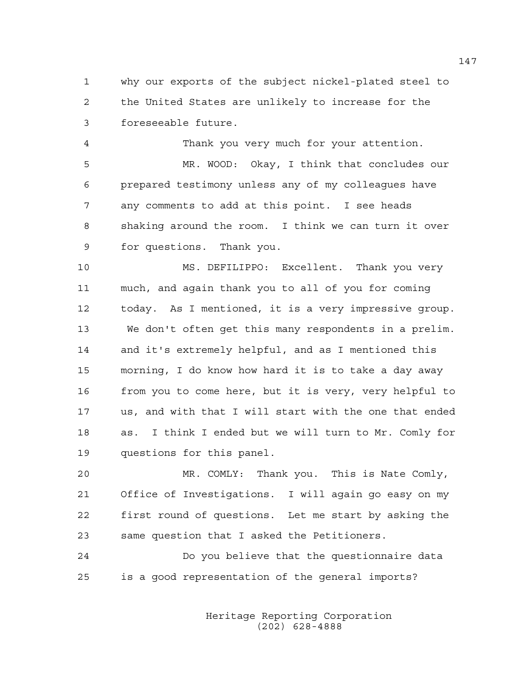1 why our exports of the subject nickel-plated steel to 2 the United States are unlikely to increase for the 3 foreseeable future.

4 Thank you very much for your attention. 5 MR. WOOD: Okay, I think that concludes our 6 prepared testimony unless any of my colleagues have 7 any comments to add at this point. I see heads 8 shaking around the room. I think we can turn it over 9 for questions. Thank you.

10 MS. DEFILIPPO: Excellent. Thank you very 11 much, and again thank you to all of you for coming 12 today. As I mentioned, it is a very impressive group. 13 We don't often get this many respondents in a prelim. 14 and it's extremely helpful, and as I mentioned this 15 morning, I do know how hard it is to take a day away 16 from you to come here, but it is very, very helpful to 17 us, and with that I will start with the one that ended 18 as. I think I ended but we will turn to Mr. Comly for 19 questions for this panel.

20 MR. COMLY: Thank you. This is Nate Comly, 21 Office of Investigations. I will again go easy on my 22 first round of questions. Let me start by asking the 23 same question that I asked the Petitioners.

24 Do you believe that the questionnaire data 25 is a good representation of the general imports?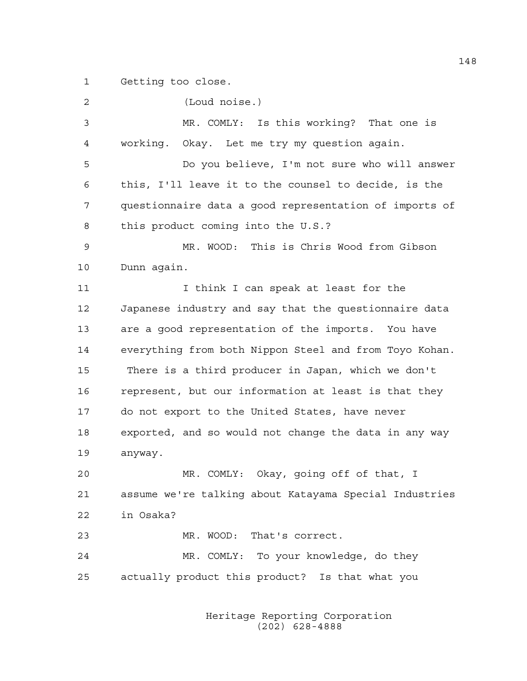1 Getting too close.

| 2  | (Loud noise.)                                          |
|----|--------------------------------------------------------|
| 3  | MR. COMLY: Is this working? That one is                |
| 4  | working. Okay. Let me try my question again.           |
| 5  | Do you believe, I'm not sure who will answer           |
| 6  | this, I'll leave it to the counsel to decide, is the   |
| 7  | questionnaire data a good representation of imports of |
| 8  | this product coming into the U.S.?                     |
| 9  | MR. WOOD: This is Chris Wood from Gibson               |
| 10 | Dunn again.                                            |
| 11 | I think I can speak at least for the                   |
| 12 | Japanese industry and say that the questionnaire data  |
| 13 | are a good representation of the imports. You have     |
| 14 | everything from both Nippon Steel and from Toyo Kohan. |
| 15 | There is a third producer in Japan, which we don't     |
| 16 | represent, but our information at least is that they   |
| 17 | do not export to the United States, have never         |
| 18 | exported, and so would not change the data in any way  |
| 19 | anyway.                                                |
| 20 | MR. COMLY: Okay, going off of that, I                  |
| 21 | assume we're talking about Katayama Special Industries |
| 22 | in Osaka?                                              |
| 23 | MR. WOOD: That's correct.                              |
| 24 | MR. COMLY: To your knowledge, do they                  |
| 25 | actually product this product? Is that what you        |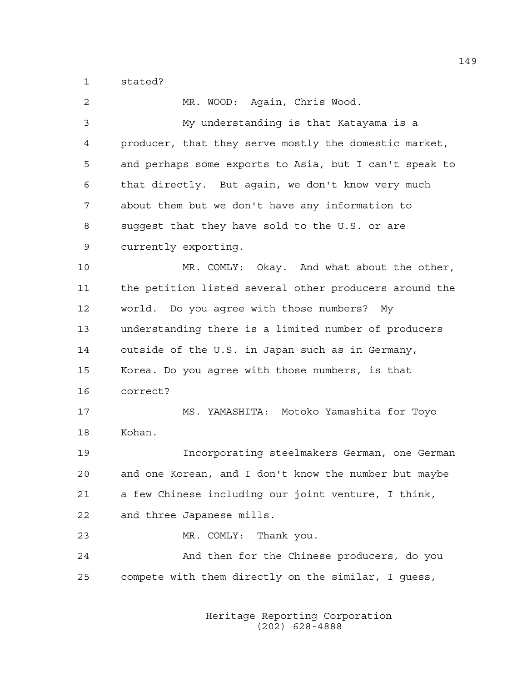1 stated?

| 2  | MR. WOOD: Again, Chris Wood.                           |
|----|--------------------------------------------------------|
| 3  | My understanding is that Katayama is a                 |
| 4  | producer, that they serve mostly the domestic market,  |
| 5  | and perhaps some exports to Asia, but I can't speak to |
| 6  | that directly. But again, we don't know very much      |
| 7  | about them but we don't have any information to        |
| 8  | suggest that they have sold to the U.S. or are         |
| 9  | currently exporting.                                   |
| 10 | MR. COMLY: Okay. And what about the other,             |
| 11 | the petition listed several other producers around the |
| 12 | world. Do you agree with those numbers? My             |
| 13 | understanding there is a limited number of producers   |
| 14 | outside of the U.S. in Japan such as in Germany,       |
| 15 | Korea. Do you agree with those numbers, is that        |
| 16 | correct?                                               |
| 17 | MS. YAMASHITA: Motoko Yamashita for Toyo               |
| 18 | Kohan.                                                 |
| 19 | Incorporating steelmakers German, one German           |
| 20 | and one Korean, and I don't know the number but maybe  |
| 21 | a few Chinese including our joint venture, I think,    |
| 22 | and three Japanese mills.                              |
| 23 | Thank you.<br>MR. COMLY:                               |
| 24 | And then for the Chinese producers, do you             |
| 25 | compete with them directly on the similar, I guess,    |
|    |                                                        |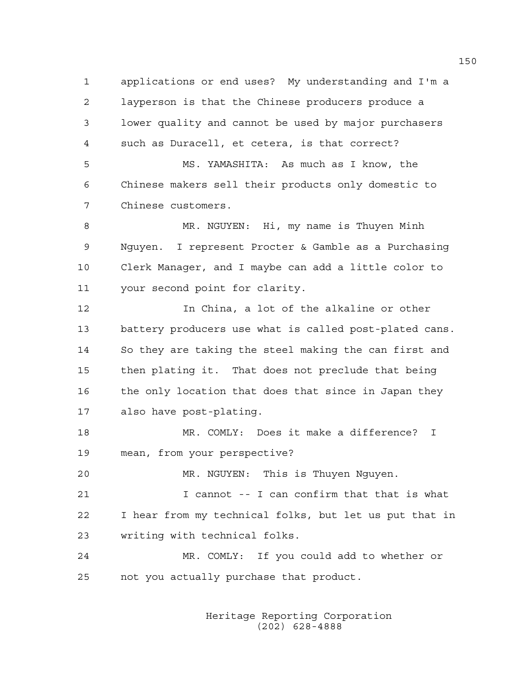1 applications or end uses? My understanding and I'm a 2 layperson is that the Chinese producers produce a 3 lower quality and cannot be used by major purchasers 4 such as Duracell, et cetera, is that correct?

5 MS. YAMASHITA: As much as I know, the 6 Chinese makers sell their products only domestic to 7 Chinese customers.

8 MR. NGUYEN: Hi, my name is Thuyen Minh 9 Nguyen. I represent Procter & Gamble as a Purchasing 10 Clerk Manager, and I maybe can add a little color to 11 your second point for clarity.

12 In China, a lot of the alkaline or other 13 battery producers use what is called post-plated cans. 14 So they are taking the steel making the can first and 15 then plating it. That does not preclude that being 16 the only location that does that since in Japan they 17 also have post-plating.

18 MR. COMLY: Does it make a difference? I 19 mean, from your perspective?

20 MR. NGUYEN: This is Thuyen Nguyen.

21 I cannot -- I can confirm that that is what 22 I hear from my technical folks, but let us put that in 23 writing with technical folks.

24 MR. COMLY: If you could add to whether or 25 not you actually purchase that product.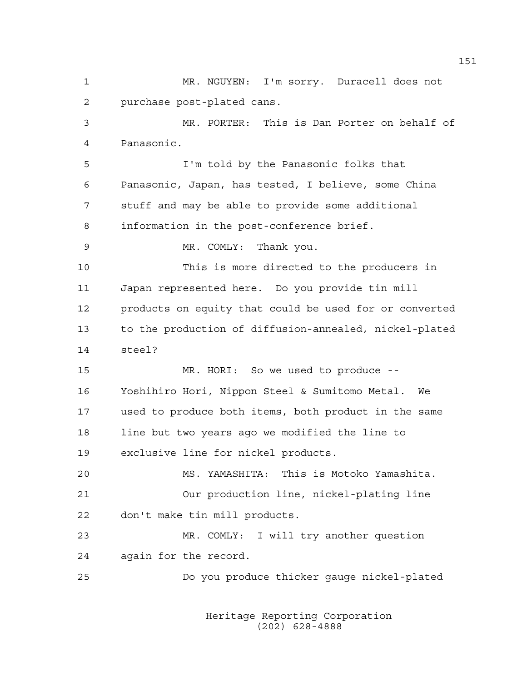1 MR. NGUYEN: I'm sorry. Duracell does not 2 purchase post-plated cans. 3 MR. PORTER: This is Dan Porter on behalf of 4 Panasonic. 5 I'm told by the Panasonic folks that 6 Panasonic, Japan, has tested, I believe, some China 7 stuff and may be able to provide some additional 8 information in the post-conference brief. 9 MR. COMLY: Thank you. 10 This is more directed to the producers in 11 Japan represented here. Do you provide tin mill 12 products on equity that could be used for or converted 13 to the production of diffusion-annealed, nickel-plated 14 steel? 15 MR. HORI: So we used to produce -- 16 Yoshihiro Hori, Nippon Steel & Sumitomo Metal. We 17 used to produce both items, both product in the same 18 line but two years ago we modified the line to 19 exclusive line for nickel products. 20 MS. YAMASHITA: This is Motoko Yamashita. 21 Our production line, nickel-plating line 22 don't make tin mill products. 23 MR. COMLY: I will try another question 24 again for the record. 25 Do you produce thicker gauge nickel-plated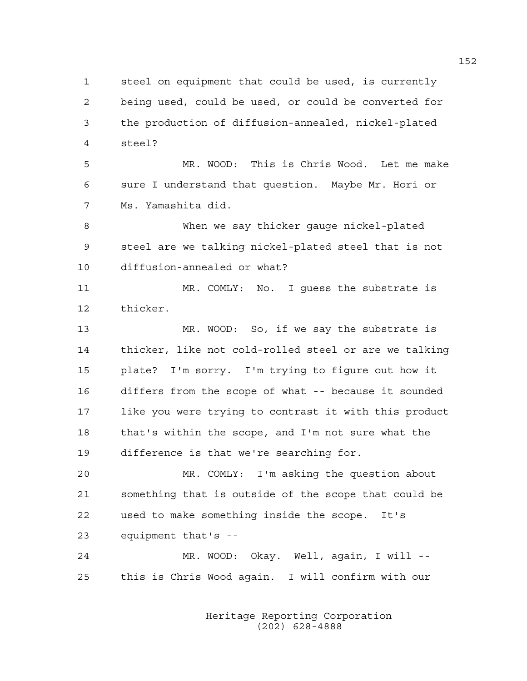1 steel on equipment that could be used, is currently 2 being used, could be used, or could be converted for 3 the production of diffusion-annealed, nickel-plated 4 steel?

5 MR. WOOD: This is Chris Wood. Let me make 6 sure I understand that question. Maybe Mr. Hori or 7 Ms. Yamashita did.

8 When we say thicker gauge nickel-plated 9 steel are we talking nickel-plated steel that is not 10 diffusion-annealed or what?

11 MR. COMLY: No. I guess the substrate is 12 thicker.

13 MR. WOOD: So, if we say the substrate is 14 thicker, like not cold-rolled steel or are we talking 15 plate? I'm sorry. I'm trying to figure out how it 16 differs from the scope of what -- because it sounded 17 like you were trying to contrast it with this product 18 that's within the scope, and I'm not sure what the 19 difference is that we're searching for.

20 MR. COMLY: I'm asking the question about 21 something that is outside of the scope that could be 22 used to make something inside the scope. It's 23 equipment that's --

24 MR. WOOD: Okay. Well, again, I will -- 25 this is Chris Wood again. I will confirm with our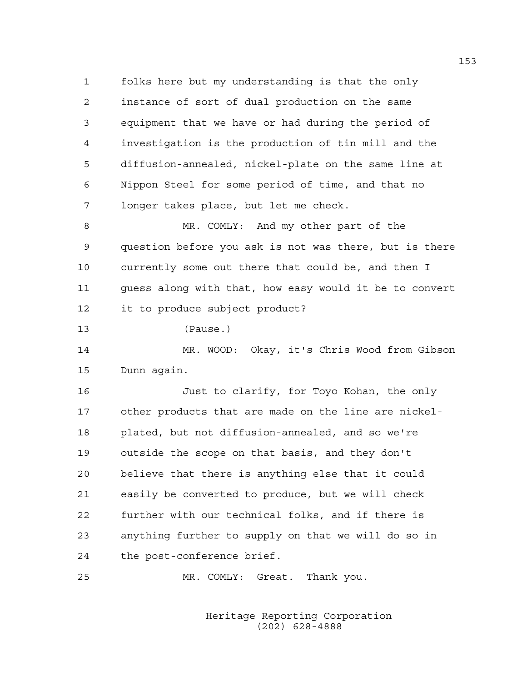1 folks here but my understanding is that the only 2 instance of sort of dual production on the same 3 equipment that we have or had during the period of 4 investigation is the production of tin mill and the 5 diffusion-annealed, nickel-plate on the same line at 6 Nippon Steel for some period of time, and that no 7 longer takes place, but let me check.

8 MR. COMLY: And my other part of the 9 question before you ask is not was there, but is there 10 currently some out there that could be, and then I 11 guess along with that, how easy would it be to convert 12 it to produce subject product?

13 (Pause.)

14 MR. WOOD: Okay, it's Chris Wood from Gibson 15 Dunn again.

16 Just to clarify, for Toyo Kohan, the only 17 other products that are made on the line are nickel-18 plated, but not diffusion-annealed, and so we're 19 outside the scope on that basis, and they don't 20 believe that there is anything else that it could 21 easily be converted to produce, but we will check 22 further with our technical folks, and if there is 23 anything further to supply on that we will do so in 24 the post-conference brief.

25 MR. COMLY: Great. Thank you.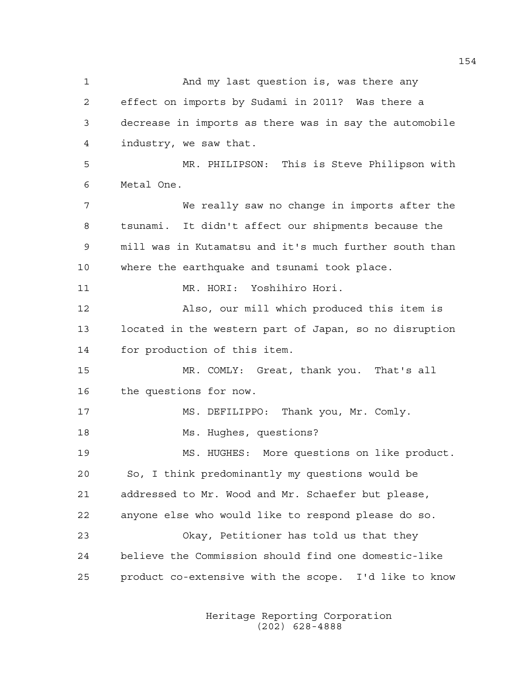1 And my last question is, was there any 2 effect on imports by Sudami in 2011? Was there a 3 decrease in imports as there was in say the automobile 4 industry, we saw that. 5 MR. PHILIPSON: This is Steve Philipson with 6 Metal One. 7 We really saw no change in imports after the 8 tsunami. It didn't affect our shipments because the 9 mill was in Kutamatsu and it's much further south than 10 where the earthquake and tsunami took place. 11 MR. HORI: Yoshihiro Hori. 12 Also, our mill which produced this item is 13 located in the western part of Japan, so no disruption 14 for production of this item. 15 MR. COMLY: Great, thank you. That's all 16 the questions for now. 17 MS. DEFILIPPO: Thank you, Mr. Comly. 18 Ms. Hughes, questions? 19 MS. HUGHES: More questions on like product. 20 So, I think predominantly my questions would be 21 addressed to Mr. Wood and Mr. Schaefer but please, 22 anyone else who would like to respond please do so. 23 Okay, Petitioner has told us that they 24 believe the Commission should find one domestic-like 25 product co-extensive with the scope. I'd like to know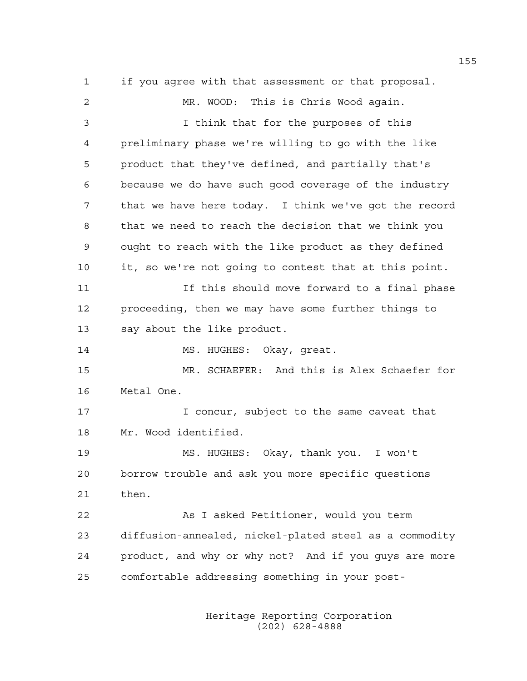1 if you agree with that assessment or that proposal. 2 MR. WOOD: This is Chris Wood again. 3 I think that for the purposes of this 4 preliminary phase we're willing to go with the like 5 product that they've defined, and partially that's 6 because we do have such good coverage of the industry 7 that we have here today. I think we've got the record 8 that we need to reach the decision that we think you 9 ought to reach with the like product as they defined 10 it, so we're not going to contest that at this point. 11 If this should move forward to a final phase 12 proceeding, then we may have some further things to 13 say about the like product. 14 MS. HUGHES: Okay, qreat. 15 MR. SCHAEFER: And this is Alex Schaefer for 16 Metal One. 17 **I** concur, subject to the same caveat that 18 Mr. Wood identified. 19 MS. HUGHES: Okay, thank you. I won't 20 borrow trouble and ask you more specific questions 21 then. 22 As I asked Petitioner, would you term 23 diffusion-annealed, nickel-plated steel as a commodity 24 product, and why or why not? And if you guys are more 25 comfortable addressing something in your post-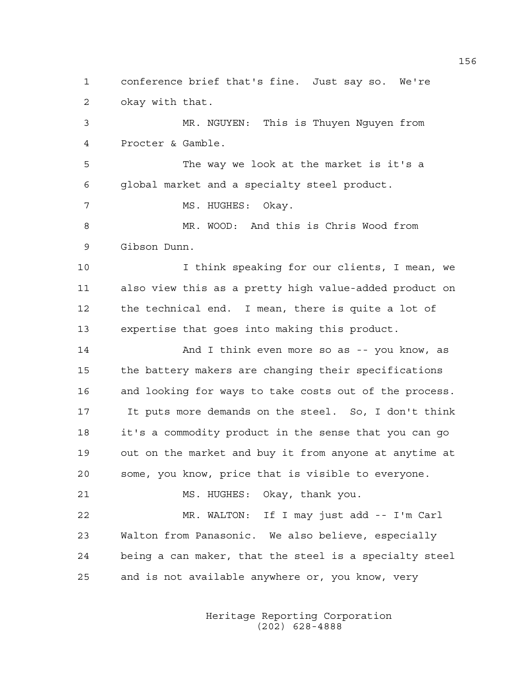1 conference brief that's fine. Just say so. We're 2 okay with that.

3 MR. NGUYEN: This is Thuyen Nguyen from 4 Procter & Gamble.

5 The way we look at the market is it's a 6 global market and a specialty steel product.

7 MS. HUGHES: Okay.

8 MR. WOOD: And this is Chris Wood from 9 Gibson Dunn.

10 I think speaking for our clients, I mean, we 11 also view this as a pretty high value-added product on 12 the technical end. I mean, there is quite a lot of 13 expertise that goes into making this product.

14 And I think even more so as -- you know, as 15 the battery makers are changing their specifications 16 and looking for ways to take costs out of the process. 17 It puts more demands on the steel. So, I don't think 18 it's a commodity product in the sense that you can go 19 out on the market and buy it from anyone at anytime at 20 some, you know, price that is visible to everyone.

21 MS. HUGHES: Okay, thank you. 22 MR. WALTON: If I may just add -- I'm Carl 23 Walton from Panasonic. We also believe, especially 24 being a can maker, that the steel is a specialty steel 25 and is not available anywhere or, you know, very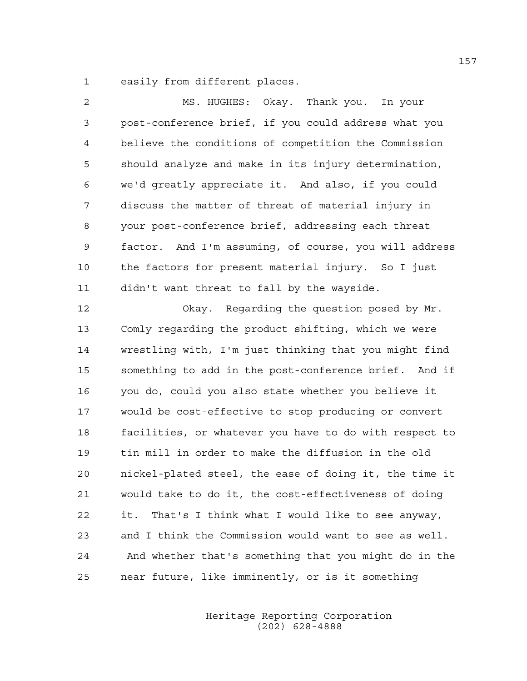1 easily from different places.

| $\overline{c}$ | MS. HUGHES: Okay. Thank you. In your                   |
|----------------|--------------------------------------------------------|
| 3              | post-conference brief, if you could address what you   |
| $\overline{4}$ | believe the conditions of competition the Commission   |
| 5              | should analyze and make in its injury determination,   |
| 6              | we'd greatly appreciate it. And also, if you could     |
| 7              | discuss the matter of threat of material injury in     |
| 8              | your post-conference brief, addressing each threat     |
| 9              | factor. And I'm assuming, of course, you will address  |
| 10             | the factors for present material injury. So I just     |
| 11             | didn't want threat to fall by the wayside.             |
| 12             | Okay. Regarding the question posed by Mr.              |
| 13             | Comly regarding the product shifting, which we were    |
| 14             | wrestling with, I'm just thinking that you might find  |
| 15             | something to add in the post-conference brief. And if  |
| 16             | you do, could you also state whether you believe it    |
| 17             | would be cost-effective to stop producing or convert   |
| 18             | facilities, or whatever you have to do with respect to |
| 19             | tin mill in order to make the diffusion in the old     |
| 20             | nickel-plated steel, the ease of doing it, the time it |
| 21             | would take to do it, the cost-effectiveness of doing   |
| 22             | That's I think what I would like to see anyway,<br>it. |
| 23             | and I think the Commission would want to see as well.  |
| 24             | And whether that's something that you might do in the  |
| 25             | near future, like imminently, or is it something       |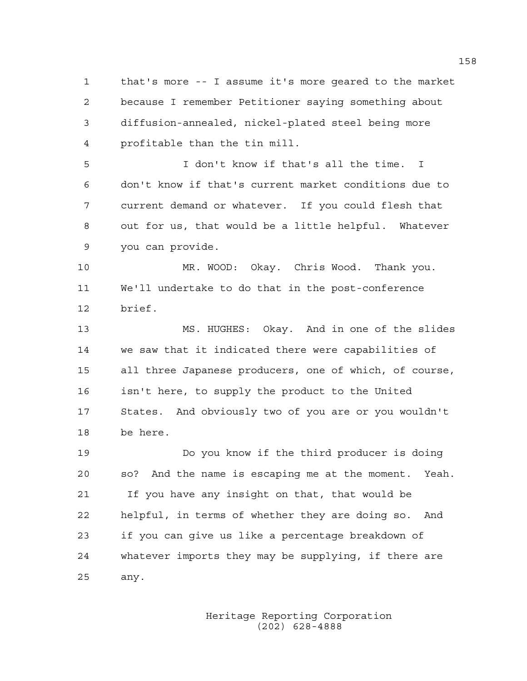1 that's more -- I assume it's more geared to the market 2 because I remember Petitioner saying something about 3 diffusion-annealed, nickel-plated steel being more 4 profitable than the tin mill.

5 I don't know if that's all the time. I 6 don't know if that's current market conditions due to 7 current demand or whatever. If you could flesh that 8 out for us, that would be a little helpful. Whatever 9 you can provide.

10 MR. WOOD: Okay. Chris Wood. Thank you. 11 We'll undertake to do that in the post-conference 12 brief.

13 MS. HUGHES: Okay. And in one of the slides 14 we saw that it indicated there were capabilities of 15 all three Japanese producers, one of which, of course, 16 isn't here, to supply the product to the United 17 States. And obviously two of you are or you wouldn't 18 be here.

19 Do you know if the third producer is doing 20 so? And the name is escaping me at the moment. Yeah. 21 If you have any insight on that, that would be 22 helpful, in terms of whether they are doing so. And 23 if you can give us like a percentage breakdown of 24 whatever imports they may be supplying, if there are 25 any.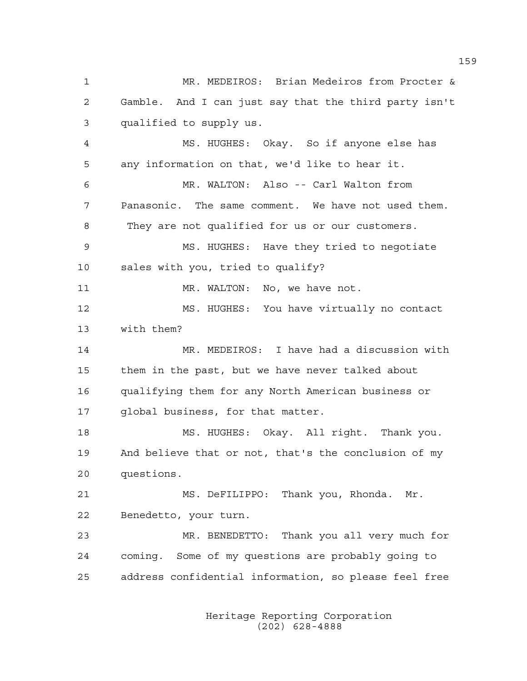1 MR. MEDEIROS: Brian Medeiros from Procter & 2 Gamble. And I can just say that the third party isn't 3 qualified to supply us. 4 MS. HUGHES: Okay. So if anyone else has 5 any information on that, we'd like to hear it. 6 MR. WALTON: Also -- Carl Walton from 7 Panasonic. The same comment. We have not used them. 8 They are not qualified for us or our customers. 9 MS. HUGHES: Have they tried to negotiate 10 sales with you, tried to qualify? 11 MR. WALTON: No, we have not. 12 MS. HUGHES: You have virtually no contact 13 with them? 14 MR. MEDEIROS: I have had a discussion with 15 them in the past, but we have never talked about 16 qualifying them for any North American business or 17 global business, for that matter. 18 MS. HUGHES: Okay. All right. Thank you. 19 And believe that or not, that's the conclusion of my 20 questions. 21 MS. DeFILIPPO: Thank you, Rhonda. Mr. 22 Benedetto, your turn. 23 MR. BENEDETTO: Thank you all very much for 24 coming. Some of my questions are probably going to 25 address confidential information, so please feel free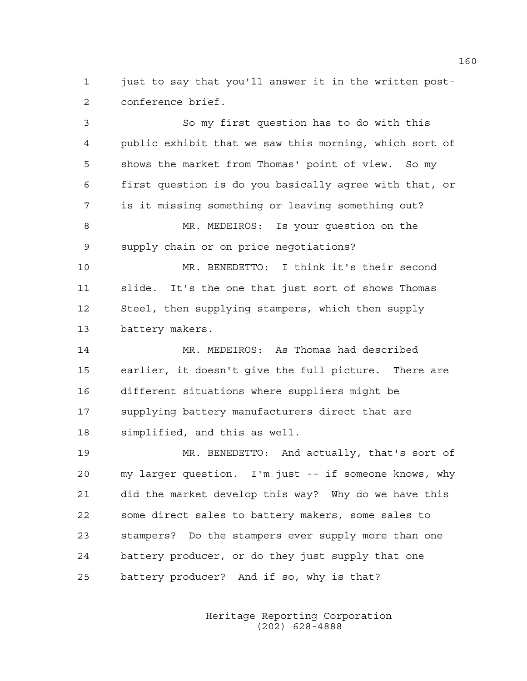1 just to say that you'll answer it in the written post-2 conference brief.

3 So my first question has to do with this 4 public exhibit that we saw this morning, which sort of 5 shows the market from Thomas' point of view. So my 6 first question is do you basically agree with that, or 7 is it missing something or leaving something out? 8 MR. MEDEIROS: Is your question on the 9 supply chain or on price negotiations? 10 MR. BENEDETTO: I think it's their second 11 slide. It's the one that just sort of shows Thomas 12 Steel, then supplying stampers, which then supply 13 battery makers. 14 MR. MEDEIROS: As Thomas had described 15 earlier, it doesn't give the full picture. There are 16 different situations where suppliers might be 17 supplying battery manufacturers direct that are 18 simplified, and this as well. 19 MR. BENEDETTO: And actually, that's sort of 20 my larger question. I'm just -- if someone knows, why 21 did the market develop this way? Why do we have this 22 some direct sales to battery makers, some sales to 23 stampers? Do the stampers ever supply more than one 24 battery producer, or do they just supply that one 25 battery producer? And if so, why is that?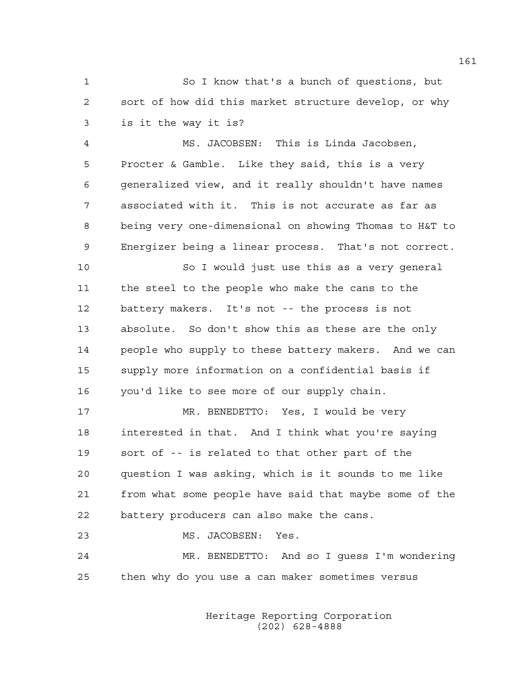1 So I know that's a bunch of questions, but 2 sort of how did this market structure develop, or why 3 is it the way it is?

4 MS. JACOBSEN: This is Linda Jacobsen, 5 Procter & Gamble. Like they said, this is a very 6 generalized view, and it really shouldn't have names 7 associated with it. This is not accurate as far as 8 being very one-dimensional on showing Thomas to H&T to 9 Energizer being a linear process. That's not correct.

10 So I would just use this as a very general 11 the steel to the people who make the cans to the 12 battery makers. It's not -- the process is not 13 absolute. So don't show this as these are the only 14 people who supply to these battery makers. And we can 15 supply more information on a confidential basis if 16 you'd like to see more of our supply chain.

17 MR. BENEDETTO: Yes, I would be very 18 interested in that. And I think what you're saying 19 sort of -- is related to that other part of the 20 question I was asking, which is it sounds to me like 21 from what some people have said that maybe some of the 22 battery producers can also make the cans.

23 MS. JACOBSEN: Yes. 24 MR. BENEDETTO: And so I guess I'm wondering 25 then why do you use a can maker sometimes versus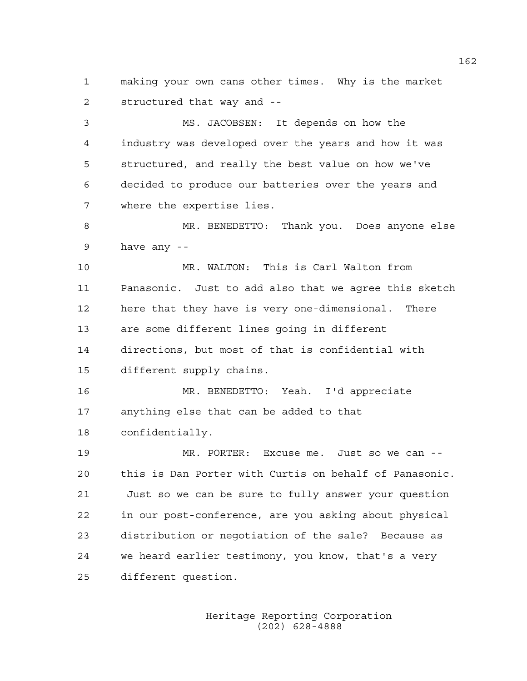1 making your own cans other times. Why is the market 2 structured that way and --

3 MS. JACOBSEN: It depends on how the 4 industry was developed over the years and how it was 5 structured, and really the best value on how we've 6 decided to produce our batteries over the years and 7 where the expertise lies.

8 MR. BENEDETTO: Thank you. Does anyone else 9 have any --

10 MR. WALTON: This is Carl Walton from 11 Panasonic. Just to add also that we agree this sketch 12 here that they have is very one-dimensional. There 13 are some different lines going in different 14 directions, but most of that is confidential with 15 different supply chains.

16 MR. BENEDETTO: Yeah. I'd appreciate 17 anything else that can be added to that 18 confidentially.

19 MR. PORTER: Excuse me. Just so we can -- 20 this is Dan Porter with Curtis on behalf of Panasonic. 21 Just so we can be sure to fully answer your question 22 in our post-conference, are you asking about physical 23 distribution or negotiation of the sale? Because as 24 we heard earlier testimony, you know, that's a very 25 different question.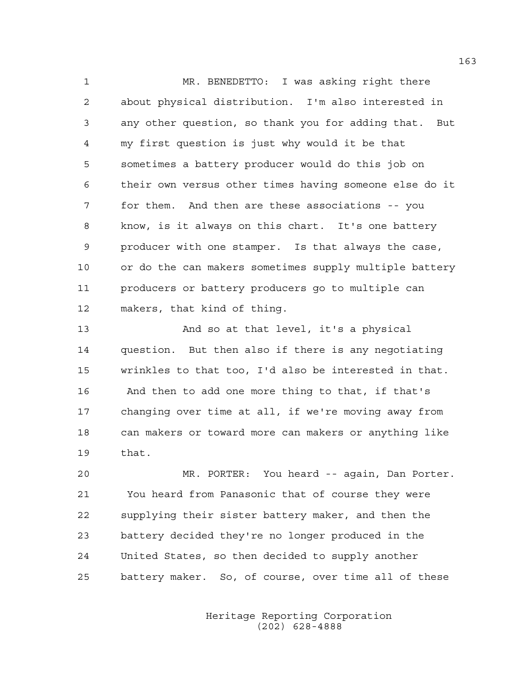1 MR. BENEDETTO: I was asking right there 2 about physical distribution. I'm also interested in 3 any other question, so thank you for adding that. But 4 my first question is just why would it be that 5 sometimes a battery producer would do this job on 6 their own versus other times having someone else do it 7 for them. And then are these associations -- you 8 know, is it always on this chart. It's one battery 9 producer with one stamper. Is that always the case, 10 or do the can makers sometimes supply multiple battery 11 producers or battery producers go to multiple can 12 makers, that kind of thing.

13 And so at that level, it's a physical 14 question. But then also if there is any negotiating 15 wrinkles to that too, I'd also be interested in that. 16 And then to add one more thing to that, if that's 17 changing over time at all, if we're moving away from 18 can makers or toward more can makers or anything like 19 that.

20 MR. PORTER: You heard -- again, Dan Porter. 21 You heard from Panasonic that of course they were 22 supplying their sister battery maker, and then the 23 battery decided they're no longer produced in the 24 United States, so then decided to supply another 25 battery maker. So, of course, over time all of these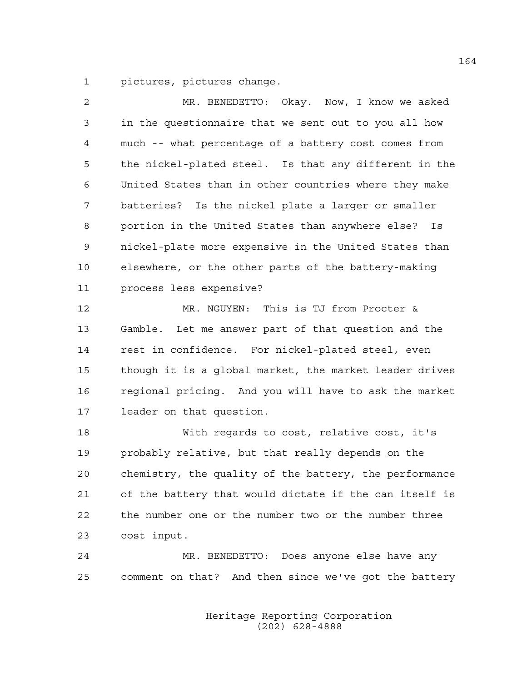1 pictures, pictures change.

| $\overline{2}$ | MR. BENEDETTO: Okay. Now, I know we asked              |
|----------------|--------------------------------------------------------|
| 3              | in the questionnaire that we sent out to you all how   |
| 4              | much -- what percentage of a battery cost comes from   |
| 5              | the nickel-plated steel. Is that any different in the  |
| 6              | United States than in other countries where they make  |
| 7              | batteries? Is the nickel plate a larger or smaller     |
| 8              | portion in the United States than anywhere else? Is    |
| 9              | nickel-plate more expensive in the United States than  |
| 10             | elsewhere, or the other parts of the battery-making    |
| 11             | process less expensive?                                |
| 12             | MR. NGUYEN: This is TJ from Procter &                  |
| 13             | Gamble. Let me answer part of that question and the    |
| 14             | rest in confidence. For nickel-plated steel, even      |
| 15             | though it is a global market, the market leader drives |
| 16             | regional pricing. And you will have to ask the market  |
| 17             | leader on that question.                               |
| 18             | With regards to cost, relative cost, it's              |

19 probably relative, but that really depends on the 20 chemistry, the quality of the battery, the performance 21 of the battery that would dictate if the can itself is 22 the number one or the number two or the number three 23 cost input.

24 MR. BENEDETTO: Does anyone else have any 25 comment on that? And then since we've got the battery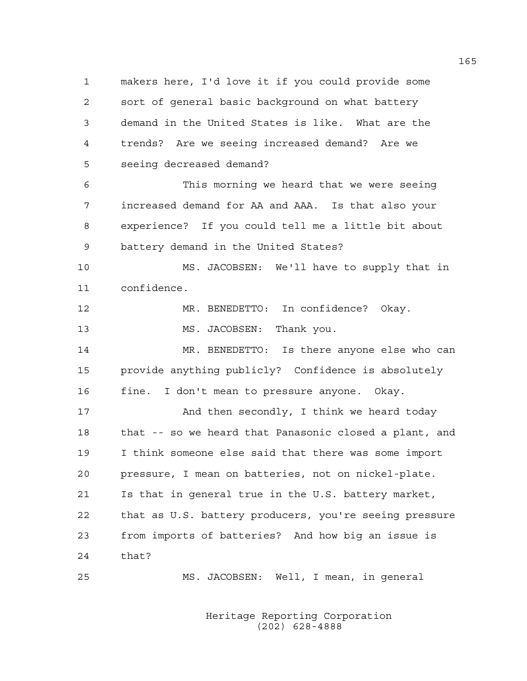1 makers here, I'd love it if you could provide some 2 sort of general basic background on what battery 3 demand in the United States is like. What are the 4 trends? Are we seeing increased demand? Are we 5 seeing decreased demand? 6 This morning we heard that we were seeing 7 increased demand for AA and AAA. Is that also your 8 experience? If you could tell me a little bit about 9 battery demand in the United States? 10 MS. JACOBSEN: We'll have to supply that in 11 confidence. 12 MR. BENEDETTO: In confidence? Okay. 13 MS. JACOBSEN: Thank you. 14 MR. BENEDETTO: Is there anyone else who can 15 provide anything publicly? Confidence is absolutely 16 fine. I don't mean to pressure anyone. Okay. 17 And then secondly, I think we heard today 18 that -- so we heard that Panasonic closed a plant, and 19 I think someone else said that there was some import 20 pressure, I mean on batteries, not on nickel-plate. 21 Is that in general true in the U.S. battery market, 22 that as U.S. battery producers, you're seeing pressure 23 from imports of batteries? And how big an issue is 24 that? 25 MS. JACOBSEN: Well, I mean, in general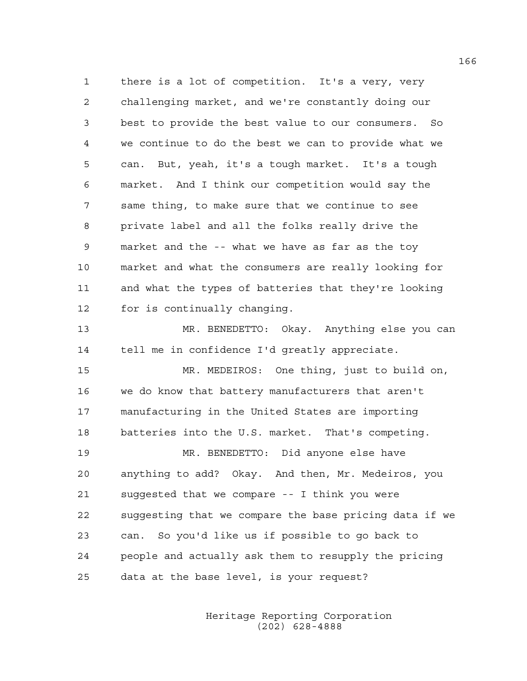1 there is a lot of competition. It's a very, very 2 challenging market, and we're constantly doing our 3 best to provide the best value to our consumers. So 4 we continue to do the best we can to provide what we 5 can. But, yeah, it's a tough market. It's a tough 6 market. And I think our competition would say the 7 same thing, to make sure that we continue to see 8 private label and all the folks really drive the 9 market and the -- what we have as far as the toy 10 market and what the consumers are really looking for 11 and what the types of batteries that they're looking 12 for is continually changing.

13 MR. BENEDETTO: Okay. Anything else you can 14 tell me in confidence I'd greatly appreciate.

15 MR. MEDEIROS: One thing, just to build on, 16 we do know that battery manufacturers that aren't 17 manufacturing in the United States are importing 18 batteries into the U.S. market. That's competing.

19 MR. BENEDETTO: Did anyone else have 20 anything to add? Okay. And then, Mr. Medeiros, you 21 suggested that we compare -- I think you were 22 suggesting that we compare the base pricing data if we 23 can. So you'd like us if possible to go back to 24 people and actually ask them to resupply the pricing 25 data at the base level, is your request?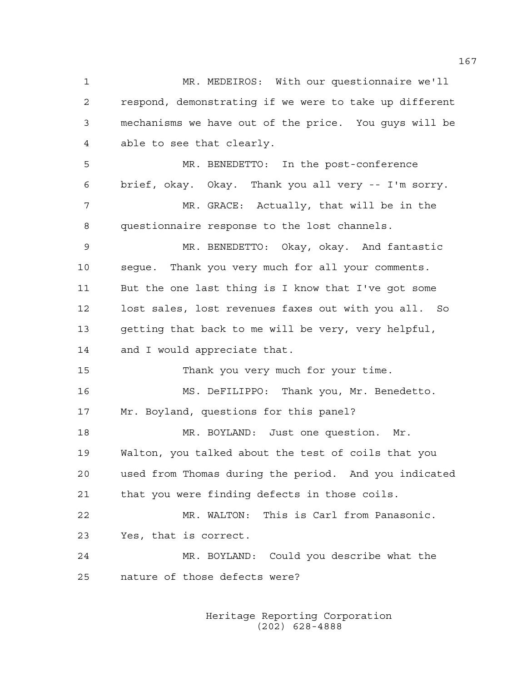1 MR. MEDEIROS: With our questionnaire we'll 2 respond, demonstrating if we were to take up different 3 mechanisms we have out of the price. You guys will be 4 able to see that clearly. 5 MR. BENEDETTO: In the post-conference 6 brief, okay. Okay. Thank you all very -- I'm sorry. 7 MR. GRACE: Actually, that will be in the 8 questionnaire response to the lost channels. 9 MR. BENEDETTO: Okay, okay. And fantastic 10 segue. Thank you very much for all your comments. 11 But the one last thing is I know that I've got some 12 lost sales, lost revenues faxes out with you all. So 13 getting that back to me will be very, very helpful, 14 and I would appreciate that. 15 Thank you very much for your time. 16 MS. DeFILIPPO: Thank you, Mr. Benedetto. 17 Mr. Boyland, questions for this panel? 18 MR. BOYLAND: Just one question. Mr. 19 Walton, you talked about the test of coils that you 20 used from Thomas during the period. And you indicated 21 that you were finding defects in those coils. 22 MR. WALTON: This is Carl from Panasonic. 23 Yes, that is correct. 24 MR. BOYLAND: Could you describe what the 25 nature of those defects were?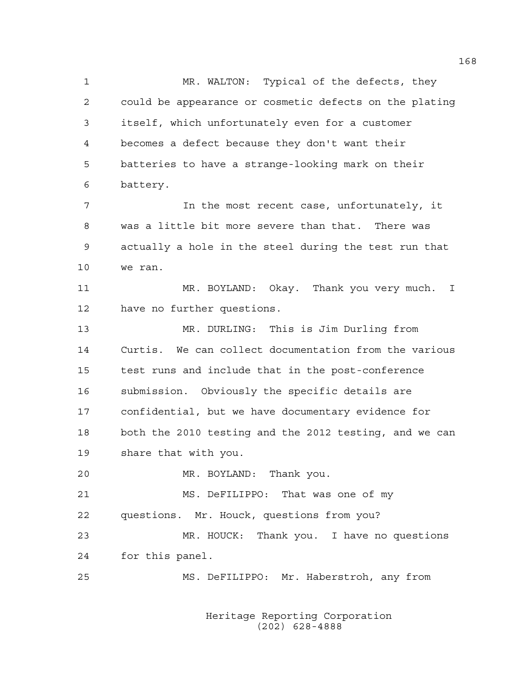1 MR. WALTON: Typical of the defects, they 2 could be appearance or cosmetic defects on the plating 3 itself, which unfortunately even for a customer 4 becomes a defect because they don't want their 5 batteries to have a strange-looking mark on their 6 battery. 7 In the most recent case, unfortunately, it 8 was a little bit more severe than that. There was 9 actually a hole in the steel during the test run that 10 we ran. 11 MR. BOYLAND: Okay. Thank you very much. I 12 have no further questions. 13 MR. DURLING: This is Jim Durling from 14 Curtis. We can collect documentation from the various 15 test runs and include that in the post-conference 16 submission. Obviously the specific details are 17 confidential, but we have documentary evidence for 18 both the 2010 testing and the 2012 testing, and we can 19 share that with you. 20 MR. BOYLAND: Thank you. 21 MS. DeFILIPPO: That was one of my 22 questions. Mr. Houck, questions from you? 23 MR. HOUCK: Thank you. I have no questions 24 for this panel. 25 MS. DeFILIPPO: Mr. Haberstroh, any from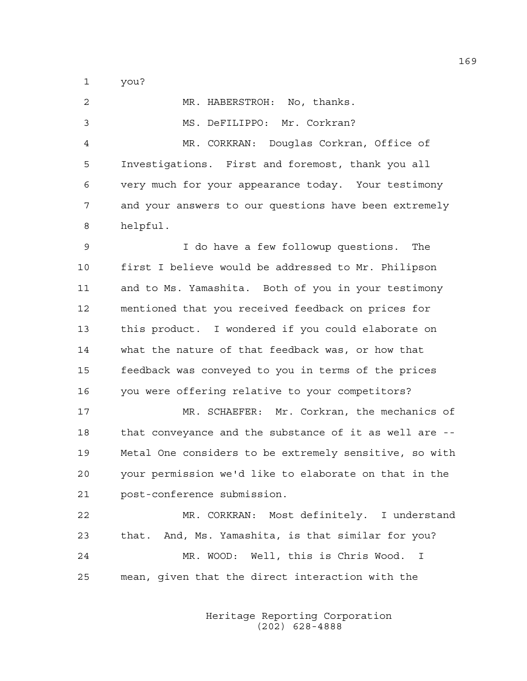1 you?

| 2  | MR. HABERSTROH: No, thanks.                            |
|----|--------------------------------------------------------|
| 3  | MS. DeFILIPPO: Mr. Corkran?                            |
| 4  | MR. CORKRAN: Douglas Corkran, Office of                |
| 5  | Investigations. First and foremost, thank you all      |
| 6  | very much for your appearance today. Your testimony    |
| 7  | and your answers to our questions have been extremely  |
| 8  | helpful.                                               |
| 9  | I do have a few followup questions. The                |
| 10 | first I believe would be addressed to Mr. Philipson    |
| 11 | and to Ms. Yamashita. Both of you in your testimony    |
| 12 | mentioned that you received feedback on prices for     |
| 13 | this product. I wondered if you could elaborate on     |
| 14 | what the nature of that feedback was, or how that      |
| 15 | feedback was conveyed to you in terms of the prices    |
| 16 | you were offering relative to your competitors?        |
| 17 | MR. SCHAEFER: Mr. Corkran, the mechanics of            |
| 18 | that conveyance and the substance of it as well are -- |
| 19 | Metal One considers to be extremely sensitive, so with |
| 20 | your permission we'd like to elaborate on that in the  |
| 21 | post-conference submission.                            |
| 22 | MR. CORKRAN: Most definitely. I understand             |
| 23 | that. And, Ms. Yamashita, is that similar for you?     |
| 24 | MR. WOOD: Well, this is Chris Wood.<br>$\mathbf{I}$    |
| 25 | mean, given that the direct interaction with the       |
|    |                                                        |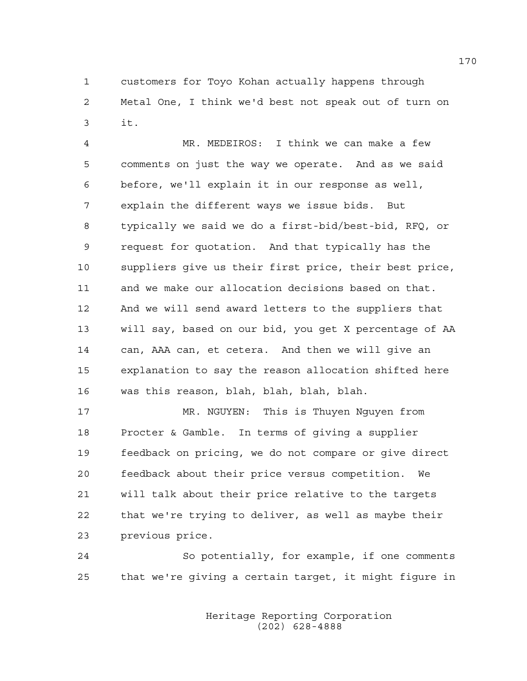1 customers for Toyo Kohan actually happens through 2 Metal One, I think we'd best not speak out of turn on 3 it.

4 MR. MEDEIROS: I think we can make a few 5 comments on just the way we operate. And as we said 6 before, we'll explain it in our response as well, 7 explain the different ways we issue bids. But 8 typically we said we do a first-bid/best-bid, RFQ, or 9 request for quotation. And that typically has the 10 suppliers give us their first price, their best price, 11 and we make our allocation decisions based on that. 12 And we will send award letters to the suppliers that 13 will say, based on our bid, you get X percentage of AA 14 can, AAA can, et cetera. And then we will give an 15 explanation to say the reason allocation shifted here 16 was this reason, blah, blah, blah, blah.

17 MR. NGUYEN: This is Thuyen Nguyen from 18 Procter & Gamble. In terms of giving a supplier 19 feedback on pricing, we do not compare or give direct 20 feedback about their price versus competition. We 21 will talk about their price relative to the targets 22 that we're trying to deliver, as well as maybe their 23 previous price.

24 So potentially, for example, if one comments 25 that we're giving a certain target, it might figure in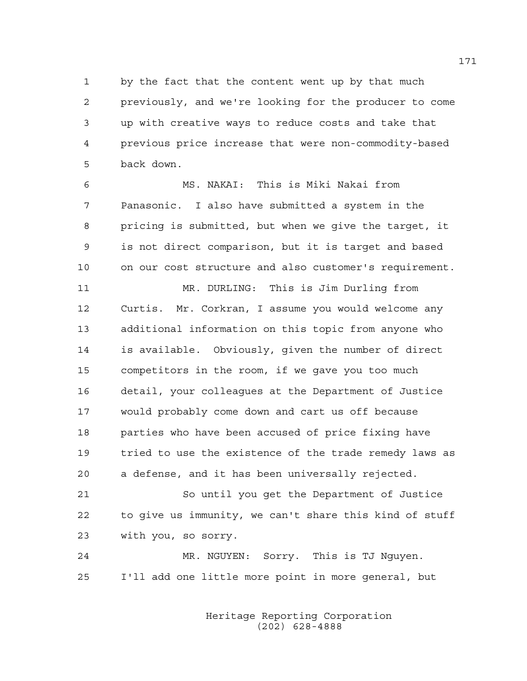1 by the fact that the content went up by that much 2 previously, and we're looking for the producer to come 3 up with creative ways to reduce costs and take that 4 previous price increase that were non-commodity-based 5 back down.

6 MS. NAKAI: This is Miki Nakai from 7 Panasonic. I also have submitted a system in the 8 pricing is submitted, but when we give the target, it 9 is not direct comparison, but it is target and based 10 on our cost structure and also customer's requirement.

11 MR. DURLING: This is Jim Durling from 12 Curtis. Mr. Corkran, I assume you would welcome any 13 additional information on this topic from anyone who 14 is available. Obviously, given the number of direct 15 competitors in the room, if we gave you too much 16 detail, your colleagues at the Department of Justice 17 would probably come down and cart us off because 18 parties who have been accused of price fixing have 19 tried to use the existence of the trade remedy laws as 20 a defense, and it has been universally rejected.

21 So until you get the Department of Justice 22 to give us immunity, we can't share this kind of stuff 23 with you, so sorry.

24 MR. NGUYEN: Sorry. This is TJ Nguyen. 25 I'll add one little more point in more general, but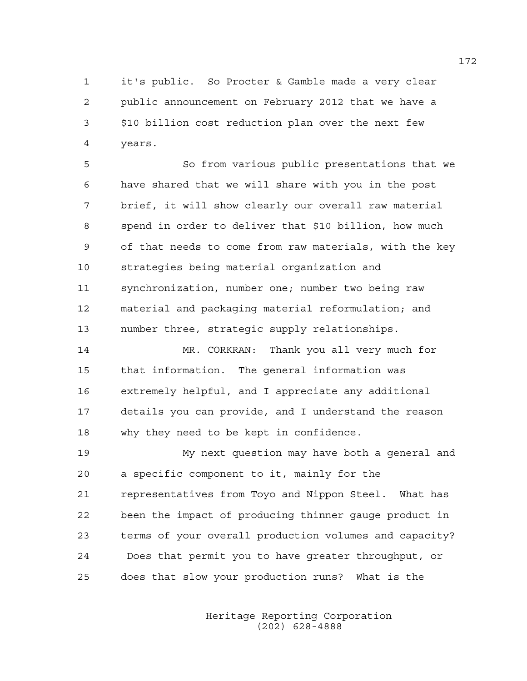1 it's public. So Procter & Gamble made a very clear 2 public announcement on February 2012 that we have a 3 \$10 billion cost reduction plan over the next few 4 years.

5 So from various public presentations that we 6 have shared that we will share with you in the post 7 brief, it will show clearly our overall raw material 8 spend in order to deliver that \$10 billion, how much 9 of that needs to come from raw materials, with the key 10 strategies being material organization and 11 synchronization, number one; number two being raw 12 material and packaging material reformulation; and 13 number three, strategic supply relationships.

14 MR. CORKRAN: Thank you all very much for 15 that information. The general information was 16 extremely helpful, and I appreciate any additional 17 details you can provide, and I understand the reason 18 why they need to be kept in confidence.

19 My next question may have both a general and 20 a specific component to it, mainly for the 21 representatives from Toyo and Nippon Steel. What has 22 been the impact of producing thinner gauge product in 23 terms of your overall production volumes and capacity? 24 Does that permit you to have greater throughput, or 25 does that slow your production runs? What is the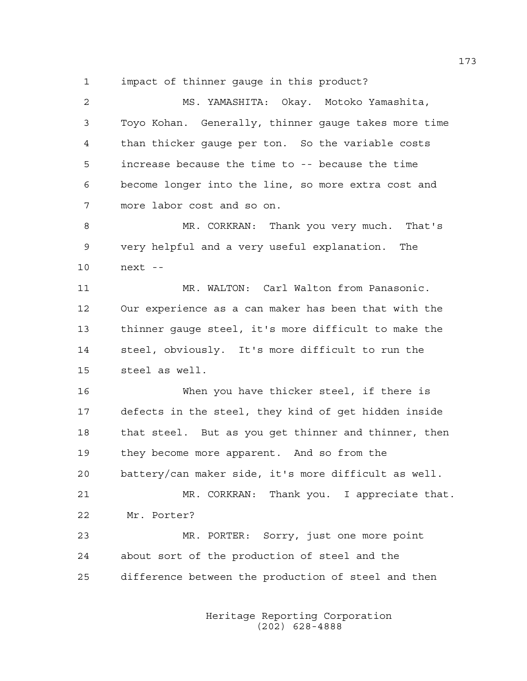1 impact of thinner gauge in this product?

2 MS. YAMASHITA: Okay. Motoko Yamashita, 3 Toyo Kohan. Generally, thinner gauge takes more time 4 than thicker gauge per ton. So the variable costs 5 increase because the time to -- because the time 6 become longer into the line, so more extra cost and 7 more labor cost and so on. 8 MR. CORKRAN: Thank you very much. That's 9 very helpful and a very useful explanation. The 10 next -- 11 MR. WALTON: Carl Walton from Panasonic. 12 Our experience as a can maker has been that with the 13 thinner gauge steel, it's more difficult to make the 14 steel, obviously. It's more difficult to run the 15 steel as well. 16 When you have thicker steel, if there is 17 defects in the steel, they kind of get hidden inside 18 that steel. But as you get thinner and thinner, then 19 they become more apparent. And so from the 20 battery/can maker side, it's more difficult as well. 21 MR. CORKRAN: Thank you. I appreciate that. 22 Mr. Porter? 23 MR. PORTER: Sorry, just one more point 24 about sort of the production of steel and the 25 difference between the production of steel and then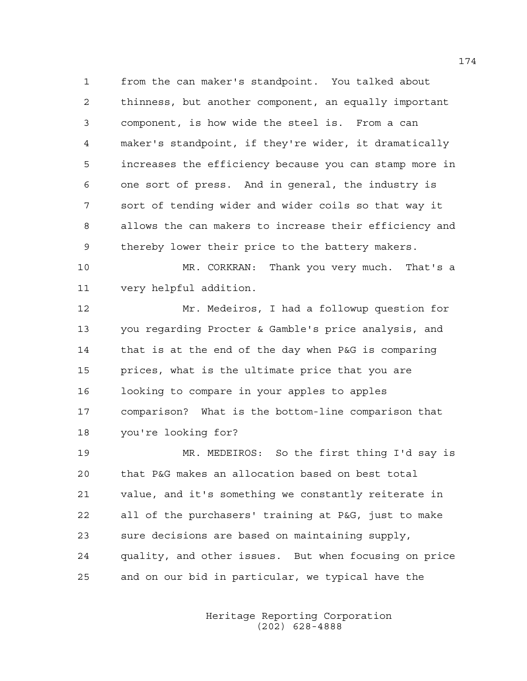1 from the can maker's standpoint. You talked about 2 thinness, but another component, an equally important 3 component, is how wide the steel is. From a can 4 maker's standpoint, if they're wider, it dramatically 5 increases the efficiency because you can stamp more in 6 one sort of press. And in general, the industry is 7 sort of tending wider and wider coils so that way it 8 allows the can makers to increase their efficiency and 9 thereby lower their price to the battery makers.

10 MR. CORKRAN: Thank you very much. That's a 11 very helpful addition.

12 Mr. Medeiros, I had a followup question for 13 you regarding Procter & Gamble's price analysis, and 14 that is at the end of the day when P&G is comparing 15 prices, what is the ultimate price that you are 16 looking to compare in your apples to apples 17 comparison? What is the bottom-line comparison that 18 you're looking for?

19 MR. MEDEIROS: So the first thing I'd say is 20 that P&G makes an allocation based on best total 21 value, and it's something we constantly reiterate in 22 all of the purchasers' training at P&G, just to make 23 sure decisions are based on maintaining supply, 24 quality, and other issues. But when focusing on price 25 and on our bid in particular, we typical have the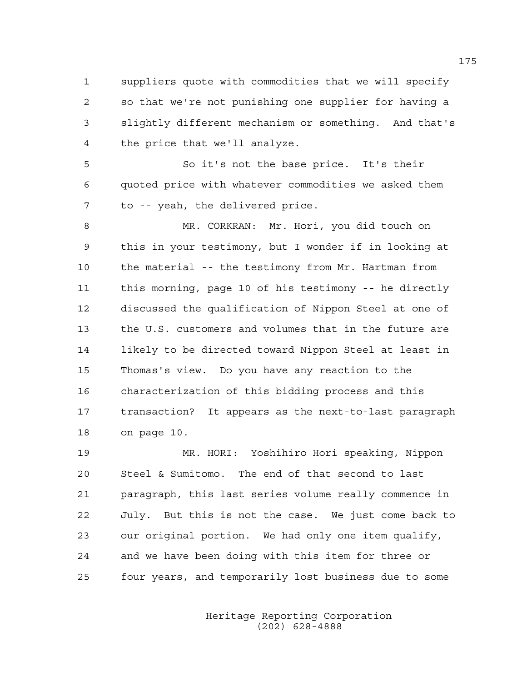1 suppliers quote with commodities that we will specify 2 so that we're not punishing one supplier for having a 3 slightly different mechanism or something. And that's 4 the price that we'll analyze.

5 So it's not the base price. It's their 6 quoted price with whatever commodities we asked them 7 to -- yeah, the delivered price.

8 MR. CORKRAN: Mr. Hori, you did touch on 9 this in your testimony, but I wonder if in looking at 10 the material -- the testimony from Mr. Hartman from 11 this morning, page 10 of his testimony -- he directly 12 discussed the qualification of Nippon Steel at one of 13 the U.S. customers and volumes that in the future are 14 likely to be directed toward Nippon Steel at least in 15 Thomas's view. Do you have any reaction to the 16 characterization of this bidding process and this 17 transaction? It appears as the next-to-last paragraph 18 on page 10.

19 MR. HORI: Yoshihiro Hori speaking, Nippon 20 Steel & Sumitomo. The end of that second to last 21 paragraph, this last series volume really commence in 22 July. But this is not the case. We just come back to 23 our original portion. We had only one item qualify, 24 and we have been doing with this item for three or 25 four years, and temporarily lost business due to some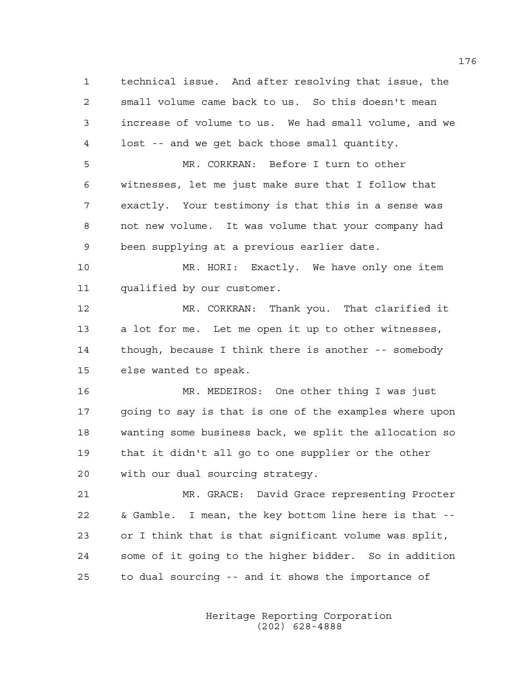1 technical issue. And after resolving that issue, the 2 small volume came back to us. So this doesn't mean 3 increase of volume to us. We had small volume, and we 4 lost -- and we get back those small quantity. 5 MR. CORKRAN: Before I turn to other 6 witnesses, let me just make sure that I follow that 7 exactly. Your testimony is that this in a sense was 8 not new volume. It was volume that your company had 9 been supplying at a previous earlier date. 10 MR. HORI: Exactly. We have only one item 11 qualified by our customer. 12 MR. CORKRAN: Thank you. That clarified it 13 a lot for me. Let me open it up to other witnesses, 14 though, because I think there is another -- somebody 15 else wanted to speak. 16 MR. MEDEIROS: One other thing I was just 17 going to say is that is one of the examples where upon 18 wanting some business back, we split the allocation so 19 that it didn't all go to one supplier or the other 20 with our dual sourcing strategy. 21 MR. GRACE: David Grace representing Procter 22 & Gamble. I mean, the key bottom line here is that -- 23 or I think that is that significant volume was split, 24 some of it going to the higher bidder. So in addition 25 to dual sourcing -- and it shows the importance of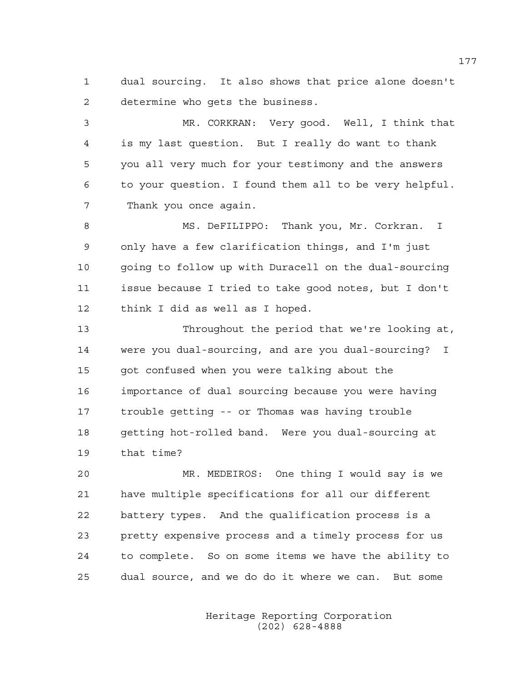1 dual sourcing. It also shows that price alone doesn't 2 determine who gets the business.

3 MR. CORKRAN: Very good. Well, I think that 4 is my last question. But I really do want to thank 5 you all very much for your testimony and the answers 6 to your question. I found them all to be very helpful. 7 Thank you once again.

8 MS. DeFILIPPO: Thank you, Mr. Corkran. I 9 only have a few clarification things, and I'm just 10 going to follow up with Duracell on the dual-sourcing 11 issue because I tried to take good notes, but I don't 12 think I did as well as I hoped.

13 Throughout the period that we're looking at, 14 were you dual-sourcing, and are you dual-sourcing? I 15 got confused when you were talking about the 16 importance of dual sourcing because you were having 17 trouble getting -- or Thomas was having trouble 18 getting hot-rolled band. Were you dual-sourcing at 19 that time?

20 MR. MEDEIROS: One thing I would say is we 21 have multiple specifications for all our different 22 battery types. And the qualification process is a 23 pretty expensive process and a timely process for us 24 to complete. So on some items we have the ability to 25 dual source, and we do do it where we can. But some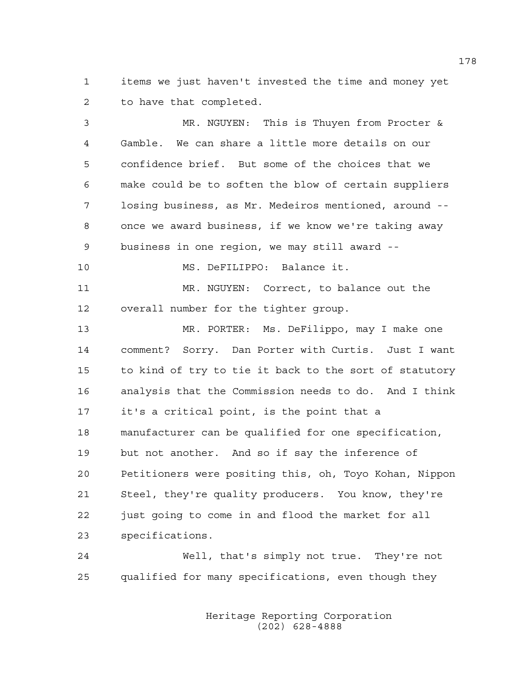1 items we just haven't invested the time and money yet 2 to have that completed.

3 MR. NGUYEN: This is Thuyen from Procter & 4 Gamble. We can share a little more details on our 5 confidence brief. But some of the choices that we 6 make could be to soften the blow of certain suppliers 7 losing business, as Mr. Medeiros mentioned, around -- 8 once we award business, if we know we're taking away 9 business in one region, we may still award -- 10 MS. DeFILIPPO: Balance it. 11 MR. NGUYEN: Correct, to balance out the 12 overall number for the tighter group. 13 MR. PORTER: Ms. DeFilippo, may I make one 14 comment? Sorry. Dan Porter with Curtis. Just I want 15 to kind of try to tie it back to the sort of statutory 16 analysis that the Commission needs to do. And I think 17 it's a critical point, is the point that a 18 manufacturer can be qualified for one specification, 19 but not another. And so if say the inference of 20 Petitioners were positing this, oh, Toyo Kohan, Nippon 21 Steel, they're quality producers. You know, they're 22 just going to come in and flood the market for all 23 specifications.

24 Well, that's simply not true. They're not 25 qualified for many specifications, even though they

> Heritage Reporting Corporation (202) 628-4888

178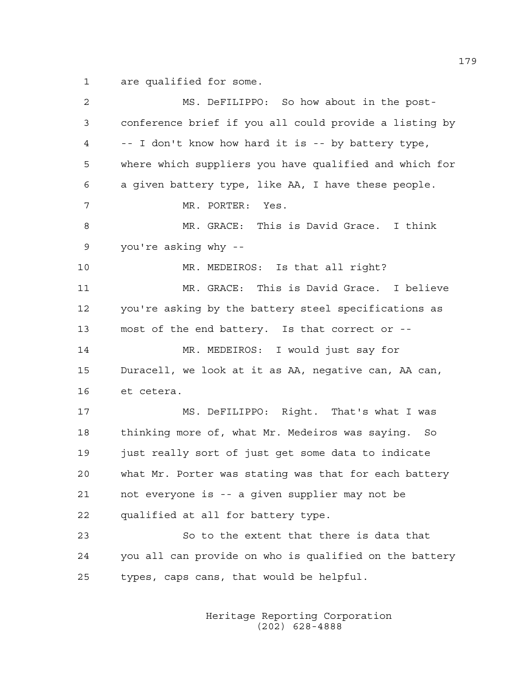1 are qualified for some.

| 2  | MS. DeFILIPPO: So how about in the post-               |
|----|--------------------------------------------------------|
| 3  | conference brief if you all could provide a listing by |
| 4  | -- I don't know how hard it is -- by battery type,     |
| 5  | where which suppliers you have qualified and which for |
| 6  | a given battery type, like AA, I have these people.    |
| 7  | MR. PORTER: Yes.                                       |
| 8  | MR. GRACE: This is David Grace. I think                |
| 9  | you're asking why --                                   |
| 10 | MR. MEDEIROS: Is that all right?                       |
| 11 | MR. GRACE: This is David Grace. I believe              |
| 12 | you're asking by the battery steel specifications as   |
| 13 | most of the end battery. Is that correct or --         |
| 14 | MR. MEDEIROS: I would just say for                     |
| 15 | Duracell, we look at it as AA, negative can, AA can,   |
| 16 | et cetera.                                             |
| 17 | MS. DeFILIPPO: Right. That's what I was                |
| 18 | thinking more of, what Mr. Medeiros was saying. So     |
| 19 | just really sort of just get some data to indicate     |
| 20 | what Mr. Porter was stating was that for each battery  |
| 21 | not everyone is -- a given supplier may not be         |
| 22 | qualified at all for battery type.                     |
| 23 | So to the extent that there is data that               |
| 24 | you all can provide on who is qualified on the battery |
| 25 | types, caps cans, that would be helpful.               |
|    |                                                        |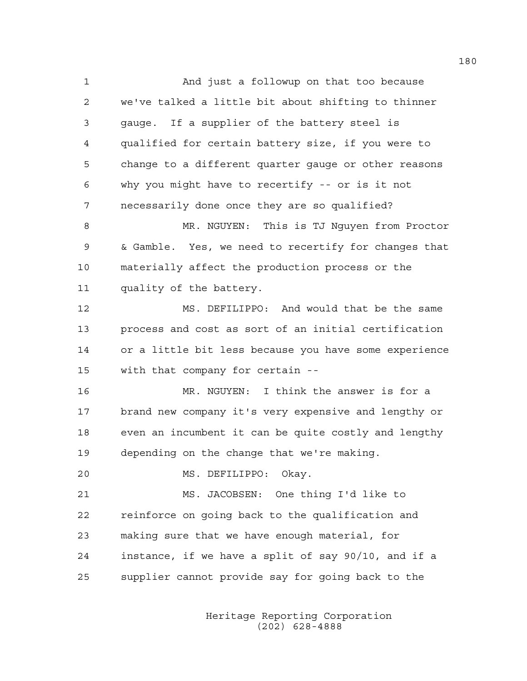1 And just a followup on that too because 2 we've talked a little bit about shifting to thinner 3 gauge. If a supplier of the battery steel is 4 qualified for certain battery size, if you were to 5 change to a different quarter gauge or other reasons 6 why you might have to recertify -- or is it not 7 necessarily done once they are so qualified? 8 MR. NGUYEN: This is TJ Nguyen from Proctor 9 & Gamble. Yes, we need to recertify for changes that 10 materially affect the production process or the 11 quality of the battery. 12 MS. DEFILIPPO: And would that be the same 13 process and cost as sort of an initial certification 14 or a little bit less because you have some experience 15 with that company for certain -- 16 MR. NGUYEN: I think the answer is for a 17 brand new company it's very expensive and lengthy or 18 even an incumbent it can be quite costly and lengthy 19 depending on the change that we're making. 20 MS. DEFILIPPO: Okay. 21 MS. JACOBSEN: One thing I'd like to 22 reinforce on going back to the qualification and 23 making sure that we have enough material, for 24 instance, if we have a split of say 90/10, and if a 25 supplier cannot provide say for going back to the

> Heritage Reporting Corporation (202) 628-4888

180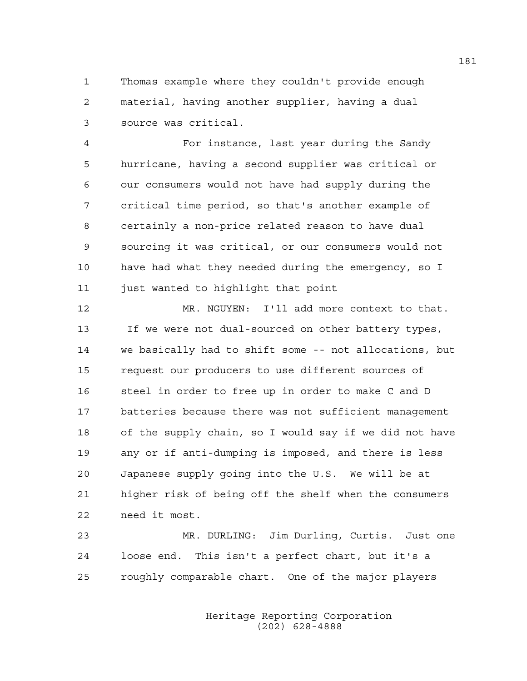1 Thomas example where they couldn't provide enough 2 material, having another supplier, having a dual 3 source was critical.

4 For instance, last year during the Sandy 5 hurricane, having a second supplier was critical or 6 our consumers would not have had supply during the 7 critical time period, so that's another example of 8 certainly a non-price related reason to have dual 9 sourcing it was critical, or our consumers would not 10 have had what they needed during the emergency, so I 11 just wanted to highlight that point

12 MR. NGUYEN: I'll add more context to that. 13 If we were not dual-sourced on other battery types, 14 we basically had to shift some -- not allocations, but 15 request our producers to use different sources of 16 steel in order to free up in order to make C and D 17 batteries because there was not sufficient management 18 of the supply chain, so I would say if we did not have 19 any or if anti-dumping is imposed, and there is less 20 Japanese supply going into the U.S. We will be at 21 higher risk of being off the shelf when the consumers 22 need it most.

23 MR. DURLING: Jim Durling, Curtis. Just one 24 loose end. This isn't a perfect chart, but it's a 25 roughly comparable chart. One of the major players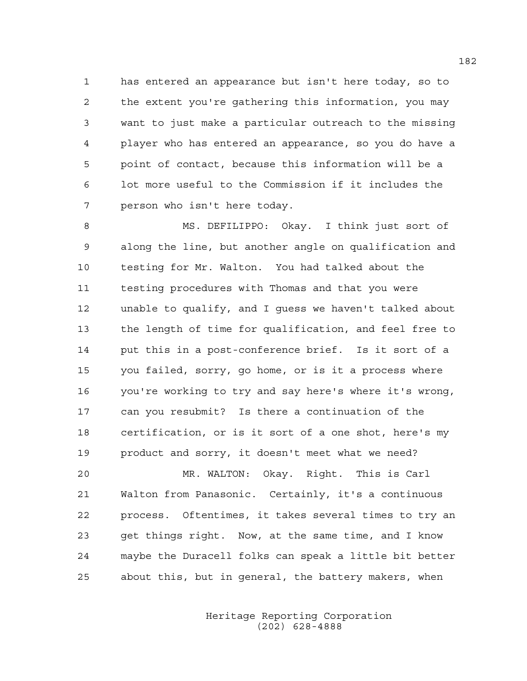1 has entered an appearance but isn't here today, so to 2 the extent you're gathering this information, you may 3 want to just make a particular outreach to the missing 4 player who has entered an appearance, so you do have a 5 point of contact, because this information will be a 6 lot more useful to the Commission if it includes the 7 person who isn't here today.

8 MS. DEFILIPPO: Okay. I think just sort of 9 along the line, but another angle on qualification and 10 testing for Mr. Walton. You had talked about the 11 testing procedures with Thomas and that you were 12 unable to qualify, and I guess we haven't talked about 13 the length of time for qualification, and feel free to 14 put this in a post-conference brief. Is it sort of a 15 you failed, sorry, go home, or is it a process where 16 you're working to try and say here's where it's wrong, 17 can you resubmit? Is there a continuation of the 18 certification, or is it sort of a one shot, here's my 19 product and sorry, it doesn't meet what we need?

20 MR. WALTON: Okay. Right. This is Carl 21 Walton from Panasonic. Certainly, it's a continuous 22 process. Oftentimes, it takes several times to try an 23 get things right. Now, at the same time, and I know 24 maybe the Duracell folks can speak a little bit better 25 about this, but in general, the battery makers, when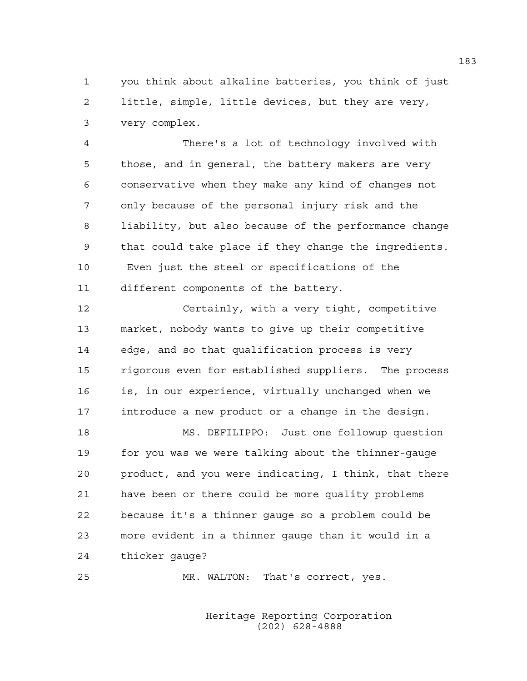1 you think about alkaline batteries, you think of just 2 little, simple, little devices, but they are very, 3 very complex.

4 There's a lot of technology involved with 5 those, and in general, the battery makers are very 6 conservative when they make any kind of changes not 7 only because of the personal injury risk and the 8 liability, but also because of the performance change 9 that could take place if they change the ingredients. 10 Even just the steel or specifications of the 11 different components of the battery.

12 Certainly, with a very tight, competitive 13 market, nobody wants to give up their competitive 14 edge, and so that qualification process is very 15 rigorous even for established suppliers. The process 16 is, in our experience, virtually unchanged when we 17 introduce a new product or a change in the design.

18 MS. DEFILIPPO: Just one followup question 19 for you was we were talking about the thinner-gauge 20 product, and you were indicating, I think, that there 21 have been or there could be more quality problems 22 because it's a thinner gauge so a problem could be 23 more evident in a thinner gauge than it would in a 24 thicker gauge?

25 MR. WALTON: That's correct, yes.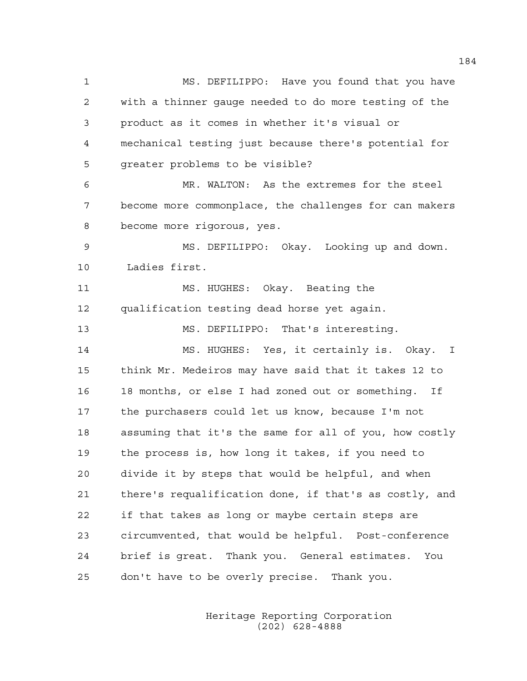1 MS. DEFILIPPO: Have you found that you have 2 with a thinner gauge needed to do more testing of the 3 product as it comes in whether it's visual or 4 mechanical testing just because there's potential for 5 greater problems to be visible? 6 MR. WALTON: As the extremes for the steel 7 become more commonplace, the challenges for can makers 8 become more rigorous, yes. 9 MS. DEFILIPPO: Okay. Looking up and down. 10 Ladies first. 11 MS. HUGHES: Okay. Beating the 12 qualification testing dead horse yet again. 13 MS. DEFILIPPO: That's interesting. 14 MS. HUGHES: Yes, it certainly is. Okay. I 15 think Mr. Medeiros may have said that it takes 12 to 16 18 months, or else I had zoned out or something. If 17 the purchasers could let us know, because I'm not 18 assuming that it's the same for all of you, how costly 19 the process is, how long it takes, if you need to 20 divide it by steps that would be helpful, and when 21 there's requalification done, if that's as costly, and 22 if that takes as long or maybe certain steps are 23 circumvented, that would be helpful. Post-conference 24 brief is great. Thank you. General estimates. You 25 don't have to be overly precise. Thank you.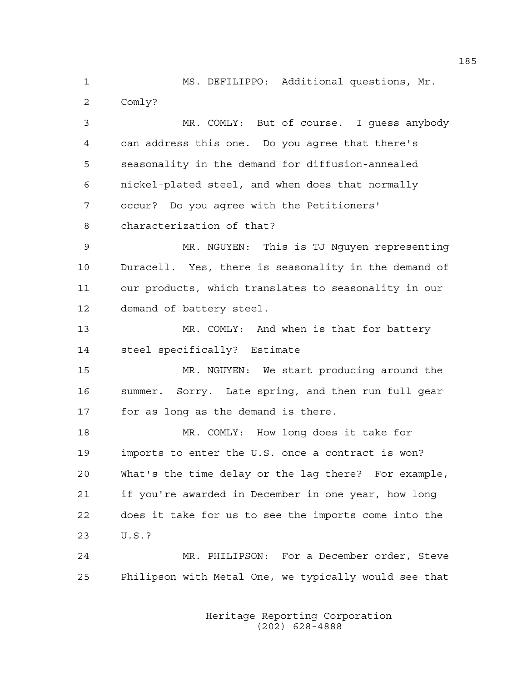1 MS. DEFILIPPO: Additional questions, Mr. 2 Comly?

3 MR. COMLY: But of course. I guess anybody 4 can address this one. Do you agree that there's 5 seasonality in the demand for diffusion-annealed 6 nickel-plated steel, and when does that normally 7 occur? Do you agree with the Petitioners' 8 characterization of that? 9 MR. NGUYEN: This is TJ Nguyen representing 10 Duracell. Yes, there is seasonality in the demand of 11 our products, which translates to seasonality in our 12 demand of battery steel. 13 MR. COMLY: And when is that for battery 14 steel specifically? Estimate 15 MR. NGUYEN: We start producing around the 16 summer. Sorry. Late spring, and then run full gear 17 for as long as the demand is there. 18 MR. COMLY: How long does it take for 19 imports to enter the U.S. once a contract is won? 20 What's the time delay or the lag there? For example, 21 if you're awarded in December in one year, how long 22 does it take for us to see the imports come into the 23 U.S.?

24 MR. PHILIPSON: For a December order, Steve 25 Philipson with Metal One, we typically would see that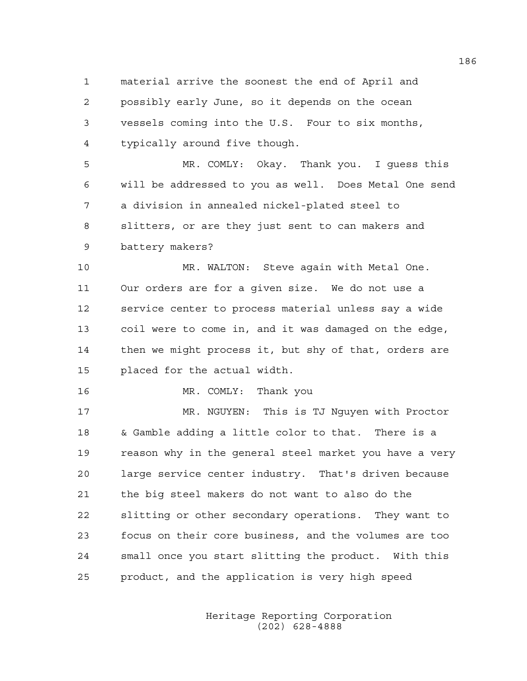1 material arrive the soonest the end of April and 2 possibly early June, so it depends on the ocean 3 vessels coming into the U.S. Four to six months, 4 typically around five though.

5 MR. COMLY: Okay. Thank you. I guess this 6 will be addressed to you as well. Does Metal One send 7 a division in annealed nickel-plated steel to 8 slitters, or are they just sent to can makers and 9 battery makers?

10 MR. WALTON: Steve again with Metal One. 11 Our orders are for a given size. We do not use a 12 service center to process material unless say a wide 13 coil were to come in, and it was damaged on the edge, 14 then we might process it, but shy of that, orders are 15 placed for the actual width.

16 MR. COMLY: Thank you

17 MR. NGUYEN: This is TJ Nguyen with Proctor 18 & Gamble adding a little color to that. There is a 19 reason why in the general steel market you have a very 20 large service center industry. That's driven because 21 the big steel makers do not want to also do the 22 slitting or other secondary operations. They want to 23 focus on their core business, and the volumes are too 24 small once you start slitting the product. With this 25 product, and the application is very high speed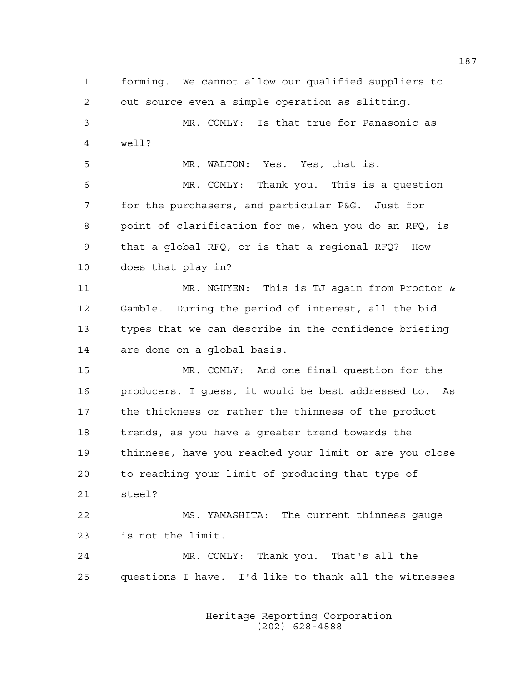1 forming. We cannot allow our qualified suppliers to 2 out source even a simple operation as slitting. 3 MR. COMLY: Is that true for Panasonic as 4 well? 5 MR. WALTON: Yes. Yes, that is. 6 MR. COMLY: Thank you. This is a question 7 for the purchasers, and particular P&G. Just for 8 point of clarification for me, when you do an RFQ, is 9 that a global RFQ, or is that a regional RFQ? How 10 does that play in? 11 MR. NGUYEN: This is TJ again from Proctor & 12 Gamble. During the period of interest, all the bid 13 types that we can describe in the confidence briefing 14 are done on a global basis. 15 MR. COMLY: And one final question for the 16 producers, I guess, it would be best addressed to. As 17 the thickness or rather the thinness of the product 18 trends, as you have a greater trend towards the 19 thinness, have you reached your limit or are you close 20 to reaching your limit of producing that type of 21 steel? 22 MS. YAMASHITA: The current thinness gauge 23 is not the limit. 24 MR. COMLY: Thank you. That's all the 25 questions I have. I'd like to thank all the witnesses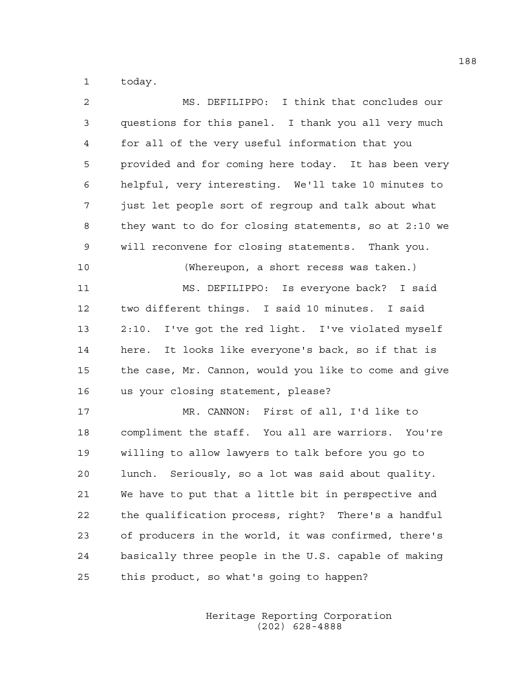1 today.

| 2           | MS. DEFILIPPO: I think that concludes our             |
|-------------|-------------------------------------------------------|
| 3           | questions for this panel. I thank you all very much   |
| 4           | for all of the very useful information that you       |
| 5           | provided and for coming here today. It has been very  |
| 6           | helpful, very interesting. We'll take 10 minutes to   |
| 7           | just let people sort of regroup and talk about what   |
| 8           | they want to do for closing statements, so at 2:10 we |
| $\mathsf 9$ | will reconvene for closing statements. Thank you.     |
| 10          | (Whereupon, a short recess was taken.)                |
| 11          | MS. DEFILIPPO: Is everyone back? I said               |
| 12          | two different things. I said 10 minutes. I said       |
| 13          | 2:10. I've got the red light. I've violated myself    |
| 14          | here. It looks like everyone's back, so if that is    |
| 15          | the case, Mr. Cannon, would you like to come and give |
| 16          | us your closing statement, please?                    |
| 17          | MR. CANNON: First of all, I'd like to                 |
| 18          | compliment the staff. You all are warriors. You're    |
| 19          | willing to allow lawyers to talk before you go to     |
| 20          | lunch. Seriously, so a lot was said about quality.    |
| 21          | We have to put that a little bit in perspective and   |
| 22          | the qualification process, right? There's a handful   |
| 23          | of producers in the world, it was confirmed, there's  |
| 24          | basically three people in the U.S. capable of making  |
| 25          | this product, so what's going to happen?              |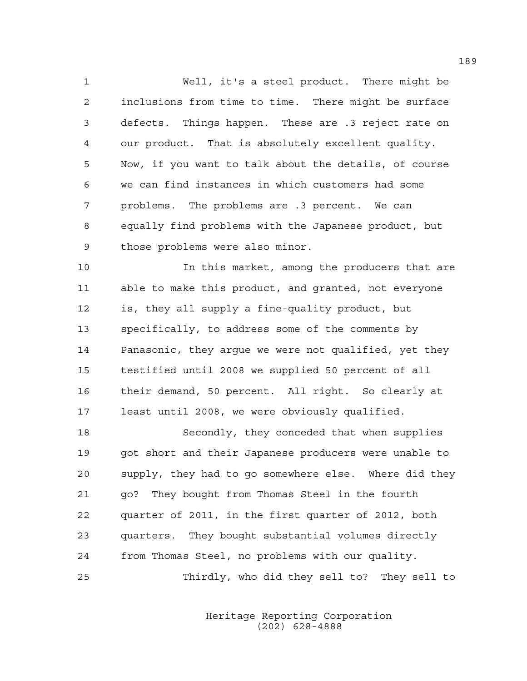1 Well, it's a steel product. There might be 2 inclusions from time to time. There might be surface 3 defects. Things happen. These are .3 reject rate on 4 our product. That is absolutely excellent quality. 5 Now, if you want to talk about the details, of course 6 we can find instances in which customers had some 7 problems. The problems are .3 percent. We can 8 equally find problems with the Japanese product, but 9 those problems were also minor.

10 In this market, among the producers that are 11 able to make this product, and granted, not everyone 12 is, they all supply a fine-quality product, but 13 specifically, to address some of the comments by 14 Panasonic, they argue we were not qualified, yet they 15 testified until 2008 we supplied 50 percent of all 16 their demand, 50 percent. All right. So clearly at 17 least until 2008, we were obviously qualified.

18 Secondly, they conceded that when supplies 19 got short and their Japanese producers were unable to 20 supply, they had to go somewhere else. Where did they 21 go? They bought from Thomas Steel in the fourth 22 quarter of 2011, in the first quarter of 2012, both 23 quarters. They bought substantial volumes directly 24 from Thomas Steel, no problems with our quality. 25 Thirdly, who did they sell to? They sell to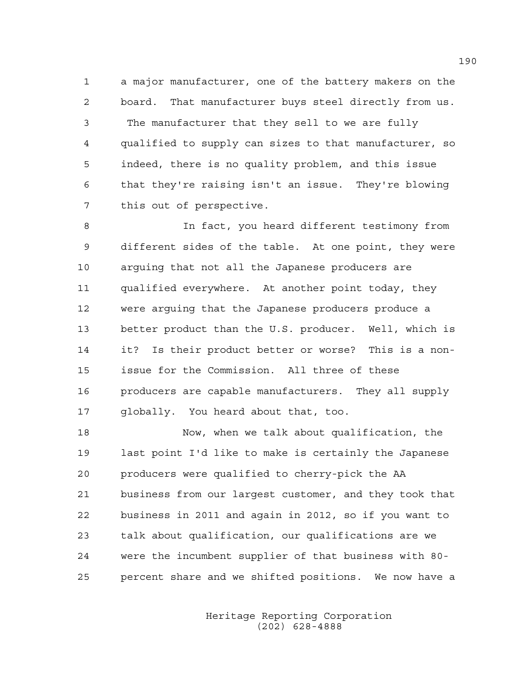1 a major manufacturer, one of the battery makers on the 2 board. That manufacturer buys steel directly from us. 3 The manufacturer that they sell to we are fully 4 qualified to supply can sizes to that manufacturer, so 5 indeed, there is no quality problem, and this issue 6 that they're raising isn't an issue. They're blowing 7 this out of perspective.

8 In fact, you heard different testimony from 9 different sides of the table. At one point, they were 10 arguing that not all the Japanese producers are 11 qualified everywhere. At another point today, they 12 were arguing that the Japanese producers produce a 13 better product than the U.S. producer. Well, which is 14 it? Is their product better or worse? This is a non-15 issue for the Commission. All three of these 16 producers are capable manufacturers. They all supply 17 globally. You heard about that, too.

18 Now, when we talk about qualification, the 19 last point I'd like to make is certainly the Japanese 20 producers were qualified to cherry-pick the AA 21 business from our largest customer, and they took that 22 business in 2011 and again in 2012, so if you want to 23 talk about qualification, our qualifications are we 24 were the incumbent supplier of that business with 80- 25 percent share and we shifted positions. We now have a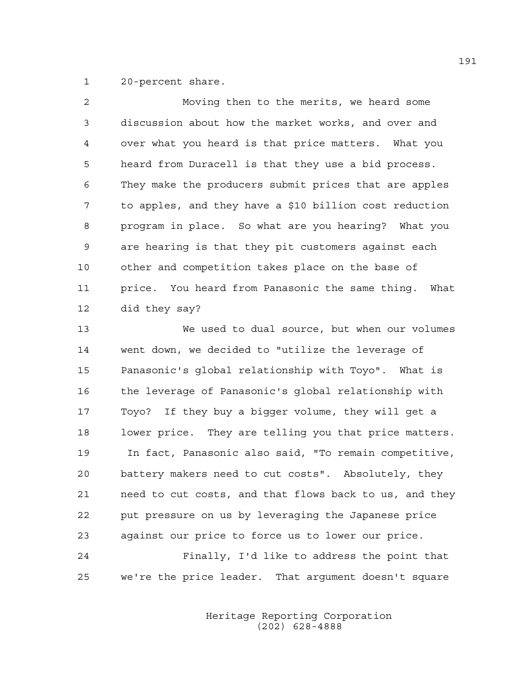1 20-percent share.

| 2           | Moving then to the merits, we heard some                |
|-------------|---------------------------------------------------------|
| 3           | discussion about how the market works, and over and     |
| 4           | over what you heard is that price matters. What you     |
| 5           | heard from Duracell is that they use a bid process.     |
| 6           | They make the producers submit prices that are apples   |
| 7           | to apples, and they have a \$10 billion cost reduction  |
| 8           | program in place. So what are you hearing? What you     |
| $\mathsf 9$ | are hearing is that they pit customers against each     |
| 10          | other and competition takes place on the base of        |
| 11          | price. You heard from Panasonic the same thing.<br>What |
| 12          | did they say?                                           |
| 13          | We used to dual source, but when our volumes            |
| 14          | went down, we decided to "utilize the leverage of       |
| 15          | Panasonic's global relationship with Toyo". What is     |
| 16          | the leverage of Panasonic's global relationship with    |
| 17          | Toyo? If they buy a bigger volume, they will get a      |
| 18          | lower price. They are telling you that price matters.   |
| 19          | In fact, Panasonic also said, "To remain competitive,   |

20 battery makers need to cut costs". Absolutely, they 21 need to cut costs, and that flows back to us, and they 22 put pressure on us by leveraging the Japanese price 23 against our price to force us to lower our price.

24 Finally, I'd like to address the point that 25 we're the price leader. That argument doesn't square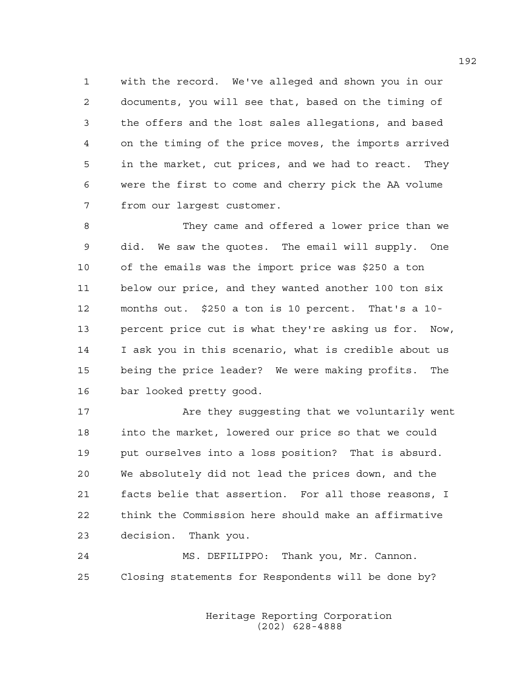1 with the record. We've alleged and shown you in our 2 documents, you will see that, based on the timing of 3 the offers and the lost sales allegations, and based 4 on the timing of the price moves, the imports arrived 5 in the market, cut prices, and we had to react. They 6 were the first to come and cherry pick the AA volume 7 from our largest customer.

8 They came and offered a lower price than we 9 did. We saw the quotes. The email will supply. One 10 of the emails was the import price was \$250 a ton 11 below our price, and they wanted another 100 ton six 12 months out. \$250 a ton is 10 percent. That's a 10- 13 percent price cut is what they're asking us for. Now, 14 I ask you in this scenario, what is credible about us 15 being the price leader? We were making profits. The 16 bar looked pretty good.

17 Are they suggesting that we voluntarily went 18 into the market, lowered our price so that we could 19 put ourselves into a loss position? That is absurd. 20 We absolutely did not lead the prices down, and the 21 facts belie that assertion. For all those reasons, I 22 think the Commission here should make an affirmative 23 decision. Thank you.

24 MS. DEFILIPPO: Thank you, Mr. Cannon. 25 Closing statements for Respondents will be done by?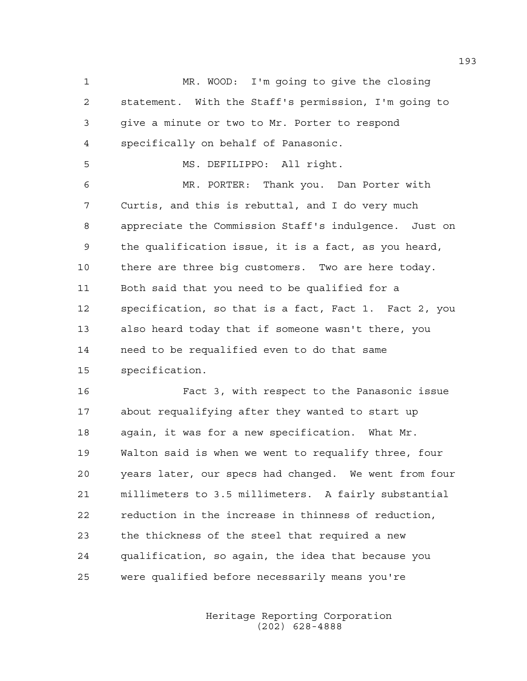1 MR. WOOD: I'm going to give the closing 2 statement. With the Staff's permission, I'm going to 3 give a minute or two to Mr. Porter to respond 4 specifically on behalf of Panasonic. 5 MS. DEFILIPPO: All right. 6 MR. PORTER: Thank you. Dan Porter with 7 Curtis, and this is rebuttal, and I do very much 8 appreciate the Commission Staff's indulgence. Just on 9 the qualification issue, it is a fact, as you heard, 10 there are three big customers. Two are here today. 11 Both said that you need to be qualified for a 12 specification, so that is a fact, Fact 1. Fact 2, you 13 also heard today that if someone wasn't there, you 14 need to be requalified even to do that same 15 specification.

16 Fact 3, with respect to the Panasonic issue 17 about requalifying after they wanted to start up 18 again, it was for a new specification. What Mr. 19 Walton said is when we went to requalify three, four 20 years later, our specs had changed. We went from four 21 millimeters to 3.5 millimeters. A fairly substantial 22 reduction in the increase in thinness of reduction, 23 the thickness of the steel that required a new 24 qualification, so again, the idea that because you 25 were qualified before necessarily means you're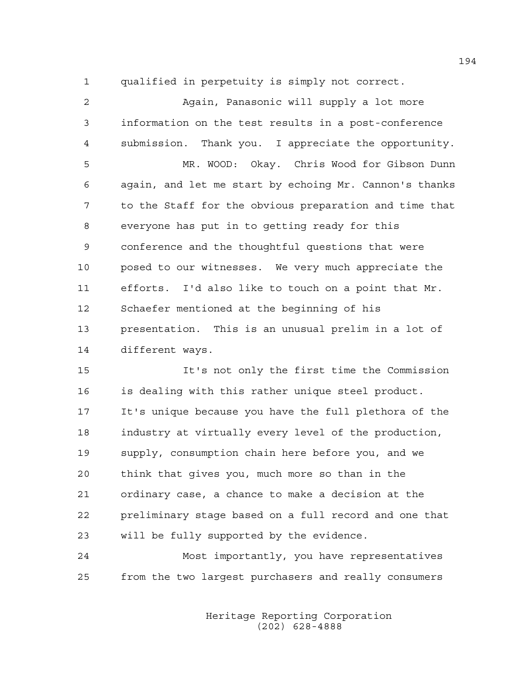1 qualified in perpetuity is simply not correct.

| $\mathfrak{D}$ | Again, Panasonic will supply a lot more                |
|----------------|--------------------------------------------------------|
| 3              | information on the test results in a post-conference   |
| 4              | submission. Thank you. I appreciate the opportunity.   |
| 5              | MR. WOOD: Okay. Chris Wood for Gibson Dunn             |
| 6              | again, and let me start by echoing Mr. Cannon's thanks |
| 7              | to the Staff for the obvious preparation and time that |
| 8              | everyone has put in to getting ready for this          |
| 9              | conference and the thoughtful questions that were      |
| 10             | posed to our witnesses. We very much appreciate the    |
| 11             | efforts. I'd also like to touch on a point that Mr.    |
| 12             | Schaefer mentioned at the beginning of his             |
| 13             | presentation. This is an unusual prelim in a lot of    |
| 14             | different ways.                                        |

15 It's not only the first time the Commission 16 is dealing with this rather unique steel product. 17 It's unique because you have the full plethora of the 18 industry at virtually every level of the production, 19 supply, consumption chain here before you, and we 20 think that gives you, much more so than in the 21 ordinary case, a chance to make a decision at the 22 preliminary stage based on a full record and one that 23 will be fully supported by the evidence.

24 Most importantly, you have representatives 25 from the two largest purchasers and really consumers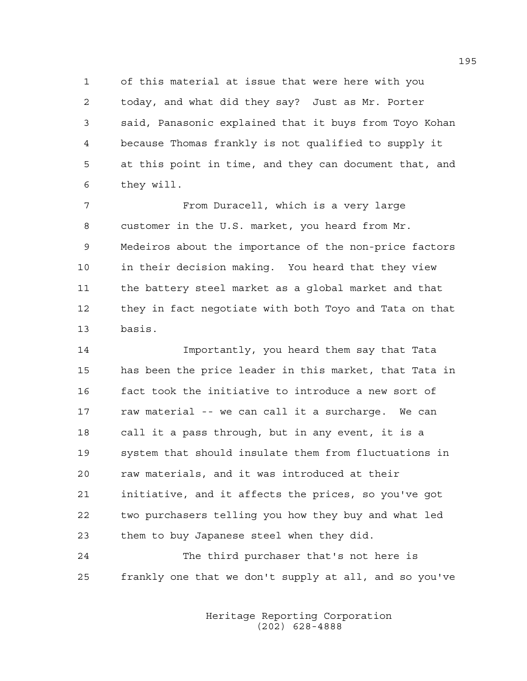1 of this material at issue that were here with you 2 today, and what did they say? Just as Mr. Porter 3 said, Panasonic explained that it buys from Toyo Kohan 4 because Thomas frankly is not qualified to supply it 5 at this point in time, and they can document that, and 6 they will.

7 From Duracell, which is a very large 8 customer in the U.S. market, you heard from Mr. 9 Medeiros about the importance of the non-price factors 10 in their decision making. You heard that they view 11 the battery steel market as a global market and that 12 they in fact negotiate with both Toyo and Tata on that 13 basis.

14 Importantly, you heard them say that Tata 15 has been the price leader in this market, that Tata in 16 fact took the initiative to introduce a new sort of 17 raw material -- we can call it a surcharge. We can 18 call it a pass through, but in any event, it is a 19 system that should insulate them from fluctuations in 20 raw materials, and it was introduced at their 21 initiative, and it affects the prices, so you've got 22 two purchasers telling you how they buy and what led 23 them to buy Japanese steel when they did.

24 The third purchaser that's not here is 25 frankly one that we don't supply at all, and so you've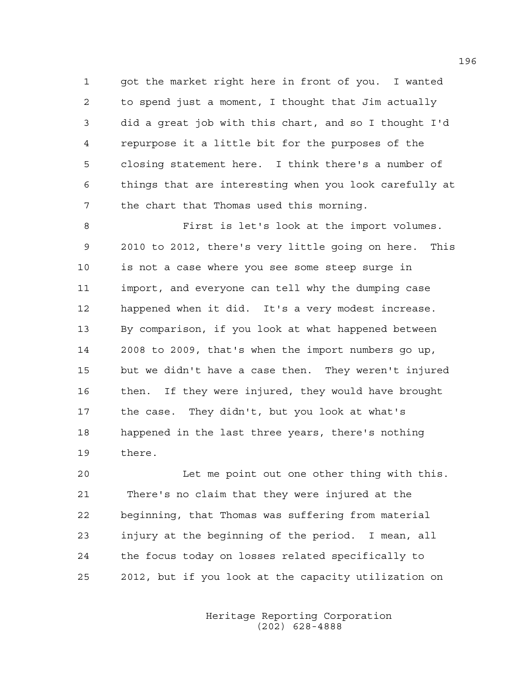1 got the market right here in front of you. I wanted 2 to spend just a moment, I thought that Jim actually 3 did a great job with this chart, and so I thought I'd 4 repurpose it a little bit for the purposes of the 5 closing statement here. I think there's a number of 6 things that are interesting when you look carefully at 7 the chart that Thomas used this morning.

8 First is let's look at the import volumes. 9 2010 to 2012, there's very little going on here. This 10 is not a case where you see some steep surge in 11 import, and everyone can tell why the dumping case 12 happened when it did. It's a very modest increase. 13 By comparison, if you look at what happened between 14 2008 to 2009, that's when the import numbers go up, 15 but we didn't have a case then. They weren't injured 16 then. If they were injured, they would have brought 17 the case. They didn't, but you look at what's 18 happened in the last three years, there's nothing 19 there.

20 Let me point out one other thing with this. 21 There's no claim that they were injured at the 22 beginning, that Thomas was suffering from material 23 injury at the beginning of the period. I mean, all 24 the focus today on losses related specifically to 25 2012, but if you look at the capacity utilization on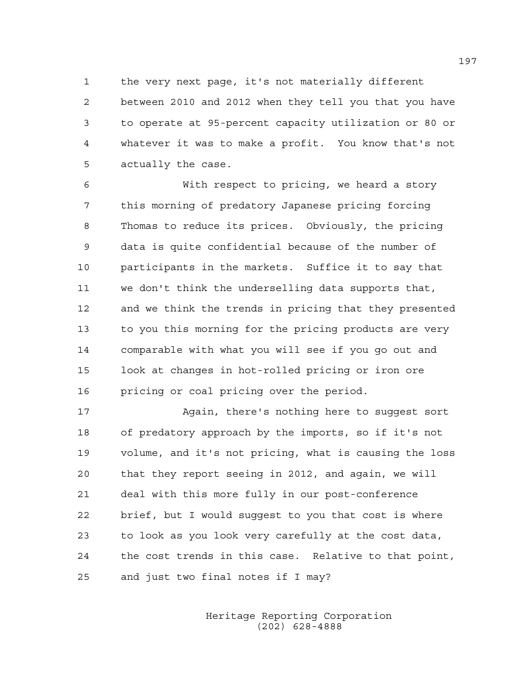1 the very next page, it's not materially different 2 between 2010 and 2012 when they tell you that you have 3 to operate at 95-percent capacity utilization or 80 or 4 whatever it was to make a profit. You know that's not 5 actually the case.

6 With respect to pricing, we heard a story 7 this morning of predatory Japanese pricing forcing 8 Thomas to reduce its prices. Obviously, the pricing 9 data is quite confidential because of the number of 10 participants in the markets. Suffice it to say that 11 we don't think the underselling data supports that, 12 and we think the trends in pricing that they presented 13 to you this morning for the pricing products are very 14 comparable with what you will see if you go out and 15 look at changes in hot-rolled pricing or iron ore 16 pricing or coal pricing over the period.

17 Again, there's nothing here to suggest sort 18 of predatory approach by the imports, so if it's not 19 volume, and it's not pricing, what is causing the loss 20 that they report seeing in 2012, and again, we will 21 deal with this more fully in our post-conference 22 brief, but I would suggest to you that cost is where 23 to look as you look very carefully at the cost data, 24 the cost trends in this case. Relative to that point, 25 and just two final notes if I may?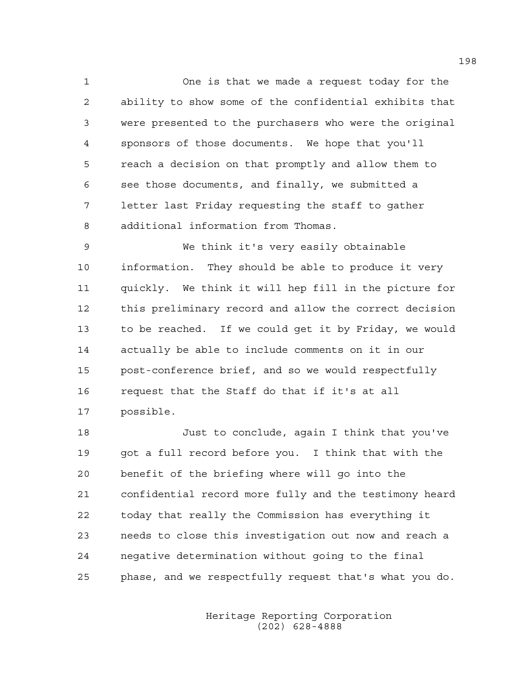1 One is that we made a request today for the 2 ability to show some of the confidential exhibits that 3 were presented to the purchasers who were the original 4 sponsors of those documents. We hope that you'll 5 reach a decision on that promptly and allow them to 6 see those documents, and finally, we submitted a 7 letter last Friday requesting the staff to gather 8 additional information from Thomas.

9 We think it's very easily obtainable 10 information. They should be able to produce it very 11 quickly. We think it will hep fill in the picture for 12 this preliminary record and allow the correct decision 13 to be reached. If we could get it by Friday, we would 14 actually be able to include comments on it in our 15 post-conference brief, and so we would respectfully 16 request that the Staff do that if it's at all 17 possible.

18 Just to conclude, again I think that you've 19 got a full record before you. I think that with the 20 benefit of the briefing where will go into the 21 confidential record more fully and the testimony heard 22 today that really the Commission has everything it 23 needs to close this investigation out now and reach a 24 negative determination without going to the final 25 phase, and we respectfully request that's what you do.

> Heritage Reporting Corporation (202) 628-4888

198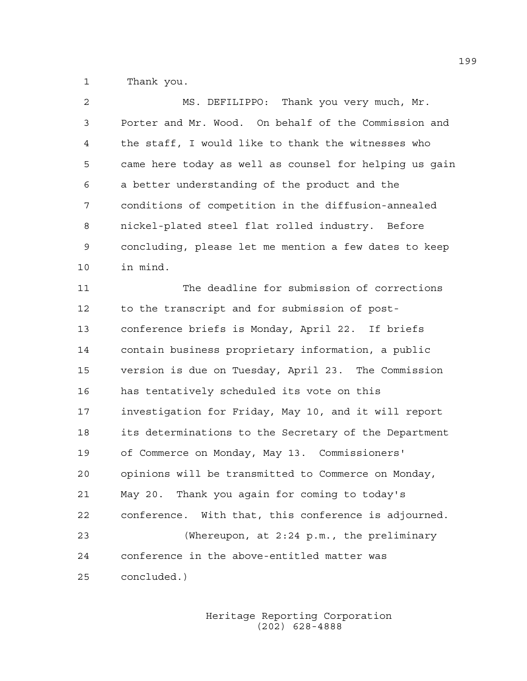1 Thank you.

| 2  | MS. DEFILIPPO: Thank you very much, Mr.                |
|----|--------------------------------------------------------|
| 3  | Porter and Mr. Wood. On behalf of the Commission and   |
| 4  | the staff, I would like to thank the witnesses who     |
| 5  | came here today as well as counsel for helping us gain |
| 6  | a better understanding of the product and the          |
| 7  | conditions of competition in the diffusion-annealed    |
| 8  | nickel-plated steel flat rolled industry. Before       |
| 9  | concluding, please let me mention a few dates to keep  |
| 10 | in mind.                                               |
| 11 | The deadline for submission of corrections             |
| 12 | to the transcript and for submission of post-          |
| 13 | conference briefs is Monday, April 22. If briefs       |
| 14 | contain business proprietary information, a public     |
| 15 | version is due on Tuesday, April 23. The Commission    |
| 16 | has tentatively scheduled its vote on this             |
| 17 | investigation for Friday, May 10, and it will report   |
| 18 | its determinations to the Secretary of the Department  |
| 19 | of Commerce on Monday, May 13. Commissioners'          |
| 20 | opinions will be transmitted to Commerce on Monday,    |
| 21 | May 20. Thank you again for coming to today's          |
| 22 | conference. With that, this conference is adjourned.   |
| 23 | (Whereupon, at 2:24 p.m., the preliminary              |
| 24 | conference in the above-entitled matter was            |
| 25 | concluded.)                                            |